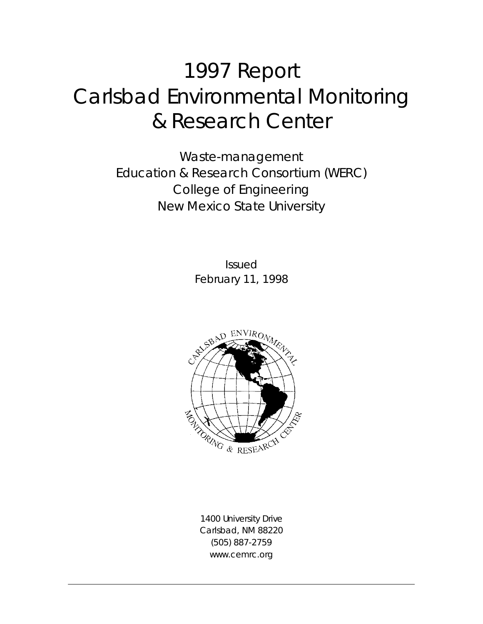# 1997 Report Carlsbad Environmental Monitoring & Research Center

*Waste-management Education & Research Consortium (WERC) College of Engineering New Mexico State University* 

> Issued February 11, 1998



1400 University Drive Carlsbad, NM 88220 (505) 887-2759 www.cemrc.org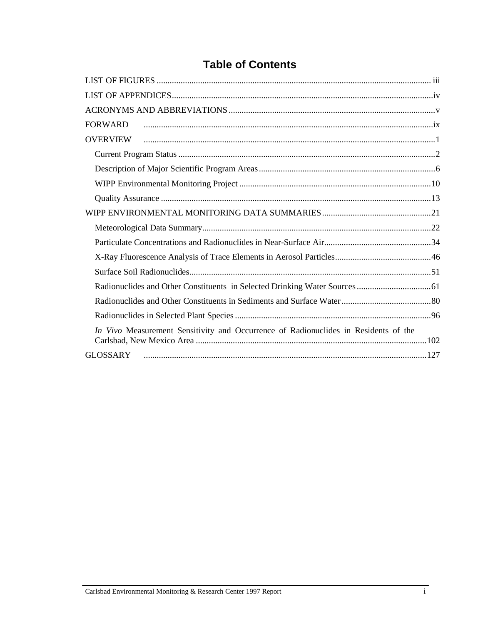## **Table of Contents**

| <b>FORWARD</b>                                                                      |
|-------------------------------------------------------------------------------------|
| <b>OVERVIEW</b>                                                                     |
|                                                                                     |
|                                                                                     |
|                                                                                     |
|                                                                                     |
|                                                                                     |
|                                                                                     |
|                                                                                     |
|                                                                                     |
|                                                                                     |
|                                                                                     |
|                                                                                     |
|                                                                                     |
| In Vivo Measurement Sensitivity and Occurrence of Radionuclides in Residents of the |
|                                                                                     |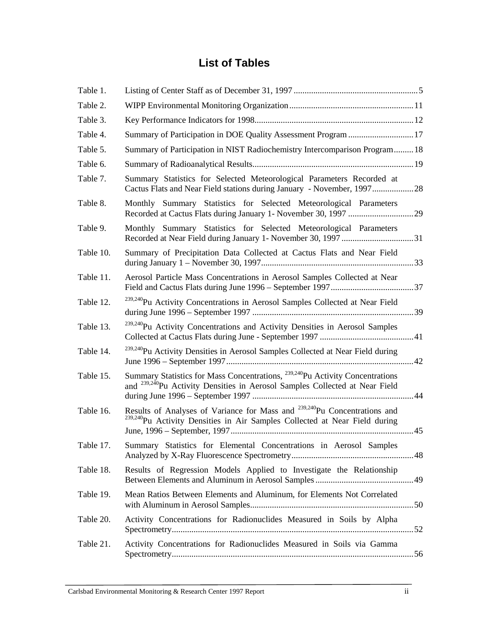## **List of Tables**

| Table 1.  |                                                                                                                                                                                      |  |  |  |
|-----------|--------------------------------------------------------------------------------------------------------------------------------------------------------------------------------------|--|--|--|
| Table 2.  |                                                                                                                                                                                      |  |  |  |
| Table 3.  |                                                                                                                                                                                      |  |  |  |
| Table 4.  | Summary of Participation in DOE Quality Assessment Program  17                                                                                                                       |  |  |  |
| Table 5.  | Summary of Participation in NIST Radiochemistry Intercomparison Program18                                                                                                            |  |  |  |
| Table 6.  |                                                                                                                                                                                      |  |  |  |
| Table 7.  | Summary Statistics for Selected Meteorological Parameters Recorded at<br>Cactus Flats and Near Field stations during January - November, 199728                                      |  |  |  |
| Table 8.  | Monthly Summary Statistics for Selected Meteorological Parameters                                                                                                                    |  |  |  |
| Table 9.  | Monthly Summary Statistics for Selected Meteorological Parameters                                                                                                                    |  |  |  |
| Table 10. | Summary of Precipitation Data Collected at Cactus Flats and Near Field                                                                                                               |  |  |  |
| Table 11. | Aerosol Particle Mass Concentrations in Aerosol Samples Collected at Near                                                                                                            |  |  |  |
| Table 12. | <sup>239,240</sup> Pu Activity Concentrations in Aerosol Samples Collected at Near Field                                                                                             |  |  |  |
| Table 13. | <sup>239,240</sup> Pu Activity Concentrations and Activity Densities in Aerosol Samples                                                                                              |  |  |  |
| Table 14. | <sup>239,240</sup> Pu Activity Densities in Aerosol Samples Collected at Near Field during                                                                                           |  |  |  |
| Table 15. | Summary Statistics for Mass Concentrations, <sup>239,240</sup> Pu Activity Concentrations<br>and <sup>239,240</sup> Pu Activity Densities in Aerosol Samples Collected at Near Field |  |  |  |
| Table 16. | Results of Analyses of Variance for Mass and <sup>239,240</sup> Pu Concentrations and<br><sup>239,240</sup> Pu Activity Densities in Air Samples Collected at Near Field during      |  |  |  |
| Table 17. | Summary Statistics for Elemental Concentrations in Aerosol Samples                                                                                                                   |  |  |  |
| Table 18. | Results of Regression Models Applied to Investigate the Relationship                                                                                                                 |  |  |  |
| Table 19. | Mean Ratios Between Elements and Aluminum, for Elements Not Correlated                                                                                                               |  |  |  |
| Table 20. | Activity Concentrations for Radionuclides Measured in Soils by Alpha                                                                                                                 |  |  |  |
| Table 21. | Activity Concentrations for Radionuclides Measured in Soils via Gamma                                                                                                                |  |  |  |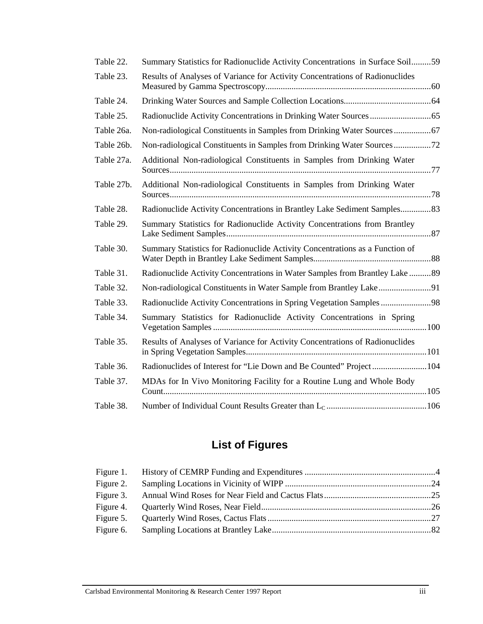| Table 22.  | Summary Statistics for Radionuclide Activity Concentrations in Surface Soil59 |  |
|------------|-------------------------------------------------------------------------------|--|
| Table 23.  | Results of Analyses of Variance for Activity Concentrations of Radionuclides  |  |
| Table 24.  |                                                                               |  |
| Table 25.  |                                                                               |  |
| Table 26a. |                                                                               |  |
| Table 26b. |                                                                               |  |
| Table 27a. | Additional Non-radiological Constituents in Samples from Drinking Water       |  |
| Table 27b. | Additional Non-radiological Constituents in Samples from Drinking Water       |  |
| Table 28.  | Radionuclide Activity Concentrations in Brantley Lake Sediment Samples83      |  |
| Table 29.  | Summary Statistics for Radionuclide Activity Concentrations from Brantley     |  |
| Table 30.  | Summary Statistics for Radionuclide Activity Concentrations as a Function of  |  |
| Table 31.  | Radionuclide Activity Concentrations in Water Samples from Brantley Lake 89   |  |
| Table 32.  |                                                                               |  |
| Table 33.  | Radionuclide Activity Concentrations in Spring Vegetation Samples 98          |  |
| Table 34.  | Summary Statistics for Radionuclide Activity Concentrations in Spring         |  |
| Table 35.  | Results of Analyses of Variance for Activity Concentrations of Radionuclides  |  |
| Table 36.  |                                                                               |  |
| Table 37.  | MDAs for In Vivo Monitoring Facility for a Routine Lung and Whole Body        |  |
| Table 38.  |                                                                               |  |

## **List of Figures**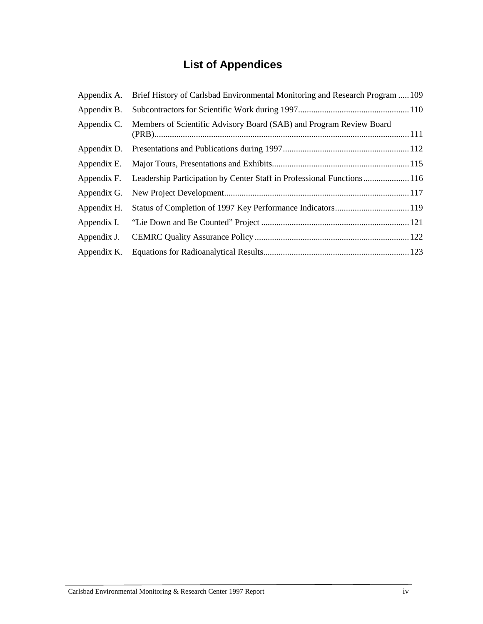## **List of Appendices**

| Appendix A. | Brief History of Carlsbad Environmental Monitoring and Research Program  109 |  |  |
|-------------|------------------------------------------------------------------------------|--|--|
| Appendix B. |                                                                              |  |  |
| Appendix C. | Members of Scientific Advisory Board (SAB) and Program Review Board          |  |  |
| Appendix D. |                                                                              |  |  |
| Appendix E. |                                                                              |  |  |
| Appendix F. | Leadership Participation by Center Staff in Professional Functions 116       |  |  |
| Appendix G. |                                                                              |  |  |
| Appendix H. |                                                                              |  |  |
| Appendix I. |                                                                              |  |  |
| Appendix J. |                                                                              |  |  |
| Appendix K. |                                                                              |  |  |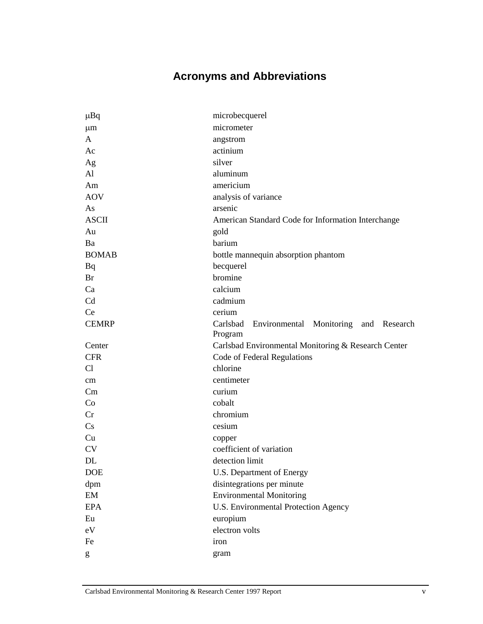## **Acronyms and Abbreviations**

| $\mu$ Bq               | microbecquerel                                               |  |  |
|------------------------|--------------------------------------------------------------|--|--|
| $\mu$ m                | micrometer                                                   |  |  |
| A                      | angstrom                                                     |  |  |
| Ac                     | actinium                                                     |  |  |
| Ag                     | silver                                                       |  |  |
| $\mathbf{A}$ l         | aluminum                                                     |  |  |
| Am                     | americium                                                    |  |  |
| <b>AOV</b>             | analysis of variance                                         |  |  |
| As                     | arsenic                                                      |  |  |
| <b>ASCII</b>           | American Standard Code for Information Interchange           |  |  |
| Au                     | gold                                                         |  |  |
| Ba                     | barium                                                       |  |  |
| <b>BOMAB</b>           | bottle mannequin absorption phantom                          |  |  |
| Bq                     | becquerel                                                    |  |  |
| Br                     | bromine                                                      |  |  |
| Ca                     | calcium                                                      |  |  |
| Cd                     | cadmium                                                      |  |  |
| Ce                     | cerium                                                       |  |  |
| <b>CEMRP</b>           | Carlsbad<br>Environmental Monitoring and Research<br>Program |  |  |
| Center                 | Carlsbad Environmental Monitoring & Research Center          |  |  |
| <b>CFR</b>             | Code of Federal Regulations                                  |  |  |
| Cl                     | chlorine                                                     |  |  |
| cm                     | centimeter                                                   |  |  |
| Cm                     | curium                                                       |  |  |
| Co                     | cobalt                                                       |  |  |
| Cr                     | chromium                                                     |  |  |
| $\mathbf{C}\mathbf{s}$ | cesium                                                       |  |  |
| Cu                     | copper                                                       |  |  |
| <b>CV</b>              | coefficient of variation                                     |  |  |
| DL                     | detection limit                                              |  |  |
| <b>DOE</b>             | U.S. Department of Energy                                    |  |  |
| dpm                    | disintegrations per minute                                   |  |  |
| EM                     | <b>Environmental Monitoring</b>                              |  |  |
| <b>EPA</b>             | U.S. Environmental Protection Agency                         |  |  |
| Eu                     | europium                                                     |  |  |
| $\rm eV$               | electron volts                                               |  |  |
| Fe                     | iron                                                         |  |  |
| g                      | gram                                                         |  |  |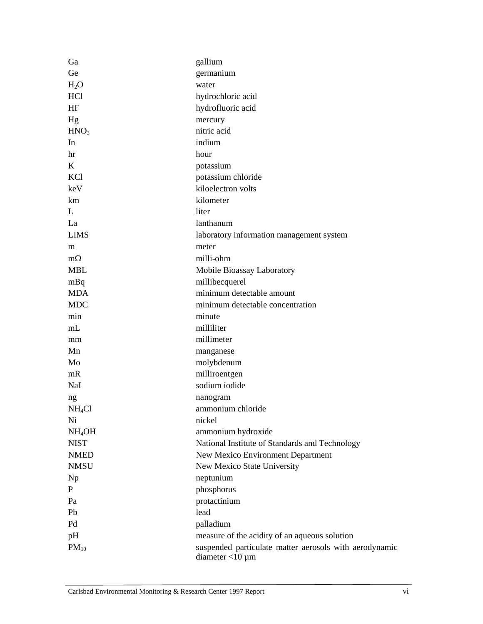| Ga                 | gallium                                                |  |  |
|--------------------|--------------------------------------------------------|--|--|
| Ge                 | germanium                                              |  |  |
| $H_2O$             | water                                                  |  |  |
| HC <sub>1</sub>    | hydrochloric acid                                      |  |  |
| HF                 | hydrofluoric acid                                      |  |  |
| Hg                 | mercury                                                |  |  |
| HNO <sub>3</sub>   | nitric acid                                            |  |  |
| In                 | indium                                                 |  |  |
| hr                 | hour                                                   |  |  |
| K                  | potassium                                              |  |  |
| KC1                | potassium chloride                                     |  |  |
| keV                | kiloelectron volts                                     |  |  |
| km                 | kilometer                                              |  |  |
| L                  | liter                                                  |  |  |
| La                 | lanthanum                                              |  |  |
| <b>LIMS</b>        | laboratory information management system               |  |  |
| m                  | meter                                                  |  |  |
| $m\Omega$          | milli-ohm                                              |  |  |
| <b>MBL</b>         | Mobile Bioassay Laboratory                             |  |  |
| mBq                | millibecquerel                                         |  |  |
| <b>MDA</b>         | minimum detectable amount                              |  |  |
| <b>MDC</b>         | minimum detectable concentration                       |  |  |
| min                | minute                                                 |  |  |
| mL                 | milliliter                                             |  |  |
| mm                 | millimeter                                             |  |  |
| Mn                 | manganese                                              |  |  |
| Mo                 | molybdenum                                             |  |  |
| mR                 | milliroentgen                                          |  |  |
| NaI                | sodium iodide                                          |  |  |
| ng                 | nanogram                                               |  |  |
| NH <sub>4</sub> Cl | ammonium chloride                                      |  |  |
| Ni                 | nickel                                                 |  |  |
| NH <sub>4</sub> OH | ammonium hydroxide                                     |  |  |
| <b>NIST</b>        | National Institute of Standards and Technology         |  |  |
| <b>NMED</b>        | New Mexico Environment Department                      |  |  |
| <b>NMSU</b>        | New Mexico State University                            |  |  |
| Np                 | neptunium                                              |  |  |
| P                  | phosphorus                                             |  |  |
| Pa                 | protactinium                                           |  |  |
| Pb                 | lead                                                   |  |  |
| Pd                 | palladium                                              |  |  |
| pH                 | measure of the acidity of an aqueous solution          |  |  |
| $PM_{10}$          | suspended particulate matter aerosols with aerodynamic |  |  |
|                    | diameter $\leq$ 10 µm                                  |  |  |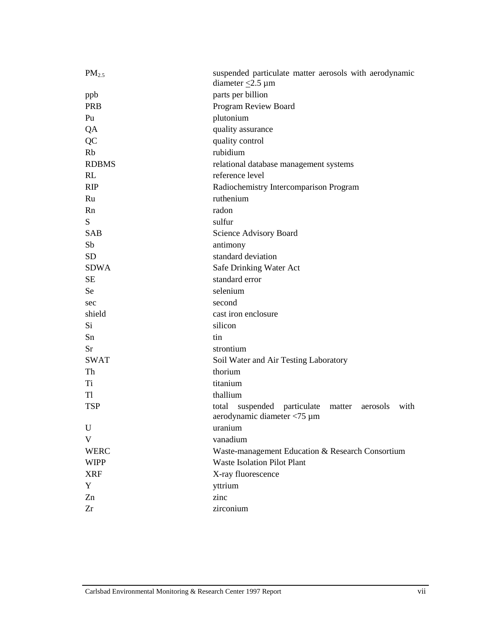| $PM_{2.5}$   | suspended particulate matter aerosols with aerodynamic<br>diameter $\leq$ 2.5 µm         |  |  |  |
|--------------|------------------------------------------------------------------------------------------|--|--|--|
| ppb          | parts per billion                                                                        |  |  |  |
| <b>PRB</b>   | Program Review Board                                                                     |  |  |  |
| Pu           | plutonium                                                                                |  |  |  |
| QA           | quality assurance                                                                        |  |  |  |
| QC           | quality control                                                                          |  |  |  |
| Rb           | rubidium                                                                                 |  |  |  |
| <b>RDBMS</b> | relational database management systems                                                   |  |  |  |
| RL           | reference level                                                                          |  |  |  |
| <b>RIP</b>   | Radiochemistry Intercomparison Program                                                   |  |  |  |
| Ru           | ruthenium                                                                                |  |  |  |
| Rn           | radon                                                                                    |  |  |  |
| S            | sulfur                                                                                   |  |  |  |
| <b>SAB</b>   | Science Advisory Board                                                                   |  |  |  |
| Sb           | antimony                                                                                 |  |  |  |
| <b>SD</b>    | standard deviation                                                                       |  |  |  |
| <b>SDWA</b>  | Safe Drinking Water Act                                                                  |  |  |  |
| <b>SE</b>    | standard error                                                                           |  |  |  |
| Se           | selenium                                                                                 |  |  |  |
| sec          | second                                                                                   |  |  |  |
| shield       | cast iron enclosure                                                                      |  |  |  |
| Si           | silicon                                                                                  |  |  |  |
| Sn           | tin                                                                                      |  |  |  |
| <b>Sr</b>    | strontium                                                                                |  |  |  |
| <b>SWAT</b>  | Soil Water and Air Testing Laboratory                                                    |  |  |  |
| Th           | thorium                                                                                  |  |  |  |
| Ti           | titanium                                                                                 |  |  |  |
| T1           | thallium                                                                                 |  |  |  |
| <b>TSP</b>   | suspended particulate matter<br>total<br>aerosols<br>with<br>aerodynamic diameter <75 µm |  |  |  |
| U            | uranium                                                                                  |  |  |  |
| V            | vanadium                                                                                 |  |  |  |
| <b>WERC</b>  | Waste-management Education & Research Consortium                                         |  |  |  |
| <b>WIPP</b>  | <b>Waste Isolation Pilot Plant</b>                                                       |  |  |  |
| <b>XRF</b>   | X-ray fluorescence                                                                       |  |  |  |
| Y            | yttrium                                                                                  |  |  |  |
| Zn           | zinc                                                                                     |  |  |  |
| Zr           | zirconium                                                                                |  |  |  |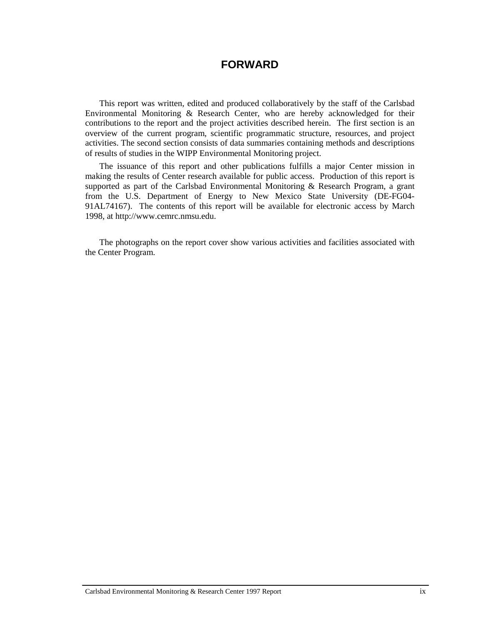#### **FORWARD**

This report was written, edited and produced collaboratively by the staff of the Carlsbad Environmental Monitoring & Research Center, who are hereby acknowledged for their contributions to the report and the project activities described herein. The first section is an overview of the current program, scientific programmatic structure, resources, and project activities. The second section consists of data summaries containing methods and descriptions of results of studies in the WIPP Environmental Monitoring project.

The issuance of this report and other publications fulfills a major Center mission in making the results of Center research available for public access. Production of this report is supported as part of the Carlsbad Environmental Monitoring & Research Program, a grant from the U.S. Department of Energy to New Mexico State University (DE-FG04- 91AL74167). The contents of this report will be available for electronic access by March 1998, at http://www.cemrc.nmsu.edu.

The photographs on the report cover show various activities and facilities associated with the Center Program.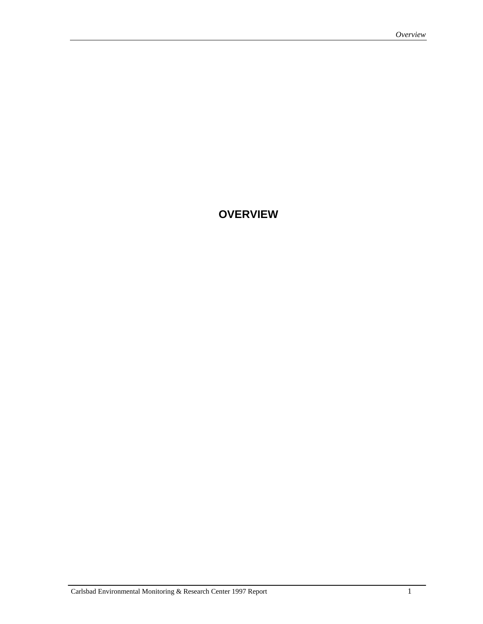### **OVERVIEW**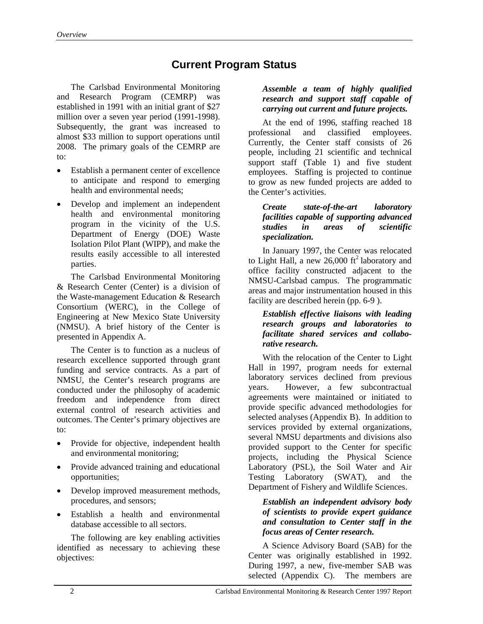## **Current Program Status**

The Carlsbad Environmental Monitoring and Research Program (CEMRP) was established in 1991 with an initial grant of \$27 million over a seven year period (1991-1998). Subsequently, the grant was increased to almost \$33 million to support operations until 2008. The primary goals of the CEMRP are to:

- Establish a permanent center of excellence to anticipate and respond to emerging health and environmental needs;
- Develop and implement an independent health and environmental monitoring program in the vicinity of the U.S. Department of Energy (DOE) Waste Isolation Pilot Plant (WIPP), and make the results easily accessible to all interested parties.

The Carlsbad Environmental Monitoring & Research Center (Center) is a division of the Waste-management Education & Research Consortium (WERC), in the College of Engineering at New Mexico State University (NMSU). A brief history of the Center is presented in Appendix A.

The Center is to function as a nucleus of research excellence supported through grant funding and service contracts. As a part of NMSU, the Center's research programs are conducted under the philosophy of academic freedom and independence from direct external control of research activities and outcomes. The Center's primary objectives are to:

- Provide for objective, independent health and environmental monitoring;
- Provide advanced training and educational opportunities;
- Develop improved measurement methods, procedures, and sensors;
- Establish a health and environmental database accessible to all sectors.

The following are key enabling activities identified as necessary to achieving these objectives:

#### *Assemble a team of highly qualified research and support staff capable of carrying out current and future projects.*

At the end of 1996, staffing reached 18 professional and classified employees. Currently, the Center staff consists of 26 people, including 21 scientific and technical support staff (Table 1) and five student employees. Staffing is projected to continue to grow as new funded projects are added to the Center's activities.

#### *Create state-of-the-art laboratory facilities capable of supporting advanced studies in areas of scientific specialization.*

In January 1997, the Center was relocated to Light Hall, a new 26,000  $\text{ft}^2$  laboratory and office facility constructed adjacent to the NMSU-Carlsbad campus. The programmatic areas and major instrumentation housed in this facility are described herein (pp. 6-9 ).

#### *Establish effective liaisons with leading research groups and laboratories to facilitate shared services and collaborative research.*

With the relocation of the Center to Light Hall in 1997, program needs for external laboratory services declined from previous years. However, a few subcontractual agreements were maintained or initiated to provide specific advanced methodologies for selected analyses (Appendix B). In addition to services provided by external organizations, several NMSU departments and divisions also provided support to the Center for specific projects, including the Physical Science Laboratory (PSL), the Soil Water and Air Testing Laboratory (SWAT), and the Department of Fishery and Wildlife Sciences.

#### *Establish an independent advisory body of scientists to provide expert guidance and consultation to Center staff in the focus areas of Center research.*

A Science Advisory Board (SAB) for the Center was originally established in 1992. During 1997, a new, five-member SAB was selected (Appendix C). The members are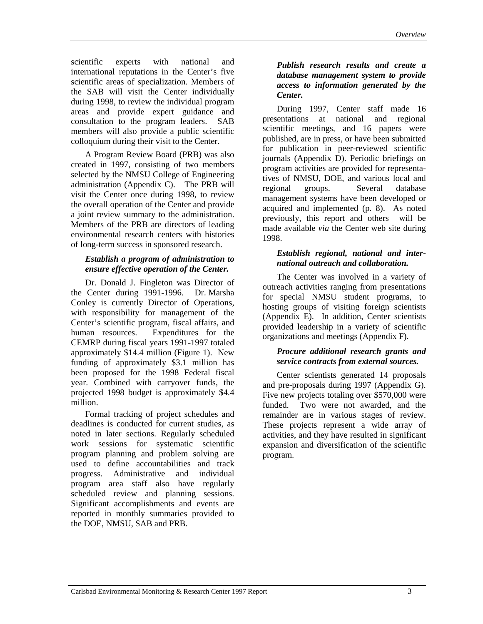scientific experts with national and international reputations in the Center's five scientific areas of specialization. Members of the SAB will visit the Center individually during 1998, to review the individual program areas and provide expert guidance and consultation to the program leaders. SAB members will also provide a public scientific colloquium during their visit to the Center.

A Program Review Board (PRB) was also created in 1997, consisting of two members selected by the NMSU College of Engineering administration (Appendix C). The PRB will visit the Center once during 1998, to review the overall operation of the Center and provide a joint review summary to the administration. Members of the PRB are directors of leading environmental research centers with histories of long-term success in sponsored research.

#### *Establish a program of administration to ensure effective operation of the Center.*

Dr. Donald J. Fingleton was Director of the Center during 1991-1996. Dr. Marsha Conley is currently Director of Operations, with responsibility for management of the Center's scientific program, fiscal affairs, and human resources. Expenditures for the CEMRP during fiscal years 1991-1997 totaled approximately \$14.4 million (Figure 1). New funding of approximately \$3.1 million has been proposed for the 1998 Federal fiscal year. Combined with carryover funds, the projected 1998 budget is approximately \$4.4 million.

Formal tracking of project schedules and deadlines is conducted for current studies, as noted in later sections. Regularly scheduled work sessions for systematic scientific program planning and problem solving are used to define accountabilities and track progress. Administrative and individual program area staff also have regularly scheduled review and planning sessions. Significant accomplishments and events are reported in monthly summaries provided to the DOE, NMSU, SAB and PRB.

#### *Publish research results and create a database management system to provide access to information generated by the Center.*

During 1997, Center staff made 16 presentations at national and regional scientific meetings, and 16 papers were published, are in press, or have been submitted for publication in peer-reviewed scientific journals (Appendix D). Periodic briefings on program activities are provided for representatives of NMSU, DOE, and various local and regional groups. Several database management systems have been developed or acquired and implemented (p. 8). As noted previously, this report and others will be made available *via* the Center web site during 1998.

#### *Establish regional, national and international outreach and collaboration.*

The Center was involved in a variety of outreach activities ranging from presentations for special NMSU student programs, to hosting groups of visiting foreign scientists (Appendix E). In addition, Center scientists provided leadership in a variety of scientific organizations and meetings (Appendix F).

#### *Procure additional research grants and service contracts from external sources.*

Center scientists generated 14 proposals and pre-proposals during 1997 (Appendix G). Five new projects totaling over \$570,000 were funded. Two were not awarded, and the remainder are in various stages of review. These projects represent a wide array of activities, and they have resulted in significant expansion and diversification of the scientific program.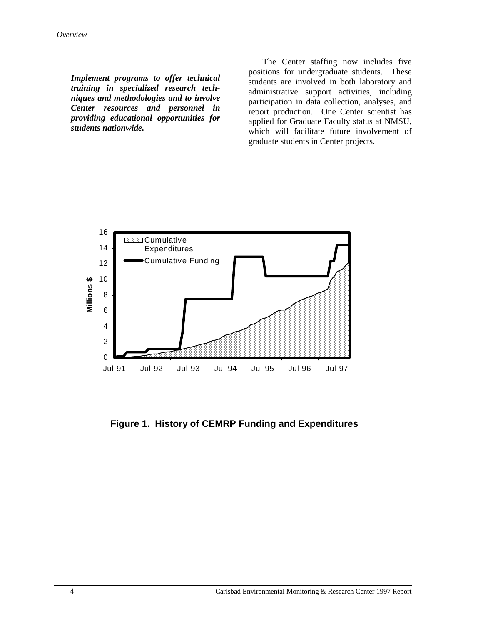*Implement programs to offer technical training in specialized research techniques and methodologies and to involve Center resources and personnel in providing educational opportunities for students nationwide.* 

 The Center staffing now includes five positions for undergraduate students. These students are involved in both laboratory and administrative support activities, including participation in data collection, analyses, and report production. One Center scientist has applied for Graduate Faculty status at NMSU, which will facilitate future involvement of graduate students in Center projects.



**Figure 1. History of CEMRP Funding and Expenditures**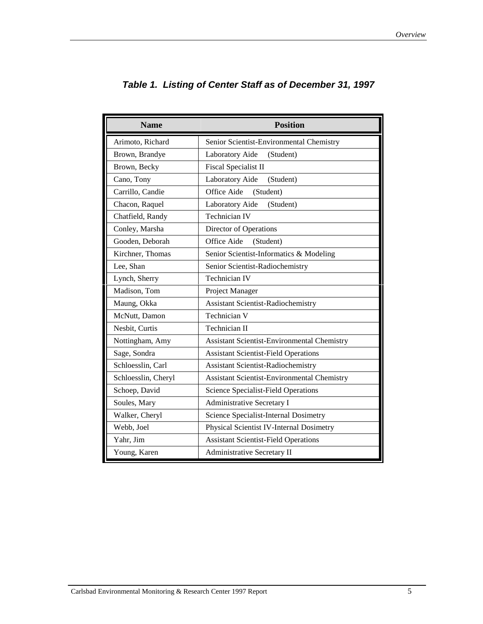| <b>Name</b>         | <b>Position</b>                                    |  |  |
|---------------------|----------------------------------------------------|--|--|
| Arimoto, Richard    | Senior Scientist-Environmental Chemistry           |  |  |
| Brown, Brandye      | Laboratory Aide<br>(Student)                       |  |  |
| Brown, Becky        | Fiscal Specialist II                               |  |  |
| Cano, Tony          | Laboratory Aide<br>(Student)                       |  |  |
| Carrillo, Candie    | Office Aide<br>(Student)                           |  |  |
| Chacon, Raquel      | Laboratory Aide<br>(Student)                       |  |  |
| Chatfield, Randy    | <b>Technician IV</b>                               |  |  |
| Conley, Marsha      | Director of Operations                             |  |  |
| Gooden, Deborah     | Office Aide<br>(Student)                           |  |  |
| Kirchner, Thomas    | Senior Scientist-Informatics & Modeling            |  |  |
| Lee, Shan           | Senior Scientist-Radiochemistry                    |  |  |
| Lynch, Sherry       | <b>Technician IV</b>                               |  |  |
| Madison, Tom        | Project Manager                                    |  |  |
| Maung, Okka         | <b>Assistant Scientist-Radiochemistry</b>          |  |  |
| McNutt, Damon       | Technician V                                       |  |  |
| Nesbit, Curtis      | Technician II                                      |  |  |
| Nottingham, Amy     | Assistant Scientist-Environmental Chemistry        |  |  |
| Sage, Sondra        | <b>Assistant Scientist-Field Operations</b>        |  |  |
| Schloesslin, Carl   | <b>Assistant Scientist-Radiochemistry</b>          |  |  |
| Schloesslin, Cheryl | <b>Assistant Scientist-Environmental Chemistry</b> |  |  |
| Schoep, David       | Science Specialist-Field Operations                |  |  |
| Soules, Mary        | Administrative Secretary I                         |  |  |
| Walker, Cheryl      | Science Specialist-Internal Dosimetry              |  |  |
| Webb, Joel          | Physical Scientist IV-Internal Dosimetry           |  |  |
| Yahr, Jim           | <b>Assistant Scientist-Field Operations</b>        |  |  |
| Young, Karen        | Administrative Secretary II                        |  |  |

## *Table 1. Listing of Center Staff as of December 31, 1997*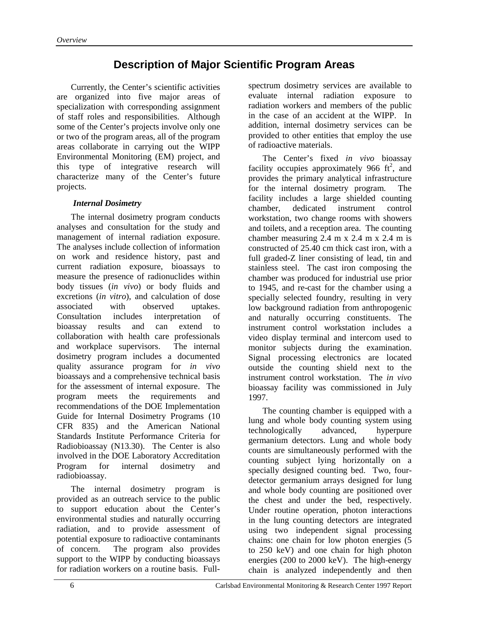## **Description of Major Scientific Program Areas**

Currently, the Center's scientific activities are organized into five major areas of specialization with corresponding assignment of staff roles and responsibilities. Although some of the Center's projects involve only one or two of the program areas, all of the program areas collaborate in carrying out the WIPP Environmental Monitoring (EM) project, and this type of integrative research will characterize many of the Center's future projects.

#### *Internal Dosimetry*

The internal dosimetry program conducts analyses and consultation for the study and management of internal radiation exposure. The analyses include collection of information on work and residence history, past and current radiation exposure, bioassays to measure the presence of radionuclides within body tissues (*in vivo*) or body fluids and excretions (*in vitro*), and calculation of dose associated with observed uptakes. Consultation includes interpretation of bioassay results and can extend to collaboration with health care professionals and workplace supervisors. The internal dosimetry program includes a documented quality assurance program for *in vivo*  bioassays and a comprehensive technical basis for the assessment of internal exposure. The program meets the requirements and recommendations of the DOE Implementation Guide for Internal Dosimetry Programs (10 CFR 835) and the American National Standards Institute Performance Criteria for Radiobioassay (N13.30). The Center is also involved in the DOE Laboratory Accreditation Program for internal dosimetry and radiobioassay.

The internal dosimetry program is provided as an outreach service to the public to support education about the Center's environmental studies and naturally occurring radiation, and to provide assessment of potential exposure to radioactive contaminants of concern. The program also provides support to the WIPP by conducting bioassays for radiation workers on a routine basis. Fullspectrum dosimetry services are available to evaluate internal radiation exposure to radiation workers and members of the public in the case of an accident at the WIPP. In addition, internal dosimetry services can be provided to other entities that employ the use of radioactive materials.

The Center's fixed *in vivo* bioassay facility occupies approximately 966  $\text{ft}^2$ , and provides the primary analytical infrastructure for the internal dosimetry program. The facility includes a large shielded counting chamber, dedicated instrument control workstation, two change rooms with showers and toilets, and a reception area. The counting chamber measuring 2.4 m x 2.4 m x 2.4 m is constructed of 25.40 cm thick cast iron, with a full graded-Z liner consisting of lead, tin and stainless steel. The cast iron composing the chamber was produced for industrial use prior to 1945, and re-cast for the chamber using a specially selected foundry, resulting in very low background radiation from anthropogenic and naturally occurring constituents. The instrument control workstation includes a video display terminal and intercom used to monitor subjects during the examination. Signal processing electronics are located outside the counting shield next to the instrument control workstation. The *in vivo* bioassay facility was commissioned in July 1997.

The counting chamber is equipped with a lung and whole body counting system using technologically advanced, hyperpure germanium detectors. Lung and whole body counts are simultaneously performed with the counting subject lying horizontally on a specially designed counting bed. Two, fourdetector germanium arrays designed for lung and whole body counting are positioned over the chest and under the bed, respectively. Under routine operation, photon interactions in the lung counting detectors are integrated using two independent signal processing chains: one chain for low photon energies (5 to 250 keV) and one chain for high photon energies (200 to 2000 keV). The high-energy chain is analyzed independently and then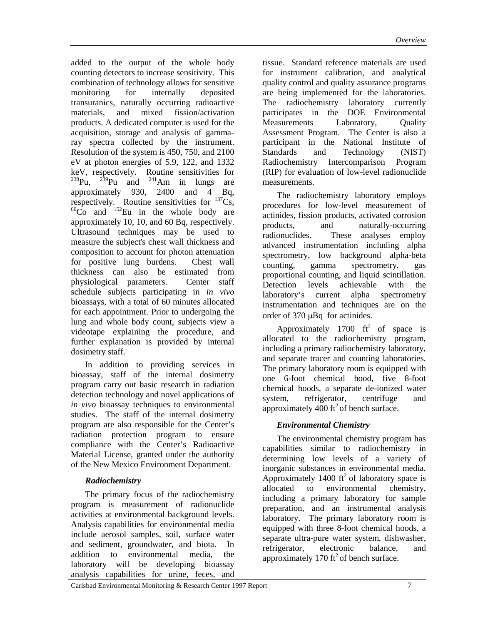added to the output of the whole body counting detectors to increase sensitivity. This combination of technology allows for sensitive monitoring for internally deposited transuranics, naturally occurring radioactive materials, and mixed fission/activation products. A dedicated computer is used for the acquisition, storage and analysis of gammaray spectra collected by the instrument. Resolution of the system is 450, 750, and 2100 eV at photon energies of 5.9, 122, and 1332 keV, respectively. Routine sensitivities for<br> $^{238}$ Pu.  $^{239}$ Pu and  $^{241}$ Am in lungs are  $239$ Pu and  $241$ Am in lungs are approximately 930, 2400 and 4 Bq, respectively. Routine sensitivities for  $^{137}Cs$ ,  ${}^{60}Co$  and  ${}^{152}Eu$  in the whole body are approximately 10, 10, and 60 Bq, respectively. Ultrasound techniques may be used to measure the subject's chest wall thickness and composition to account for photon attenuation for positive lung burdens. Chest wall thickness can also be estimated from physiological parameters. Center staff schedule subjects participating in *in vivo* bioassays, with a total of 60 minutes allocated for each appointment. Prior to undergoing the lung and whole body count, subjects view a videotape explaining the procedure, and further explanation is provided by internal dosimetry staff.

In addition to providing services in bioassay, staff of the internal dosimetry program carry out basic research in radiation detection technology and novel applications of *in vivo* bioassay techniques to environmental studies. The staff of the internal dosimetry program are also responsible for the Center's radiation protection program to ensure compliance with the Center's Radioactive Material License, granted under the authority of the New Mexico Environment Department.

#### *Radiochemistry*

The primary focus of the radiochemistry program is measurement of radionuclide activities at environmental background levels. Analysis capabilities for environmental media include aerosol samples, soil, surface water and sediment, groundwater, and biota. In addition to environmental media, the laboratory will be developing bioassay analysis capabilities for urine, feces, and tissue. Standard reference materials are used for instrument calibration, and analytical quality control and quality assurance programs are being implemented for the laboratories. The radiochemistry laboratory currently participates in the DOE Environmental Measurements Laboratory, Ouality Assessment Program. The Center is also a participant in the National Institute of Standards and Technology (NIST) Radiochemistry Intercomparison Program (RIP) for evaluation of low-level radionuclide measurements.

The radiochemistry laboratory employs procedures for low-level measurement of actinides, fission products, activated corrosion products, and naturally-occurring radionuclides. These analyses employ advanced instrumentation including alpha spectrometry, low background alpha-beta counting, gamma spectrometry, gas proportional counting, and liquid scintillation. Detection levels achievable with the laboratory's current alpha spectrometry instrumentation and techniques are on the order of 370 µBq for actinides.

Approximately 1700  $\text{ft}^2$  of space is allocated to the radiochemistry program, including a primary radiochemistry laboratory, and separate tracer and counting laboratories. The primary laboratory room is equipped with one 6-foot chemical hood, five 8-foot chemical hoods, a separate de-ionized water system, refrigerator, centrifuge and approximately 400 ft<sup>2</sup> of bench surface.

#### *Environmental Chemistry*

The environmental chemistry program has capabilities similar to radiochemistry in determining low levels of a variety of inorganic substances in environmental media. Approximately 1400  $\text{ft}^2$  of laboratory space is allocated to environmental chemistry, including a primary laboratory for sample preparation, and an instrumental analysis laboratory. The primary laboratory room is equipped with three 8-foot chemical hoods, a separate ultra-pure water system, dishwasher, refrigerator, electronic balance, and approximately 170 ft<sup>2</sup> of bench surface.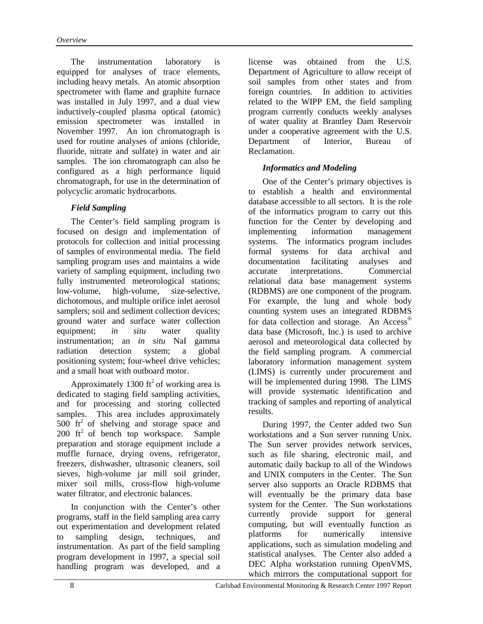The instrumentation laboratory is equipped for analyses of trace elements, including heavy metals. An atomic absorption spectrometer with flame and graphite furnace was installed in July 1997, and a dual view inductively-coupled plasma optical (atomic) emission spectrometer was installed in November 1997. An ion chromatograph is used for routine analyses of anions (chloride, fluoride, nitrate and sulfate) in water and air samples. The ion chromatograph can also be configured as a high performance liquid chromatograph, for use in the determination of polycyclic aromatic hydrocarbons.

#### *Field Sampling*

The Center's field sampling program is focused on design and implementation of protocols for collection and initial processing of samples of environmental media. The field sampling program uses and maintains a wide variety of sampling equipment, including two fully instrumented meteorological stations; low-volume, high-volume, size-selective, dichotomous, and multiple orifice inlet aerosol samplers; soil and sediment collection devices; ground water and surface water collection equipment: *in situ* water quality instrumentation; an *in situ* NaI gamma radiation detection system; a global positioning system; four-wheel drive vehicles; and a small boat with outboard motor.

Approximately 1300  $\text{ft}^2$  of working area is dedicated to staging field sampling activities, and for processing and storing collected samples. This area includes approximately 500  $\text{ft}^2$  of shelving and storage space and  $200$  ft<sup>2</sup> of bench top workspace. Sample preparation and storage equipment include a muffle furnace, drying ovens, refrigerator, freezers, dishwasher, ultrasonic cleaners, soil sieves, high-volume jar mill soil grinder, mixer soil mills, cross-flow high-volume water filtrator, and electronic balances.

In conjunction with the Center's other programs, staff in the field sampling area carry out experimentation and development related to sampling design, techniques, and instrumentation. As part of the field sampling program development in 1997, a special soil handling program was developed, and a license was obtained from the U.S. Department of Agriculture to allow receipt of soil samples from other states and from foreign countries. In addition to activities related to the WIPP EM, the field sampling program currently conducts weekly analyses of water quality at Brantley Dam Reservoir under a cooperative agreement with the U.S. Department of Interior, Bureau of Reclamation.

#### *Informatics and Modeling*

One of the Center's primary objectives is to establish a health and environmental database accessible to all sectors. It is the role of the informatics program to carry out this function for the Center by developing and implementing information management systems. The informatics program includes formal systems for data archival and documentation facilitating analyses and accurate interpretations. Commercial relational data base management systems (RDBMS) are one component of the program. For example, the lung and whole body counting system uses an integrated RDBMS for data collection and storage. An Access<sup>®</sup> data base (Microsoft, Inc.) is used to archive aerosol and meteorological data collected by the field sampling program. A commercial laboratory information management system (LIMS) is currently under procurement and will be implemented during 1998. The LIMS will provide systematic identification and tracking of samples and reporting of analytical results.

During 1997, the Center added two Sun workstations and a Sun server running Unix. The Sun server provides network services, such as file sharing, electronic mail, and automatic daily backup to all of the Windows and UNIX computers in the Center. The Sun server also supports an Oracle RDBMS that will eventually be the primary data base system for the Center. The Sun workstations currently provide support for general computing, but will eventually function as platforms for numerically intensive applications, such as simulation modeling and statistical analyses. The Center also added a DEC Alpha workstation running OpenVMS, which mirrors the computational support for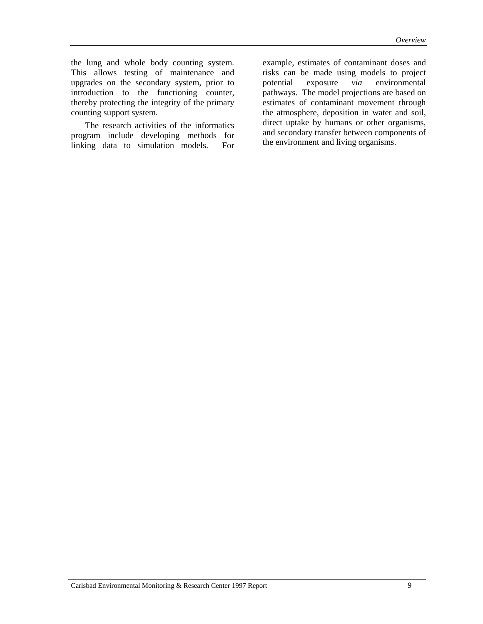the lung and whole body counting system. This allows testing of maintenance and upgrades on the secondary system, prior to introduction to the functioning counter, thereby protecting the integrity of the primary counting support system.

The research activities of the informatics program include developing methods for linking data to simulation models. For example, estimates of contaminant doses and risks can be made using models to project potential exposure *via* environmental pathways. The model projections are based on estimates of contaminant movement through the atmosphere, deposition in water and soil, direct uptake by humans or other organisms, and secondary transfer between components of the environment and living organisms.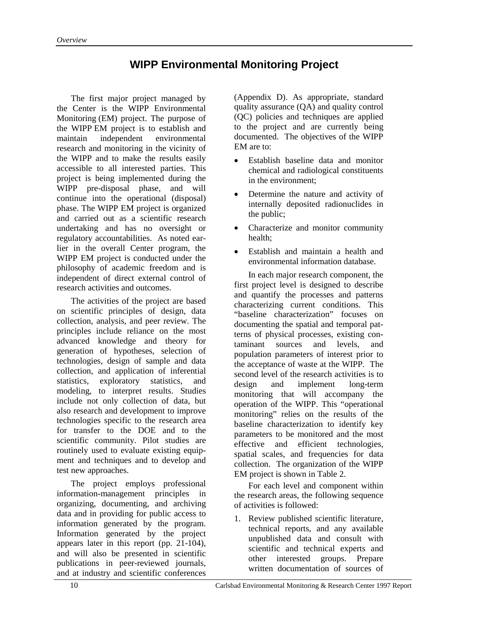## **WIPP Environmental Monitoring Project**

The first major project managed by the Center is the WIPP Environmental Monitoring (EM) project. The purpose of the WIPP EM project is to establish and maintain independent environmental research and monitoring in the vicinity of the WIPP and to make the results easily accessible to all interested parties. This project is being implemented during the WIPP pre-disposal phase, and will continue into the operational (disposal) phase. The WIPP EM project is organized and carried out as a scientific research undertaking and has no oversight or regulatory accountabilities. As noted earlier in the overall Center program, the WIPP EM project is conducted under the philosophy of academic freedom and is independent of direct external control of research activities and outcomes.

The activities of the project are based on scientific principles of design, data collection, analysis, and peer review. The principles include reliance on the most advanced knowledge and theory for generation of hypotheses, selection of technologies, design of sample and data collection, and application of inferential statistics, exploratory statistics, and modeling, to interpret results. Studies include not only collection of data, but also research and development to improve technologies specific to the research area for transfer to the DOE and to the scientific community. Pilot studies are routinely used to evaluate existing equipment and techniques and to develop and test new approaches.

The project employs professional information-management principles in organizing, documenting, and archiving data and in providing for public access to information generated by the program. Information generated by the project appears later in this report (pp. 21-104), and will also be presented in scientific publications in peer-reviewed journals, and at industry and scientific conferences

(Appendix D). As appropriate, standard quality assurance (QA) and quality control (QC) policies and techniques are applied to the project and are currently being documented. The objectives of the WIPP EM are to:

- Establish baseline data and monitor chemical and radiological constituents in the environment;
- Determine the nature and activity of internally deposited radionuclides in the public;
- Characterize and monitor community health;
- Establish and maintain a health and environmental information database.

In each major research component, the first project level is designed to describe and quantify the processes and patterns characterizing current conditions. This "baseline characterization" focuses on documenting the spatial and temporal patterns of physical processes, existing contaminant sources and levels, and population parameters of interest prior to the acceptance of waste at the WIPP. The second level of the research activities is to design and implement long-term monitoring that will accompany the operation of the WIPP. This "operational monitoring" relies on the results of the baseline characterization to identify key parameters to be monitored and the most effective and efficient technologies, spatial scales, and frequencies for data collection. The organization of the WIPP EM project is shown in Table 2.

For each level and component within the research areas, the following sequence of activities is followed:

1. Review published scientific literature, technical reports, and any available unpublished data and consult with scientific and technical experts and other interested groups. Prepare written documentation of sources of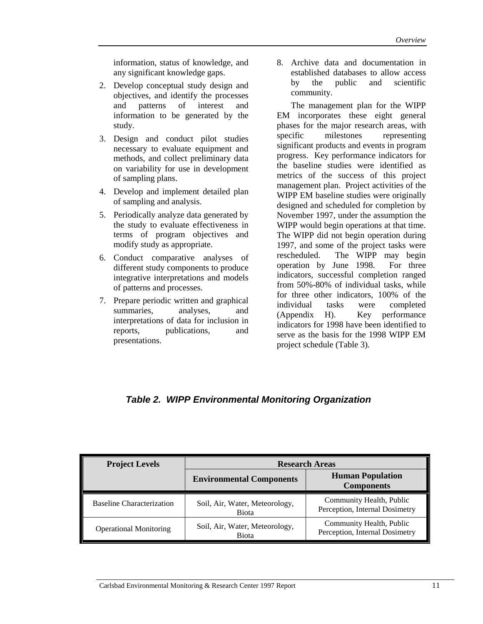information, status of knowledge, and any significant knowledge gaps.

- 2. Develop conceptual study design and objectives, and identify the processes and patterns of interest and information to be generated by the study.
- 3. Design and conduct pilot studies necessary to evaluate equipment and methods, and collect preliminary data on variability for use in development of sampling plans.
- 4. Develop and implement detailed plan of sampling and analysis.
- 5. Periodically analyze data generated by the study to evaluate effectiveness in terms of program objectives and modify study as appropriate.
- 6. Conduct comparative analyses of different study components to produce integrative interpretations and models of patterns and processes.
- 7. Prepare periodic written and graphical summaries, analyses, and interpretations of data for inclusion in reports, publications, and presentations.

8. Archive data and documentation in established databases to allow access by the public and scientific community.

The management plan for the WIPP EM incorporates these eight general phases for the major research areas, with specific milestones representing significant products and events in program progress. Key performance indicators for the baseline studies were identified as metrics of the success of this project management plan. Project activities of the WIPP EM baseline studies were originally designed and scheduled for completion by November 1997, under the assumption the WIPP would begin operations at that time. The WIPP did not begin operation during 1997, and some of the project tasks were rescheduled. The WIPP may begin operation by June 1998. For three indicators, successful completion ranged from 50%-80% of individual tasks, while for three other indicators, 100% of the individual tasks were completed (Appendix H). Key performance indicators for 1998 have been identified to serve as the basis for the 1998 WIPP EM project schedule (Table 3).

### *Table 2. WIPP Environmental Monitoring Organization*

| <b>Project Levels</b>            | <b>Research Areas</b>                          |                                                            |  |
|----------------------------------|------------------------------------------------|------------------------------------------------------------|--|
|                                  | <b>Environmental Components</b>                | <b>Human Population</b><br><b>Components</b>               |  |
| <b>Baseline Characterization</b> | Soil, Air, Water, Meteorology,<br><b>Biota</b> | Community Health, Public<br>Perception, Internal Dosimetry |  |
| <b>Operational Monitoring</b>    | Soil, Air, Water, Meteorology,<br><b>Biota</b> | Community Health, Public<br>Perception, Internal Dosimetry |  |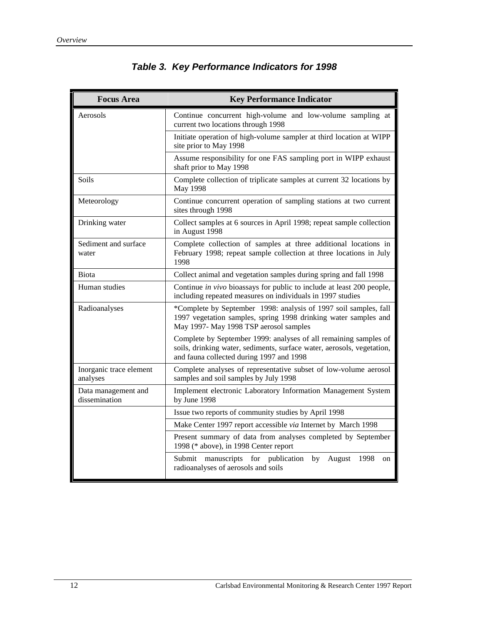| <b>Focus Area</b>                    | <b>Key Performance Indicator</b>                                                                                                                                                       |  |  |
|--------------------------------------|----------------------------------------------------------------------------------------------------------------------------------------------------------------------------------------|--|--|
| Aerosols                             | Continue concurrent high-volume and low-volume sampling at<br>current two locations through 1998                                                                                       |  |  |
|                                      | Initiate operation of high-volume sampler at third location at WIPP<br>site prior to May 1998                                                                                          |  |  |
|                                      | Assume responsibility for one FAS sampling port in WIPP exhaust<br>shaft prior to May 1998                                                                                             |  |  |
| Soils                                | Complete collection of triplicate samples at current 32 locations by<br>May 1998                                                                                                       |  |  |
| Meteorology                          | Continue concurrent operation of sampling stations at two current<br>sites through 1998                                                                                                |  |  |
| Drinking water                       | Collect samples at 6 sources in April 1998; repeat sample collection<br>in August 1998                                                                                                 |  |  |
| Sediment and surface<br>water        | Complete collection of samples at three additional locations in<br>February 1998; repeat sample collection at three locations in July<br>1998                                          |  |  |
| <b>Biota</b>                         | Collect animal and vegetation samples during spring and fall 1998                                                                                                                      |  |  |
| Human studies                        | Continue in vivo bioassays for public to include at least 200 people,<br>including repeated measures on individuals in 1997 studies                                                    |  |  |
| Radioanalyses                        | *Complete by September 1998: analysis of 1997 soil samples, fall<br>1997 vegetation samples, spring 1998 drinking water samples and<br>May 1997- May 1998 TSP aerosol samples          |  |  |
|                                      | Complete by September 1999: analyses of all remaining samples of<br>soils, drinking water, sediments, surface water, aerosols, vegetation,<br>and fauna collected during 1997 and 1998 |  |  |
| Inorganic trace element<br>analyses  | Complete analyses of representative subset of low-volume aerosol<br>samples and soil samples by July 1998                                                                              |  |  |
| Data management and<br>dissemination | Implement electronic Laboratory Information Management System<br>by June 1998                                                                                                          |  |  |
|                                      | Issue two reports of community studies by April 1998                                                                                                                                   |  |  |
|                                      | Make Center 1997 report accessible via Internet by March 1998                                                                                                                          |  |  |
|                                      | Present summary of data from analyses completed by September<br>1998 (* above), in 1998 Center report                                                                                  |  |  |
|                                      | Submit manuscripts for publication<br>August 1998<br>by<br>on<br>radioanalyses of aerosols and soils                                                                                   |  |  |

## *Table 3. Key Performance Indicators for 1998*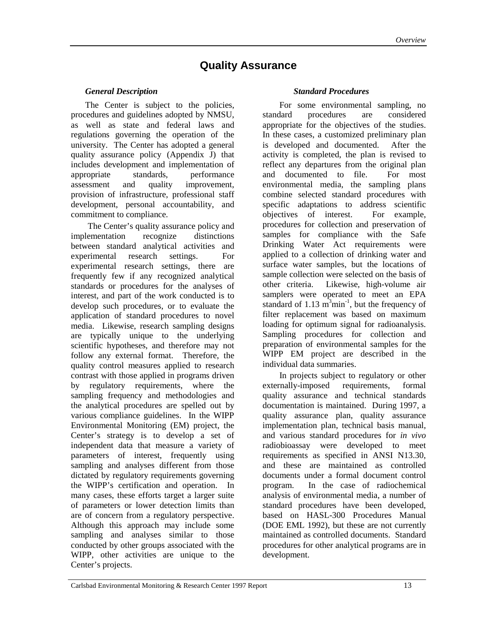### **Quality Assurance**

#### *General Description*

The Center is subject to the policies, procedures and guidelines adopted by NMSU, as well as state and federal laws and regulations governing the operation of the university. The Center has adopted a general quality assurance policy (Appendix J) that includes development and implementation of appropriate standards, performance assessment and quality improvement, provision of infrastructure, professional staff development, personal accountability, and commitment to compliance.

The Center's quality assurance policy and implementation recognize distinctions between standard analytical activities and experimental research settings. For experimental research settings, there are frequently few if any recognized analytical standards or procedures for the analyses of interest, and part of the work conducted is to develop such procedures, or to evaluate the application of standard procedures to novel media. Likewise, research sampling designs are typically unique to the underlying scientific hypotheses, and therefore may not follow any external format. Therefore, the quality control measures applied to research contrast with those applied in programs driven by regulatory requirements, where the sampling frequency and methodologies and the analytical procedures are spelled out by various compliance guidelines. In the WIPP Environmental Monitoring (EM) project, the Center's strategy is to develop a set of independent data that measure a variety of parameters of interest, frequently using sampling and analyses different from those dictated by regulatory requirements governing the WIPP's certification and operation. In many cases, these efforts target a larger suite of parameters or lower detection limits than are of concern from a regulatory perspective. Although this approach may include some sampling and analyses similar to those conducted by other groups associated with the WIPP, other activities are unique to the Center's projects.

#### *Standard Procedures*

For some environmental sampling, no standard procedures are considered appropriate for the objectives of the studies. In these cases, a customized preliminary plan is developed and documented. After the activity is completed, the plan is revised to reflect any departures from the original plan and documented to file. For most environmental media, the sampling plans combine selected standard procedures with specific adaptations to address scientific objectives of interest. For example, procedures for collection and preservation of samples for compliance with the Safe Drinking Water Act requirements were applied to a collection of drinking water and surface water samples, but the locations of sample collection were selected on the basis of other criteria. Likewise, high-volume air samplers were operated to meet an EPA standard of  $1.13 \text{ m}^3\text{min}^{-1}$ , but the frequency of filter replacement was based on maximum loading for optimum signal for radioanalysis. Sampling procedures for collection and preparation of environmental samples for the WIPP EM project are described in the individual data summaries.

In projects subject to regulatory or other externally-imposed requirements, formal quality assurance and technical standards documentation is maintained. During 1997, a quality assurance plan, quality assurance implementation plan, technical basis manual, and various standard procedures for *in vivo* radiobioassay were developed to meet requirements as specified in ANSI N13.30, and these are maintained as controlled documents under a formal document control program. In the case of radiochemical analysis of environmental media, a number of standard procedures have been developed, based on HASL-300 Procedures Manual (DOE EML 1992), but these are not currently maintained as controlled documents. Standard procedures for other analytical programs are in development.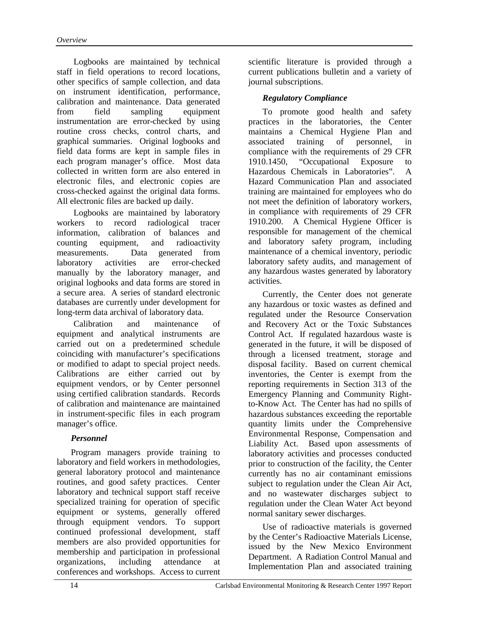Logbooks are maintained by technical staff in field operations to record locations, other specifics of sample collection, and data on instrument identification, performance, calibration and maintenance. Data generated from field sampling equipment instrumentation are error-checked by using routine cross checks, control charts, and graphical summaries. Original logbooks and field data forms are kept in sample files in each program manager's office. Most data collected in written form are also entered in electronic files, and electronic copies are cross-checked against the original data forms. All electronic files are backed up daily.

Logbooks are maintained by laboratory workers to record radiological tracer information, calibration of balances and counting equipment, and radioactivity measurements. Data generated from laboratory activities are error-checked manually by the laboratory manager, and original logbooks and data forms are stored in a secure area. A series of standard electronic databases are currently under development for long-term data archival of laboratory data.

Calibration and maintenance of equipment and analytical instruments are carried out on a predetermined schedule coinciding with manufacturer's specifications or modified to adapt to special project needs. Calibrations are either carried out by equipment vendors, or by Center personnel using certified calibration standards. Records of calibration and maintenance are maintained in instrument-specific files in each program manager's office.

#### *Personnel*

Program managers provide training to laboratory and field workers in methodologies, general laboratory protocol and maintenance routines, and good safety practices. Center laboratory and technical support staff receive specialized training for operation of specific equipment or systems, generally offered through equipment vendors. To support continued professional development, staff members are also provided opportunities for membership and participation in professional organizations, including attendance at conferences and workshops. Access to current

scientific literature is provided through a current publications bulletin and a variety of journal subscriptions.

#### *Regulatory Compliance*

To promote good health and safety practices in the laboratories, the Center maintains a Chemical Hygiene Plan and associated training of personnel, in compliance with the requirements of 29 CFR 1910.1450, "Occupational Exposure to Hazardous Chemicals in Laboratories". A Hazard Communication Plan and associated training are maintained for employees who do not meet the definition of laboratory workers, in compliance with requirements of 29 CFR 1910.200. A Chemical Hygiene Officer is responsible for management of the chemical and laboratory safety program, including maintenance of a chemical inventory, periodic laboratory safety audits, and management of any hazardous wastes generated by laboratory activities.

Currently, the Center does not generate any hazardous or toxic wastes as defined and regulated under the Resource Conservation and Recovery Act or the Toxic Substances Control Act. If regulated hazardous waste is generated in the future, it will be disposed of through a licensed treatment, storage and disposal facility. Based on current chemical inventories, the Center is exempt from the reporting requirements in Section 313 of the Emergency Planning and Community Rightto-Know Act. The Center has had no spills of hazardous substances exceeding the reportable quantity limits under the Comprehensive Environmental Response, Compensation and Liability Act. Based upon assessments of laboratory activities and processes conducted prior to construction of the facility, the Center currently has no air contaminant emissions subject to regulation under the Clean Air Act, and no wastewater discharges subject to regulation under the Clean Water Act beyond normal sanitary sewer discharges.

Use of radioactive materials is governed by the Center's Radioactive Materials License, issued by the New Mexico Environment Department. A Radiation Control Manual and Implementation Plan and associated training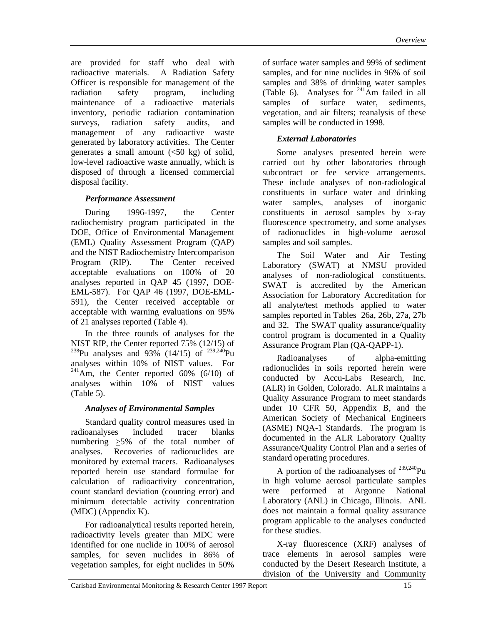are provided for staff who deal with radioactive materials. A Radiation Safety Officer is responsible for management of the radiation safety program, including maintenance of a radioactive materials inventory, periodic radiation contamination surveys, radiation safety audits, and management of any radioactive waste generated by laboratory activities. The Center generates a small amount  $\langle$  <50 kg) of solid, low-level radioactive waste annually, which is disposed of through a licensed commercial disposal facility.

#### *Performance Assessment*

During 1996-1997, the Center radiochemistry program participated in the DOE, Office of Environmental Management (EML) Quality Assessment Program (QAP) and the NIST Radiochemistry Intercomparison Program (RIP). The Center received acceptable evaluations on 100% of 20 analyses reported in QAP 45 (1997, DOE-EML-587). For QAP 46 (1997, DOE-EML-591), the Center received acceptable or acceptable with warning evaluations on 95% of 21 analyses reported (Table 4).

 In the three rounds of analyses for the NIST RIP, the Center reported 75% (12/15) of <sup>238</sup>Pu analyses and 93% (14/15) of <sup>239,240</sup>Pu analyses within 10% of NIST values. For  $^{241}$ Am, the Center reported 60% (6/10) of analyses within 10% of NIST values (Table 5).

#### *Analyses of Environmental Samples*

Standard quality control measures used in radioanalyses included tracer blanks numbering >5% of the total number of analyses. Recoveries of radionuclides are monitored by external tracers. Radioanalyses reported herein use standard formulae for calculation of radioactivity concentration, count standard deviation (counting error) and minimum detectable activity concentration (MDC) (Appendix K).

For radioanalytical results reported herein, radioactivity levels greater than MDC were identified for one nuclide in 100% of aerosol samples, for seven nuclides in 86% of vegetation samples, for eight nuclides in 50%

of surface water samples and 99% of sediment samples, and for nine nuclides in 96% of soil samples and 38% of drinking water samples (Table 6). Analyses for  $^{241}$ Am failed in all samples of surface water, sediments, vegetation, and air filters; reanalysis of these samples will be conducted in 1998.

#### *External Laboratories*

Some analyses presented herein were carried out by other laboratories through subcontract or fee service arrangements. These include analyses of non-radiological constituents in surface water and drinking water samples, analyses of inorganic constituents in aerosol samples by x-ray fluorescence spectrometry, and some analyses of radionuclides in high-volume aerosol samples and soil samples.

The Soil Water and Air Testing Laboratory (SWAT) at NMSU provided analyses of non-radiological constituents. SWAT is accredited by the American Association for Laboratory Accreditation for all analyte/test methods applied to water samples reported in Tables 26a, 26b, 27a, 27b and 32. The SWAT quality assurance/quality control program is documented in a Quality Assurance Program Plan (QA-QAPP-1).

Radioanalyses of alpha-emitting radionuclides in soils reported herein were conducted by Accu-Labs Research, Inc. (ALR) in Golden, Colorado. ALR maintains a Quality Assurance Program to meet standards under 10 CFR 50, Appendix B, and the American Society of Mechanical Engineers (ASME) NQA-1 Standards. The program is documented in the ALR Laboratory Quality Assurance/Quality Control Plan and a series of standard operating procedures.

A portion of the radioanalyses of  $^{239,240}$ Pu in high volume aerosol particulate samples were performed at Argonne National Laboratory (ANL) in Chicago, Illinois. ANL does not maintain a formal quality assurance program applicable to the analyses conducted for these studies.

X-ray fluorescence (XRF) analyses of trace elements in aerosol samples were conducted by the Desert Research Institute, a division of the University and Community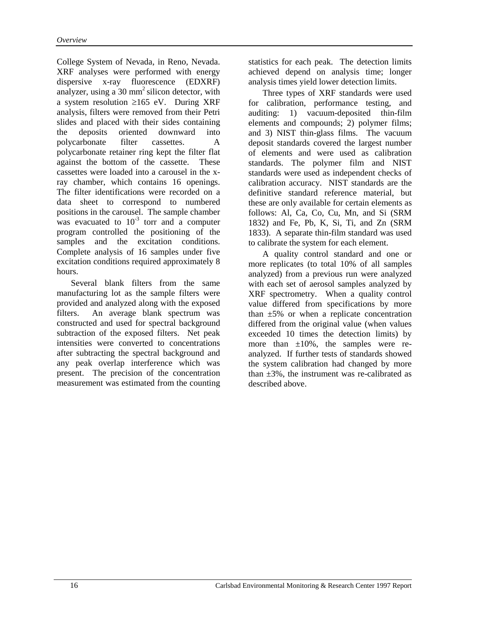College System of Nevada, in Reno, Nevada. XRF analyses were performed with energy dispersive x-ray fluorescence (EDXRF) analyzer, using a  $30 \text{ mm}^2$  silicon detector, with a system resolution ≥165 eV. During XRF analysis, filters were removed from their Petri slides and placed with their sides containing the deposits oriented downward into polycarbonate filter cassettes. A polycarbonate retainer ring kept the filter flat against the bottom of the cassette. These cassettes were loaded into a carousel in the xray chamber, which contains 16 openings. The filter identifications were recorded on a data sheet to correspond to numbered positions in the carousel. The sample chamber was evacuated to  $10^{-3}$  torr and a computer program controlled the positioning of the samples and the excitation conditions. Complete analysis of 16 samples under five excitation conditions required approximately 8 hours.

Several blank filters from the same manufacturing lot as the sample filters were provided and analyzed along with the exposed filters. An average blank spectrum was constructed and used for spectral background subtraction of the exposed filters. Net peak intensities were converted to concentrations after subtracting the spectral background and any peak overlap interference which was present. The precision of the concentration measurement was estimated from the counting statistics for each peak. The detection limits achieved depend on analysis time; longer analysis times yield lower detection limits.

Three types of XRF standards were used for calibration, performance testing, and auditing: 1) vacuum-deposited thin-film elements and compounds; 2) polymer films; and 3) NIST thin-glass films. The vacuum deposit standards covered the largest number of elements and were used as calibration standards. The polymer film and NIST standards were used as independent checks of calibration accuracy. NIST standards are the definitive standard reference material, but these are only available for certain elements as follows: Al, Ca, Co, Cu, Mn, and Si (SRM 1832) and Fe, Pb, K, Si, Ti, and Zn (SRM 1833). A separate thin-film standard was used to calibrate the system for each element.

A quality control standard and one or more replicates (to total 10% of all samples analyzed) from a previous run were analyzed with each set of aerosol samples analyzed by XRF spectrometry. When a quality control value differed from specifications by more than  $\pm 5\%$  or when a replicate concentration differed from the original value (when values exceeded 10 times the detection limits) by more than  $\pm 10\%$ , the samples were reanalyzed. If further tests of standards showed the system calibration had changed by more than  $\pm 3\%$ , the instrument was re-calibrated as described above.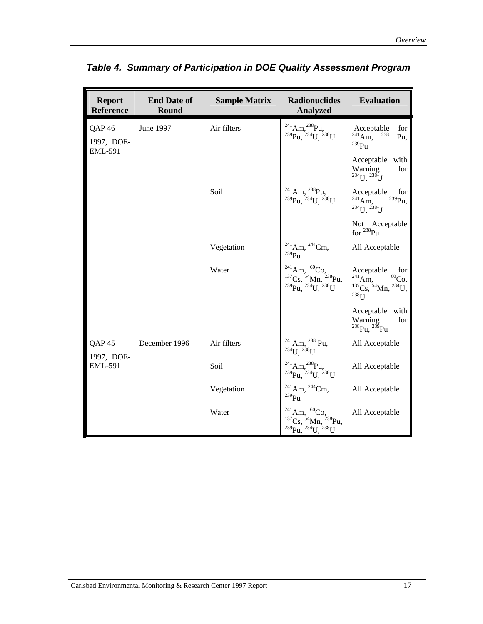| <b>Report</b><br><b>Reference</b>                 | <b>End Date of</b><br><b>Round</b> | <b>Sample Matrix</b> | <b>Radionuclides</b><br><b>Analyzed</b>                                                                                                                                | <b>Evaluation</b>                                                                                        |
|---------------------------------------------------|------------------------------------|----------------------|------------------------------------------------------------------------------------------------------------------------------------------------------------------------|----------------------------------------------------------------------------------------------------------|
| QAP <sub>46</sub><br>1997, DOE-<br><b>EML-591</b> | June 1997                          | Air filters          | $\substack{^{241}\mathrm{Am},^{238}\mathrm{Pu},\\^{239}\mathrm{Pu},^{234}\mathrm{U},^{238}\mathrm{U}}$                                                                 | Acceptable<br>for<br>$^{241}$ Am,<br>238<br>Pu,<br>$^{239}Pu$                                            |
|                                                   |                                    |                      |                                                                                                                                                                        | Acceptable with<br>Warning<br>for<br>$^{234}U, ^{238}U$                                                  |
|                                                   |                                    | Soil                 | $^{241}$ Am, $^{238}$ Pu,<br>$^{239}$ Pu, $^{234}$ U, $^{238}$ U                                                                                                       | Acceptable<br>for<br>$^{239}$ Pu,<br>$^{241}$ Am,<br>$^{234}$ U. $^{238}$ U                              |
|                                                   |                                    |                      |                                                                                                                                                                        | Not Acceptable<br>for <sup>238</sup> Pu                                                                  |
|                                                   |                                    | Vegetation           | $^{241}$ Am, $^{244}$ Cm,<br>$^{239}\rm{Pu}$                                                                                                                           | All Acceptable                                                                                           |
|                                                   |                                    | Water                | $\substack{{}^{241}{\rm Am}, \, {}^{60}{\rm Co}, \\^{137}{\rm Cs}, \, {}^{54}{\rm Mn}, \, {}^{238}{\rm Pu}, \\^{239}{\rm Pu}, \, {}^{234}{\rm U}, \, {}^{238}{\rm U}}$ | Acceptable<br>for<br>$^{241}$ Am,<br>${}^{60}Co,$<br>$^{137}Cs$ , $^{54}Mn$ , $^{234}U$ ,<br>$238$ $I$ J |
|                                                   |                                    |                      |                                                                                                                                                                        | Acceptable with<br>Warning<br>for<br>$^{238}Pu$ , $^{239}Pu$                                             |
| QAP <sub>45</sub><br>1997, DOE-                   | December 1996                      | Air filters          | $^{241}$ Am, $^{238}$ Pu,<br>$^{234}$ U, $^{238}$ U                                                                                                                    | All Acceptable                                                                                           |
| <b>EML-591</b>                                    |                                    | Soil                 | $^{241}$ Am, $^{238}$ Pu,<br><sup>239</sup> Pu, <sup>234</sup> U, <sup>238</sup> U                                                                                     | All Acceptable                                                                                           |
|                                                   |                                    | Vegetation           | $^{241}$ Am, $^{244}$ Cm,<br>$^{239}\rm{Pu}$                                                                                                                           | All Acceptable                                                                                           |
|                                                   |                                    | Water                | $\substack{\substack{241\\137}\text{Cs},\substack{54\\137}\text{Mn},\substack{238\\239}\text{Pu},\substack{234\\238}\text{U}}$                                         | All Acceptable                                                                                           |

*Table 4. Summary of Participation in DOE Quality Assessment Program*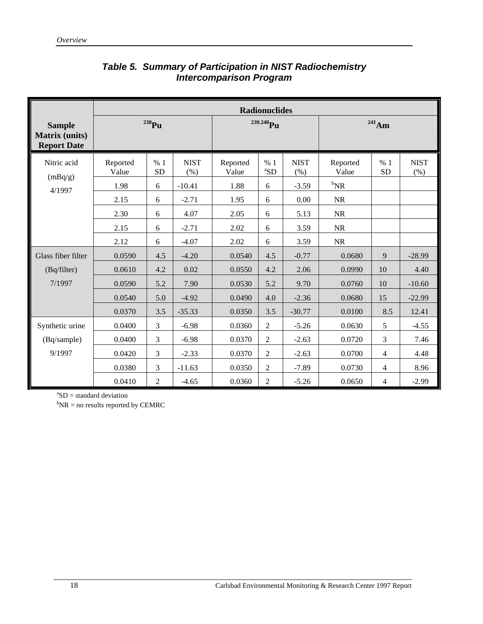|                                                              | <b>Radionuclides</b> |                  |                     |                       |                 |                     |                   |                 |                     |  |
|--------------------------------------------------------------|----------------------|------------------|---------------------|-----------------------|-----------------|---------------------|-------------------|-----------------|---------------------|--|
| <b>Sample</b><br><b>Matrix</b> (units)<br><b>Report Date</b> | $^{238}Pu$           |                  |                     | <sup>239.240</sup> Pu |                 |                     | $^{241}Am$        |                 |                     |  |
| Nitric acid<br>(mBq/g)                                       | Reported<br>Value    | % 1<br><b>SD</b> | <b>NIST</b><br>(% ) | Reported<br>Value     | %1<br>${}^a$ SD | <b>NIST</b><br>(% ) | Reported<br>Value | %1<br><b>SD</b> | <b>NIST</b><br>(% ) |  |
| 4/1997                                                       | 1.98                 | 6                | $-10.41$            | 1.88                  | 6               | $-3.59$             | $\mathrm{^bNR}$   |                 |                     |  |
|                                                              | 2.15                 | 6                | $-2.71$             | 1.95                  | 6               | 0.00                | <b>NR</b>         |                 |                     |  |
|                                                              | 2.30                 | 6                | 4.07                | 2.05                  | 6               | 5.13                | <b>NR</b>         |                 |                     |  |
|                                                              | 2.15                 | 6                | $-2.71$             | 2.02                  | 6               | 3.59                | <b>NR</b>         |                 |                     |  |
|                                                              | 2.12                 | 6                | $-4.07$             | 2.02                  | 6               | 3.59                | <b>NR</b>         |                 |                     |  |
| Glass fiber filter                                           | 0.0590               | 4.5              | $-4.20$             | 0.0540                | 4.5             | $-0.77$             | 0.0680            | 9               | $-28.99$            |  |
| (Bq/filter)                                                  | 0.0610               | 4.2              | 0.02                | 0.0550                | 4.2             | 2.06                | 0.0990            | 10              | 4.40                |  |
| 7/1997                                                       | 0.0590               | 5.2              | 7.90                | 0.0530                | 5.2             | 9.70                | 0.0760            | 10              | $-10.60$            |  |
|                                                              | 0.0540               | 5.0              | $-4.92$             | 0.0490                | 4.0             | $-2.36$             | 0.0680            | 15              | $-22.99$            |  |
|                                                              | 0.0370               | 3.5              | $-35.33$            | 0.0350                | 3.5             | $-30.77$            | 0.0100            | 8.5             | 12.41               |  |
| Synthetic urine                                              | 0.0400               | 3                | $-6.98$             | 0.0360                | $\overline{2}$  | $-5.26$             | 0.0630            | 5               | $-4.55$             |  |
| (Bq/sample)                                                  | 0.0400               | 3                | $-6.98$             | 0.0370                | 2               | $-2.63$             | 0.0720            | 3               | 7.46                |  |
| 9/1997                                                       | 0.0420               | 3                | $-2.33$             | 0.0370                | $\mathfrak{2}$  | $-2.63$             | 0.0700            | $\overline{4}$  | 4.48                |  |
|                                                              | 0.0380               | 3                | $-11.63$            | 0.0350                | $\overline{2}$  | $-7.89$             | 0.0730            | $\overline{4}$  | 8.96                |  |
|                                                              | 0.0410               | $\overline{2}$   | $-4.65$             | 0.0360                | $\overline{2}$  | $-5.26$             | 0.0650            | $\overline{4}$  | $-2.99$             |  |

#### *Table 5. Summary of Participation in NIST Radiochemistry Intercomparison Program*

 ${}^{a}SD =$  standard deviation

 $bNR = no$  results reported by CEMRC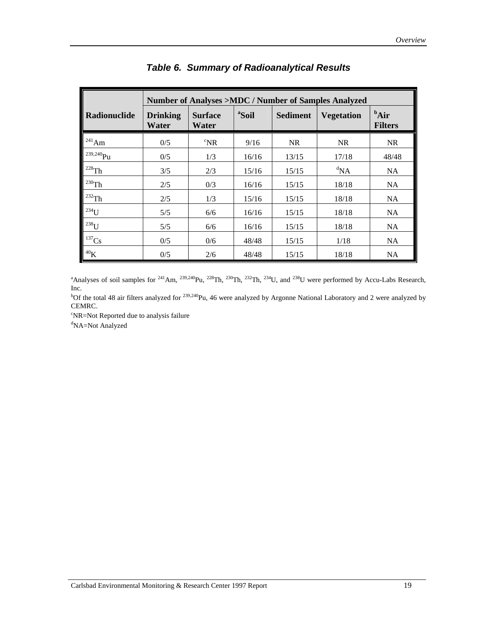| Number of Analyses >MDC / Number of Samples Analyzed |                          |                         |                   |                                      |           |                                   |  |  |  |
|------------------------------------------------------|--------------------------|-------------------------|-------------------|--------------------------------------|-----------|-----------------------------------|--|--|--|
| Radionuclide                                         | <b>Drinking</b><br>Water | <b>Surface</b><br>Water | <sup>a</sup> Soil | <b>Sediment</b><br><b>Vegetation</b> |           | $\mathbf{A}$ ir<br><b>Filters</b> |  |  |  |
| $1^{241}$ Am                                         | 0/5                      | $\mathrm{R}^{\circ}$    | 9/16              | <b>NR</b>                            | <b>NR</b> | <b>NR</b>                         |  |  |  |
| $^{239,240}$ Pu                                      | 0/5                      | 1/3                     | 16/16             | 13/15                                | 17/18     | 48/48                             |  |  |  |
| $^{228}\mathrm{Th}$                                  | 3/5                      | 2/3                     | 15/16             | 15/15                                | ${}^d$ NA | NA                                |  |  |  |
| $1230$ Th                                            | 2/5                      | 0/3                     | 16/16             | 15/15                                | 18/18     | NA                                |  |  |  |
| $1^{232}$ Th                                         | 2/5                      | 1/3                     | 15/16             | 15/15                                | 18/18     | NA                                |  |  |  |
| $^{234}U$                                            | $5/5$                    | 6/6                     | 16/16             | 15/15                                | 18/18     | <b>NA</b>                         |  |  |  |
| $^{238}$ U                                           | 5/5                      | 6/6                     | 16/16             | 15/15                                | 18/18     | NA                                |  |  |  |
| $^{137}\mathrm{Cs}$                                  | 0/5                      | 0/6                     | 48/48             | 15/15                                | 1/18      | <b>NA</b>                         |  |  |  |
| ${}^{40}\mathrm{K}$                                  | 0/5                      | 2/6                     | 48/48             | 15/15                                | 18/18     | NA                                |  |  |  |

#### *Table 6. Summary of Radioanalytical Results*

<sup>a</sup>Analyses of soil samples for <sup>241</sup>Am, <sup>239,240</sup>Pu, <sup>228</sup>Th, <sup>230</sup>Th, <sup>232</sup>Th, <sup>234</sup>U, and <sup>238</sup>U were performed by Accu-Labs Research, Inc.

<sup>b</sup>Of the total 48 air filters analyzed for <sup>239,240</sup>Pu, 46 were analyzed by Argonne National Laboratory and 2 were analyzed by CEMRC.

c NR=Not Reported due to analysis failure

<sup>d</sup>NA=Not Analyzed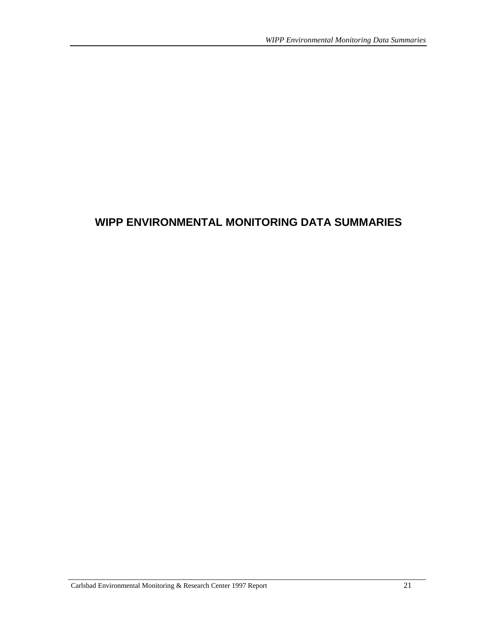## **WIPP ENVIRONMENTAL MONITORING DATA SUMMARIES**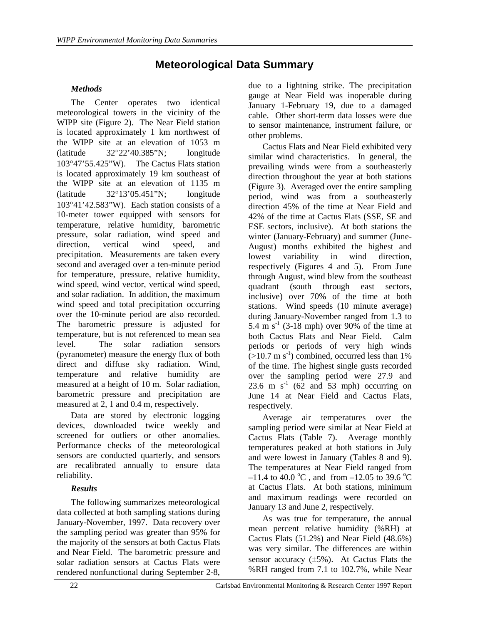## **Meteorological Data Summary**

#### *Methods*

The Center operates two identical meteorological towers in the vicinity of the WIPP site (Figure 2). The Near Field station is located approximately 1 km northwest of the WIPP site at an elevation of 1053 m (latitude 32°22'40.385"N; longitude 103°47'55.425"W). The Cactus Flats station is located approximately 19 km southeast of the WIPP site at an elevation of 1135 m (latitude 32°13'05.451"N; longitude 103°41'42.583"W). Each station consists of a 10-meter tower equipped with sensors for temperature, relative humidity, barometric pressure, solar radiation, wind speed and direction, vertical wind speed, and precipitation. Measurements are taken every second and averaged over a ten-minute period for temperature, pressure, relative humidity, wind speed, wind vector, vertical wind speed, and solar radiation. In addition, the maximum wind speed and total precipitation occurring over the 10-minute period are also recorded. The barometric pressure is adjusted for temperature, but is not referenced to mean sea level. The solar radiation sensors (pyranometer) measure the energy flux of both direct and diffuse sky radiation. Wind, temperature and relative humidity are measured at a height of 10 m. Solar radiation, barometric pressure and precipitation are measured at 2, 1 and 0.4 m, respectively.

Data are stored by electronic logging devices, downloaded twice weekly and screened for outliers or other anomalies. Performance checks of the meteorological sensors are conducted quarterly, and sensors are recalibrated annually to ensure data reliability.

#### *Results*

The following summarizes meteorological data collected at both sampling stations during January-November, 1997. Data recovery over the sampling period was greater than 95% for the majority of the sensors at both Cactus Flats and Near Field. The barometric pressure and solar radiation sensors at Cactus Flats were rendered nonfunctional during September 2-8,

due to a lightning strike. The precipitation gauge at Near Field was inoperable during January 1-February 19, due to a damaged cable. Other short-term data losses were due to sensor maintenance, instrument failure, or other problems.

Cactus Flats and Near Field exhibited very similar wind characteristics. In general, the prevailing winds were from a southeasterly direction throughout the year at both stations (Figure 3). Averaged over the entire sampling period, wind was from a southeasterly direction 45% of the time at Near Field and 42% of the time at Cactus Flats (SSE, SE and ESE sectors, inclusive). At both stations the winter (January-February) and summer (June-August) months exhibited the highest and lowest variability in wind direction, respectively (Figures 4 and 5). From June through August, wind blew from the southeast quadrant (south through east sectors, inclusive) over 70% of the time at both stations. Wind speeds (10 minute average) during January-November ranged from 1.3 to 5.4 m  $s^{-1}$  (3-18 mph) over 90% of the time at both Cactus Flats and Near Field. Calm periods or periods of very high winds  $(>10.7 \text{ m s}^{-1})$  combined, occurred less than 1% of the time. The highest single gusts recorded over the sampling period were 27.9 and 23.6 m  $s^{-1}$  (62 and 53 mph) occurring on June 14 at Near Field and Cactus Flats, respectively.

Average air temperatures over the sampling period were similar at Near Field at Cactus Flats (Table 7). Average monthly temperatures peaked at both stations in July and were lowest in January (Tables 8 and 9). The temperatures at Near Field ranged from  $-11.4$  to  $40.0 \degree$ C, and from  $-12.05$  to 39.6  $\degree$ C at Cactus Flats. At both stations, minimum and maximum readings were recorded on January 13 and June 2, respectively.

As was true for temperature, the annual mean percent relative humidity (%RH) at Cactus Flats (51.2%) and Near Field (48.6%) was very similar. The differences are within sensor accuracy  $(\pm 5\%)$ . At Cactus Flats the %RH ranged from 7.1 to 102.7%, while Near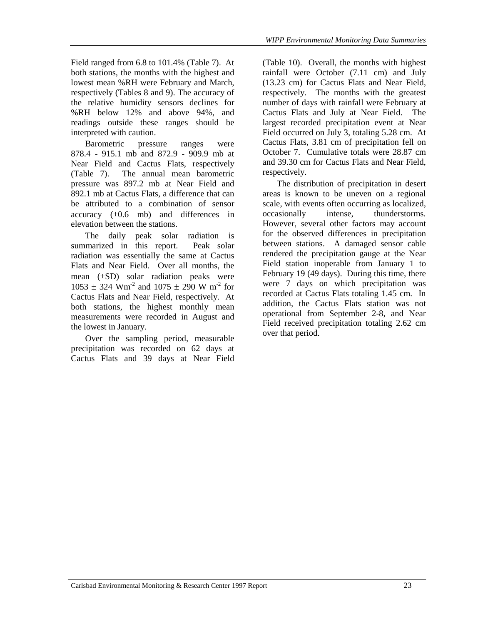Field ranged from 6.8 to 101.4% (Table 7). At both stations, the months with the highest and lowest mean %RH were February and March, respectively (Tables 8 and 9). The accuracy of the relative humidity sensors declines for %RH below 12% and above 94%, and readings outside these ranges should be interpreted with caution.

Barometric pressure ranges were 878.4 - 915.1 mb and 872.9 - 909.9 mb at Near Field and Cactus Flats, respectively (Table 7). The annual mean barometric pressure was 897.2 mb at Near Field and 892.1 mb at Cactus Flats, a difference that can be attributed to a combination of sensor accuracy (±0.6 mb) and differences in elevation between the stations.

The daily peak solar radiation is summarized in this report. Peak solar radiation was essentially the same at Cactus Flats and Near Field. Over all months, the mean (±SD) solar radiation peaks were  $1053 \pm 324$  Wm<sup>-2</sup> and  $1075 \pm 290$  W m<sup>-2</sup> for Cactus Flats and Near Field, respectively. At both stations, the highest monthly mean measurements were recorded in August and the lowest in January.

Over the sampling period, measurable precipitation was recorded on 62 days at Cactus Flats and 39 days at Near Field (Table 10). Overall, the months with highest rainfall were October (7.11 cm) and July (13.23 cm) for Cactus Flats and Near Field, respectively. The months with the greatest number of days with rainfall were February at Cactus Flats and July at Near Field. The largest recorded precipitation event at Near Field occurred on July 3, totaling 5.28 cm. At Cactus Flats, 3.81 cm of precipitation fell on October 7. Cumulative totals were 28.87 cm and 39.30 cm for Cactus Flats and Near Field, respectively.

The distribution of precipitation in desert areas is known to be uneven on a regional scale, with events often occurring as localized, occasionally intense, thunderstorms. However, several other factors may account for the observed differences in precipitation between stations. A damaged sensor cable rendered the precipitation gauge at the Near Field station inoperable from January 1 to February 19 (49 days). During this time, there were 7 days on which precipitation was recorded at Cactus Flats totaling 1.45 cm. In addition, the Cactus Flats station was not operational from September 2-8, and Near Field received precipitation totaling 2.62 cm over that period.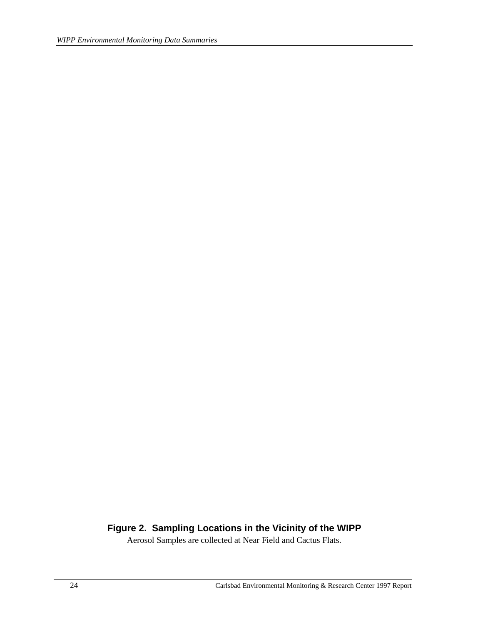#### **Figure 2. Sampling Locations in the Vicinity of the WIPP**

Aerosol Samples are collected at Near Field and Cactus Flats.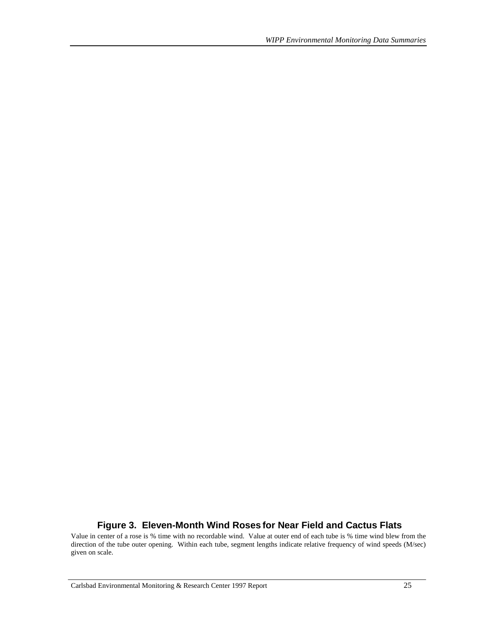#### **Figure 3. Eleven-Month Wind Roses for Near Field and Cactus Flats**

Value in center of a rose is % time with no recordable wind. Value at outer end of each tube is % time wind blew from the direction of the tube outer opening. Within each tube, segment lengths indicate relative frequency of wind speeds (M/sec) given on scale.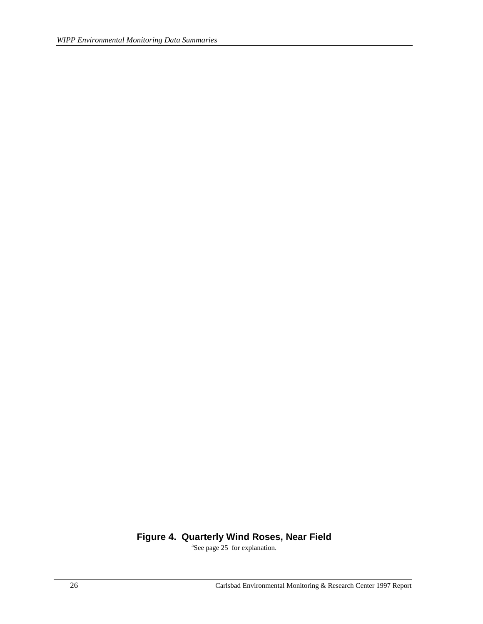# **Figure 4. Quarterly Wind Roses, Near Field**

<sup>a</sup>See page 25 for explanation.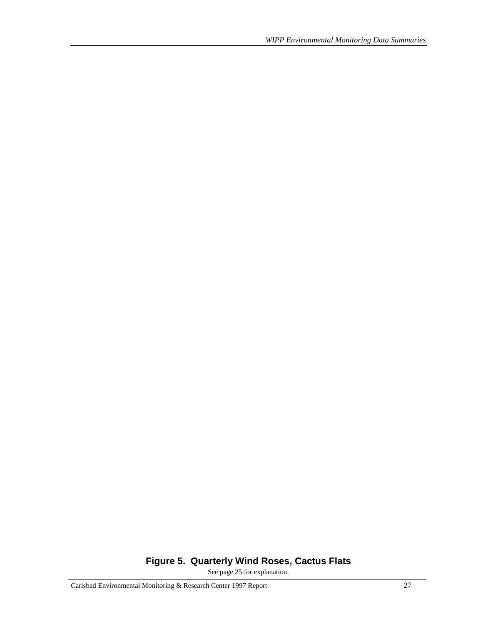# **Figure 5. Quarterly Wind Roses, Cactus Flats**

See page 25 for explanation.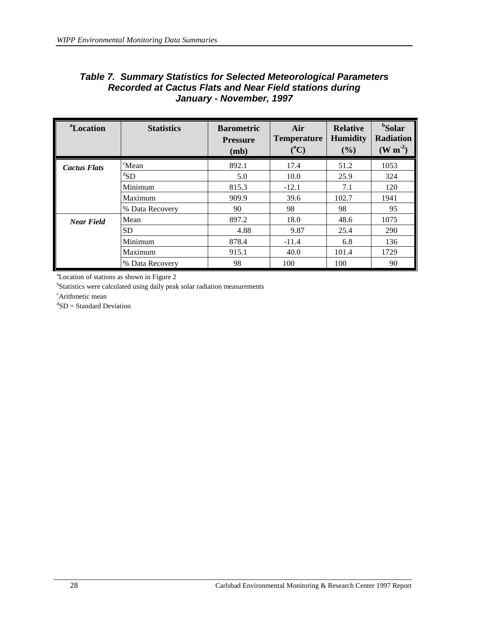### *Table 7. Summary Statistics for Selected Meteorological Parameters Recorded at Cactus Flats and Near Field stations during January - November, 1997*

| <sup>a</sup> Location | <b>Statistics</b> | <b>Barometric</b><br><b>Pressure</b><br>(mb) | Air<br><b>Temperature</b><br>$(^{\circ}C)$ | <b>Relative</b><br><b>Humidity</b><br>(9/0) | <sup>b</sup> Solar<br><b>Radiation</b><br>$(W m-2)$ |
|-----------------------|-------------------|----------------------------------------------|--------------------------------------------|---------------------------------------------|-----------------------------------------------------|
| <b>Cactus Flats</b>   | <sup>c</sup> Mean | 892.1                                        | 17.4                                       | 51.2                                        | 1053                                                |
|                       | ${}^dSD$          | 5.0                                          | 10.0                                       | 25.9                                        | 324                                                 |
|                       | Minimum           | 815.3                                        | $-12.1$                                    | 7.1                                         | 120                                                 |
|                       | Maximum           | 909.9                                        | 39.6                                       | 102.7                                       | 1941                                                |
|                       | % Data Recovery   | 90                                           | 98                                         | 98                                          | 95                                                  |
| <b>Near Field</b>     | Mean              | 897.2                                        | 18.0                                       | 48.6                                        | 1075                                                |
|                       | <b>SD</b>         | 4.88                                         | 9.87                                       | 25.4                                        | 290                                                 |
|                       | Minimum           | 878.4                                        | $-11.4$                                    | 6.8                                         | 136                                                 |
|                       | Maximum           | 915.1                                        | 40.0                                       | 101.4                                       | 1729                                                |
|                       | % Data Recovery   | 98                                           | 100                                        | 100                                         | 90                                                  |

a Location of stations as shown in Figure 2

<sup>b</sup>Statistics were calculated using daily peak solar radiation measurements

<sup>c</sup>Arithmetic mean

d SD = Standard Deviation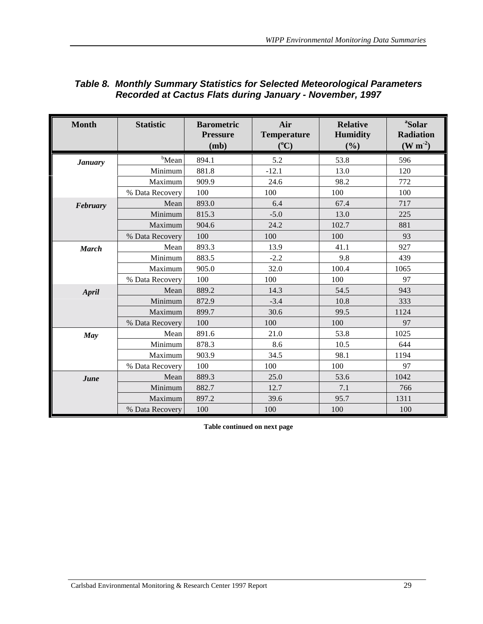| <b>Month</b>   | <b>Statistic</b>  | <b>Barometric</b><br><b>Pressure</b><br>(mb) | Air<br><b>Temperature</b><br>$(^{\circ}C)$ | <b>Relative</b><br><b>Humidity</b><br>(%) | <sup>a</sup> Solar<br><b>Radiation</b><br>$(W m-2)$ |
|----------------|-------------------|----------------------------------------------|--------------------------------------------|-------------------------------------------|-----------------------------------------------------|
| <b>January</b> | <sup>b</sup> Mean | 894.1                                        | 5.2                                        | 53.8                                      | 596                                                 |
|                | Minimum           | 881.8                                        | $-12.1$                                    | 13.0                                      | 120                                                 |
|                | Maximum           | 909.9                                        | 24.6                                       | 98.2                                      | 772                                                 |
|                | % Data Recovery   | 100                                          | 100                                        | 100                                       | 100                                                 |
| February       | Mean              | 893.0                                        | 6.4                                        | 67.4                                      | 717                                                 |
|                | Minimum           | 815.3                                        | $-5.0$                                     | 13.0                                      | 225                                                 |
|                | Maximum           | 904.6                                        | 24.2                                       | 102.7                                     | 881                                                 |
|                | % Data Recovery   | 100                                          | 100                                        | 100                                       | 93                                                  |
| <b>March</b>   | Mean              | 893.3                                        | 13.9                                       | 41.1                                      | 927                                                 |
|                | Minimum           | 883.5                                        | $-2.2$                                     | 9.8                                       | 439                                                 |
|                | Maximum           | 905.0                                        | 32.0                                       | 100.4                                     | 1065                                                |
|                | % Data Recovery   | 100                                          | 100                                        | 100                                       | 97                                                  |
| April          | Mean              | 889.2                                        | 14.3                                       | 54.5                                      | 943                                                 |
|                | Minimum           | 872.9                                        | $-3.4$                                     | 10.8                                      | 333                                                 |
|                | Maximum           | 899.7                                        | 30.6                                       | 99.5                                      | 1124                                                |
|                | % Data Recovery   | 100                                          | 100                                        | 100                                       | 97                                                  |
| May            | Mean              | 891.6                                        | 21.0                                       | 53.8                                      | 1025                                                |
|                | Minimum           | 878.3                                        | 8.6                                        | 10.5                                      | 644                                                 |
|                | Maximum           | 903.9                                        | 34.5                                       | 98.1                                      | 1194                                                |
|                | % Data Recovery   | 100                                          | 100                                        | 100                                       | 97                                                  |
| June           | Mean              | 889.3                                        | 25.0                                       | 53.6                                      | 1042                                                |
|                | Minimum           | 882.7                                        | 12.7                                       | 7.1                                       | 766                                                 |
|                | Maximum           | 897.2                                        | 39.6                                       | 95.7                                      | 1311                                                |
|                | % Data Recovery   | 100                                          | 100                                        | 100                                       | 100                                                 |

### *Table 8. Monthly Summary Statistics for Selected Meteorological Parameters Recorded at Cactus Flats during January - November, 1997*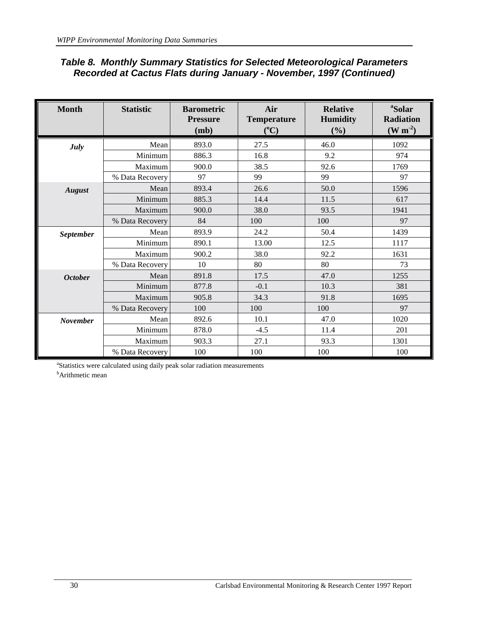### *Table 8. Monthly Summary Statistics for Selected Meteorological Parameters Recorded at Cactus Flats during January - November, 1997 (Continued)*

| <b>Month</b>    | <b>Statistic</b> | <b>Barometric</b><br><b>Pressure</b><br>(mb) | Air<br><b>Temperature</b><br>$({}^0C)$ | <b>Relative</b><br><b>Humidity</b><br>(%) | <sup>a</sup> Solar<br><b>Radiation</b><br>$(W m-2)$ |
|-----------------|------------------|----------------------------------------------|----------------------------------------|-------------------------------------------|-----------------------------------------------------|
| July            | Mean             | 893.0                                        | 27.5                                   | 46.0                                      | 1092                                                |
|                 | Minimum          | 886.3                                        | 16.8                                   | 9.2                                       | 974                                                 |
|                 | Maximum          | 900.0                                        | 38.5                                   | 92.6                                      | 1769                                                |
|                 | % Data Recovery  | 97                                           | 99                                     | 99                                        | 97                                                  |
| <b>August</b>   | Mean             | 893.4                                        | 26.6                                   | 50.0                                      | 1596                                                |
|                 | Minimum          | 885.3                                        | 14.4                                   | 11.5                                      | 617                                                 |
|                 | Maximum          | 900.0                                        | 38.0                                   | 93.5                                      | 1941                                                |
|                 | % Data Recovery  | 84                                           | 100                                    | 100                                       | 97                                                  |
| September       | Mean             | 893.9                                        | 24.2                                   | 50.4                                      | 1439                                                |
|                 | Minimum          | 890.1                                        | 13.00                                  | 12.5                                      | 1117                                                |
|                 | Maximum          | 900.2                                        | 38.0                                   | 92.2                                      | 1631                                                |
|                 | % Data Recovery  | 10                                           | 80                                     | 80                                        | 73                                                  |
| <b>October</b>  | Mean             | 891.8                                        | 17.5                                   | 47.0                                      | 1255                                                |
|                 | Minimum          | 877.8                                        | $-0.1$                                 | 10.3                                      | 381                                                 |
|                 | Maximum          | 905.8                                        | 34.3                                   | 91.8                                      | 1695                                                |
|                 | % Data Recovery  | 100                                          | 100                                    | 100                                       | 97                                                  |
| <b>November</b> | Mean             | 892.6                                        | 10.1                                   | 47.0                                      | 1020                                                |
|                 | Minimum          | 878.0                                        | $-4.5$                                 | 11.4                                      | 201                                                 |
|                 | Maximum          | 903.3                                        | 27.1                                   | 93.3                                      | 1301                                                |
|                 | % Data Recovery  | 100                                          | 100                                    | 100                                       | 100                                                 |

<sup>a</sup>Statistics were calculated using daily peak solar radiation measurements

<sup>b</sup>Arithmetic mean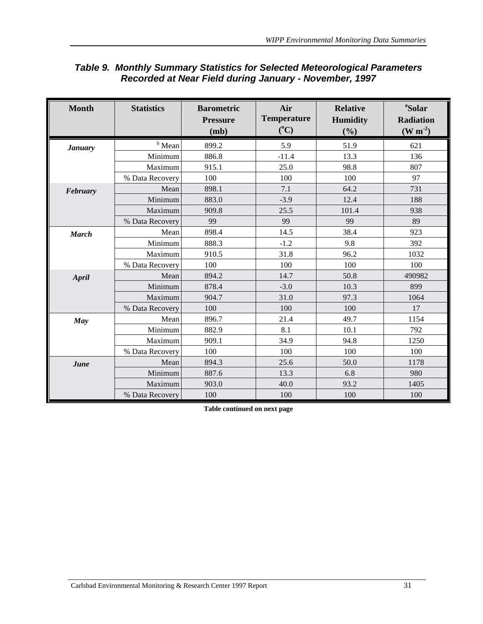| <b>Month</b>   | <b>Statistics</b> | <b>Barometric</b><br><b>Pressure</b><br>(mb) | Air<br><b>Temperature</b><br>$(^{\circ}C)$ | <b>Relative</b><br><b>Humidity</b><br>(%) | <sup>a</sup> Solar<br><b>Radiation</b><br>$(W m-2)$ |
|----------------|-------------------|----------------------------------------------|--------------------------------------------|-------------------------------------------|-----------------------------------------------------|
| <b>January</b> | $b$ Mean          | 899.2                                        | 5.9                                        | 51.9                                      | 621                                                 |
|                | Minimum           | 886.8                                        | $-11.4$                                    | 13.3                                      | 136                                                 |
|                | Maximum           | 915.1                                        | 25.0                                       | 98.8                                      | 807                                                 |
|                | % Data Recovery   | 100                                          | 100                                        | 100                                       | 97                                                  |
| February       | Mean              | 898.1                                        | 7.1                                        | 64.2                                      | 731                                                 |
|                | Minimum           | 883.0                                        | $-3.9$                                     | 12.4                                      | 188                                                 |
|                | Maximum           | 909.8                                        | 25.5                                       | 101.4                                     | 938                                                 |
|                | % Data Recovery   | 99                                           | 99                                         | 99                                        | 89                                                  |
| <b>March</b>   | Mean              | 898.4                                        | 14.5                                       | 38.4                                      | 923                                                 |
|                | Minimum           | 888.3                                        | $-1.2$                                     | 9.8                                       | 392                                                 |
|                | Maximum           | 910.5                                        | 31.8                                       | 96.2                                      | 1032                                                |
|                | % Data Recovery   | 100                                          | 100                                        | 100                                       | 100                                                 |
| <b>April</b>   | Mean              | 894.2                                        | 14.7                                       | 50.8                                      | 490982                                              |
|                | Minimum           | 878.4                                        | $-3.0$                                     | 10.3                                      | 899                                                 |
|                | Maximum           | 904.7                                        | 31.0                                       | 97.3                                      | 1064                                                |
|                | % Data Recovery   | 100                                          | 100                                        | 100                                       | 17                                                  |
| May            | Mean              | 896.7                                        | 21.4                                       | 49.7                                      | 1154                                                |
|                | Minimum           | 882.9                                        | 8.1                                        | 10.1                                      | 792                                                 |
|                | Maximum           | 909.1                                        | 34.9                                       | 94.8                                      | 1250                                                |
|                | % Data Recovery   | 100                                          | 100                                        | 100                                       | 100                                                 |
| June           | Mean              | 894.3                                        | 25.6                                       | 50.0                                      | 1178                                                |
|                | Minimum           | 887.6                                        | 13.3                                       | 6.8                                       | 980                                                 |
|                | Maximum           | 903.0                                        | 40.0                                       | 93.2                                      | 1405                                                |
|                | % Data Recovery   | 100                                          | 100                                        | 100                                       | 100                                                 |

### *Table 9. Monthly Summary Statistics for Selected Meteorological Parameters Recorded at Near Field during January - November, 1997*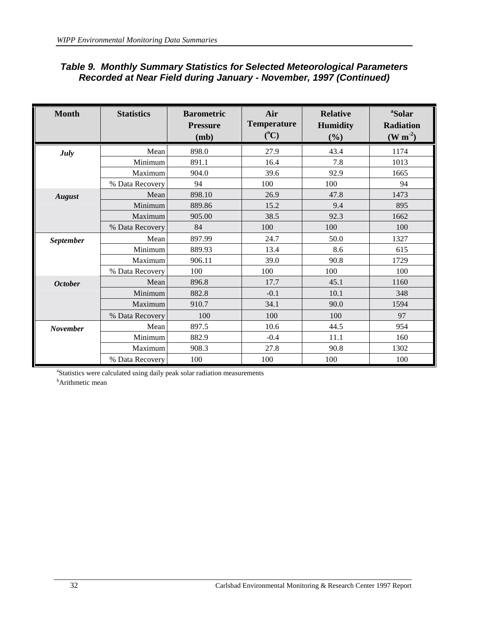|  | <b>Table 9. Monthly Summary Statistics for Selected Meteorological Parameters</b> |
|--|-----------------------------------------------------------------------------------|
|  | Recorded at Near Field during January - November, 1997 (Continued)                |

| <b>Month</b>    | <b>Statistics</b> | <b>Barometric</b><br><b>Pressure</b><br>(mb) | Air<br><b>Temperature</b><br>$(^{\circ}C)$ | <b>Relative</b><br><b>Humidity</b><br>(%) | <sup>a</sup> Solar<br><b>Radiation</b><br>$(W m-2)$ |
|-----------------|-------------------|----------------------------------------------|--------------------------------------------|-------------------------------------------|-----------------------------------------------------|
| <b>July</b>     | Mean              | 898.0                                        | 27.9                                       | 43.4                                      | 1174                                                |
|                 | Minimum           | 891.1                                        | 16.4                                       | 7.8                                       | 1013                                                |
|                 | Maximum           | 904.0                                        | 39.6                                       | 92.9                                      | 1665                                                |
|                 | % Data Recovery   | 94                                           | 100                                        | 100                                       | 94                                                  |
| <b>August</b>   | Mean              | 898.10                                       | 26.9                                       | 47.8                                      | 1473                                                |
|                 | Minimum           | 889.86                                       | 15.2                                       | 9.4                                       | 895                                                 |
|                 | Maximum           | 905.00                                       | 38.5                                       | 92.3                                      | 1662                                                |
|                 | % Data Recovery   | 84                                           | 100                                        | 100                                       | 100                                                 |
| September       | Mean              | 897.99                                       | 24.7                                       | 50.0                                      | 1327                                                |
|                 | Minimum           | 889.93                                       | 13.4                                       | 8.6                                       | 615                                                 |
|                 | Maximum           | 906.11                                       | 39.0                                       | 90.8                                      | 1729                                                |
|                 | % Data Recovery   | 100                                          | 100                                        | 100                                       | 100                                                 |
| <b>October</b>  | Mean              | 896.8                                        | 17.7                                       | 45.1                                      | 1160                                                |
|                 | Minimum           | 882.8                                        | $-0.1$                                     | 10.1                                      | 348                                                 |
|                 | Maximum           | 910.7                                        | 34.1                                       | 90.0                                      | 1594                                                |
|                 | % Data Recovery   | 100                                          | 100                                        | 100                                       | 97                                                  |
| <b>November</b> | Mean              | 897.5                                        | 10.6                                       | 44.5                                      | 954                                                 |
|                 | Minimum           | 882.9                                        | $-0.4$                                     | 11.1                                      | 160                                                 |
|                 | Maximum           | 908.3                                        | 27.8                                       | 90.8                                      | 1302                                                |
|                 | % Data Recovery   | 100                                          | 100                                        | 100                                       | 100                                                 |

<sup>a</sup>Statistics were calculated using daily peak solar radiation measurements

<sup>b</sup>Arithmetic mean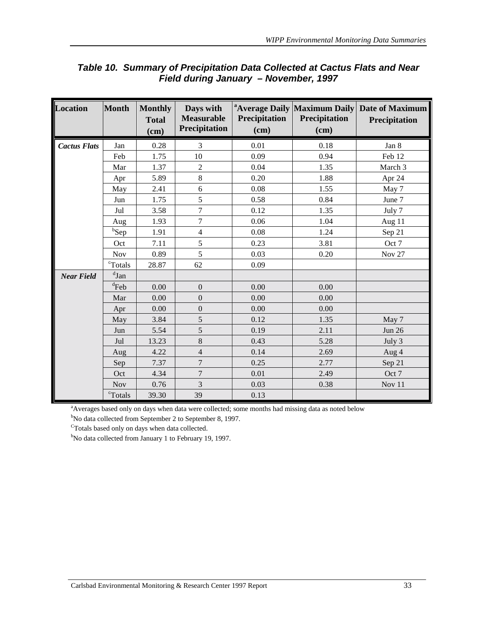| <b>Location</b>     | Month               | <b>Monthly</b><br><b>Total</b><br>(cm) | Days with<br><b>Measurable</b><br><b>Precipitation</b> | <b>Precipitation</b><br>(cm) | <sup>a</sup> Average Daily Maximum Daily<br>Precipitation<br>(cm) | <b>Date of Maximum</b><br>Precipitation |
|---------------------|---------------------|----------------------------------------|--------------------------------------------------------|------------------------------|-------------------------------------------------------------------|-----------------------------------------|
| <b>Cactus Flats</b> | Jan                 | 0.28                                   | 3                                                      | 0.01                         | 0.18                                                              | Jan 8                                   |
|                     | Feb                 | 1.75                                   | 10                                                     | 0.09                         | 0.94                                                              | Feb 12                                  |
|                     | Mar                 | 1.37                                   | $\overline{2}$                                         | 0.04                         | 1.35                                                              | March 3                                 |
|                     | Apr                 | 5.89                                   | 8                                                      | 0.20                         | 1.88                                                              | Apr 24                                  |
|                     | May                 | 2.41                                   | 6                                                      | 0.08                         | 1.55                                                              | May 7                                   |
|                     | Jun                 | 1.75                                   | 5                                                      | 0.58                         | 0.84                                                              | June 7                                  |
|                     | Jul                 | 3.58                                   | $\overline{7}$                                         | 0.12                         | 1.35                                                              | July 7                                  |
|                     | Aug                 | 1.93                                   | $\overline{7}$                                         | 0.06                         | 1.04                                                              | Aug 11                                  |
|                     | b <sub>Sep</sub>    | 1.91                                   | $\overline{4}$                                         | 0.08                         | 1.24                                                              | Sep 21                                  |
|                     | Oct                 | 7.11                                   | 5                                                      | 0.23                         | 3.81                                                              | Oct 7                                   |
|                     | Nov                 | 0.89                                   | 5                                                      | 0.03                         | 0.20                                                              | Nov 27                                  |
|                     | <sup>c</sup> Totals | 28.87                                  | 62                                                     | 0.09                         |                                                                   |                                         |
| <b>Near Field</b>   | $d$ Jan             |                                        |                                                        |                              |                                                                   |                                         |
|                     | ${}^d$ Feb          | 0.00                                   | $\boldsymbol{0}$                                       | 0.00                         | 0.00                                                              |                                         |
|                     | Mar                 | 0.00                                   | $\overline{0}$                                         | 0.00                         | 0.00                                                              |                                         |
|                     | Apr                 | 0.00                                   | $\boldsymbol{0}$                                       | 0.00                         | 0.00                                                              |                                         |
|                     | May                 | 3.84                                   | 5                                                      | 0.12                         | 1.35                                                              | May 7                                   |
|                     | Jun                 | 5.54                                   | 5                                                      | 0.19                         | 2.11                                                              | <b>Jun 26</b>                           |
|                     | Jul                 | 13.23                                  | $\,8\,$                                                | 0.43                         | 5.28                                                              | July 3                                  |
|                     | Aug                 | 4.22                                   | $\sqrt{4}$                                             | 0.14                         | 2.69                                                              | Aug 4                                   |
|                     | Sep                 | 7.37                                   | $\overline{7}$                                         | 0.25                         | 2.77                                                              | Sep 21                                  |
|                     | Oct                 | 4.34                                   | $\tau$                                                 | 0.01                         | 2.49                                                              | Oct 7                                   |
|                     | <b>Nov</b>          | 0.76                                   | 3                                                      | 0.03                         | 0.38                                                              | Nov 11                                  |
|                     | cTotals             | 39.30                                  | 39                                                     | 0.13                         |                                                                   |                                         |

# *Table 10. Summary of Precipitation Data Collected at Cactus Flats and Near Field during January – November, 1997*

<sup>a</sup>Averages based only on days when data were collected; some months had missing data as noted below

<sup>b</sup>No data collected from September 2 to September 8, 1997.

 $\mathrm{c}_{\mathrm{Totals}}$  based only on days when data collected.

<sup>b</sup>No data collected from January 1 to February 19, 1997.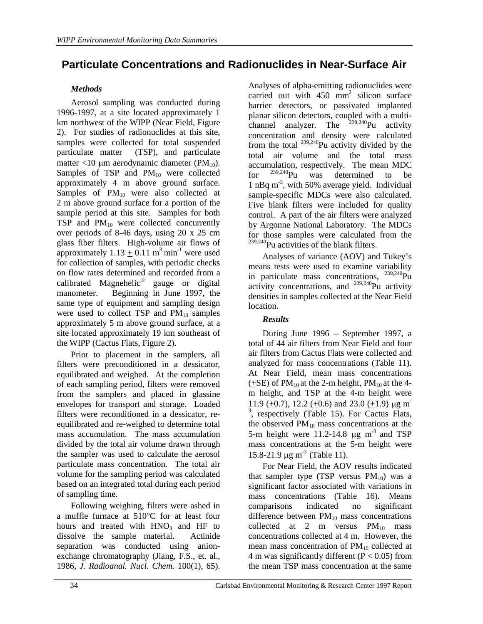# **Particulate Concentrations and Radionuclides in Near-Surface Air**

### *Methods*

Aerosol sampling was conducted during 1996-1997, at a site located approximately 1 km northwest of the WIPP (Near Field, Figure 2). For studies of radionuclides at this site, samples were collected for total suspended particulate matter (TSP), and particulate matter <10  $\mu$ m aerodynamic diameter (PM<sub>10</sub>). Samples of TSP and  $PM_{10}$  were collected approximately 4 m above ground surface. Samples of  $PM_{10}$  were also collected at 2 m above ground surface for a portion of the sample period at this site. Samples for both TSP and  $PM_{10}$  were collected concurrently over periods of 8-46 days, using 20 x 25 cm glass fiber filters. High-volume air flows of approximately  $1.13 + 0.11$  m<sup>3</sup> min<sup>-1</sup> were used for collection of samples, with periodic checks on flow rates determined and recorded from a calibrated Magnehelic<sup>®</sup> gauge or digital manometer. Beginning in June 1997, the same type of equipment and sampling design were used to collect TSP and  $PM_{10}$  samples approximately 5 m above ground surface, at a site located approximately 19 km southeast of the WIPP (Cactus Flats, Figure 2).

Prior to placement in the samplers, all filters were preconditioned in a dessicator, equilibrated and weighed. At the completion of each sampling period, filters were removed from the samplers and placed in glassine envelopes for transport and storage. Loaded filters were reconditioned in a dessicator, reequilibrated and re-weighed to determine total mass accumulation. The mass accumulation divided by the total air volume drawn through the sampler was used to calculate the aerosol particulate mass concentration. The total air volume for the sampling period was calculated based on an integrated total during each period of sampling time.

Following weighing, filters were ashed in a muffle furnace at 510°C for at least four hours and treated with  $HNO<sub>3</sub>$  and  $HF$  to dissolve the sample material. Actinide separation was conducted using anionexchange chromatography (Jiang, F.S., et. al., 1986, *J. Radioanal. Nucl. Chem.* 100(1), 65).

Analyses of alpha-emitting radionuclides were carried out with  $450 \text{ mm}^2$  silicon surface barrier detectors, or passivated implanted planar silicon detectors, coupled with a multichannel analyzer. The  $239,240$ Pu activity concentration and density were calculated from the total  $^{239,240}$ Pu activity divided by the total air volume and the total mass accumulation, respectively. The mean MDC for  $^{239,240}$ Pu was determined to be 1 nBq m-3, with 50% average yield. Individual sample-specific MDCs were also calculated. Five blank filters were included for quality control. A part of the air filters were analyzed by Argonne National Laboratory. The MDCs for those samples were calculated from the <sup>239,240</sup>Pu activities of the blank filters.

Analyses of variance (AOV) and Tukey's means tests were used to examine variability in particulate mass concentrations,  $^{239,240}$ Pu activity concentrations, and  $^{239,240}$ Pu activity densities in samples collected at the Near Field location.

#### *Results*

During June 1996 – September 1997, a total of 44 air filters from Near Field and four air filters from Cactus Flats were collected and analyzed for mass concentrations (Table 11). At Near Field, mean mass concentrations  $(+SE)$  of PM<sub>10</sub> at the 2-m height, PM<sub>10</sub> at the 4m height, and TSP at the 4-m height were 11.9 (+0.7), 12.2 (+0.6) and 23.0 (+1.9)  $\mu$ g m <sup>3</sup>, respectively (Table 15). For Cactus Flats, the observed  $PM_{10}$  mass concentrations at the 5-m height were  $11.2$ -14.8  $\mu$ g m<sup>-3</sup> and TSP mass concentrations at the 5-m height were 15.8-21.9  $\mu$ g m<sup>-3</sup> (Table 11).

For Near Field, the AOV results indicated that sampler type (TSP versus  $PM_{10}$ ) was a significant factor associated with variations in mass concentrations (Table 16). Means comparisons indicated no significant difference between  $PM_{10}$  mass concentrations collected at 2 m versus  $PM_{10}$  mass concentrations collected at 4 m. However, the mean mass concentration of  $PM_{10}$  collected at 4 m was significantly different  $(P < 0.05)$  from the mean TSP mass concentration at the same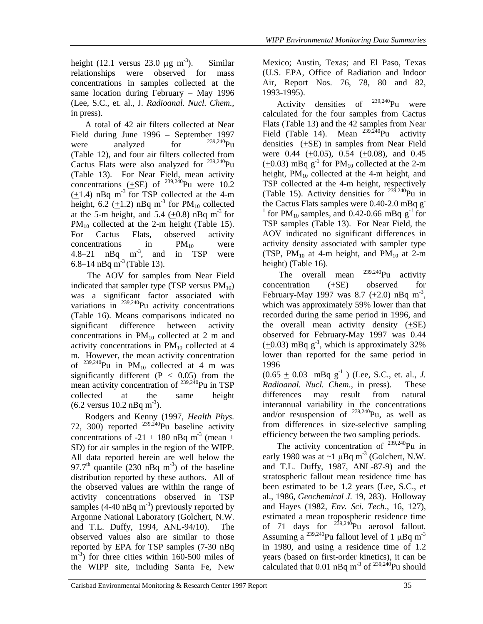height (12.1 versus 23.0  $\mu$ g m<sup>-3</sup>). Similar relationships were observed for mass concentrations in samples collected at the same location during February – May 1996 (Lee, S.C., et. al., J*. Radioanal. Nucl. Chem.*, in press).

A total of 42 air filters collected at Near Field during June 1996 – September 1997<br>were analyzed for  $\frac{239,240}{P}$ were analyzed for (Table 12), and four air filters collected from Cactus Flats were also analyzed for 239,240Pu (Table 13). For Near Field, mean activity concentrations  $(+SE)$  of <sup>239,240</sup>Pu were 10.2  $(\pm 1.4)$  nBq m<sup>-3</sup> for TSP collected at the 4-m height, 6.2 (+1.2) nBq m<sup>-3</sup> for  $PM_{10}$  collected at the 5-m height, and 5.4  $(+0.8)$  nBq m<sup>-3</sup> for  $PM_{10}$  collected at the 2-m height (Table 15). For Cactus Flats, observed activity  $concentrations$  in  $PM_{10}$  were  $4.8-21$  nBq  $m<sup>3</sup>$ , and in TSP were 6.8–14 nBq m<sup>-3</sup> (Table 13).

 The AOV for samples from Near Field indicated that sampler type (TSP versus  $PM_{10}$ ) was a significant factor associated with variations in  $^{239,240}$ Pu activity concentrations (Table 16). Means comparisons indicated no significant difference between activity concentrations in  $PM_{10}$  collected at 2 m and activity concentrations in  $PM_{10}$  collected at 4 m. However, the mean activity concentration of  $^{239,240}$ Pu in PM<sub>10</sub> collected at 4 m was significantly different  $(P < 0.05)$  from the mean activity concentration of <sup>239,240</sup>Pu in TSP collected at the same height  $(6.2 \text{ versus } 10.2 \text{ nBq m}^{-3}).$ 

Rodgers and Kenny (1997, *Health Phys.* 72, 300) reported  $^{239,240}$ Pu baseline activity concentrations of -21  $\pm$  180 nBq m<sup>-3</sup> (mean  $\pm$ SD) for air samples in the region of the WIPP. All data reported herein are well below the 97.7<sup>th</sup> quantile (230 nBq m<sup>-3</sup>) of the baseline distribution reported by these authors. All of the observed values are within the range of activity concentrations observed in TSP samples (4-40 nBq  $m^{-3}$ ) previously reported by Argonne National Laboratory (Golchert, N.W. and T.L. Duffy, 1994, ANL-94/10). The observed values also are similar to those reported by EPA for TSP samples (7-30 nBq  $\text{m}^{-3}$ ) for three cities within 160-500 miles of the WIPP site, including Santa Fe, New Mexico; Austin, Texas; and El Paso, Texas (U.S. EPA, Office of Radiation and Indoor Air, Report Nos. 76, 78, 80 and 82, 1993-1995).

Activity densities of  $^{239,240}$ Pu were calculated for the four samples from Cactus Flats (Table 13) and the 42 samples from Near Field (Table 14). Mean  $^{239,240}$ Pu activity densities  $(+SE)$  in samples from Near Field were  $0.44$  (+0.05), 0.54 (+0.08), and 0.45  $(+0.03)$  mBq g<sup>-1</sup> for PM<sub>10</sub> collected at the 2-m height,  $PM_{10}$  collected at the 4-m height, and TSP collected at the 4-m height, respectively (Table 15). Activity densities for 239,240Pu in the Cactus Flats samples were 0.40-2.0 mBq g-<sup>1</sup> for PM<sub>10</sub> samples, and 0.42-0.66 mBq  $g^{-1}$  for TSP samples (Table 13). For Near Field, the AOV indicated no significant differences in activity density associated with sampler type (TSP,  $PM_{10}$  at 4-m height, and  $PM_{10}$  at 2-m height) (Table 16).

The overall mean  $^{239,240}$ Pu activity concentration (+SE) observed for February-May 1997 was 8.7  $(\pm 2.0)$  nBq m<sup>-3</sup>, which was approximately 59% lower than that recorded during the same period in 1996, and the overall mean activity density  $(+SE)$ observed for February-May 1997 was 0.44  $(\pm 0.03)$  mBq g<sup>-1</sup>, which is approximately 32% lower than reported for the same period in 1996

 $(0.65 \pm 0.03 \text{ mBq g}^{-1})$  (Lee, S.C., et. al., *J.*) *Radioanal. Nucl. Chem*., in press). These differences may result from natural interannual variability in the concentrations and/or resuspension of  $^{239,240}$ Pu, as well as from differences in size-selective sampling efficiency between the two sampling periods.

The activity concentration of  $239,240$ Pu in early 1980 was at  $\sim$ 1 µBq m<sup>-3</sup> (Golchert, N.W. and T.L. Duffy, 1987, ANL-87-9) and the stratospheric fallout mean residence time has been estimated to be 1.2 years (Lee, S.C., et al., 1986, *Geochemical J.* 19, 283). Holloway and Hayes (1982, *Env. Sci. Tech*., 16, 127), estimated a mean tropospheric residence time of 71 days for  $239,240$ Pu aerosol fallout. Assuming a <sup>239,240</sup>Pu fallout level of 1  $\mu$ Bq m<sup>-3</sup> in 1980, and using a residence time of 1.2 years (based on first-order kinetics), it can be calculated that  $0.01$  nBq m<sup>-3</sup> of  $^{239,240}$ Pu should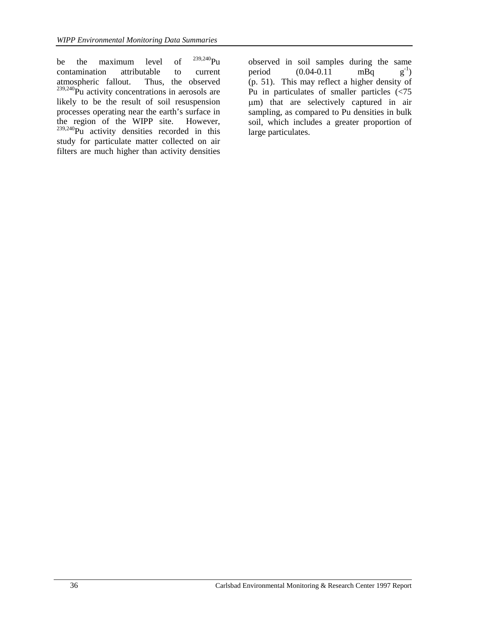be the maximum level of  $^{239,240}$ Pu contamination attributable to current atmospheric fallout. Thus, the observed  $239,240$ Pu activity concentrations in aerosols are likely to be the result of soil resuspension processes operating near the earth's surface in the region of the WIPP site. However,  $239,240$ Pu activity densities recorded in this study for particulate matter collected on air filters are much higher than activity densities

observed in soil samples during the same period  $(0.04-0.11 \text{ mBq} \text{ g}^{-1})$ (p. 51). This may reflect a higher density of Pu in particulates of smaller particles (<75 µm) that are selectively captured in air sampling, as compared to Pu densities in bulk soil, which includes a greater proportion of large particulates.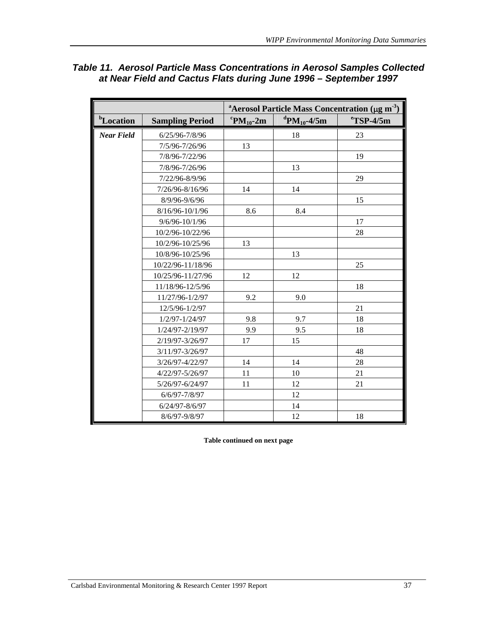|                       |                        |                                       |                                     | <sup>a</sup> Aerosol Particle Mass Concentration ( $\mu$ g m <sup>-3</sup> ) |
|-----------------------|------------------------|---------------------------------------|-------------------------------------|------------------------------------------------------------------------------|
| <sup>b</sup> Location | <b>Sampling Period</b> | ${}^{\mathrm{c}}\mathrm{PM}_{10}$ -2m | <sup>d</sup> PM <sub>10</sub> -4/5m | $\mathrm{^{e}TSP-}4/5m$                                                      |
| <b>Near Field</b>     | 6/25/96-7/8/96         |                                       | 18                                  | 23                                                                           |
|                       | 7/5/96-7/26/96         | 13                                    |                                     |                                                                              |
|                       | 7/8/96-7/22/96         |                                       |                                     | 19                                                                           |
|                       | 7/8/96-7/26/96         |                                       | 13                                  |                                                                              |
|                       | 7/22/96-8/9/96         |                                       |                                     | 29                                                                           |
|                       | 7/26/96-8/16/96        | 14                                    | 14                                  |                                                                              |
|                       | 8/9/96-9/6/96          |                                       |                                     | 15                                                                           |
|                       | 8/16/96-10/1/96        | 8.6                                   | 8.4                                 |                                                                              |
|                       | 9/6/96-10/1/96         |                                       |                                     | 17                                                                           |
|                       | 10/2/96-10/22/96       |                                       |                                     | 28                                                                           |
|                       | 10/2/96-10/25/96       | 13                                    |                                     |                                                                              |
|                       | 10/8/96-10/25/96       |                                       | 13                                  |                                                                              |
|                       | 10/22/96-11/18/96      |                                       |                                     | 25                                                                           |
|                       | 10/25/96-11/27/96      | 12                                    | 12                                  |                                                                              |
|                       | 11/18/96-12/5/96       |                                       |                                     | 18                                                                           |
|                       | 11/27/96-1/2/97        | 9.2                                   | 9.0                                 |                                                                              |
|                       | 12/5/96-1/2/97         |                                       |                                     | 21                                                                           |
|                       | 1/2/97-1/24/97         | 9.8                                   | 9.7                                 | 18                                                                           |
|                       | 1/24/97-2/19/97        | 9.9                                   | 9.5                                 | 18                                                                           |
|                       | 2/19/97-3/26/97        | 17                                    | 15                                  |                                                                              |
|                       | 3/11/97-3/26/97        |                                       |                                     | 48                                                                           |
|                       | 3/26/97-4/22/97        | 14                                    | 14                                  | 28                                                                           |
|                       | 4/22/97-5/26/97        | 11                                    | 10                                  | 21                                                                           |
|                       | 5/26/97-6/24/97        | 11                                    | 12                                  | 21                                                                           |
|                       | 6/6/97-7/8/97          |                                       | 12                                  |                                                                              |
|                       | 6/24/97-8/6/97         |                                       | 14                                  |                                                                              |
|                       | 8/6/97-9/8/97          |                                       | 12                                  | 18                                                                           |

## *Table 11. Aerosol Particle Mass Concentrations in Aerosol Samples Collected at Near Field and Cactus Flats during June 1996 – September 1997*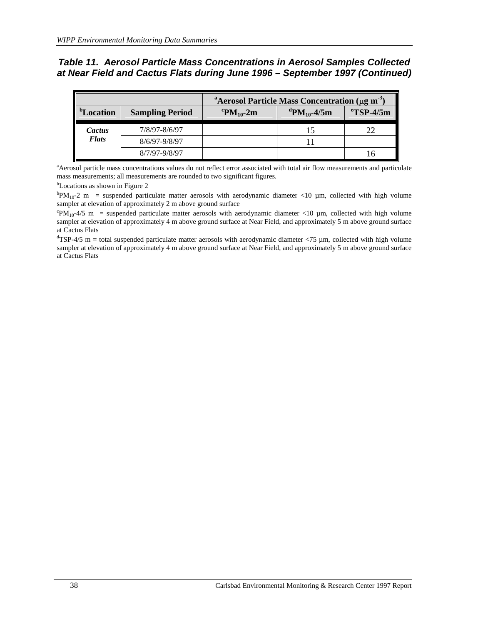### *Table 11. Aerosol Particle Mass Concentrations in Aerosol Samples Collected at Near Field and Cactus Flats during June 1996 – September 1997 (Continued)*

|                                     |                        | <sup>a</sup> Aerosol Particle Mass Concentration ( $\mu$ g m <sup>-3</sup> ) |                                     |                         |  |  |  |
|-------------------------------------|------------------------|------------------------------------------------------------------------------|-------------------------------------|-------------------------|--|--|--|
| $b_{\mathbf{T}}$<br><b>Location</b> | <b>Sampling Period</b> | ${}^{\rm c}$ PM <sub>10</sub> -2m                                            | <sup>d</sup> PM <sub>10</sub> -4/5m | $\mathrm{^{e}TSP-}4/5m$ |  |  |  |
| Cactus                              | 7/8/97-8/6/97          |                                                                              |                                     |                         |  |  |  |
| <b>Flats</b>                        | 8/6/97-9/8/97          |                                                                              |                                     |                         |  |  |  |
|                                     | 8/7/97-9/8/97          |                                                                              |                                     |                         |  |  |  |

a Aerosol particle mass concentrations values do not reflect error associated with total air flow measurements and particulate mass measurements; all measurements are rounded to two significant figures.

<sup>b</sup>Locations as shown in Figure 2

 ${}^{\text{b}}PM_{10}$ -2 m = suspended particulate matter aerosols with aerodynamic diameter  $\leq$ 10 µm, collected with high volume sampler at elevation of approximately 2 m above ground surface

<sup>c</sup>PM<sub>10</sub>-4/5 m = suspended particulate matter aerosols with aerodynamic diameter  $\leq$ 10 µm, collected with high volume sampler at elevation of approximately 4 m above ground surface at Near Field, and approximately 5 m above ground surface at Cactus Flats

 $d$ TSP-4/5 m = total suspended particulate matter aerosols with aerodynamic diameter <75 µm, collected with high volume sampler at elevation of approximately 4 m above ground surface at Near Field, and approximately 5 m above ground surface at Cactus Flats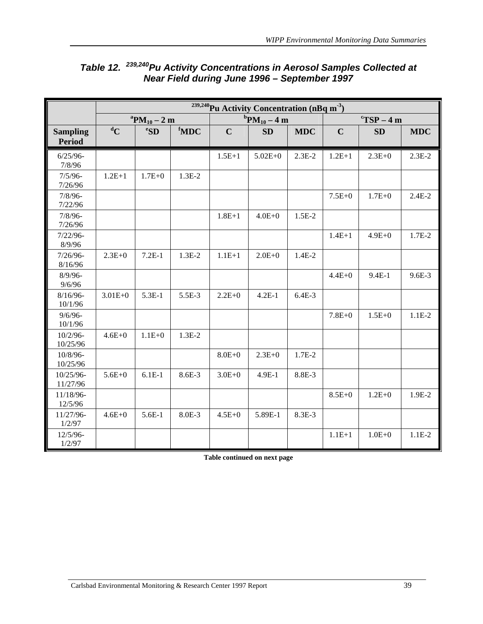|                                  |             |                                 |                     |             | <sup>239,240</sup> Pu Activity Concentration (nBq m <sup>-3</sup> ) |            |             |                                        |            |
|----------------------------------|-------------|---------------------------------|---------------------|-------------|---------------------------------------------------------------------|------------|-------------|----------------------------------------|------------|
|                                  |             | ${}^{\rm a}{\rm PM}_{10} - 2$ m |                     |             | ${}^{b}PM_{10} - 4m$                                                |            |             | $\mathrm{C}T\mathrm{SP}-4\,\mathrm{m}$ |            |
| <b>Sampling</b><br><b>Period</b> | ${}^dC$     | e <sub>SD</sub>                 | ${}^{\text{f}}$ MDC | $\mathbf C$ | <b>SD</b>                                                           | <b>MDC</b> | $\mathbf C$ | <b>SD</b>                              | <b>MDC</b> |
| $6/25/96 -$<br>7/8/96            |             |                                 |                     | $1.5E+1$    | $5.02E + 0$                                                         | $2.3E-2$   | $1.2E + 1$  | $2.3E + 0$                             | $2.3E-2$   |
| $7/5/96 -$<br>7/26/96            | $1.2E + 1$  | $1.7E + 0$                      | $1.3E-2$            |             |                                                                     |            |             |                                        |            |
| $7/8/96 -$<br>7/22/96            |             |                                 |                     |             |                                                                     |            | $7.5E + 0$  | $1.7E + 0$                             | $2.4E-2$   |
| $7/8/96 -$<br>7/26/96            |             |                                 |                     | $1.8E + 1$  | $4.0E + 0$                                                          | $1.5E-2$   |             |                                        |            |
| $7/22/96-$<br>8/9/96             |             |                                 |                     |             |                                                                     |            | $1.4E + 1$  | $4.9E + 0$                             | 1.7E-2     |
| $7/26/96$ -<br>8/16/96           | $2.3E + 0$  | $7.2E-1$                        | $1.3E-2$            | $1.1E + 1$  | $2.0E + 0$                                                          | 1.4E-2     |             |                                        |            |
| $8/9/96$ -<br>9/6/96             |             |                                 |                     |             |                                                                     |            | $4.4E + 0$  | $9.4E-1$                               | $9.6E - 3$ |
| $8/16/96$ -<br>10/1/96           | $3.01E + 0$ | 5.3E-1                          | 5.5E-3              | $2.2E + 0$  | $4.2E-1$                                                            | $6.4E-3$   |             |                                        |            |
| $9/6/96$ -<br>10/1/96            |             |                                 |                     |             |                                                                     |            | $7.8E + 0$  | $1.5E + 0$                             | $1.1E-2$   |
| $10/2/96$ -<br>10/25/96          | $4.6E + 0$  | $1.1E + 0$                      | $1.3E-2$            |             |                                                                     |            |             |                                        |            |
| 10/8/96-<br>10/25/96             |             |                                 |                     | $8.0E + 0$  | $2.3E + 0$                                                          | 1.7E-2     |             |                                        |            |
| 10/25/96-<br>11/27/96            | $5.6E + 0$  | $6.1E-1$                        | 8.6E-3              | $3.0E + 0$  | 4.9E-1                                                              | 8.8E-3     |             |                                        |            |
| 11/18/96-<br>12/5/96             |             |                                 |                     |             |                                                                     |            | $8.5E + 0$  | $1.2E + 0$                             | 1.9E-2     |
| 11/27/96-<br>1/2/97              | $4.6E + 0$  | $5.6E-1$                        | 8.0E-3              | $4.5E + 0$  | 5.89E-1                                                             | 8.3E-3     |             |                                        |            |
| 12/5/96-<br>1/2/97               |             |                                 |                     |             |                                                                     |            | $1.1E+1$    | $1.0E + 0$                             | $1.1E-2$   |

# *Table 12. 239,240Pu Activity Concentrations in Aerosol Samples Collected at Near Field during June 1996 – September 1997*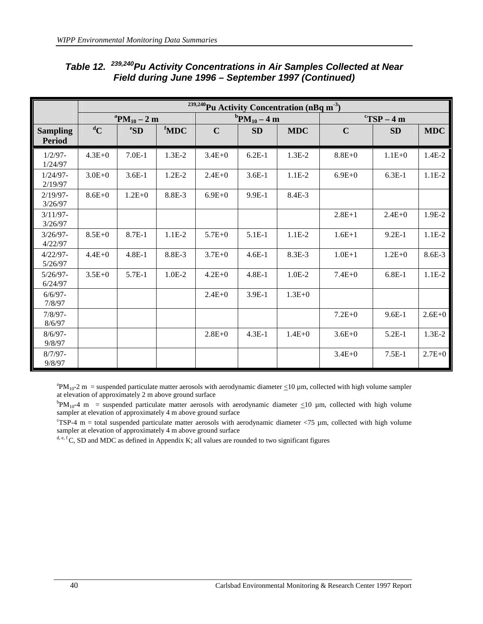|                                  |            |                                 |                  |             |                      |            |                                      |            | <sup>239,240</sup> Pu Activity Concentration (nBq m <sup>-3</sup> ) |  |  |  |  |  |  |  |  |
|----------------------------------|------------|---------------------------------|------------------|-------------|----------------------|------------|--------------------------------------|------------|---------------------------------------------------------------------|--|--|--|--|--|--|--|--|
|                                  |            | ${}^{\rm a}{\rm PM}_{10} - 2$ m |                  |             | ${}^{b}PM_{10} - 4m$ |            | $\mathrm{C}T\mathrm{SP}-4\mathrm{m}$ |            |                                                                     |  |  |  |  |  |  |  |  |
| <b>Sampling</b><br><b>Period</b> | ${}^dC$    | ${}^e$ SD                       | <sup>f</sup> MDC | $\mathbf C$ | <b>SD</b>            | <b>MDC</b> | $\mathbf C$                          | <b>SD</b>  | <b>MDC</b>                                                          |  |  |  |  |  |  |  |  |
| $1/2/97 -$<br>1/24/97            | $4.3E + 0$ | $7.0E-1$                        | $1.3E-2$         | $3.4E + 0$  | $6.2E-1$             | $1.3E-2$   | $8.8E + 0$                           | $1.1E + 0$ | $1.4E-2$                                                            |  |  |  |  |  |  |  |  |
| $1/24/97 -$<br>2/19/97           | $3.0E + 0$ | $3.6E-1$                        | $1.2E-2$         | $2.4E+0$    | $3.6E-1$             | $1.1E-2$   | $6.9E + 0$                           | $6.3E-1$   | $1.1E-2$                                                            |  |  |  |  |  |  |  |  |
| $2/19/97 -$<br>3/26/97           | $8.6E + 0$ | $1.2E + 0$                      | 8.8E-3           | $6.9E + 0$  | $9.9E-1$             | 8.4E-3     |                                      |            |                                                                     |  |  |  |  |  |  |  |  |
| $3/11/97$ -<br>3/26/97           |            |                                 |                  |             |                      |            | $2.8E+1$                             | $2.4E+0$   | 1.9E-2                                                              |  |  |  |  |  |  |  |  |
| $3/26/97 -$<br>4/22/97           | $8.5E+0$   | 8.7E-1                          | $1.1E-2$         | $5.7E + 0$  | 5.1E-1               | $1.1E-2$   | $1.6E + 1$                           | $9.2E-1$   | $1.1E-2$                                                            |  |  |  |  |  |  |  |  |
| $4/22/97 -$<br>5/26/97           | $4.4E + 0$ | $4.8E-1$                        | 8.8E-3           | $3.7E + 0$  | $4.6E-1$             | 8.3E-3     | $1.0E + 1$                           | $1.2E + 0$ | 8.6E-3                                                              |  |  |  |  |  |  |  |  |
| $5/26/97 -$<br>6/24/97           | $3.5E+0$   | 5.7E-1                          | $1.0E-2$         | $4.2E + 0$  | $4.8E-1$             | $1.0E-2$   | $7.4E + 0$                           | $6.8E-1$   | $1.1E-2$                                                            |  |  |  |  |  |  |  |  |
| $6/6/97 -$<br>7/8/97             |            |                                 |                  | $2.4E+0$    | 3.9E-1               | $1.3E + 0$ |                                      |            |                                                                     |  |  |  |  |  |  |  |  |
| $7/8/97 -$<br>8/6/97             |            |                                 |                  |             |                      |            | $7.2E + 0$                           | $9.6E-1$   | $2.6E + 0$                                                          |  |  |  |  |  |  |  |  |
| $8/6/97 -$<br>9/8/97             |            |                                 |                  | $2.8E + 0$  | $4.3E-1$             | $1.4E + 0$ | $3.6E + 0$                           | $5.2E-1$   | $1.3E-2$                                                            |  |  |  |  |  |  |  |  |
| $8/7/97 -$<br>9/8/97             |            |                                 |                  |             |                      |            | $3.4E + 0$                           | $7.5E-1$   | $2.7E + 0$                                                          |  |  |  |  |  |  |  |  |

# *Table 12. 239,240Pu Activity Concentrations in Air Samples Collected at Near Field during June 1996 – September 1997 (Continued)*

 ${}^{a}PM_{10}$ -2 m = suspended particulate matter aerosols with aerodynamic diameter  $\leq$ 10 µm, collected with high volume sampler at elevation of approximately 2 m above ground surface

 ${}^{\text{b}}PM_{10}$ -4 m = suspended particulate matter aerosols with aerodynamic diameter  $\leq$ 10 µm, collected with high volume sampler at elevation of approximately 4 m above ground surface

 $\text{C}$ SP-4 m = total suspended particulate matter aerosols with aerodynamic diameter <75  $\mu$ m, collected with high volume sampler at elevation of approximately 4 m above ground surface

d, e, f C, SD and MDC as defined in Appendix K; all values are rounded to two significant figures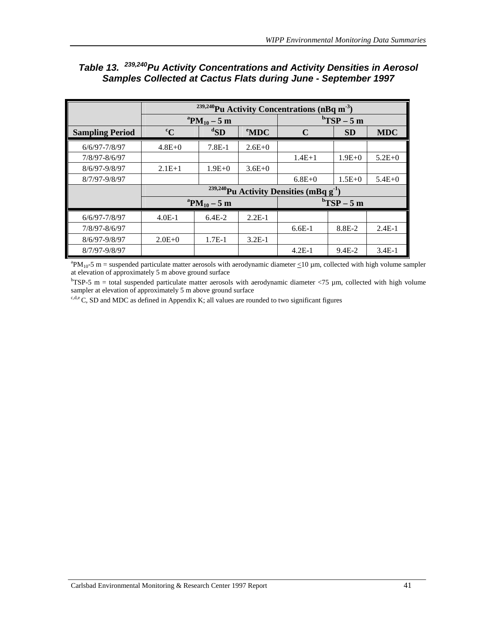|                        |             | <sup>239,240</sup> Pu Activity Concentrations (nBq m <sup>-3</sup> ) |                   |                                                          |                                   |            |  |  |
|------------------------|-------------|----------------------------------------------------------------------|-------------------|----------------------------------------------------------|-----------------------------------|------------|--|--|
|                        |             | ${}^{\rm a}{\rm PM}_{10} - 5$ m                                      |                   |                                                          | $\mathrm{^{b}TSP-5~m}$            |            |  |  |
| <b>Sampling Period</b> | $\rm ^{c}C$ | ${}^{\rm d}$ SD                                                      | $\mathrm{^e}$ MDC | $\mathbf C$                                              | <b>SD</b>                         | <b>MDC</b> |  |  |
| $6/6/97 - 7/8/97$      | $4.8E + 0$  | $7.8E-1$                                                             | $2.6E+0$          |                                                          |                                   |            |  |  |
| 7/8/97-8/6/97          |             |                                                                      |                   | $1.4E+1$                                                 | $1.9E + 0$                        | $5.2E + 0$ |  |  |
| $8/6/97 - 9/8/97$      | $2.1E+1$    | $1.9E + 0$                                                           | $3.6E+0$          |                                                          |                                   |            |  |  |
| 8/7/97-9/8/97          |             |                                                                      |                   | $6.8E + 0$                                               | $1.5E+0$                          | $5.4E + 0$ |  |  |
|                        |             |                                                                      |                   | <sup>239,240</sup> Pu Activity Densities (mBq $g^{-1}$ ) |                                   |            |  |  |
|                        |             | ${}^{\rm a}{\rm PM}_{10} - 5$ m                                      |                   |                                                          | $\mathrm{^{b}TSP} - 5 \mathrm{m}$ |            |  |  |
| $6/6/97 - 7/8/97$      | $4.0E-1$    | $6.4E-2$                                                             | $2.2E-1$          |                                                          |                                   |            |  |  |
| 7/8/97-8/6/97          |             |                                                                      |                   | $6.6E-1$                                                 | $8.8E - 2$                        | $2.4E-1$   |  |  |
| $8/6/97 - 9/8/97$      | $2.0E+0$    | $1.7E-1$                                                             | $3.2E-1$          |                                                          |                                   |            |  |  |
| 8/7/97-9/8/97          |             |                                                                      |                   | $4.2E-1$                                                 | $9.4E - 2$                        | $3.4E-1$   |  |  |

# *Table 13. 239,240Pu Activity Concentrations and Activity Densities in Aerosol Samples Collected at Cactus Flats during June - September 1997*

 ${}^{a}PM_{10}$ -5 m = suspended particulate matter aerosols with aerodynamic diameter  $\leq$ 10 µm, collected with high volume sampler at elevation of approximately 5 m above ground surface

 $b$ TSP-5 m = total suspended particulate matter aerosols with aerodynamic diameter  $\langle 75 \mu m$ , collected with high volume sampler at elevation of approximately 5 m above ground surface

 $c,d,e$  C, SD and MDC as defined in Appendix K; all values are rounded to two significant figures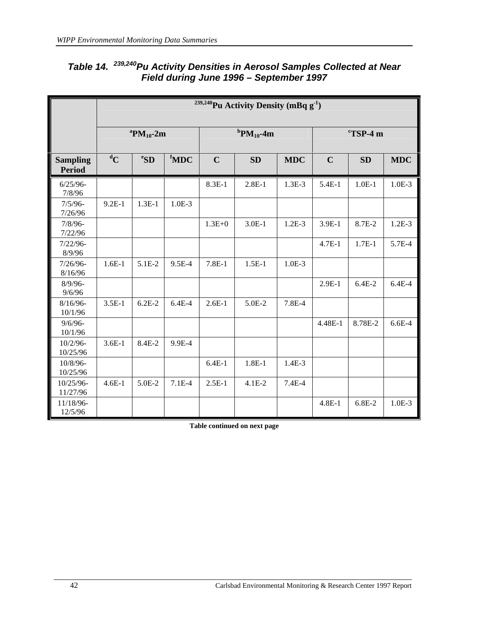|                                  |                                   | <sup>239,240</sup> Pu Activity Density (mBq g <sup>-1</sup> ) |                     |                     |           |            |                      |           |            |  |  |
|----------------------------------|-----------------------------------|---------------------------------------------------------------|---------------------|---------------------|-----------|------------|----------------------|-----------|------------|--|--|
|                                  | <sup>a</sup> PM <sub>10</sub> -2m |                                                               |                     | ${}^{b}PM_{10}$ -4m |           |            | $\mathrm{C}$ TSP-4 m |           |            |  |  |
| <b>Sampling</b><br><b>Period</b> | ${}^dC$                           | e <sub>SD</sub>                                               | ${}^{\text{f}}$ MDC | $\mathbf C$         | <b>SD</b> | <b>MDC</b> | $\mathbf C$          | <b>SD</b> | <b>MDC</b> |  |  |
| $6/25/96 -$<br>7/8/96            |                                   |                                                               |                     | $8.3E-1$            | $2.8E-1$  | $1.3E-3$   | $5.4E-1$             | $1.0E-1$  | $1.0E-3$   |  |  |
| $7/5/96$ -<br>7/26/96            | $9.2E-1$                          | $1.3E-1$                                                      | $1.0E-3$            |                     |           |            |                      |           |            |  |  |
| $7/8/96 -$<br>7/22/96            |                                   |                                                               |                     | $1.3E + 0$          | $3.0E-1$  | $1.2E-3$   | 3.9E-1               | 8.7E-2    | $1.2E-3$   |  |  |
| $7/22/96-$<br>8/9/96             |                                   |                                                               |                     |                     |           |            | $4.7E-1$             | $1.7E-1$  | 5.7E-4     |  |  |
| $7/26/96 -$<br>8/16/96           | $1.6E-1$                          | 5.1E-2                                                        | 9.5E-4              | $7.8E-1$            | $1.5E-1$  | $1.0E-3$   |                      |           |            |  |  |
| $8/9/96$ -<br>9/6/96             |                                   |                                                               |                     |                     |           |            | $2.9E-1$             | $6.4E-2$  | $6.4E-4$   |  |  |
| $8/16/96$ -<br>10/1/96           | $3.5E-1$                          | $6.2E-2$                                                      | $6.4E-4$            | $2.6E-1$            | 5.0E-2    | 7.8E-4     |                      |           |            |  |  |
| $9/6/96$ -<br>10/1/96            |                                   |                                                               |                     |                     |           |            | 4.48E-1              | 8.78E-2   | $6.6E-4$   |  |  |
| $10/2/96$ -<br>10/25/96          | $3.6E-1$                          | 8.4E-2                                                        | 9.9E-4              |                     |           |            |                      |           |            |  |  |
| 10/8/96-<br>10/25/96             |                                   |                                                               |                     | $6.4E-1$            | $1.8E-1$  | $1.4E-3$   |                      |           |            |  |  |
| 10/25/96-<br>11/27/96            | $4.6E-1$                          | 5.0E-2                                                        | $7.1E-4$            | $2.5E-1$            | $4.1E-2$  | $7.4E-4$   |                      |           |            |  |  |
| 11/18/96-<br>12/5/96             |                                   |                                                               |                     |                     |           |            | $4.8E-1$             | 6.8E-2    | $1.0E-3$   |  |  |

### *Table 14. 239,240Pu Activity Densities in Aerosol Samples Collected at Near Field during June 1996 – September 1997*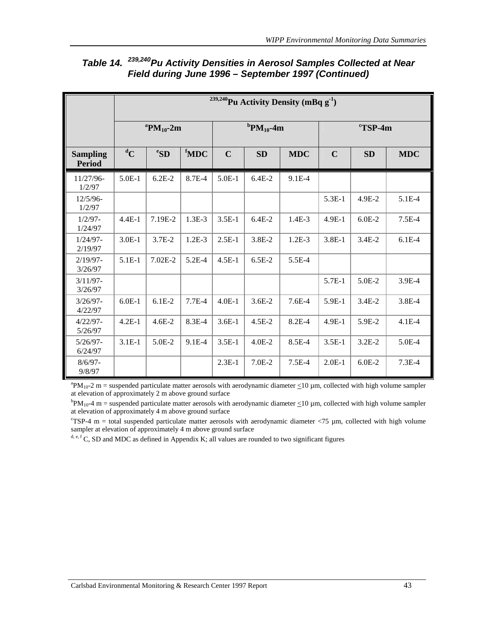|                                  |                                       | <sup>239,240</sup> Pu Activity Density (mBq $g^{-1}$ ) |                  |                                       |            |            |                     |           |            |  |  |
|----------------------------------|---------------------------------------|--------------------------------------------------------|------------------|---------------------------------------|------------|------------|---------------------|-----------|------------|--|--|
|                                  | ${}^{\mathrm{a}}\mathrm{PM}_{10}$ -2m |                                                        |                  | ${}^{\mathrm{b}}\mathrm{PM}_{10}$ -4m |            |            | $\mathrm{c}$ TSP-4m |           |            |  |  |
| <b>Sampling</b><br><b>Period</b> | ${}^dC$                               | ${}^e$ SD                                              | <sup>f</sup> MDC | $\mathbf C$                           | <b>SD</b>  | <b>MDC</b> | $\mathbf C$         | <b>SD</b> | <b>MDC</b> |  |  |
| 11/27/96-<br>1/2/97              | $5.0E-1$                              | $6.2E-2$                                               | 8.7E-4           | $5.0E-1$                              | $6.4E-2$   | $9.1E-4$   |                     |           |            |  |  |
| $12/5/96-$<br>1/2/97             |                                       |                                                        |                  |                                       |            |            | $5.3E-1$            | 4.9E-2    | 5.1E-4     |  |  |
| $1/2/97 -$<br>1/24/97            | $4.4E-1$                              | 7.19E-2                                                | $1.3E-3$         | $3.5E-1$                              | $6.4E-2$   | $1.4E-3$   | 4.9E-1              | $6.0E-2$  | $7.5E-4$   |  |  |
| $1/24/97-$<br>2/19/97            | $3.0E-1$                              | $3.7E-2$                                               | $1.2E-3$         | $2.5E-1$                              | $3.8E-2$   | $1.2E-3$   | $3.8E-1$            | $3.4E-2$  | $6.1E-4$   |  |  |
| $2/19/97-$<br>3/26/97            | $5.1E-1$                              | $7.02E-2$                                              | $5.2E-4$         | $4.5E-1$                              | $6.5E-2$   | $5.5E-4$   |                     |           |            |  |  |
| $3/11/97$ -<br>3/26/97           |                                       |                                                        |                  |                                       |            |            | 5.7E-1              | 5.0E-2    | 3.9E-4     |  |  |
| $3/26/97 -$<br>4/22/97           | $6.0E-1$                              | $6.1E-2$                                               | $7.7E-4$         | $4.0E-1$                              | $3.6E-2$   | $7.6E-4$   | 5.9E-1              | $3.4E-2$  | 3.8E-4     |  |  |
| $4/22/97-$<br>5/26/97            | $4.2E-1$                              | $4.6E - 2$                                             | 8.3E-4           | $3.6E-1$                              | $4.5E-2$   | $8.2E-4$   | $4.9E-1$            | 5.9E-2    | $4.1E-4$   |  |  |
| $5/26/97-$<br>6/24/97            | $3.1E-1$                              | $5.0E-2$                                               | $9.1E-4$         | $3.5E-1$                              | $4.0E - 2$ | 8.5E-4     | $3.5E-1$            | $3.2E-2$  | $5.0E-4$   |  |  |
| $8/6/97 -$<br>9/8/97             |                                       |                                                        |                  | $2.3E-1$                              | $7.0E-2$   | $7.5E-4$   | $2.0E-1$            | $6.0E-2$  | $7.3E-4$   |  |  |

# *Table 14. 239,240Pu Activity Densities in Aerosol Samples Collected at Near Field during June 1996 – September 1997 (Continued)*

 ${}^{a}PM_{10}$ -2 m = suspended particulate matter aerosols with aerodynamic diameter  $\leq$ 10 µm, collected with high volume sampler at elevation of approximately 2 m above ground surface

 ${}^{\text{b}}PM_{10}$ -4 m = suspended particulate matter aerosols with aerodynamic diameter  $\leq$ 10 µm, collected with high volume sampler at elevation of approximately 4 m above ground surface

 $\text{C}$ SP-4 m = total suspended particulate matter aerosols with aerodynamic diameter <75  $\mu$ m, collected with high volume sampler at elevation of approximately 4 m above ground surface

 $d, e, f$ C, SD and MDC as defined in Appendix K; all values are rounded to two significant figures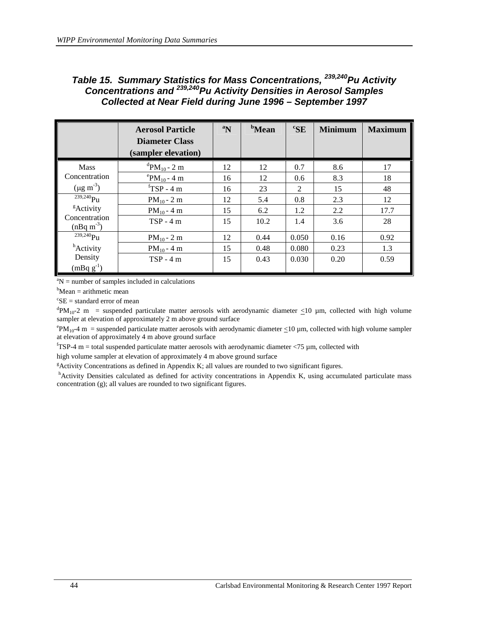### *Table 15. Summary Statistics for Mass Concentrations, 239,240Pu Activity Concentrations and 239,240Pu Activity Densities in Aerosol Samples Collected at Near Field during June 1996 – September 1997*

|                                         | <b>Aerosol Particle</b><br><b>Diameter Class</b> | $\boldsymbol{a_N}$ | <sup>b</sup> Mean | ${}^c$ SE | <b>Minimum</b> | <b>Maximum</b> |
|-----------------------------------------|--------------------------------------------------|--------------------|-------------------|-----------|----------------|----------------|
|                                         | (sampler elevation)                              |                    |                   |           |                |                |
| <b>Mass</b>                             | <sup>d</sup> PM <sub>10</sub> - 2 m              | 12                 | 12                | 0.7       | 8.6            | 17             |
| Concentration                           | $P_{P}M_{10} - 4 \text{ m}$                      | 16                 | 12                | 0.6       | 8.3            | 18             |
| $(\mu g \text{ m}^{-3})$                | ${}^{\text{f}}$ TSP - 4 m                        | 16                 | 23                | 2         | 15             | 48             |
| $239,240$ P <sub>11</sub>               | $PM_{10} - 2 m$                                  | 12                 | 5.4               | 0.8       | 2.3            | 12             |
| <sup>g</sup> Activity                   | $PM_{10} - 4 \text{ m}$                          | 15                 | 6.2               | 1.2       | 2.2            | 17.7           |
| Concentration<br>$(nBq \text{ m}^{-3})$ | $TSP - 4m$                                       | 15                 | 10.2              | 1.4       | 3.6            | 28             |
| $239,240$ Pu                            | $PM_{10} - 2 m$                                  | 12                 | 0.44              | 0.050     | 0.16           | 0.92           |
| <sup>h</sup> Activity                   | $PM_{10} - 4 \text{ m}$                          | 15                 | 0.48              | 0.080     | 0.23           | 1.3            |
| Density<br>$(mBq g^{-1})$               | $TSP - 4m$                                       | 15                 | 0.43              | 0.030     | 0.20           | 0.59           |

 ${}^{a}N$  = number of samples included in calculations

 $b$ Mean = arithmetic mean

 ${}^c$ SE = standard error of mean

 ${}^dPM_{10}$ -2 m = suspended particulate matter aerosols with aerodynamic diameter  $\leq 10$  µm, collected with high volume sampler at elevation of approximately 2 m above ground surface

 $\rm{PM}_{10}$ -4 m = suspended particulate matter aerosols with aerodynamic diameter  $\leq$ 10 µm, collected with high volume sampler at elevation of approximately 4 m above ground surface

 $f$ TSP-4 m = total suspended particulate matter aerosols with aerodynamic diameter <75  $\mu$ m, collected with high volume sampler at elevation of approximately 4 m above ground surface

Activity Concentrations as defined in Appendix K; all values are rounded to two significant figures.

h Activity Densities calculated as defined for activity concentrations in Appendix K, using accumulated particulate mass concentration (g); all values are rounded to two significant figures.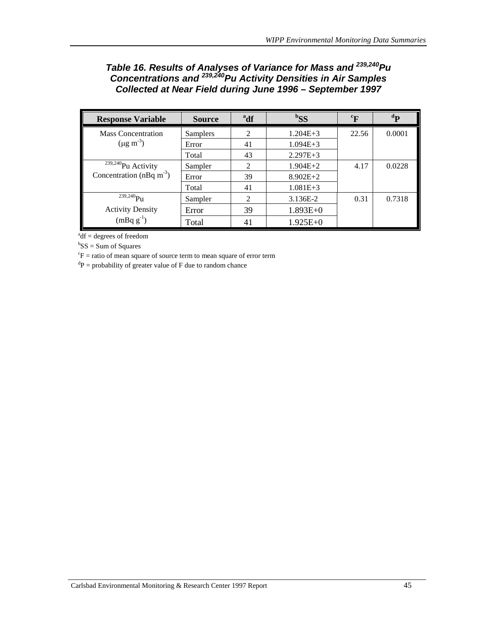### *Table 16. Results of Analyses of Variance for Mass and 239,240Pu Concentrations and 239,240Pu Activity Densities in Air Samples Collected at Near Field during June 1996 – September 1997*

| <b>Response Variable</b>             | <b>Source</b> | <sup>a</sup> df | ${}^{b}SS$   | $\rm ^{c}F$ | $\mathbf{d}$ |
|--------------------------------------|---------------|-----------------|--------------|-------------|--------------|
| <b>Mass Concentration</b>            | Samplers      | $\mathcal{L}$   | $1.204E + 3$ | 22.56       | 0.0001       |
| $(\mu g \, m^{-3})$                  | Error         | 41              | $1.094E + 3$ |             |              |
|                                      | Total         | 43              | $2.297E + 3$ |             |              |
| <sup>239,240</sup> Pu Activity       | Sampler       | 2               | $1.904E + 2$ | 4.17        | 0.0228       |
| Concentration (nBq m <sup>-3</sup> ) | Error         | 39              | $8.902E+2$   |             |              |
|                                      | Total         | 41              | $1.081E + 3$ |             |              |
| $239,240$ Pu                         | Sampler       | 2               | 3.136E-2     | 0.31        | 0.7318       |
| <b>Activity Density</b>              | Error         | 39              | $1.893E+0$   |             |              |
| $(mBq g^{-1})$                       | Total         | 41              | $1.925E+0$   |             |              |

 $a^{a}$ df = degrees of freedom

 ${}^{b}SS = Sum$  of Squares

 ${}^c\text{F}$  = ratio of mean square of source term to mean square of error term

 ${}^{d}P$  = probability of greater value of F due to random chance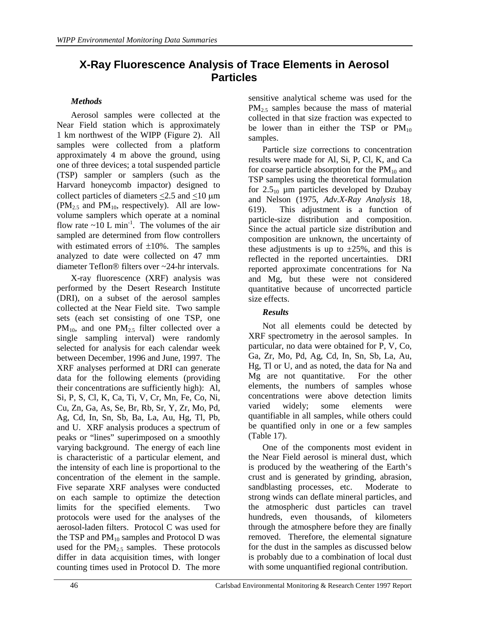# **X-Ray Fluorescence Analysis of Trace Elements in Aerosol Particles**

#### *Methods*

Aerosol samples were collected at the Near Field station which is approximately 1 km northwest of the WIPP (Figure 2). All samples were collected from a platform approximately 4 m above the ground, using one of three devices; a total suspended particle (TSP) sampler or samplers (such as the Harvard honeycomb impactor) designed to collect particles of diameters  $\leq$ 2.5 and  $\leq$ 10  $\mu$ m  $(PM_{2.5}$  and  $PM_{10}$ , respectively). All are lowvolume samplers which operate at a nominal flow rate  $\sim 10$  L min<sup>-1</sup>. The volumes of the air sampled are determined from flow controllers with estimated errors of  $\pm 10\%$ . The samples analyzed to date were collected on 47 mm diameter Teflon $\mathbb R$  filters over  $\sim$  24-hr intervals.

X-ray fluorescence (XRF) analysis was performed by the Desert Research Institute (DRI), on a subset of the aerosol samples collected at the Near Field site. Two sample sets (each set consisting of one TSP, one  $PM_{10}$ , and one  $PM_{2.5}$  filter collected over a single sampling interval) were randomly selected for analysis for each calendar week between December, 1996 and June, 1997. The XRF analyses performed at DRI can generate data for the following elements (providing their concentrations are sufficiently high): Al, Si, P, S, Cl, K, Ca, Ti, V, Cr, Mn, Fe, Co, Ni, Cu, Zn, Ga, As, Se, Br, Rb, Sr, Y, Zr, Mo, Pd, Ag, Cd, In, Sn, Sb, Ba, La, Au, Hg, Tl, Pb, and U. XRF analysis produces a spectrum of peaks or "lines" superimposed on a smoothly varying background. The energy of each line is characteristic of a particular element, and the intensity of each line is proportional to the concentration of the element in the sample. Five separate XRF analyses were conducted on each sample to optimize the detection limits for the specified elements. Two protocols were used for the analyses of the aerosol-laden filters. Protocol C was used for the TSP and  $PM_{10}$  samples and Protocol D was used for the  $PM_{2.5}$  samples. These protocols differ in data acquisition times, with longer counting times used in Protocol D. The more

sensitive analytical scheme was used for the  $PM_{2.5}$  samples because the mass of material collected in that size fraction was expected to be lower than in either the TSP or  $PM_{10}$ samples.

Particle size corrections to concentration results were made for Al, Si, P, Cl, K, and Ca for coarse particle absorption for the  $PM_{10}$  and TSP samples using the theoretical formulation for  $2.5_{10}$  µm particles developed by Dzubay and Nelson (1975, *Adv.X-Ray Analysis* 18, 619). This adjustment is a function of particle-size distribution and composition. Since the actual particle size distribution and composition are unknown, the uncertainty of these adjustments is up to  $\pm 25\%$ , and this is reflected in the reported uncertainties. DRI reported approximate concentrations for Na and Mg, but these were not considered quantitative because of uncorrected particle size effects.

#### *Results*

Not all elements could be detected by XRF spectrometry in the aerosol samples. In particular, no data were obtained for P, V, Co, Ga, Zr, Mo, Pd, Ag, Cd, In, Sn, Sb, La, Au, Hg, Tl or U, and as noted, the data for Na and Mg are not quantitative. For the other elements, the numbers of samples whose concentrations were above detection limits varied widely; some elements were quantifiable in all samples, while others could be quantified only in one or a few samples (Table 17).

One of the components most evident in the Near Field aerosol is mineral dust, which is produced by the weathering of the Earth's crust and is generated by grinding, abrasion, sandblasting processes, etc. Moderate to strong winds can deflate mineral particles, and the atmospheric dust particles can travel hundreds, even thousands, of kilometers through the atmosphere before they are finally removed. Therefore, the elemental signature for the dust in the samples as discussed below is probably due to a combination of local dust with some unquantified regional contribution.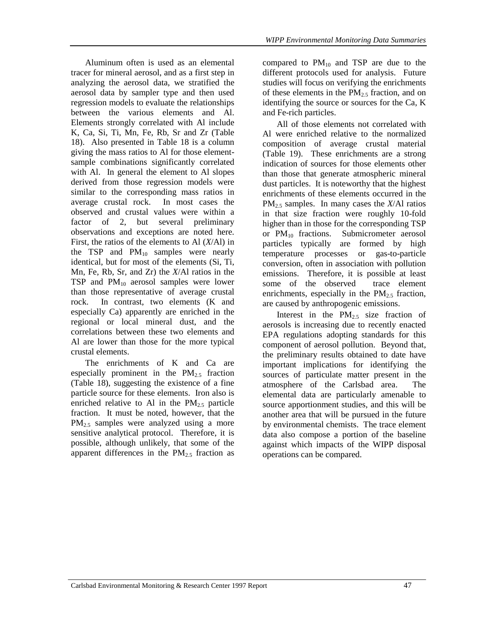Aluminum often is used as an elemental tracer for mineral aerosol, and as a first step in analyzing the aerosol data, we stratified the aerosol data by sampler type and then used regression models to evaluate the relationships between the various elements and Al. Elements strongly correlated with Al include K, Ca, Si, Ti, Mn, Fe, Rb, Sr and Zr (Table 18). Also presented in Table 18 is a column giving the mass ratios to Al for those elementsample combinations significantly correlated with Al. In general the element to Al slopes derived from those regression models were similar to the corresponding mass ratios in average crustal rock. In most cases the observed and crustal values were within a factor of 2, but several preliminary observations and exceptions are noted here. First, the ratios of the elements to Al (*X*/Al) in the TSP and  $PM_{10}$  samples were nearly identical, but for most of the elements (Si, Ti, Mn, Fe, Rb, Sr, and Zr) the *X*/Al ratios in the TSP and  $PM_{10}$  aerosol samples were lower than those representative of average crustal rock. In contrast, two elements (K and especially Ca) apparently are enriched in the regional or local mineral dust, and the correlations between these two elements and Al are lower than those for the more typical crustal elements.

The enrichments of K and Ca are especially prominent in the  $PM_{2.5}$  fraction (Table 18), suggesting the existence of a fine particle source for these elements. Iron also is enriched relative to Al in the  $PM_{2.5}$  particle fraction. It must be noted, however, that the PM<sub>2.5</sub> samples were analyzed using a more sensitive analytical protocol. Therefore, it is possible, although unlikely, that some of the apparent differences in the  $PM<sub>25</sub>$  fraction as

compared to  $PM_{10}$  and TSP are due to the different protocols used for analysis. Future studies will focus on verifying the enrichments of these elements in the  $PM<sub>2.5</sub>$  fraction, and on identifying the source or sources for the Ca, K and Fe-rich particles.

All of those elements not correlated with Al were enriched relative to the normalized composition of average crustal material (Table 19). These enrichments are a strong indication of sources for those elements other than those that generate atmospheric mineral dust particles. It is noteworthy that the highest enrichments of these elements occurred in the PM2.5 samples. In many cases the *X*/Al ratios in that size fraction were roughly 10-fold higher than in those for the corresponding TSP or PM10 fractions. Submicrometer aerosol particles typically are formed by high temperature processes or gas-to-particle conversion, often in association with pollution emissions. Therefore, it is possible at least some of the observed trace element enrichments, especially in the  $PM_{2.5}$  fraction, are caused by anthropogenic emissions.

Interest in the  $PM_{2.5}$  size fraction of aerosols is increasing due to recently enacted EPA regulations adopting standards for this component of aerosol pollution. Beyond that, the preliminary results obtained to date have important implications for identifying the sources of particulate matter present in the atmosphere of the Carlsbad area. The elemental data are particularly amenable to source apportionment studies, and this will be another area that will be pursued in the future by environmental chemists. The trace element data also compose a portion of the baseline against which impacts of the WIPP disposal operations can be compared.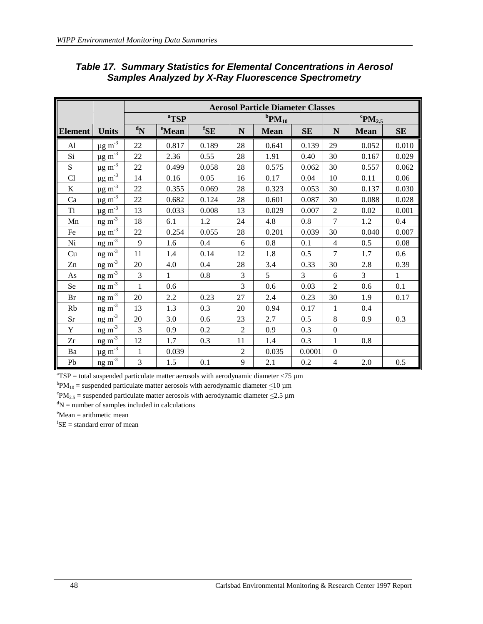|                |                              |                           |                   |                          |                | <b>Aerosol Particle Diameter Classes</b> |                |                  |                                    |              |
|----------------|------------------------------|---------------------------|-------------------|--------------------------|----------------|------------------------------------------|----------------|------------------|------------------------------------|--------------|
|                |                              |                           | <sup>a</sup> TSP  |                          |                | ${}^{\mathrm{b}}\mathbf{PM}_{10}$        |                |                  | ${}^{\mathrm{c}}\mathrm{PM}_{2.5}$ |              |
| <b>Element</b> | <b>Units</b>                 | $\mathbf{N}^{\mathbf{b}}$ | <sup>e</sup> Mean | ${}^{\text{f}}\text{SE}$ | N              | <b>Mean</b>                              | <b>SE</b>      | $\mathbf N$      | <b>Mean</b>                        | <b>SE</b>    |
| Al             | $\mu$ g m <sup>-3</sup>      | 22                        | 0.817             | 0.189                    | 28             | 0.641                                    | 0.139          | 29               | 0.052                              | 0.010        |
| Si             | $\mu g \, \text{m}^{-3}$     | 22                        | 2.36              | 0.55                     | 28             | 1.91                                     | 0.40           | 30               | 0.167                              | 0.029        |
| S              | $\mu$ g m <sup>-3</sup>      | 22                        | 0.499             | 0.058                    | 28             | 0.575                                    | 0.062          | 30               | 0.557                              | 0.062        |
| Cl             | $\mu g \, m^{-3}$            | 14                        | 0.16              | 0.05                     | 16             | 0.17                                     | 0.04           | 10               | 0.11                               | 0.06         |
| $\bf K$        | $\mu$ g m <sup>-3</sup>      | 22                        | 0.355             | 0.069                    | 28             | 0.323                                    | 0.053          | 30               | 0.137                              | 0.030        |
| Ca             | $\mu$ g m <sup>-3</sup>      | 22                        | 0.682             | 0.124                    | 28             | 0.601                                    | 0.087          | 30               | 0.088                              | 0.028        |
| <b>Ti</b>      | $\mu$ g m <sup>-3</sup>      | 13                        | 0.033             | 0.008                    | 13             | 0.029                                    | 0.007          | $\overline{2}$   | 0.02                               | 0.001        |
| Mn             | $ng\overline{m}^{-3}$        | 18                        | 6.1               | 1.2                      | 24             | 4.8                                      | 0.8            | $\overline{7}$   | 1.2                                | 0.4          |
| $\rm Fe$       | $\mu$ g m <sup>-3</sup>      | 22                        | 0.254             | 0.055                    | 28             | 0.201                                    | 0.039          | 30               | 0.040                              | 0.007        |
| Ni             | $n g m^{-3}$                 | 9                         | 1.6               | 0.4                      | 6              | $0.8\,$                                  | 0.1            | $\overline{4}$   | 0.5                                | 0.08         |
| Cu             | $n g m^{-3}$                 | 11                        | 1.4               | 0.14                     | 12             | 1.8                                      | 0.5            | $\overline{7}$   | 1.7                                | 0.6          |
| Zn             | $ng\overline{m^{-3}}$        | 20                        | 4.0               | 0.4                      | 28             | 3.4                                      | 0.33           | 30               | $2.8\,$                            | 0.39         |
| As             | $ng m-3$                     | 3                         | $\mathbf{1}$      | 0.8                      | $\mathfrak{Z}$ | 5                                        | $\overline{3}$ | 6                | 3                                  | $\mathbf{1}$ |
| Se             | $\frac{\text{ng m}^{-3}}{1}$ | $\mathbf{1}$              | 0.6               |                          | 3              | 0.6                                      | 0.03           | $\overline{2}$   | 0.6                                | 0.1          |
| Br             | $n g m^{-3}$                 | 20                        | 2.2               | 0.23                     | 27             | 2.4                                      | 0.23           | 30               | 1.9                                | 0.17         |
| Rb             | $ng\overline{m}^{-3}$        | 13                        | 1.3               | 0.3                      | 20             | 0.94                                     | 0.17           | $\mathbf{1}$     | 0.4                                |              |
| Sr             | $\frac{\text{ng m}^{-3}}{1}$ | 20                        | 3.0               | 0.6                      | 23             | 2.7                                      | 0.5            | $8\,$            | 0.9                                | 0.3          |
| Y              | $ng\overline{m^{-3}}$        | 3                         | 0.9               | 0.2                      | $\overline{2}$ | 0.9                                      | 0.3            | $\boldsymbol{0}$ |                                    |              |
| Zr             | $ng \, \text{m}^{-3}$        | 12                        | 1.7               | 0.3                      | 11             | 1.4                                      | 0.3            | $\mathbf 1$      | 0.8                                |              |
| Ba             | $\mu$ g m <sup>-3</sup>      | 1                         | 0.039             |                          | $\overline{2}$ | 0.035                                    | 0.0001         | $\boldsymbol{0}$ |                                    |              |
| Pb             | ng m <sup>3</sup>            | 3                         | 1.5               | 0.1                      | 9              | 2.1                                      | 0.2            | $\overline{4}$   | 2.0                                | 0.5          |

### *Table 17. Summary Statistics for Elemental Concentrations in Aerosol Samples Analyzed by X-Ray Fluorescence Spectrometry*

 ${}^{a}$ TSP = total suspended particulate matter aerosols with aerodynamic diameter <75  $\mu$ m

 ${}^{b}PM_{10}$  = suspended particulate matter aerosols with aerodynamic diameter  $\leq 10 \mu m$ <br> ${}^{c}PM_{10}$  = suspended particulate matter egrecals with aerodynamic diameter  $\leq 2.5 \mu m$ 

 ${}^{\text{c}}PM_{2.5}$  = suspended particulate matter aerosols with aerodynamic diameter  $\leq$ 2.5 µm

 $\mathrm{d}N$  = number of samples included in calculations

e Mean = arithmetic mean

 ${}^{\text{f}}$ SE = standard error of mean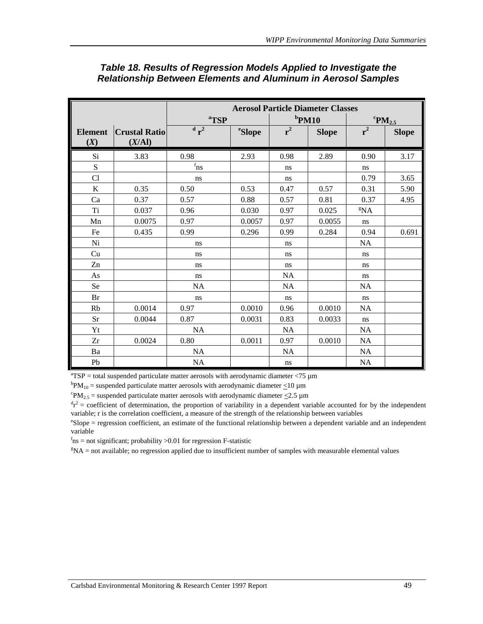|                |                      |                     |               |           | <b>Aerosol Particle Diameter Classes</b> |                                    |              |
|----------------|----------------------|---------------------|---------------|-----------|------------------------------------------|------------------------------------|--------------|
|                |                      | <sup>a</sup> TSP    |               |           | $b$ PM10                                 | ${}^{\mathrm{c}}\mathrm{PM}_{2.5}$ |              |
| <b>Element</b> | <b>Crustal Ratio</b> | $d^2$               | <i>eSlope</i> | $r^2$     | <b>Slope</b>                             | $r^2$                              | <b>Slope</b> |
| (X)            | (X/AI)               |                     |               |           |                                          |                                    |              |
| Si             | 3.83                 | 0.98                | 2.93          | 0.98      | 2.89                                     | 0.90                               | 3.17         |
| S              |                      | $\rm ^{f}n\rm _{S}$ |               | ns.       |                                          | ns.                                |              |
| Cl             |                      | ns                  |               | ns        |                                          | 0.79                               | 3.65         |
| $\bf K$        | 0.35                 | 0.50                | 0.53          | 0.47      | 0.57                                     | 0.31                               | 5.90         |
| Ca             | 0.37                 | 0.57                | 0.88          | 0.57      | 0.81                                     | 0.37                               | 4.95         |
| T <sub>i</sub> | 0.037                | 0.96                | 0.030         | 0.97      | 0.025                                    | ${}^{g}NA$                         |              |
| Mn             | 0.0075               | 0.97                | 0.0057        | 0.97      | 0.0055                                   | ns                                 |              |
| Fe             | 0.435                | 0.99                | 0.296         | 0.99      | 0.284                                    | 0.94                               | 0.691        |
| Ni             |                      | ns                  |               | ns        |                                          | <b>NA</b>                          |              |
| Cu             |                      | ns                  |               | ns        |                                          | ns                                 |              |
| Zn             |                      | ns                  |               | ns        |                                          | ns.                                |              |
| As             |                      | ns                  |               | <b>NA</b> |                                          | ns.                                |              |
| Se             |                      | <b>NA</b>           |               | <b>NA</b> |                                          | <b>NA</b>                          |              |
| Br             |                      | ns                  |               | ns        |                                          | ns.                                |              |
| Rb             | 0.0014               | 0.97                | 0.0010        | 0.96      | 0.0010                                   | <b>NA</b>                          |              |
| <b>Sr</b>      | 0.0044               | 0.87                | 0.0031        | 0.83      | 0.0033                                   | ns                                 |              |
| Yt             |                      | <b>NA</b>           |               | <b>NA</b> |                                          | <b>NA</b>                          |              |
| Zr             | 0.0024               | 0.80                | 0.0011        | 0.97      | 0.0010                                   | <b>NA</b>                          |              |
| Ba             |                      | <b>NA</b>           |               | <b>NA</b> |                                          | <b>NA</b>                          |              |
| Pb             |                      | <b>NA</b>           |               | ns        |                                          | NA                                 |              |

### *Table 18. Results of Regression Models Applied to Investigate the Relationship Between Elements and Aluminum in Aerosol Samples*

 ${}^{a}$ TSP = total suspended particulate matter aerosols with aerodynamic diameter <75  $\mu$ m

 ${}^{b}PM_{10}$  = suspended particulate matter aerosols with aerodynamic diameter  $\leq 10 \mu m$ <br> ${}^{c}PM_{10}$  = suspended particulate matter egrecals with aerodynamic diameter  $\leq 2.5 \mu m$ 

 ${}^{\rm c}PM_{2.5}$  = suspended particulate matter aerosols with aerodynamic diameter  $\leq$ 2.5 µm

 $r^2$  = coefficient of determination, the proportion of variability in a dependent variable accounted for by the independent variable; r is the correlation coefficient, a measure of the strength of the relationship between variables

e Slope = regression coefficient, an estimate of the functional relationship between a dependent variable and an independent variable

 $f_{\text{ns}}$  = not significant; probability >0.01 for regression F-statistic

g NA = not available; no regression applied due to insufficient number of samples with measurable elemental values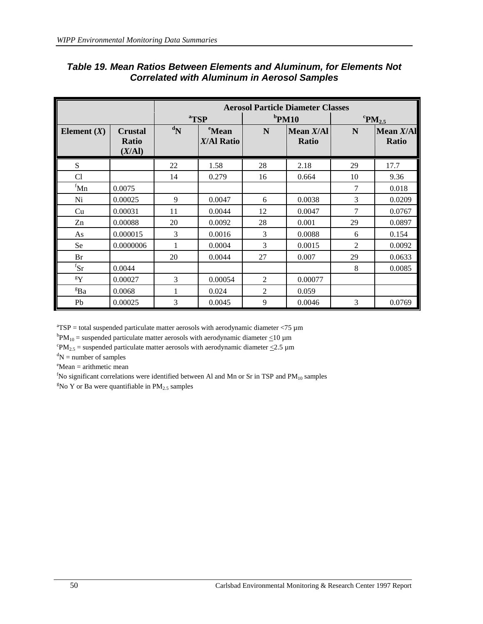|                                       |                                          | <b>Aerosol Particle Diameter Classes</b> |                                 |                |                             |    |                                    |  |
|---------------------------------------|------------------------------------------|------------------------------------------|---------------------------------|----------------|-----------------------------|----|------------------------------------|--|
|                                       |                                          |                                          | <sup>a</sup> TSP                |                | $b$ PM10                    |    | ${}^{\mathrm{c}}\mathrm{PM}_{2.5}$ |  |
| Element $(X)$                         | <b>Crustal</b><br><b>Ratio</b><br>(X/AI) | $\mathbf{d}_{N}$                         | <sup>e</sup> Mean<br>X/Al Ratio | N              | Mean $X/AI$<br><b>Ratio</b> | N  | Mean $X/AI$<br><b>Ratio</b>        |  |
| S                                     |                                          | 22                                       | 1.58                            | 28             | 2.18                        | 29 | 17.7                               |  |
| Cl                                    |                                          | 14                                       | 0.279                           | 16             | 0.664                       | 10 | 9.36                               |  |
| ${}^{\text{f}}$ Mn                    | 0.0075                                   |                                          |                                 |                |                             | 7  | 0.018                              |  |
| Ni                                    | 0.00025                                  | 9                                        | 0.0047                          | 6              | 0.0038                      | 3  | 0.0209                             |  |
| Cu                                    | 0.00031                                  | 11                                       | 0.0044                          | 12             | 0.0047                      | 7  | 0.0767                             |  |
| Zn                                    | 0.00088                                  | 20                                       | 0.0092                          | 28             | 0.001                       | 29 | 0.0897                             |  |
| As                                    | 0.000015                                 | 3                                        | 0.0016                          | 3              | 0.0088                      | 6  | 0.154                              |  |
| Se                                    | 0.0000006                                | 1                                        | 0.0004                          | 3              | 0.0015                      | 2  | 0.0092                             |  |
| <b>Br</b>                             |                                          | 20                                       | 0.0044                          | 27             | 0.007                       | 29 | 0.0633                             |  |
| ${}^{\mathrm{f}}\mathbf{S}\mathbf{r}$ | 0.0044                                   |                                          |                                 |                |                             | 8  | 0.0085                             |  |
| $\mathbf{g}_{\mathbf{Y}}$             | 0.00027                                  | 3                                        | 0.00054                         | 2              | 0.00077                     |    |                                    |  |
| <sup>g</sup> Ba                       | 0.0068                                   | 1                                        | 0.024                           | $\overline{2}$ | 0.059                       |    |                                    |  |
| Pb                                    | 0.00025                                  | 3                                        | 0.0045                          | 9              | 0.0046                      | 3  | 0.0769                             |  |

#### *Table 19. Mean Ratios Between Elements and Aluminum, for Elements Not Correlated with Aluminum in Aerosol Samples*

 ${}^{a}$ TSP = total suspended particulate matter aerosols with aerodynamic diameter <75  $\mu$ m

 ${}^{b}PM_{10}$  = suspended particulate matter aerosols with aerodynamic diameter  $\leq 10 \mu m$ <br> ${}^{c}PM_{10}$  = suspended particulate matter egrecals with aerodynamic diameter  $\leq 2.5 \mu m$ 

 ${}^{\circ}$ PM<sub>2.5</sub> = suspended particulate matter aerosols with aerodynamic diameter  $\leq$ 2.5 µm

 ${}^dN$  = number of samples

e Mean = arithmetic mean

 ${}^{\text{f}}$ No significant correlations were identified between Al and Mn or Sr in TSP and PM<sub>10</sub> samples  ${}^{\text{g}}$ No Y or Pa were quantifield in PM<sub>10</sub> samples

 $8$ No Y or Ba were quantifiable in PM<sub>2.5</sub> samples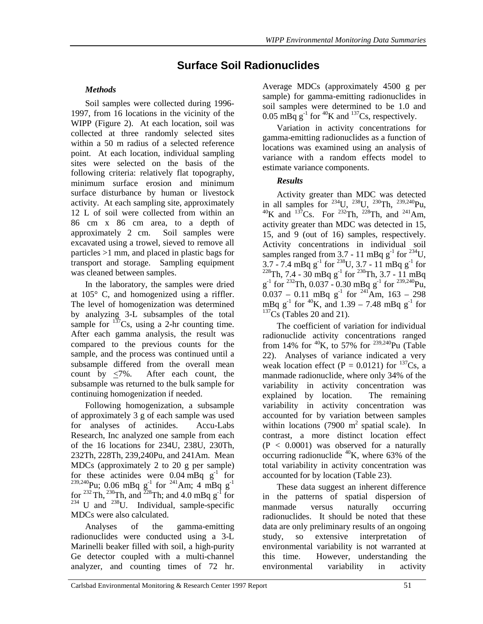# **Surface Soil Radionuclides**

# *Methods*

Soil samples were collected during 1996- 1997, from 16 locations in the vicinity of the WIPP (Figure 2). At each location, soil was collected at three randomly selected sites within a 50 m radius of a selected reference point. At each location, individual sampling sites were selected on the basis of the following criteria: relatively flat topography, minimum surface erosion and minimum surface disturbance by human or livestock activity. At each sampling site, approximately 12 L of soil were collected from within an 86 cm x 86 cm area, to a depth of approximately 2 cm. Soil samples were excavated using a trowel, sieved to remove all particles >1 mm, and placed in plastic bags for transport and storage. Sampling equipment was cleaned between samples.

In the laboratory, the samples were dried at 105° C, and homogenized using a riffler. The level of homogenization was determined by analyzing 3-L subsamples of the total sample for  $137$ Cs, using a 2-hr counting time. After each gamma analysis, the result was compared to the previous counts for the sample, and the process was continued until a subsample differed from the overall mean count by <7%. After each count, the subsample was returned to the bulk sample for continuing homogenization if needed.

Following homogenization, a subsample of approximately 3 g of each sample was used for analyses of actinides. Accu-Labs Research, Inc analyzed one sample from each of the 16 locations for 234U, 238U, 230Th, 232Th, 228Th, 239,240Pu, and 241Am. Mean MDCs (approximately 2 to 20 g per sample) for these actinides were 0.04 mBq  $g^{-1}$  for  $^{239,240}$ Pu; 0.06 mBq g<sup>-1</sup> for <sup>241</sup>Am; 4 mBq g<sup>-1</sup> for <sup>232</sup> Th, <sup>230</sup>Th, and <sup>228</sup>Th; and 4.0 mBq  $g^{-1}$  for  $234$  U and  $238$ U. Individual, sample-specific MDCs were also calculated.

Analyses of the gamma-emitting radionuclides were conducted using a 3-L Marinelli beaker filled with soil, a high-purity Ge detector coupled with a multi-channel analyzer, and counting times of 72 hr.

Average MDCs (approximately 4500 g per sample) for gamma-emitting radionuclides in soil samples were determined to be 1.0 and 0.05 mBq  $g^{-1}$  for <sup>40</sup>K and <sup>137</sup>Cs, respectively.

Variation in activity concentrations for gamma-emitting radionuclides as a function of locations was examined using an analysis of variance with a random effects model to estimate variance components.

### *Results*

Activity greater than MDC was detected in all samples for  $^{234}$ U,  $^{238}$ U,  $^{230}$ Th,  $^{239,240}$ Pu,  ${}^{40}$ K and  ${}^{137}$ Cs. For  ${}^{232}$ Th,  ${}^{228}$ Th, and  ${}^{241}$ Am, activity greater than MDC was detected in 15, 15, and 9 (out of 16) samples, respectively. Activity concentrations in individual soil samples ranged from 3.7 - 11 mBq  $g^{-1}$  for <sup>234</sup>U,  $3.7 - 7.4$  mBq g<sup>-1</sup> for <sup>238</sup>U,  $3.7 - 11$  mBq g<sup>-1</sup> for  $^{228}$ Th, 7.4 - 30 mBq g<sup>-1</sup> for <sup>230</sup>Th, 3.7 - 11 mBq  $g^{-1}$  for <sup>232</sup>Th, 0.037 - 0.30 mBq  $g^{-1}$  for <sup>239,240</sup>Pu,  $0.037 - 0.11$  mBq g<sup>-1</sup> for <sup>241</sup>Am, 163 – 298 mBq  $g^{-1}$  for <sup>40</sup>K, and 1.39 – 7.48 mBq  $g^{-1}$  for  $137Cs$  (Tables 20 and 21).

The coefficient of variation for individual radionuclide activity concentrations ranged from 14% for  $^{40}$ K, to 57% for  $^{239,240}$ Pu (Table 22). Analyses of variance indicated a very weak location effect (P = 0.0121) for  $^{137}Cs$ , a manmade radionuclide, where only 34% of the variability in activity concentration was explained by location. The remaining variability in activity concentration was accounted for by variation between samples within locations (7900  $m<sup>2</sup>$  spatial scale). In contrast, a more distinct location effect  $(P < 0.0001)$  was observed for a naturally occurring radionuclide  $^{40}$ K, where 63% of the total variability in activity concentration was accounted for by location (Table 23).

These data suggest an inherent difference in the patterns of spatial dispersion of manmade versus naturally occurring radionuclides. It should be noted that these data are only preliminary results of an ongoing study, so extensive interpretation of environmental variability is not warranted at this time. However, understanding the environmental variability in activity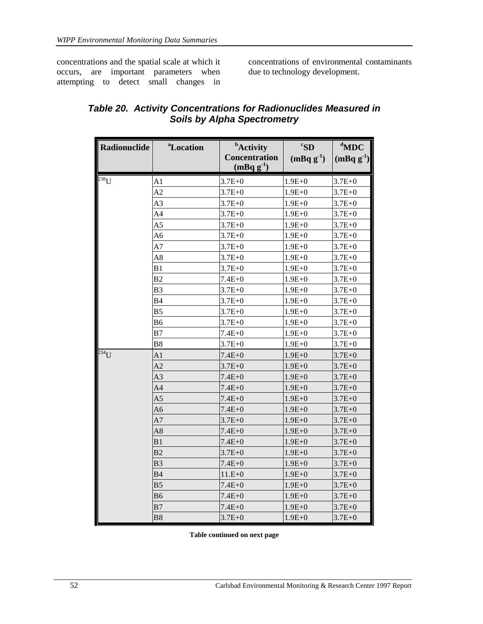concentrations and the spatial scale at which it occurs, are important parameters when attempting to detect small changes in

concentrations of environmental contaminants due to technology development.

| Radionuclide | <sup>a</sup> Location | <b>b</b> Activity<br><b>Concentration</b><br>$(mBq g-1)$ | ${}^cS$ D<br>$(mBqg^{-1})$ | $d$ MDC<br>$(mBq g^{-1})$ |
|--------------|-----------------------|----------------------------------------------------------|----------------------------|---------------------------|
| $238$ U      | A1                    | $3.7E + 0$                                               | $1.9E + 0$                 | $3.7E + 0$                |
|              | A <sub>2</sub>        | $3.7E + 0$                                               | $1.9E + 0$                 | $3.7E + 0$                |
|              | A3                    | $3.7E + 0$                                               | $1.9E+0$                   | $3.7E + 0$                |
|              | A <sub>4</sub>        | $3.7E + 0$                                               | $1.9E + 0$                 | $3.7E + 0$                |
|              | A5                    | $3.7E + 0$                                               | $1.9E + 0$                 | $3.7E + 0$                |
|              | A6                    | $3.7E + 0$                                               | $1.9E + 0$                 | $3.7E + 0$                |
|              | A7                    | $3.7E + 0$                                               | $1.9E + 0$                 | $3.7E + 0$                |
|              | A8                    | $3.7E + 0$                                               | $1.9E + 0$                 | $3.7E + 0$                |
|              | B1                    | $3.7E + 0$                                               | $1.9E + 0$                 | $3.7E + 0$                |
|              | B <sub>2</sub>        | $7.4E + 0$                                               | $1.9E + 0$                 | $3.7E + 0$                |
|              | B <sub>3</sub>        | $3.7E + 0$                                               | $1.9E + 0$                 | $3.7E + 0$                |
|              | <b>B4</b>             | $3.7E + 0$                                               | $1.9E + 0$                 | $3.7E + 0$                |
|              | B <sub>5</sub>        | $3.7E + 0$                                               | $1.9E + 0$                 | $3.7E + 0$                |
|              | <b>B6</b>             | $3.7E + 0$                                               | $1.9E + 0$                 | $3.7E + 0$                |
|              | B7                    | $7.4E + 0$                                               | $1.9E + 0$                 | $3.7E + 0$                |
|              | B8                    | $3.7E + 0$                                               | $1.9E + 0$                 | $3.7E + 0$                |
| $234$ U      | A1                    | $7.4E + 0$                                               | $1.9E + 0$                 | $3.7E + 0$                |
|              | A <sub>2</sub>        | $3.7E + 0$                                               | $1.9E + 0$                 | $3.7E + 0$                |
|              | A <sub>3</sub>        | $7.4E + 0$                                               | $1.9E + 0$                 | $3.7E + 0$                |
|              | A4                    | $7.4E + 0$                                               | $1.9E + 0$                 | $3.7E + 0$                |
|              | A <sub>5</sub>        | $7.4E + 0$                                               | $1.9E + 0$                 | $3.7E + 0$                |
|              | A6                    | $7.4E + 0$                                               | $1.9E + 0$                 | $3.7E + 0$                |
|              | A <sub>7</sub>        | $3.7E + 0$                                               | $1.9E + 0$                 | $3.7E + 0$                |
|              | A8                    | 7.4E+0                                                   | $1.9E + 0$                 | $3.7E + 0$                |
|              | B1                    | $7.4E + 0$                                               | $1.9E + 0$                 | $3.7E + 0$                |
|              | B <sub>2</sub>        | $3.7E + 0$                                               | $1.9E + 0$                 | $3.7E + 0$                |
|              | B <sub>3</sub>        | $7.4E + 0$                                               | $1.9E + 0$                 | $3.7E + 0$                |
|              | <b>B4</b>             | $11.E + 0$                                               | $1.9E + 0$                 | $3.7E + 0$                |
|              | B <sub>5</sub>        | $7.4E + 0$                                               | $1.9E + 0$                 | $3.7E + 0$                |
|              | <b>B6</b>             | $7.4E + 0$                                               | $1.9E + 0$                 | $3.7E + 0$                |
|              | B7                    | $7.4E + 0$                                               | $1.9E + 0$                 | $3.7E + 0$                |
|              | B <sub>8</sub>        | $3.7E + 0$                                               | $1.9E + 0$                 | $3.7E + 0$                |

# *Table 20. Activity Concentrations for Radionuclides Measured in Soils by Alpha Spectrometry*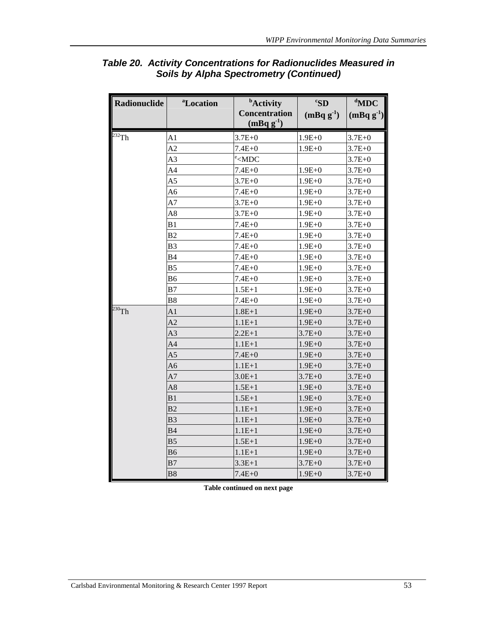| <b>Radionuclide</b> | <sup>a</sup> Location | <b>b</b> Activity<br><b>Concentration</b><br>$(mBqg-1)$ | ${}^cS$ D<br>$(mBq g-1)$ | $d$ MDC<br>$(mBq g-1)$ |
|---------------------|-----------------------|---------------------------------------------------------|--------------------------|------------------------|
| $232$ Th            | A <sub>1</sub>        | $3.7E + 0$                                              | $1.9E + 0$               | $3.7E + 0$             |
|                     | A2                    | $7.4E + 0$                                              | $1.9E + 0$               | $3.7E + 0$             |
|                     | A <sub>3</sub>        | $\text{e}$ < MDC                                        |                          | $3.7E + 0$             |
|                     | A4                    | $7.4E + 0$                                              | $1.9E+0$                 | $3.7E + 0$             |
|                     | A <sub>5</sub>        | $3.7E + 0$                                              | $1.9E + 0$               | $3.7E + 0$             |
|                     | A6                    | $7.4E + 0$                                              | $1.9E + 0$               | $3.7E + 0$             |
|                     | A <sub>7</sub>        | $3.7E + 0$                                              | $1.9E + 0$               | $3.7E + 0$             |
|                     | A8                    | $3.7E + 0$                                              | $1.9E + 0$               | $3.7E + 0$             |
|                     | B1                    | $7.4E + 0$                                              | $1.9E + 0$               | $3.7E + 0$             |
|                     | B <sub>2</sub>        | $7.4E + 0$                                              | $1.9E + 0$               | $3.7E + 0$             |
|                     | B <sub>3</sub>        | $7.4E + 0$                                              | $1.9E + 0$               | $3.7E + 0$             |
|                     | B4                    | $7.4E + 0$                                              | $1.9E + 0$               | $3.7E + 0$             |
|                     | B <sub>5</sub>        | $7.4E + 0$                                              | $1.9E + 0$               | $3.7E + 0$             |
|                     | B <sub>6</sub>        | $7.4E + 0$                                              | $1.9E + 0$               | $3.7E + 0$             |
|                     | B7                    | $1.5E + 1$                                              | $1.9E + 0$               | $3.7E + 0$             |
|                     | B <sub>8</sub>        | $7.4E + 0$                                              | $1.9E + 0$               | $3.7E + 0$             |
| $230$ Th            | A <sub>1</sub>        | $1.8E + 1$                                              | $1.9E + 0$               | $3.7E + 0$             |
|                     | A <sub>2</sub>        | $1.1E + 1$                                              | $1.9E + 0$               | $3.7E + 0$             |
|                     | A <sub>3</sub>        | $2.2E+1$                                                | $3.7E + 0$               | $3.7E + 0$             |
|                     | A <sub>4</sub>        | $1.1E + 1$                                              | $1.9E + 0$               | $3.7E + 0$             |
|                     | A <sub>5</sub>        | $7.4E + 0$                                              | $1.9E + 0$               | $3.7E + 0$             |
|                     | A6                    | $1.1E + 1$                                              | $1.9E + 0$               | $3.7E + 0$             |
|                     | A7                    | $3.0E + 1$                                              | $3.7E + 0$               | $3.7E + 0$             |
|                     | A8                    | $1.5E + 1$                                              | $1.9E + 0$               | $3.7E + 0$             |
|                     | B1                    | $1.5E + 1$                                              | $1.9E + 0$               | $3.7E + 0$             |
|                     | B <sub>2</sub>        | $1.1E + 1$                                              | $1.9E + 0$               | $3.7E + 0$             |
|                     | B3                    | $1.1E + 1$                                              | $1.9E + 0$               | $3.7E + 0$             |
|                     | <b>B4</b>             | $1.1E + 1$                                              | $1.9E + 0$               | $3.7E + 0$             |
|                     | B <sub>5</sub>        | $1.5E+1$                                                | $1.9E + 0$               | $3.7E + 0$             |
|                     | B6                    | $1.1E + 1$                                              | $1.9E + 0$               | $3.7E + 0$             |
|                     | B7                    | $3.3E + 1$                                              | $3.7E + 0$               | $3.7E + 0$             |
|                     | <b>B8</b>             | $7.4E + 0$                                              | $1.9E + 0$               | $3.7E + 0$             |

# *Table 20. Activity Concentrations for Radionuclides Measured in Soils by Alpha Spectrometry (Continued)*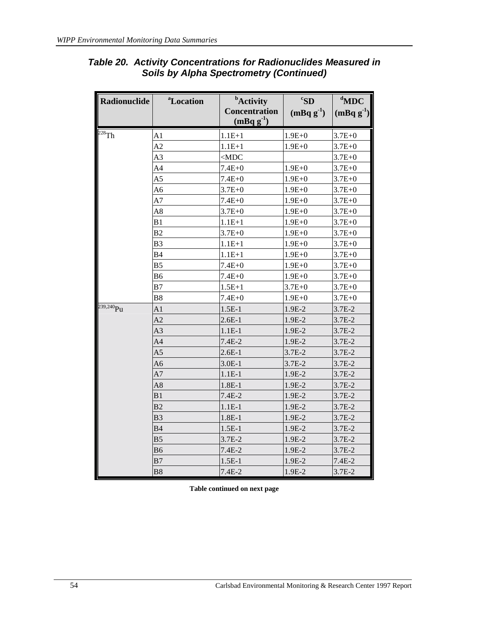| <b>Radionuclide</b> | <sup>a</sup> Location | <b>b</b> Activity<br><b>Concentration</b><br>$(mBqg^{-1})$ | ${}^cS$ D<br>$(mBqg^{-1})$ | $d$ MDC<br>$(mBqg^{-1})$ |
|---------------------|-----------------------|------------------------------------------------------------|----------------------------|--------------------------|
| $^{228}$ Th         | A <sub>1</sub>        | $1.1E + 1$                                                 | $1.9E+0$                   | $3.7E + 0$               |
|                     | A <sub>2</sub>        | $1.1E + 1$                                                 | $1.9E + 0$                 | $3.7E + 0$               |
|                     | A <sub>3</sub>        | $<$ MDC                                                    |                            | $3.7E + 0$               |
|                     | A <sub>4</sub>        | $7.4E + 0$                                                 | $1.9E+0$                   | $3.7E + 0$               |
|                     | A <sub>5</sub>        | $7.4E + 0$                                                 | $1.9E + 0$                 | $3.7E + 0$               |
|                     | A6                    | $3.7E + 0$                                                 | $1.9E + 0$                 | $3.7E + 0$               |
|                     | A7                    | $7.4E + 0$                                                 | $1.9E + 0$                 | $3.7E + 0$               |
|                     | A8                    | $3.7E + 0$                                                 | $1.9E + 0$                 | $3.7E + 0$               |
|                     | B1                    | $1.1E + 1$                                                 | $1.9E + 0$                 | $3.7E + 0$               |
|                     | B2                    | $3.7E + 0$                                                 | $1.9E + 0$                 | $3.7E + 0$               |
|                     | B <sub>3</sub>        | $1.1E + 1$                                                 | $1.9E + 0$                 | $3.7E + 0$               |
|                     | <b>B4</b>             | $1.1E + 1$                                                 | $1.9E + 0$                 | $3.7E + 0$               |
|                     | B <sub>5</sub>        | $7.4E + 0$                                                 | $1.9E + 0$                 | $3.7E + 0$               |
|                     | B <sub>6</sub>        | 7.4E+0                                                     | $1.9E + 0$                 | $3.7E + 0$               |
|                     | B7                    | $1.5E + 1$                                                 | $3.7E + 0$                 | $3.7E + 0$               |
|                     | B <sub>8</sub>        | $7.4E + 0$                                                 | $1.9E + 0$                 | $3.7E + 0$               |
| $239,240$ Pu        | A1                    | $1.5E-1$                                                   | $1.9E-2$                   | $3.7E-2$                 |
|                     | A2                    | $2.6E-1$                                                   | 1.9E-2                     | 3.7E-2                   |
|                     | A <sub>3</sub>        | $1.1E-1$                                                   | 1.9E-2                     | 3.7E-2                   |
|                     | A <sub>4</sub>        | $7.4E-2$                                                   | 1.9E-2                     | $3.7E-2$                 |
|                     | A <sub>5</sub>        | $2.6E-1$                                                   | $3.7E-2$                   | 3.7E-2                   |
|                     | A <sub>6</sub>        | $3.0E-1$                                                   | 3.7E-2                     | 3.7E-2                   |
|                     | A7                    | $1.1E-1$                                                   | 1.9E-2                     | 3.7E-2                   |
|                     | A8                    | $1.8E-1$                                                   | 1.9E-2                     | 3.7E-2                   |
|                     | B1                    | $7.4E-2$                                                   | 1.9E-2                     | 3.7E-2                   |
|                     | B <sub>2</sub>        | $1.1E-1$                                                   | 1.9E-2                     | $3.7E-2$                 |
|                     | B3                    | $1.8E-1$                                                   | 1.9E-2                     | $3.7E-2$                 |
|                     | B4                    | $1.5E-1$                                                   | 1.9E-2                     | $3.7E-2$                 |
|                     | B <sub>5</sub>        | $3.7E-2$                                                   | 1.9E-2                     | 3.7E-2                   |
|                     | <b>B6</b>             | $7.4E-2$                                                   | 1.9E-2                     | 3.7E-2                   |
|                     | B7                    | $1.5E-1$                                                   | 1.9E-2                     | $7.4E-2$                 |
|                     | <b>B8</b>             | $7.4E-2$                                                   | 1.9E-2                     | 3.7E-2                   |

# *Table 20. Activity Concentrations for Radionuclides Measured in Soils by Alpha Spectrometry (Continued)*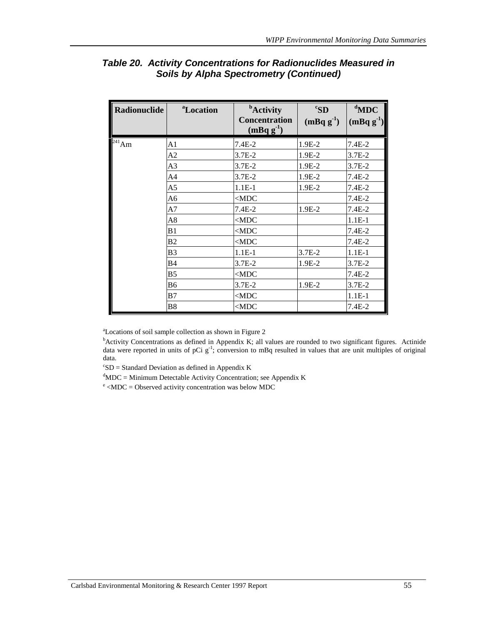| Radionuclide | <sup>a</sup> Location | <b>b</b> Activity<br><b>Concentration</b><br>$(mBqg^{-1})$ | ${}^cS$ D<br>$(mBqg^{-1})$ | $d$ MDC<br>$(mBqg^{-1})$ |
|--------------|-----------------------|------------------------------------------------------------|----------------------------|--------------------------|
| $^{241}Am$   | A1                    | $7.4E-2$                                                   | 1.9E-2                     | 7.4E-2                   |
|              | A2                    | $3.7E-2$                                                   | 1.9E-2                     | $3.7E-2$                 |
|              | A <sub>3</sub>        | $3.7E-2$                                                   | 1.9E-2                     | $3.7E-2$                 |
|              | A <sub>4</sub>        | $3.7E-2$                                                   | 1.9E-2                     | $7.4E-2$                 |
|              | A5                    | $1.1E-1$                                                   | 1.9E-2                     | $7.4E-2$                 |
|              | A <sub>6</sub>        | $<$ MDC                                                    |                            | $7.4E-2$                 |
|              | A7                    | $7.4E-2$                                                   | $1.9E-2$                   | $7.4E-2$                 |
|              | A8                    | $<$ MDC                                                    |                            | $1.1E-1$                 |
|              | B1                    | $<$ MDC                                                    |                            | $7.4E-2$                 |
|              | B <sub>2</sub>        | $<$ MDC                                                    |                            | $7.4E-2$                 |
|              | B <sub>3</sub>        | $1.1E-1$                                                   | 3.7E-2                     | $1.1E-1$                 |
|              | <b>B4</b>             | $3.7E-2$                                                   | 1.9E-2                     | $3.7E-2$                 |
|              | B <sub>5</sub>        | $<$ MDC                                                    |                            | $7.4E-2$                 |
|              | <b>B6</b>             | $3.7E-2$                                                   | 1.9E-2                     | $3.7E-2$                 |
|              | B7                    | $<$ MDC                                                    |                            | $1.1E-1$                 |
|              | B8                    | $<$ MDC                                                    |                            | 7.4E-2                   |

# *Table 20. Activity Concentrations for Radionuclides Measured in Soils by Alpha Spectrometry (Continued)*

a Locations of soil sample collection as shown in Figure 2

<sup>b</sup>Activity Concentrations as defined in Appendix K; all values are rounded to two significant figures. Actinide data were reported in units of pCi  $g^{-1}$ ; conversion to mBq resulted in values that are unit multiples of original data.

 ${}^cSD =$  Standard Deviation as defined in Appendix K

 ${}^{d}$ MDC = Minimum Detectable Activity Concentration; see Appendix K

 $e<sub>e</sub>$  <MDC = Observed activity concentration was below MDC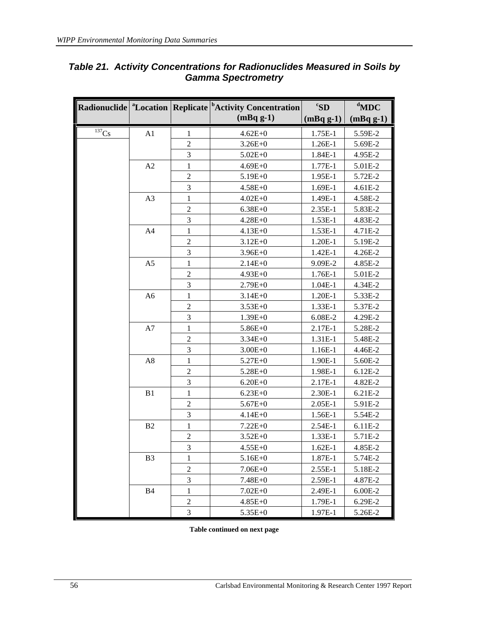|                       |                |                | Radionuclide <sup>a</sup> Location Replicate <sup>b</sup> Activity Concentration | ${}^cS$ D  | $d$ MDC    |
|-----------------------|----------------|----------------|----------------------------------------------------------------------------------|------------|------------|
|                       |                |                | $(mBqg-1)$                                                                       | $(mBqg-1)$ | $(mBqg-1)$ |
| $\overline{^{137}}Cs$ | A1             | 1              | $4.62E + 0$                                                                      | 1.75E-1    | 5.59E-2    |
|                       |                | $\overline{2}$ | $3.26E + 0$                                                                      | 1.26E-1    | 5.69E-2    |
|                       |                | 3              | $5.02E + 0$                                                                      | 1.84E-1    | 4.95E-2    |
|                       | A2             | 1              | $4.69E + 0$                                                                      | 1.77E-1    | 5.01E-2    |
|                       |                | $\overline{2}$ | $5.19E + 0$                                                                      | 1.95E-1    | 5.72E-2    |
|                       |                | 3              | $4.58E + 0$                                                                      | 1.69E-1    | 4.61E-2    |
|                       | A3             | $\mathbf{1}$   | $4.02E + 0$                                                                      | 1.49E-1    | 4.58E-2    |
|                       |                | $\overline{2}$ | $6.38E + 0$                                                                      | 2.35E-1    | 5.83E-2    |
|                       |                | 3              | $4.28E + 0$                                                                      | 1.53E-1    | 4.83E-2    |
|                       | A4             | $\mathbf{1}$   | $4.13E + 0$                                                                      | $1.53E-1$  | 4.71E-2    |
|                       |                | $\mathfrak{2}$ | $3.12E + 0$                                                                      | 1.20E-1    | 5.19E-2    |
|                       |                | 3              | $3.96E + 0$                                                                      | 1.42E-1    | 4.26E-2    |
|                       | A <sub>5</sub> | $\mathbf{1}$   | $2.14E + 0$                                                                      | 9.09E-2    | 4.85E-2    |
|                       |                | $\mathfrak{2}$ | $4.93E + 0$                                                                      | 1.76E-1    | 5.01E-2    |
|                       |                | 3              | $2.79E + 0$                                                                      | 1.04E-1    | 4.34E-2    |
|                       | A <sub>6</sub> | $\mathbf{1}$   | $3.14E + 0$                                                                      | 1.20E-1    | 5.33E-2    |
|                       |                | $\overline{2}$ | $3.53E + 0$                                                                      | 1.33E-1    | 5.37E-2    |
|                       |                | 3              | $1.39E + 0$                                                                      | 6.08E-2    | 4.29E-2    |
|                       | A7             | $\mathbf{1}$   | $5.86E + 0$                                                                      | 2.17E-1    | 5.28E-2    |
|                       |                | $\overline{2}$ | $3.34E + 0$                                                                      | 1.31E-1    | 5.48E-2    |
|                       |                | $\mathfrak{Z}$ | $3.00E + 0$                                                                      | 1.16E-1    | 4.46E-2    |
|                       | A8             | 1              | $5.27E + 0$                                                                      | 1.90E-1    | 5.60E-2    |
|                       |                | $\overline{2}$ | $5.28E + 0$                                                                      | 1.98E-1    | $6.12E-2$  |
|                       |                | $\mathfrak{Z}$ | $6.20E + 0$                                                                      | 2.17E-1    | 4.82E-2    |
|                       | B1             | $\mathbf{1}$   | $6.23E+0$                                                                        | $2.30E-1$  | 6.21E-2    |
|                       |                | $\overline{2}$ | $5.67E + 0$                                                                      | 2.05E-1    | 5.91E-2    |
|                       |                | 3              | $4.14E + 0$                                                                      | 1.56E-1    | 5.54E-2    |
|                       | B2             | 1              | $7.22E + 0$                                                                      | 2.54E-1    | 6.11E-2    |
|                       |                | $\overline{2}$ | $3.52E + 0$                                                                      | 1.33E-1    | 5.71E-2    |
|                       |                | 3              | $4.55E + 0$                                                                      | $1.62E-1$  | 4.85E-2    |
|                       | B <sub>3</sub> | $\mathbf{1}$   | $5.16E + 0$                                                                      | 1.87E-1    | 5.74E-2    |
|                       |                | $\overline{2}$ | $7.06E + 0$                                                                      | 2.55E-1    | 5.18E-2    |
|                       |                | 3              | 7.48E+0                                                                          | 2.59E-1    | 4.87E-2    |
|                       | B <sub>4</sub> | $\mathbf{1}$   | $7.02E+0$                                                                        | 2.49E-1    | $6.00E-2$  |
|                       |                | $\overline{c}$ | $4.85E+0$                                                                        | 1.79E-1    | 6.29E-2    |
|                       |                | 3              | 5.35E+0                                                                          | 1.97E-1    | 5.26E-2    |

### *Table 21. Activity Concentrations for Radionuclides Measured in Soils by Gamma Spectrometry*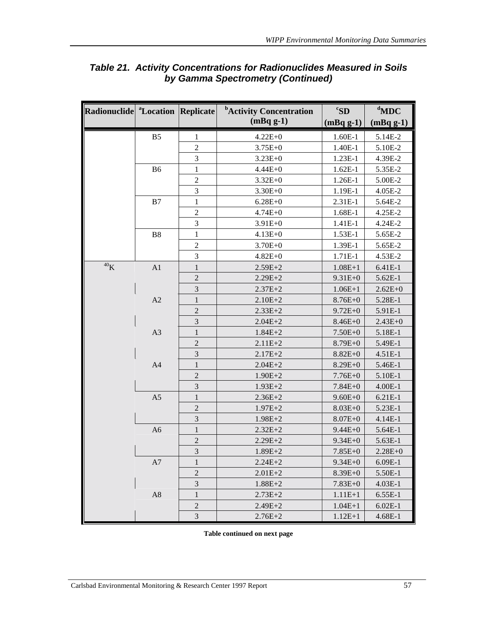| Radionuclide <sup>a</sup> Location Replicate |                |                             | <sup>b</sup> Activity Concentration | ${}^c$ SD   | $d$ MDC     |
|----------------------------------------------|----------------|-----------------------------|-------------------------------------|-------------|-------------|
|                                              |                |                             | $(mBqg-1)$                          | $(mBqg-1)$  | $(mBqg-1)$  |
|                                              | B <sub>5</sub> | 1                           | $4.22E + 0$                         | $1.60E-1$   | 5.14E-2     |
|                                              |                | $\overline{2}$              | $3.75E + 0$                         | 1.40E-1     | 5.10E-2     |
|                                              |                | 3                           | $3.23E + 0$                         | 1.23E-1     | 4.39E-2     |
|                                              | <b>B6</b>      | $\mathbf{1}$                | $4.44E + 0$                         | $1.62E-1$   | 5.35E-2     |
|                                              |                | $\overline{2}$              | $3.32E + 0$                         | 1.26E-1     | 5.00E-2     |
|                                              |                | 3                           | $3.30E + 0$                         | 1.19E-1     | 4.05E-2     |
|                                              | B7             | 1                           | $6.28E + 0$                         | 2.31E-1     | 5.64E-2     |
|                                              |                | $\sqrt{2}$                  | $4.74E + 0$                         | 1.68E-1     | 4.25E-2     |
|                                              |                | 3                           | $3.91E + 0$                         | 1.41E-1     | 4.24E-2     |
|                                              | B <sub>8</sub> | 1                           | $4.13E + 0$                         | 1.53E-1     | 5.65E-2     |
|                                              |                | $\overline{2}$              | $3.70E + 0$                         | 1.39E-1     | 5.65E-2     |
|                                              |                | 3                           | $4.82E + 0$                         | 1.71E-1     | 4.53E-2     |
| $^{40}{\rm K}$                               | A1             | $\mathbf{1}$                | $2.59E + 2$                         | $1.08E + 1$ | 6.41E-1     |
|                                              |                | $\overline{2}$              | $2.29E + 2$                         | $9.31E + 0$ | 5.62E-1     |
|                                              |                | 3                           | $2.37E + 2$                         | $1.06E + 1$ | $2.62E + 0$ |
|                                              | A2             | $\mathbf{1}$                | $2.10E + 2$                         | $8.76E + 0$ | 5.28E-1     |
|                                              |                | $\overline{2}$              | $2.33E + 2$                         | $9.72E + 0$ | 5.91E-1     |
|                                              |                | 3                           | $2.04E + 2$                         | $8.46E + 0$ | $2.43E + 0$ |
|                                              | A3             | $\mathbf{1}$                | $1.84E + 2$                         | $7.50E + 0$ | 5.18E-1     |
|                                              |                | $\overline{2}$              | $2.11E + 2$                         | $8.79E + 0$ | 5.49E-1     |
|                                              |                | 3                           | $2.17E + 2$                         | $8.82E + 0$ | 4.51E-1     |
|                                              | A <sub>4</sub> | 1                           | $2.04E + 2$                         | $8.29E + 0$ | 5.46E-1     |
|                                              |                | $\overline{2}$              | $1.90E + 2$                         | $7.76E + 0$ | 5.10E-1     |
|                                              |                | 3                           | $1.93E + 2$                         | $7.84E + 0$ | 4.00E-1     |
|                                              | A <sub>5</sub> | $\mathbf{1}$                | $2.36E + 2$                         | $9.60E + 0$ | 6.21E-1     |
|                                              |                | $\overline{2}$              | $1.97E + 2$                         | $8.03E + 0$ | 5.23E-1     |
|                                              |                | 3                           | $1.98E + 2$                         | $8.07E + 0$ | 4.14E-1     |
|                                              | A <sub>6</sub> | $\mathbf{1}$                | $2.32E + 2$                         | $9.44E + 0$ | 5.64E-1     |
|                                              |                | $\overline{2}$              | $2.29E + 2$                         | $9.34E + 0$ | 5.63E-1     |
|                                              |                | 3                           | $1.89E + 2$                         | $7.85E + 0$ | $2.28E + 0$ |
|                                              | A7             | 1                           | $2.24E + 2$                         | $9.34E + 0$ | $6.09E-1$   |
|                                              |                | $\overline{2}$              | $2.01E + 2$                         | $8.39E + 0$ | 5.50E-1     |
|                                              |                | $\ensuremath{\mathfrak{Z}}$ | $1.88E + 2$                         | $7.83E + 0$ | $4.03E-1$   |
|                                              | A <sub>8</sub> | 1                           | $2.73E + 2$                         | $1.11E + 1$ | 6.55E-1     |
|                                              |                | $\sqrt{2}$                  | $2.49E + 2$                         | $1.04E+1$   | $6.02E-1$   |
|                                              |                | 3                           | $2.76E + 2$                         | $1.12E + 1$ | 4.68E-1     |

# *Table 21. Activity Concentrations for Radionuclides Measured in Soils by Gamma Spectrometry (Continued)*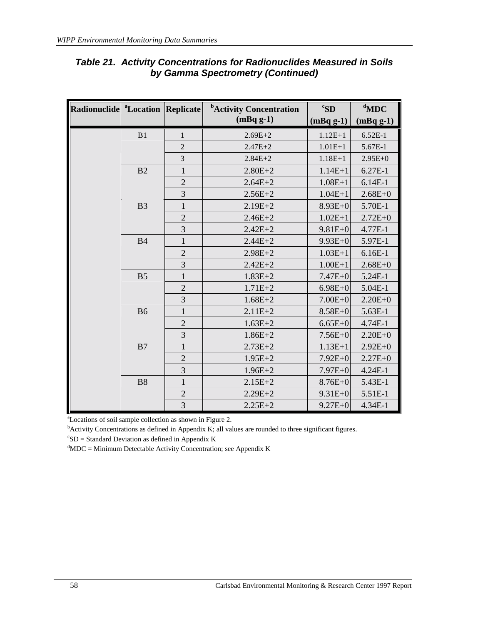| Radionuclide <sup>a</sup> Location Replicate |                |                | <sup>b</sup> Activity Concentration | ${}^{\mathrm{c}}$ SD | $d$ MDC     |
|----------------------------------------------|----------------|----------------|-------------------------------------|----------------------|-------------|
|                                              |                |                | $(mBqg-1)$                          | $(mBqg-1)$           | $(mBqg-1)$  |
|                                              | B1             | $\mathbf{1}$   | $1.12E + 1$<br>$2.69E + 2$          |                      | $6.52E-1$   |
|                                              |                | $\overline{2}$ | $2.47E + 2$                         | $1.01E + 1$          | 5.67E-1     |
|                                              |                | 3              | $2.84E + 2$                         | $1.18E + 1$          | $2.95E+0$   |
|                                              | B2             | $\mathbf{1}$   | $2.80E + 2$                         | $1.14E + 1$          | 6.27E-1     |
|                                              |                | $\overline{2}$ | $2.64E + 2$                         | $1.08E + 1$          | $6.14E-1$   |
|                                              |                | 3              | $2.56E + 2$                         | $1.04E + 1$          | $2.68E + 0$ |
|                                              | B <sub>3</sub> | $\mathbf{1}$   | $2.19E + 2$                         | $8.93E+0$            | 5.70E-1     |
|                                              |                | $\overline{2}$ | $2.46E + 2$                         | $1.02E + 1$          | $2.72E + 0$ |
|                                              |                | 3              | $2.42E + 2$                         | $9.81E + 0$          | 4.77E-1     |
|                                              | <b>B4</b>      | $\mathbf{1}$   | $2.44E + 2$                         | $9.93E + 0$          | 5.97E-1     |
|                                              |                | $\overline{2}$ | $2.98E + 2$                         | $1.03E+1$            | $6.16E-1$   |
|                                              |                | 3              | $2.42E + 2$                         | $1.00E + 1$          | $2.68E + 0$ |
|                                              | B <sub>5</sub> | $\mathbf{1}$   | $1.83E + 2$                         | $7.47E + 0$          | 5.24E-1     |
|                                              |                | $\overline{2}$ | $1.71E + 2$                         | $6.98E + 0$          | 5.04E-1     |
|                                              |                | 3              | $1.68E + 2$                         | $7.00E + 0$          | $2.20E + 0$ |
|                                              | <b>B6</b>      | $\mathbf{1}$   | $2.11E + 2$                         | $8.58E + 0$          | 5.63E-1     |
|                                              |                | $\mathbf{2}$   | $1.63E + 2$                         | $6.65E + 0$          | 4.74E-1     |
|                                              |                | 3              | $1.86E + 2$                         | $7.56E + 0$          | $2.20E + 0$ |
|                                              | B7             | $\mathbf{1}$   | $2.73E + 2$                         | $1.13E+1$            | $2.92E+0$   |
|                                              |                | $\overline{2}$ | $1.95E + 2$                         | $7.92E + 0$          | $2.27E + 0$ |
|                                              |                | 3              | $1.96E + 2$                         | $7.97E + 0$          | 4.24E-1     |
|                                              | <b>B8</b>      | $\mathbf{1}$   | $2.15E + 2$                         | $8.76E + 0$          | 5.43E-1     |
|                                              |                | $\overline{2}$ | $2.29E + 2$                         | $9.31E + 0$          | 5.51E-1     |
|                                              |                | $\mathfrak{Z}$ | $2.25E + 2$                         | $9.27E + 0$          | 4.34E-1     |

# *Table 21. Activity Concentrations for Radionuclides Measured in Soils by Gamma Spectrometry (Continued)*

a Locations of soil sample collection as shown in Figure 2.

 $b^b$ Activity Concentrations as defined in Appendix K; all values are rounded to three significant figures.

 ${}^cSD =$  Standard Deviation as defined in Appendix K

 ${}^{d}$ MDC = Minimum Detectable Activity Concentration; see Appendix K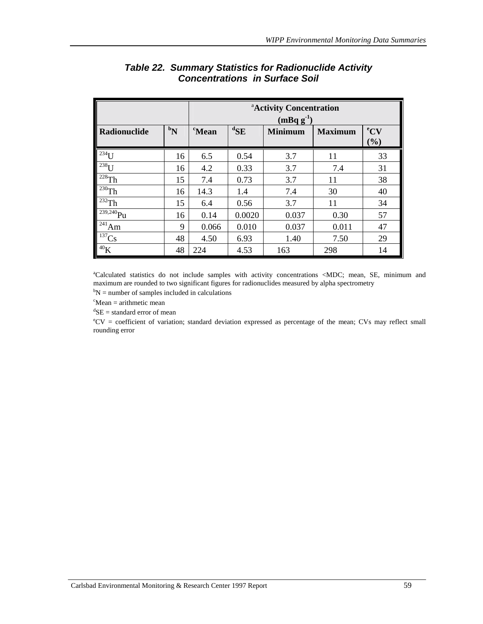|                          | <sup>a</sup> Activity Concentration<br>$(mBq g^{-1})$ |               |                   |                |                |                        |
|--------------------------|-------------------------------------------------------|---------------|-------------------|----------------|----------------|------------------------|
| Radionuclide             | $\boldsymbol{b_N}$                                    | <i>c</i> Mean | ${}^{\rm d}\!$ SE | <b>Minimum</b> | <b>Maximum</b> | $\rm ^{e}CV$<br>$(\%)$ |
| $^{234}$ U               | 16                                                    | 6.5           | 0.54              | 3.7            | 11             | 33                     |
| $^{238}$ U               | 16                                                    | 4.2           | 0.33              | 3.7            | 7.4            | 31                     |
| $228$ Th                 | 15                                                    | 7.4           | 0.73              | 3.7            | 11             | 38                     |
| $^{230}$ Th              | 16                                                    | 14.3          | 1.4               | 7.4            | 30             | 40                     |
| $232$ Th                 | 15                                                    | 6.4           | 0.56              | 3.7            | 11             | 34                     |
| $\sqrt{239,240}Pu$       | 16                                                    | 0.14          | 0.0020            | 0.037          | 0.30           | 57                     |
| $\sqrt{\frac{241}{1}}Am$ | 9                                                     | 0.066         | 0.010             | 0.037          | 0.011          | 47                     |
| $^{137}Cs$               | 48                                                    | 4.50          | 6.93              | 1.40           | 7.50           | 29                     |
| 40K                      | 48                                                    | 224           | 4.53              | 163            | 298            | 14                     |

# *Table 22. Summary Statistics for Radionuclide Activity Concentrations in Surface Soil*

a Calculated statistics do not include samples with activity concentrations <MDC; mean, SE, minimum and maximum are rounded to two significant figures for radionuclides measured by alpha spectrometry  ${}^{b}N$  = number of samples included in calculations  ${}^{c}Mean$  = arithmetic mean  ${}^{d}SE$  = standard error of mean

e CV = coefficient of variation; standard deviation expressed as percentage of the mean; CVs may reflect small rounding error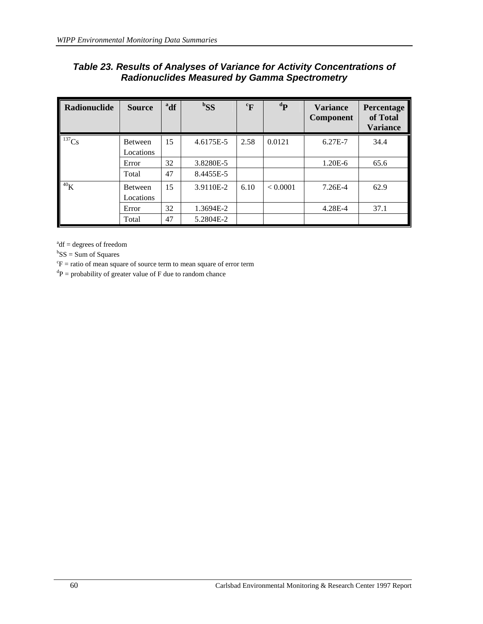| Table 23. Results of Analyses of Variance for Activity Concentrations of |
|--------------------------------------------------------------------------|
| <b>Radionuclides Measured by Gamma Spectrometry</b>                      |

| Radionuclide    | <b>Source</b>               | <sup>a</sup> df | ${}^{b}SS$ | $\mathrm{F}$ | ${}^dP$  | <b>Variance</b><br><b>Component</b> | Percentage<br>of Total<br><b>Variance</b> |
|-----------------|-----------------------------|-----------------|------------|--------------|----------|-------------------------------------|-------------------------------------------|
| $137$ Cs        | Between<br>Locations        | 15              | 4.6175E-5  | 2.58         | 0.0121   | 6.27E-7                             | 34.4                                      |
|                 | Error                       | 32              | 3.8280E-5  |              |          | 1.20E-6                             | 65.6                                      |
|                 | Total                       | 47              | 8.4455E-5  |              |          |                                     |                                           |
| 40 <sub>K</sub> | <b>Between</b><br>Locations | 15              | 3.9110E-2  | 6.10         | < 0.0001 | 7.26E-4                             | 62.9                                      |
|                 | Error                       | 32              | 1.3694E-2  |              |          | 4.28E-4                             | 37.1                                      |
|                 | Total                       | 47              | 5.2804E-2  |              |          |                                     |                                           |

 $a^{a}$ df = degrees of freedom

 ${}^{b}SS = Sum$  of Squares

 ${}^c\text{F}$  = ratio of mean square of source term to mean square of error term

 ${}^{d}P$  = probability of greater value of F due to random chance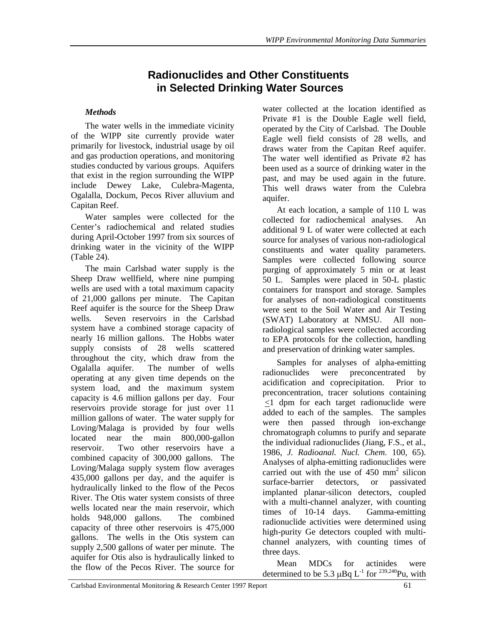# **Radionuclides and Other Constituents in Selected Drinking Water Sources**

## *Methods*

The water wells in the immediate vicinity of the WIPP site currently provide water primarily for livestock, industrial usage by oil and gas production operations, and monitoring studies conducted by various groups. Aquifers that exist in the region surrounding the WIPP include Dewey Lake, Culebra-Magenta, Ogalalla, Dockum, Pecos River alluvium and Capitan Reef.

Water samples were collected for the Center's radiochemical and related studies during April-October 1997 from six sources of drinking water in the vicinity of the WIPP (Table 24).

The main Carlsbad water supply is the Sheep Draw wellfield, where nine pumping wells are used with a total maximum capacity of 21,000 gallons per minute. The Capitan Reef aquifer is the source for the Sheep Draw wells. Seven reservoirs in the Carlsbad system have a combined storage capacity of nearly 16 million gallons. The Hobbs water supply consists of 28 wells scattered throughout the city, which draw from the Ogalalla aquifer. The number of wells operating at any given time depends on the system load, and the maximum system capacity is 4.6 million gallons per day. Four reservoirs provide storage for just over 11 million gallons of water. The water supply for Loving/Malaga is provided by four wells located near the main 800,000-gallon reservoir. Two other reservoirs have a combined capacity of 300,000 gallons. The Loving/Malaga supply system flow averages 435,000 gallons per day, and the aquifer is hydraulically linked to the flow of the Pecos River. The Otis water system consists of three wells located near the main reservoir, which holds 948,000 gallons. The combined capacity of three other reservoirs is 475,000 gallons. The wells in the Otis system can supply 2,500 gallons of water per minute. The aquifer for Otis also is hydraulically linked to the flow of the Pecos River. The source for

water collected at the location identified as Private #1 is the Double Eagle well field, operated by the City of Carlsbad. The Double Eagle well field consists of 28 wells, and draws water from the Capitan Reef aquifer. The water well identified as Private #2 has been used as a source of drinking water in the past, and may be used again in the future. This well draws water from the Culebra aquifer.

At each location, a sample of 110 L was collected for radiochemical analyses. An additional 9 L of water were collected at each source for analyses of various non-radiological constituents and water quality parameters. Samples were collected following source purging of approximately 5 min or at least 50 L. Samples were placed in 50-L plastic containers for transport and storage. Samples for analyses of non-radiological constituents were sent to the Soil Water and Air Testing (SWAT) Laboratory at NMSU. All nonradiological samples were collected according to EPA protocols for the collection, handling and preservation of drinking water samples.

Samples for analyses of alpha-emitting radionuclides were preconcentrated by acidification and coprecipitation. Prior to preconcentration, tracer solutions containing <1 dpm for each target radionuclide were added to each of the samples. The samples were then passed through ion-exchange chromatograph columns to purify and separate the individual radionuclides (Jiang, F.S., et al., 1986, *J. Radioanal. Nucl. Chem.* 100, 65). Analyses of alpha-emitting radionuclides were carried out with the use of  $450 \text{ mm}^2$  silicon surface-barrier detectors, or passivated implanted planar-silicon detectors, coupled with a multi-channel analyzer, with counting times of 10-14 days. Gamma-emitting radionuclide activities were determined using high-purity Ge detectors coupled with multichannel analyzers, with counting times of three days.

Mean MDCs for actinides were determined to be 5.3  $\mu$ Bq L<sup>-1</sup> for <sup>239,240</sup>Pu, with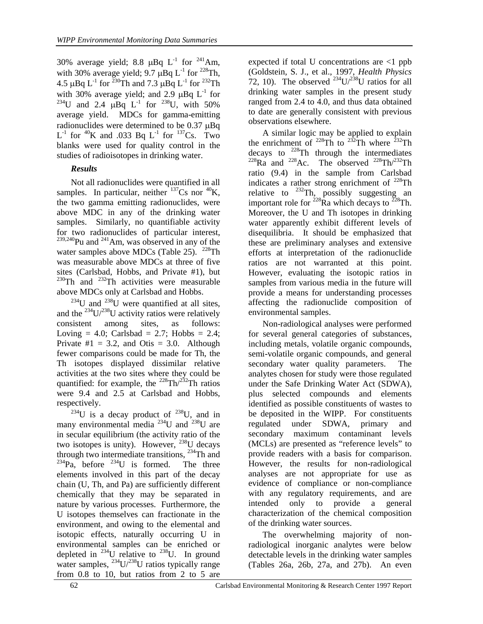30% average yield; 8.8  $\mu$ Bq L<sup>-1</sup> for <sup>241</sup>Am, with 30% average yield; 9.7  $\mu$ Bq L<sup>-1</sup> for <sup>228</sup>Th, 4.5  $\mu$ Bq L<sup>-1</sup> for <sup>230</sup>Th and 7.3  $\mu$ Bq L<sup>-1</sup> for <sup>232</sup>Th with 30% average yield; and 2.9  $\mu$ Bq L<sup>-1</sup> for <sup>234</sup>U and 2.4  $\mu$ Bq L<sup>-1</sup> for <sup>238</sup>U, with 50% average yield. MDCs for gamma-emitting radionuclides were determined to be  $0.37 \mu Bq$  $L^{-1}$  for <sup>40</sup>K and .033 Bq  $L^{-1}$  for <sup>137</sup>Cs. Two blanks were used for quality control in the studies of radioisotopes in drinking water.

### *Results*

Not all radionuclides were quantified in all samples. In particular, neither  $137Cs$  nor  $40K$ , the two gamma emitting radionuclides, were above MDC in any of the drinking water samples. Similarly, no quantifiable activity for two radionuclides of particular interest,  $2^{39,240}$ Pu and  $2^{41}$ Am, was observed in any of the water samples above MDCs (Table 25).  $^{228}$ Th was measurable above MDCs at three of five sites (Carlsbad, Hobbs, and Private #1), but  $230$ Th and  $232$ Th activities were measurable above MDCs only at Carlsbad and Hobbs.

 $^{234}$ U and  $^{238}$ U were quantified at all sites, and the  $^{234}$ U/ $^{238}$ U activity ratios were relatively consistent among sites, as follows: Loving = 4.0; Carlsbad = 2.7; Hobbs = 2.4; Private  $\#1 = 3.2$ , and Otis = 3.0. Although fewer comparisons could be made for Th, the Th isotopes displayed dissimilar relative activities at the two sites where they could be quantified: for example, the  $^{228}Th/^{232}Th$  ratios were 9.4 and 2.5 at Carlsbad and Hobbs, respectively.

 $234$ U is a decay product of  $238$ U, and in many environmental media <sup>234</sup>U and <sup>238</sup>U are in secular equilibrium (the activity ratio of the two isotopes is unity). However,  $^{238}$ U decays through two intermediate transitions,  $^{234}$ Th and  $234$ Pa, before  $234$ U is formed. The three elements involved in this part of the decay chain (U, Th, and Pa) are sufficiently different chemically that they may be separated in nature by various processes. Furthermore, the U isotopes themselves can fractionate in the environment, and owing to the elemental and isotopic effects, naturally occurring U in environmental samples can be enriched or depleted in  $^{234}$ U relative to  $^{238}$ U. In ground water samples,  $^{234}U/^{238}U$  ratios typically range from 0.8 to 10, but ratios from 2 to 5 are

expected if total U concentrations are <1 ppb (Goldstein, S. J., et al., 1997, *Health Physics* 72, 10). The observed  $^{234}U/^{238}U$  ratios for all drinking water samples in the present study ranged from 2.4 to 4.0, and thus data obtained to date are generally consistent with previous observations elsewhere.

A similar logic may be applied to explain the enrichment of <sup>228</sup>Th to <sup>232</sup>Th where <sup>232</sup>Th decays to  $^{228}$ Th through the intermediates  $^{228}$ Ra and  $^{228}$ Ac. The observed  $^{228}$ Th/ $^{232}$ Th ratio (9.4) in the sample from Carlsbad indicates a rather strong enrichment of  $^{228}$ Th relative to  $^{232}$ Th, possibly suggesting an important role for  $^{228}$ Ra which decays to  $^{228}$ Th. Moreover, the U and Th isotopes in drinking water apparently exhibit different levels of disequilibria. It should be emphasized that these are preliminary analyses and extensive efforts at interpretation of the radionuclide ratios are not warranted at this point. However, evaluating the isotopic ratios in samples from various media in the future will provide a means for understanding processes affecting the radionuclide composition of environmental samples.

Non-radiological analyses were performed for several general categories of substances, including metals, volatile organic compounds, semi-volatile organic compounds, and general secondary water quality parameters. The analytes chosen for study were those regulated under the Safe Drinking Water Act (SDWA), plus selected compounds and elements identified as possible constituents of wastes to be deposited in the WIPP. For constituents regulated under SDWA, primary and secondary maximum contaminant levels (MCLs) are presented as "reference levels" to provide readers with a basis for comparison. However, the results for non-radiological analyses are not appropriate for use as evidence of compliance or non-compliance with any regulatory requirements, and are intended only to provide a general characterization of the chemical composition of the drinking water sources.

The overwhelming majority of nonradiological inorganic analytes were below detectable levels in the drinking water samples (Tables 26a, 26b, 27a, and 27b). An even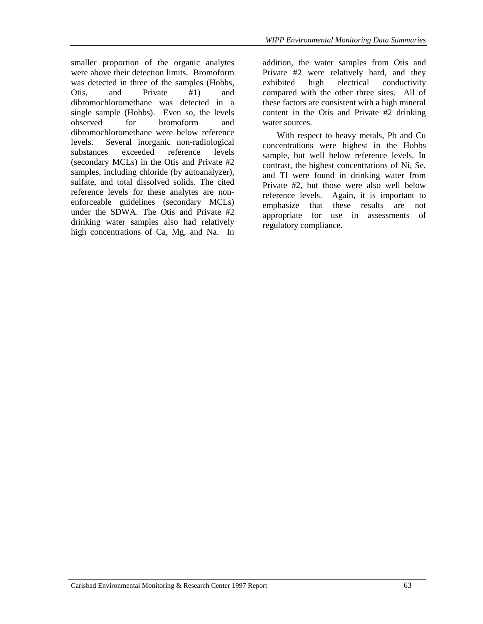smaller proportion of the organic analytes were above their detection limits. Bromoform was detected in three of the samples (Hobbs, Otis, and Private #1) and dibromochloromethane was detected in a single sample (Hobbs). Even so, the levels observed for bromoform and dibromochloromethane were below reference levels. Several inorganic non-radiological substances exceeded reference levels (secondary MCLs) in the Otis and Private #2 samples, including chloride (by autoanalyzer), sulfate, and total dissolved solids. The cited reference levels for these analytes are nonenforceable guidelines (secondary MCLs) under the SDWA. The Otis and Private #2 drinking water samples also had relatively high concentrations of Ca, Mg, and Na. In addition, the water samples from Otis and Private #2 were relatively hard, and they exhibited high electrical conductivity compared with the other three sites. All of these factors are consistent with a high mineral content in the Otis and Private #2 drinking water sources.

With respect to heavy metals, Pb and Cu concentrations were highest in the Hobbs sample, but well below reference levels. In contrast, the highest concentrations of Ni, Se, and Tl were found in drinking water from Private #2, but those were also well below reference levels. Again, it is important to emphasize that these results are not appropriate for use in assessments of regulatory compliance.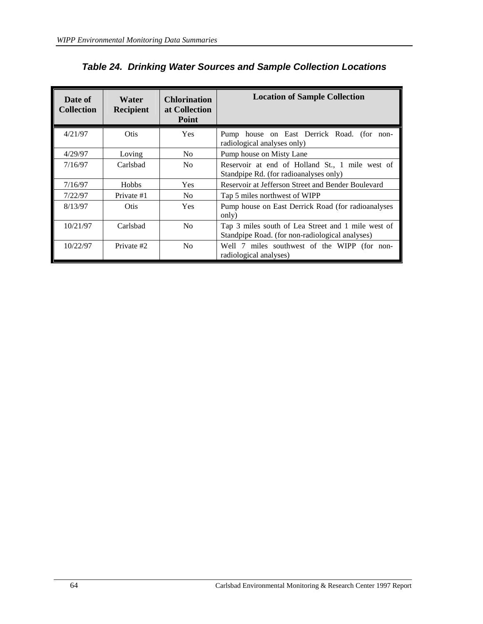| Date of<br><b>Collection</b> | <b>Water</b><br><b>Recipient</b> | <b>Chlorination</b><br>at Collection<br><b>Point</b> | <b>Location of Sample Collection</b>                                                                  |
|------------------------------|----------------------------------|------------------------------------------------------|-------------------------------------------------------------------------------------------------------|
| 4/21/97                      | Otis.                            | <b>Yes</b>                                           | Pump house on East Derrick Road. (for non-<br>radiological analyses only)                             |
| 4/29/97                      | Loving                           | N <sub>0</sub>                                       | Pump house on Misty Lane                                                                              |
| 7/16/97                      | Carlsbad                         | N <sub>0</sub>                                       | Reservoir at end of Holland St., 1 mile west of<br>Standpipe Rd. (for radioanalyses only)             |
| 7/16/97                      | <b>Hobbs</b>                     | Yes                                                  | Reservoir at Jefferson Street and Bender Boulevard                                                    |
| 7/22/97                      | Private #1                       | N <sub>0</sub>                                       | Tap 5 miles northwest of WIPP                                                                         |
| 8/13/97                      | Otis                             | Yes                                                  | Pump house on East Derrick Road (for radioanalyses)<br>only)                                          |
| 10/21/97                     | Carlsbad                         | N <sub>0</sub>                                       | Tap 3 miles south of Lea Street and 1 mile west of<br>Standpipe Road. (for non-radiological analyses) |
| 10/22/97                     | Private #2                       | N <sub>0</sub>                                       | Well 7 miles southwest of the WIPP (for non-<br>radiological analyses)                                |

*Table 24. Drinking Water Sources and Sample Collection Locations*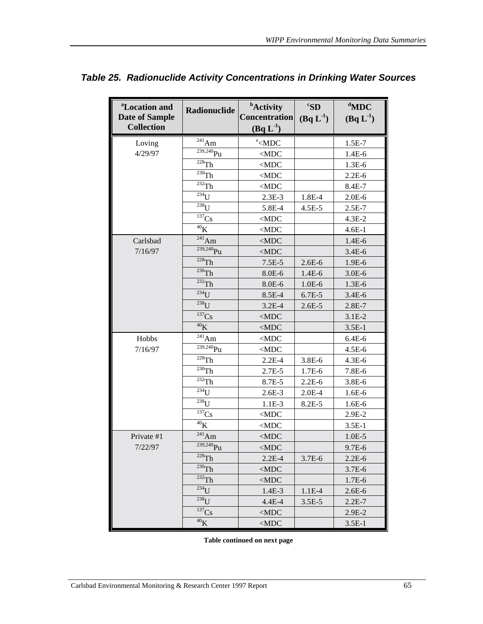| <sup>a</sup> Location and<br><b>Date of Sample</b><br><b>Collection</b> | Radionuclide               | <b>b</b> Activity<br>Concentration<br>$(Bq L^{-1})$ | ${}^cS$ D<br>$(Bq L^{-1})$ | $d$ MDC<br>$(Bq L^{-1})$ |
|-------------------------------------------------------------------------|----------------------------|-----------------------------------------------------|----------------------------|--------------------------|
| Loving                                                                  | $^{241}\mathrm{Am}$        | $\mathrm{e}\leq$ MDC                                |                            | $1.5E-7$                 |
| 4/29/97                                                                 | $\overline{^{239,240}}$ Pu | $<$ MDC                                             |                            | 1.4E-6                   |
|                                                                         | $\overline{^{228}}Th$      | $<$ MDC $\,$                                        |                            | $1.3E-6$                 |
|                                                                         | $230$ Th                   | $<$ MDC                                             |                            | $2.2E-6$                 |
|                                                                         | $232$ Th                   | $<$ MDC                                             |                            | 8.4E-7                   |
|                                                                         | $\overline{^{234}}U$       | $2.3E-3$                                            | 1.8E-4                     | $2.0E-6$                 |
|                                                                         | $238$ U                    | 5.8E-4                                              | $4.5E - 5$                 | $2.5E-7$                 |
|                                                                         | 137Cs                      | $<$ MDC                                             |                            | $4.3E-2$                 |
|                                                                         | ${}^{40}\mathrm{K}$        | $<$ MDC                                             |                            | $4.6E-1$                 |
| Carlsbad                                                                | $^{241}Am$                 | $<$ MDC $\,$                                        |                            | 1.4E-6                   |
| 7/16/97                                                                 | $239,240$ Pu               | $<$ MDC                                             |                            | $3.4E-6$                 |
|                                                                         | $228$ Th                   | $7.5E-5$                                            | $2.6E-6$                   | 1.9E-6                   |
|                                                                         | $230$ Th                   | 8.0E-6                                              | $1.4E-6$                   | $3.0E-6$                 |
|                                                                         | $232$ Th                   | 8.0E-6                                              | $1.0E-6$                   | $1.3E-6$                 |
|                                                                         | $^{234}$ U                 | 8.5E-4                                              | 6.7E-5                     | $3.4E-6$                 |
|                                                                         | $238$ U                    | $3.2E-4$                                            | $2.6E-5$                   | $2.8E-7$                 |
|                                                                         | $137$ Cs                   | $<$ MDC $\,$                                        |                            | $3.1E-2$                 |
|                                                                         | 40 <sub>K</sub>            | $<$ MDC $\,$                                        |                            | $3.5E-1$                 |
| Hobbs                                                                   | $\frac{1}{241}$ Am         | $<$ MDC                                             |                            | $6.4E-6$                 |
| 7/16/97                                                                 | $239,240$ Pu               | $<$ MDC $\,$                                        |                            | $4.5E-6$                 |
|                                                                         | $228$ Th                   | $2.2E-4$                                            | 3.8E-6                     | 4.3E-6                   |
|                                                                         | $\overline{^{230}}Th$      | 2.7E-5                                              | 1.7E-6                     | 7.8E-6                   |
|                                                                         | $\overline{^{232}}Th$      | 8.7E-5                                              | $2.2E-6$                   | 3.8E-6                   |
|                                                                         | $234$ U                    | $2.6E-3$                                            | $2.0E-4$                   | $1.6E-6$                 |
|                                                                         | $238$ U                    | $1.1E-3$                                            | 8.2E-5                     | 1.6E-6                   |
|                                                                         | $137$ Cs                   | $<$ MDC                                             |                            | 2.9E-2                   |
|                                                                         | 40 <sub>K</sub>            | $<$ MDC                                             |                            | $3.5E-1$                 |
| Private #1                                                              | $^{241}Am$                 | $<$ MDC $\,$                                        |                            | $1.0E-5$                 |
| 7/22/97                                                                 | $239,240$ Pu               | $<$ MDC                                             |                            | 9.7E-6                   |
|                                                                         | $^{228}Th$                 | $2.2E-4$                                            | $3.7E-6$                   | $2.2E-6$                 |
|                                                                         | $230$ Th                   | $<$ MDC $\,$                                        |                            | $3.7E-6$                 |
|                                                                         | $^{232}Th$                 | $<$ MDC $\,$                                        |                            | 1.7E-6                   |
|                                                                         | $234$ U                    | 1.4E-3                                              | $1.1E-4$                   | $2.6E-6$                 |
|                                                                         | $238$ $I$                  | 4.4E-4                                              | $3.5E-5$                   | $2.2E-7$                 |
|                                                                         | $137$ Cs                   | $<$ MDC                                             |                            | $2.9E-2$                 |
|                                                                         | $40$ K                     | $<$ MDC $\,$                                        |                            | $3.5E-1$                 |

## *Table 25. Radionuclide Activity Concentrations in Drinking Water Sources*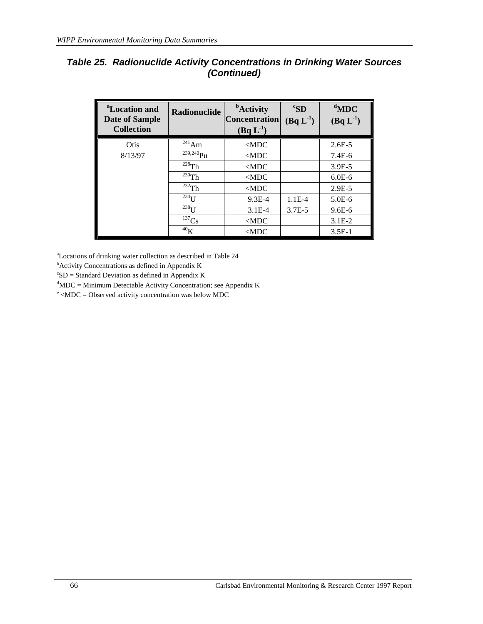## *Table 25. Radionuclide Activity Concentrations in Drinking Water Sources (Continued)*

| <sup>a</sup> Location and<br><b>Date of Sample</b><br><b>Collection</b> | <b>Radionuclide</b> | <b>b</b> Activity<br><b>Concentration</b><br>$(Bq L-1)$ | ${}^cS$ D<br>$(Bq L^{-1})$ | $d$ MDC<br>$(Bq L^{-1})$ |
|-------------------------------------------------------------------------|---------------------|---------------------------------------------------------|----------------------------|--------------------------|
| Otis                                                                    | $^{241}$ Am         | $<$ MDC                                                 |                            | $2.6E - 5$               |
| 8/13/97                                                                 | $239,240$ Pu        | $<$ MDC                                                 |                            | $7.4E-6$                 |
|                                                                         | $228$ Th            | $<$ MDC                                                 |                            | $3.9E - 5$               |
|                                                                         | $^{230}$ Th         | $<$ MDC                                                 |                            | $6.0E-6$                 |
|                                                                         | $232$ Th            | $<$ MDC                                                 |                            | $2.9E-5$                 |
|                                                                         | $^{234}$ U          | $9.3E - 4$                                              | $1.1E-4$                   | $5.0E-6$                 |
|                                                                         | $^{238}$ U          | $3.1E-4$                                                | $3.7E - 5$                 | $9.6E - 6$               |
|                                                                         | $137$ Cs            | $<$ MDC                                                 |                            | $3.1E-2$                 |
|                                                                         | 40 <sub>K</sub>     | $<$ MDC                                                 |                            | $3.5E-1$                 |

a Locations of drinking water collection as described in Table 24

<sup>b</sup>Activity Concentrations as defined in Appendix K

 $c<sub>SD</sub>$  = Standard Deviation as defined in Appendix K

 ${}^{d}$ MDC = Minimum Detectable Activity Concentration; see Appendix K

<sup>e</sup> <MDC = Observed activity concentration was below MDC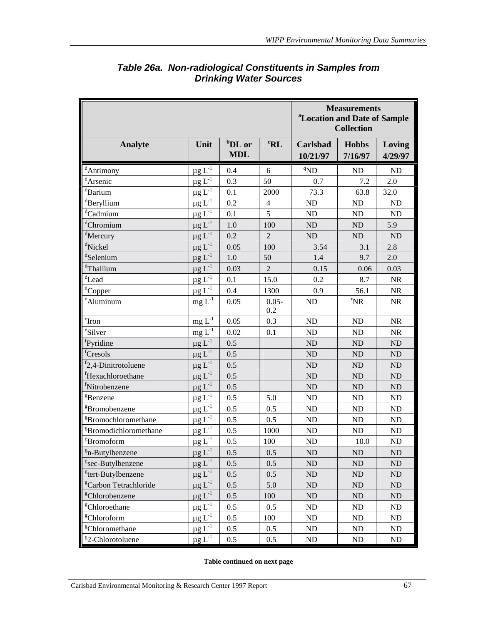|                                        |                             |                                  |                 | <sup>a</sup> Location and Date of Sample | <b>Measurements</b><br><b>Collection</b> |                   |
|----------------------------------------|-----------------------------|----------------------------------|-----------------|------------------------------------------|------------------------------------------|-------------------|
| <b>Analyte</b>                         | Unit                        | <sup>b</sup> DL or<br><b>MDL</b> | ${}^{\rm c}$ RL | Carlsbad<br>10/21/97                     | <b>Hobbs</b><br>7/16/97                  | Loving<br>4/29/97 |
| <sup>d</sup> Antimony                  | $\mu$ g L <sup>-1</sup>     | 0.4                              | 6               | <sup>q</sup> ND                          | ND                                       | ND                |
| <sup>d</sup> Arsenic                   | $\underline{\mu} g L^{-1}$  | 0.3                              | 50              | 0.7                                      | 7.2                                      | 2.0               |
| <sup>d</sup> Barium                    | $\mu$ g $L^{-1}$            | 0.1                              | 2000            | 73.3                                     | 63.8                                     | 32.0              |
| dBeryllium                             | $\mu$ g L <sup>-1</sup>     | 0.2                              | $\overline{4}$  | ND                                       | ND                                       | ND                |
| <sup>d</sup> Cadmium                   | $\mu$ g L <sup>-1</sup>     | 0.1                              | 5               | ND                                       | ND                                       | ND                |
| dChromium                              | $\mu g$ $L^{-1}$            | 1.0                              | 100             | ND                                       | ND                                       | 5.9               |
| <sup>d</sup> Mercury                   | $\mu$ g L <sup>-1</sup>     | 0.2                              | $\overline{2}$  | ND                                       | ND                                       | ND                |
| <sup>d</sup> Nickel                    | $\mu g$ $L^{-1}$            | 0.05                             | 100             | 3.54                                     | 3.1                                      | 2.8               |
| <sup>d</sup> Selenium                  | $\mu g L^{-1}$              | 1.0                              | 50              | 1.4                                      | 9.7                                      | 2.0               |
| dThallium                              | $\mu g L^{-1}$              | 0.03                             | $\sqrt{2}$      | 0.15                                     | 0.06                                     | 0.03              |
| ${}^d$ Lead                            | $\mu g \, L^{-1}$           | 0.1                              | 15.0            | 0.2                                      | 8.7                                      | $\rm NR$          |
| <sup>d</sup> Copper                    | $\mu g$ $L^{-1}$            | 0.4                              | 1300            | 0.9                                      | 56.1                                     | <b>NR</b>         |
| eAluminum                              | mg $\mathbf{L}^{\text{-}1}$ | 0.05                             | $0.05 -$<br>0.2 | ND                                       | $\prescript{r}{}{\mathbf{NR}}$           | NR                |
| $\mathrm{er}_{\underline{\mathbf{r}}}$ | $\underline{mg} \; L^{-1}$  | 0.05                             | 0.3             | ND                                       | ND                                       | NR                |
| eSilver                                | $mg L^{-1}$                 | 0.02                             | 0.1             | ND                                       | ND                                       | NR                |
| <sup>f</sup> Pyridine                  | $\mu$ g L <sup>-1</sup>     | 0.5                              |                 | <b>ND</b>                                | ND                                       | ${\rm ND}$        |
| <sup>f</sup> Cresols                   | $\mu$ g L <sup>-1</sup>     | 0.5                              |                 | <b>ND</b>                                | ND                                       | ND                |
| $f$ 2,4-Dinitrotoluene                 | $\mu g$ $L^{-1}$            | 0.5                              |                 | <b>ND</b>                                | ND                                       | ND                |
| <sup>f</sup> Hexachloroethane          | $\mu g$ $L^{-1}$            | 0.5                              |                 | ND                                       | ND                                       | ND                |
| fNitrobenzene                          | $\mu$ g L <sup>-1</sup>     | 0.5                              |                 | ND                                       | ND                                       | ND                |
| <sup>g</sup> Benzene                   | $\mu g \, L^{-1}$           | 0.5                              | 5.0             | ND                                       | ND                                       | ND                |
| <sup>g</sup> Bromobenzene              | $\mu g L^{-1}$              | 0.5                              | 0.5             | ND                                       | ND                                       | ND                |
| <sup>g</sup> Bromochloromethane        | $\mu$ g L <sup>-1</sup>     | 0.5                              | 0.5             | <b>ND</b>                                | ND                                       | ND                |
| <sup>g</sup> Bromodichloromethane      | $\mu$ g L <sup>-1</sup>     | 0.5                              | 1000            | <b>ND</b>                                | <b>ND</b>                                | ND                |
| <sup>g</sup> Bromoform                 | $\mu$ g L <sup>-1</sup>     | 0.5                              | 100             | <b>ND</b>                                | 10.0                                     | ND                |
| $\sqrt[\text{g}]{B}$ n-Butylbenzene    | $\mu g L^{-1}$              | 0.5                              | 0.5             | ND                                       | ND                                       | $\rm ND$          |
| <sup>g</sup> sec-Butylbenzene          | $\mu g$ $L^{-1}$            | 0.5                              | 0.5             | ND                                       | <b>ND</b>                                | <b>ND</b>         |
| <sup>g</sup> tert-Butylbenzene         | $\mu$ g L <sup>-1</sup>     | 0.5                              | 0.5             | ND                                       | ND                                       | ND                |
| <sup>g</sup> Carbon Tetrachloride      | $\mu g L^{-1}$              | 0.5                              | 5.0             | ND                                       | ND                                       | ND                |
| <sup>g</sup> Chlorobenzene             | $\mu$ g L <sup>-1</sup>     | 0.5                              | 100             | ND                                       | ND                                       | ND                |
| <sup>g</sup> Chloroethane              | $\mu g L^{-1}$              | 0.5                              | 0.5             | ND                                       | ND                                       | ND                |
| <sup>g</sup> Chloroform                | $\mu$ g L <sup>-1</sup>     | 0.5                              | 100             | ND                                       | ND                                       | ND                |
| <sup>g</sup> Chloromethane             | $\mu$ g L <sup>-1</sup>     | 0.5                              | 0.5             | ND                                       | ND                                       | ND                |
| <sup>g</sup> 2-Chlorotoluene           | $\mu g L^{-1}$              | 0.5                              | 0.5             | ND                                       | $\rm ND$                                 | ND                |

## *Table 26a. Non-radiological Constituents in Samples from Drinking Water Sources*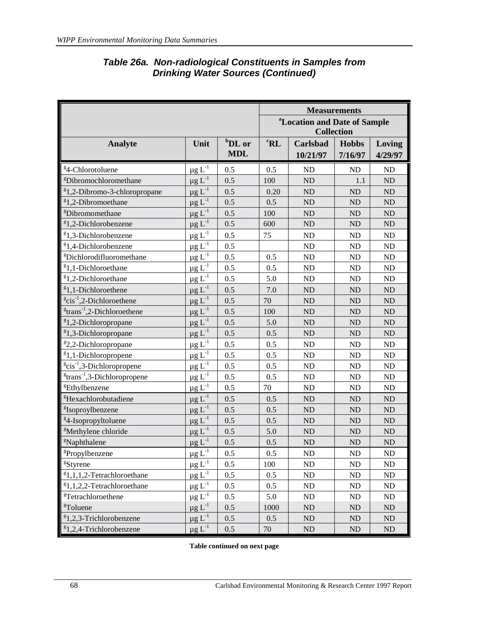|                                                     |                                            |                                  |                 |                      | <b>Measurements</b>                                           |                   |
|-----------------------------------------------------|--------------------------------------------|----------------------------------|-----------------|----------------------|---------------------------------------------------------------|-------------------|
|                                                     |                                            |                                  |                 |                      | <sup>a</sup> Location and Date of Sample<br><b>Collection</b> |                   |
| <b>Analyte</b>                                      | Unit                                       | <sup>b</sup> DL or<br><b>MDL</b> | ${}^{\rm c}$ RL | Carlsbad<br>10/21/97 | <b>Hobbs</b><br>7/16/97                                       | Loving<br>4/29/97 |
| <sup>g</sup> 4-Chlorotoluene                        | $\mu g L^{-1}$                             | 0.5                              | 0.5             | <b>ND</b>            | <b>ND</b>                                                     | ND                |
| <sup>g</sup> Dibromochloromethane                   | $\mu$ g L <sup>-1</sup>                    | 0.5                              | 100             | <b>ND</b>            | 1.1                                                           | ND                |
| ${}^{g}$ 1,2-Dibromo-3-chloropropane                | $\mu$ g L <sup>-1</sup>                    | 0.5                              | 0.20            | <b>ND</b>            | <b>ND</b>                                                     | $\rm ND$          |
| <sup>g</sup> 1,2-Dibromoethane                      | $\mu$ g L <sup>-1</sup>                    | 0.5                              | 0.5             | <b>ND</b>            | <b>ND</b>                                                     | ND                |
| <sup>g</sup> Dibromomethane                         | $\mu g$ $L^{-1}$                           | 0.5                              | 100             | <b>ND</b>            | N <sub>D</sub>                                                | ND                |
| <sup>g</sup> 1,2-Dichlorobenzene                    | $\mu$ g L <sup>-1</sup>                    | 0.5                              | 600             | <b>ND</b>            | <b>ND</b>                                                     | ND                |
| <sup>g</sup> 1,3-Dichlorobenzene                    | $\mu$ g $L^{-1}$                           | 0.5                              | 75              | ND                   | ND                                                            | ND                |
| <sup>g</sup> 1,4-Dichlorobenzene                    | $\mu g L^{-1}$                             | 0.5                              |                 | ND                   | <b>ND</b>                                                     | ${\rm ND}$        |
| <sup>g</sup> Dichlorodifluoromethane                | $\mu$ g L <sup>-1</sup>                    | 0.5                              | 0.5             | <b>ND</b>            | <b>ND</b>                                                     | ND                |
| ${}^{g}$ 1,1-Dichloroethane                         | $\mu$ g L <sup>-1</sup>                    | 0.5                              | 0.5             | <b>ND</b>            | <b>ND</b>                                                     | ND                |
| <sup>8</sup> 1,2-Dichloroethane                     | $\mu$ g L <sup>-1</sup>                    | 0.5                              | 5.0             | ND                   | <b>ND</b>                                                     | ND                |
| <sup>g</sup> 1,1-Dichloroethene                     | $\mu$ g L <sup>-1</sup>                    | 0.5                              | 7.0             | <b>ND</b>            | <b>ND</b>                                                     | ND                |
| $e^{g}$ cis <sup>-1</sup> ,2-Dichloroethene         | $\mu$ g L <sup>-1</sup>                    | 0.5                              | 70              | <b>ND</b>            | <b>ND</b>                                                     | ND                |
| $\mathrm{g}$ trans <sup>-1</sup> ,2-Dichloroethene  | $\mu$ g L <sup>-1</sup>                    | 0.5                              | 100             | <b>ND</b>            | <b>ND</b>                                                     | ND                |
| <sup>g</sup> 1,2-Dichloropropane                    | $\mu$ g L <sup>-1</sup>                    | 0.5                              | 5.0             | <b>ND</b>            | <b>ND</b>                                                     | ND                |
| $g_{1,3}$ -Dichloropropane                          | $\mu g L^{-1}$                             | 0.5                              | 0.5             | N <sub>D</sub>       | <b>ND</b>                                                     | $\rm ND$          |
| <sup>g</sup> 2,2-Dichloropropane                    | $\mu$ g L <sup>-1</sup>                    | 0.5                              | 0.5             | <b>ND</b>            | <b>ND</b>                                                     | ND                |
| ${}^{g}$ 1,1-Dichloropropene                        | $\underline{\mu}\,\underline{g}\,\,L^{-1}$ | 0.5                              | 0.5             | <b>ND</b>            | N <sub>D</sub>                                                | $\rm ND$          |
| $e^{g}$ cis <sup>-1</sup> ,3-Dichloropropene        | $\mu$ g L <sup>-1</sup>                    | 0.5                              | 0.5             | <b>ND</b>            | <b>ND</b>                                                     | ND                |
| <sup>g</sup> trans <sup>-1</sup> ,3-Dichloropropene | $\mu$ g L <sup>-1</sup>                    | 0.5                              | 0.5             | <b>ND</b>            | <b>ND</b>                                                     | ND                |
| <sup>g</sup> Ethylbenzene                           | $\mu$ g L <sup>-1</sup>                    | 0.5                              | 70              | ND                   | <b>ND</b>                                                     | ${\rm ND}$        |
| <sup>g</sup> Hexachlorobutadiene                    | $\mu$ g L <sup>-1</sup>                    | 0.5                              | 0.5             | <b>ND</b>            | <b>ND</b>                                                     | ND                |
| <sup>g</sup> Isoproylbenzene                        | $\mu$ g $L^{-1}$                           | 0.5                              | 0.5             | <b>ND</b>            | <b>ND</b>                                                     | ND                |
| <sup>g</sup> 4-Isopropyltoluene                     | $\mu$ g L <sup>-1</sup>                    | 0.5                              | 0.5             | <b>ND</b>            | N <sub>D</sub>                                                | $\rm ND$          |
| <sup>g</sup> Methylene chloride                     | $\mu$ g L <sup>-1</sup>                    | 0.5                              | 5.0             | <b>ND</b>            | N <sub>D</sub>                                                | $\rm ND$          |
| <sup>g</sup> Naphthalene                            | $\mu g$ $L^{-1}$                           | 0.5                              | 0.5             | <b>ND</b>            | <b>ND</b>                                                     | <b>ND</b>         |
| <sup>g</sup> Propylbenzene                          | $\mu$ g L <sup>-1</sup>                    | 0.5                              | 0.5             | ND                   | ND                                                            | ND                |
| <sup>g</sup> Styrene                                | $\mu g$ $L^{-1}$                           | 0.5                              | 100             | ND                   | ND                                                            | ND                |
| ${}^{g}1,1,1,2$ -Tetrachloroethane                  | $\mu g$ $L^{-1}$                           | 0.5                              | 0.5             | ND                   | ND                                                            | ND                |
| ${}^{g}1,1,2,2$ -Tetrachloroethane                  | $\mu$ g L <sup>-1</sup>                    | 0.5                              | 0.5             | ND                   | <b>ND</b>                                                     | ND                |
| <sup>g</sup> Tetrachloroethene                      | $\mu g \, L^{-1}$                          | 0.5                              | 5.0             | ND                   | ND                                                            | ND                |
| <sup>g</sup> Toluene                                | $\mu$ g $L^{-1}$                           | 0.5                              | 1000            | ND                   | $\rm ND$                                                      | $\rm ND$          |
| ${}^{8}1,2,3$ -Trichlorobenzene                     | $\mu$ g L <sup>-1</sup>                    | 0.5                              | 0.5             | ND                   | ND                                                            | $\rm ND$          |
| ${}^{8}1,2,4$ -Trichlorobenzene                     | $\mu$ g L <sup>-1</sup>                    | 0.5                              | 70              | ND                   | ND                                                            | $\rm ND$          |

## *Table 26a. Non-radiological Constituents in Samples from Drinking Water Sources (Continued)*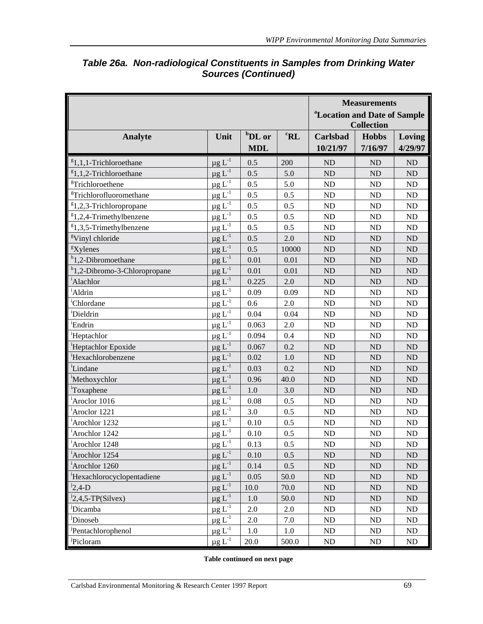|                                          |                                            |                    |                              |                                          | <b>Measurements</b> |            |  |
|------------------------------------------|--------------------------------------------|--------------------|------------------------------|------------------------------------------|---------------------|------------|--|
|                                          |                                            |                    |                              | <sup>a</sup> Location and Date of Sample |                     |            |  |
|                                          |                                            |                    |                              |                                          | <b>Collection</b>   |            |  |
| <b>Analyte</b>                           | Unit                                       | <sup>b</sup> DL or | ${}^{\mathrm{c}}\mathbf{RL}$ | Carlsbad                                 | <b>Hobbs</b>        | Loving     |  |
|                                          |                                            | <b>MDL</b>         |                              | 10/21/97                                 | 7/16/97             | 4/29/97    |  |
| ${}^{g}1,1,1$ -Trichloroethane           | $\mu g$ $L^{-1}$                           | 0.5                | 200                          | <b>ND</b>                                | ND                  | ND         |  |
| ${}^{g}1,1,2$ -Trichloroethane           | $\mu g L^{-1}$                             | 0.5                | 5.0                          | ND                                       | ND                  | ND         |  |
| <sup>g</sup> Trichloroethene             | $\mu$ g L <sup>-1</sup>                    | 0.5                | 5.0                          | ND                                       | ND                  | ${\rm ND}$ |  |
| <sup>g</sup> Trichlorofluoromethane      | $\mu$ g L $^{-1}$                          | 0.5                | 0.5                          | ND                                       | ND                  | ND         |  |
| <sup>g</sup> 1,2,3-Trichloropropane      | $\mu$ g L <sup>-1</sup>                    | 0.5                | 0.5                          | ND                                       | ND                  | ND         |  |
| ${}^{g}1,2,4$ -Trimethylbenzene          | $\mu$ g L <sup>-1</sup>                    | 0.5                | 0.5                          | ND                                       | ND                  | $\rm ND$   |  |
| ${}^{8}1,3,5$ -Trimethylbenzene          | $\mu$ g L $^{-1}$                          | 0.5                | 0.5                          | ND                                       | ND                  | ND         |  |
| <sup>g</sup> Vinyl chloride              | $\mu$ g L <sup>-1</sup>                    | 0.5                | 2.0                          | ND                                       | ND                  | ND         |  |
| <sup>g</sup> Xylenes                     | $\mu$ g L <sup>-1</sup>                    | 0.5                | 10000                        | ND                                       | ND                  | ND         |  |
| $h$ 1,2-Dibromoethane                    | $\mu$ g L <sup>-1</sup>                    | 0.01               | 0.01                         | ND                                       | ND                  | $\rm ND$   |  |
| <sup>h</sup> 1,2-Dibromo-3-Chloropropane | $\mu$ g L <sup>-1</sup>                    | 0.01               | 0.01                         | ND                                       | ND                  | ND         |  |
| <sup>i</sup> Alachlor                    | $\mu$ g L <sup>-1</sup>                    | 0.225              | 2.0                          | ND                                       | ND                  | ND         |  |
| <sup>i</sup> Aldrin                      | $\mu$ g L <sup>-1</sup>                    | 0.09               | 0.09                         | ND                                       | <b>ND</b>           | $\rm ND$   |  |
| <sup>'</sup> Chlordane                   | $\mu g$ $L^{-1}$                           | 0.6                | 2.0                          | ND                                       | ND                  | ND         |  |
| 'Dieldrin                                | $\mu$ g L <sup>-1</sup>                    | 0.04               | 0.04                         | ND                                       | ND                  | ND         |  |
| <sup>i</sup> Endrin                      | $\underline{\mu} g$ $L^{-1}$               | 0.063              | 2.0                          | ND                                       | ND                  | ND         |  |
| <sup>i</sup> Heptachlor                  | $\mu$ g L <sup>-1</sup>                    | 0.094              | 0.4                          | ND                                       | ND                  | ${\rm ND}$ |  |
| <sup>i</sup> Heptachlor Epoxide          | $\mu$ g L <sup>-1</sup>                    | 0.067              | 0.2                          | ND                                       | ND                  | $\rm ND$   |  |
| Hexachlorobenzene                        | $\mu$ g L <sup>-1</sup>                    | 0.02               | 1.0                          | ND                                       | ND                  | ND         |  |
| <sup>i</sup> Lindane                     | $\mu$ g L <sup>-1</sup>                    | 0.03               | 0.2                          | ND                                       | ND                  | ND         |  |
| <sup>i</sup> Methoxychlor                | $\mu$ g L $^{-1}$                          | 0.96               | 40.0                         | ND                                       | ND                  | ND         |  |
| Toxaphene                                | $\mu$ g L <sup>-1</sup>                    | 1.0                | 3.0                          | ND                                       | ND                  | ND         |  |
| <sup>i</sup> Aroclor 1016                | $\underline{\mu}\,\underline{g}\,L^{-1}$   | 0.08               | 0.5                          | ND                                       | ND                  | ${\rm ND}$ |  |
| Aroclor 1221                             | $\mu$ g L <sup>-1</sup>                    | 3.0                | 0.5                          | ND                                       | ND                  | ND         |  |
| <sup>i</sup> Arochlor 1232               | $\mu$ g L <sup>-1</sup>                    | 0.10               | 0.5                          | ND                                       | <b>ND</b>           | $\rm ND$   |  |
| <sup>i</sup> Arochlor 1242               | $\mu g$ $L^{-1}$                           | 0.10               | 0.5                          | ND                                       | ND                  | ND         |  |
| <sup>i</sup> Arochlor 1248               | $\mu g L^{-1}$                             | 0.13               | $0.5\,$                      | ${\rm ND}$                               | ${\rm ND}$          | $\rm ND$   |  |
| <sup>1</sup> Arochlor 1254               | $\mu g$ $L^{-1}$                           | 0.10               | 0.5                          | <b>ND</b>                                | N <sub>D</sub>      | ND         |  |
| <sup>i</sup> Arochlor 1260               | $\mu g$ $L^{-1}$                           | 0.14               | 0.5                          | ND                                       | ND                  | ND         |  |
| Hexachlorocyclopentadiene                | $\mu g$ $L^{-1}$                           | 0.05               | 50.0                         | $\rm ND$                                 | $\rm ND$            | $\rm ND$   |  |
| $12,4-D$                                 | $\mu g \; L^{-1}$                          | 10.0               | 70.0                         | ND                                       | ND                  | $\rm ND$   |  |
| ${}^{1}2,4,5$ -TP(Silvex)                | $\mu g$ <sup>-1</sup>                      | $1.0\,$            | 50.0                         | ND                                       | ND                  | ${\rm ND}$ |  |
| <sup>J</sup> Dicamba                     | $\mu g$ $L^{-1}$                           | 2.0                | 2.0                          | ND                                       | ND                  | ND         |  |
| <sup>J</sup> Dinoseb                     | $\underline{\mu}\,\underline{g}\,\,L^{-1}$ | 2.0                | 7.0                          | $\rm ND$                                 | ND                  | $\rm ND$   |  |
| <sup>J</sup> Pentachlorophenol           | $\mu g$ $L^{-1}$                           | 1.0                | 1.0                          | ND                                       | ND                  | ND         |  |
| <sup>J</sup> Picloram                    | $\mu$ g L <sup>-1</sup>                    | 20.0               | 500.0                        | ND                                       | ND                  | ND         |  |

## *Table 26a. Non-radiological Constituents in Samples from Drinking Water Sources (Continued)*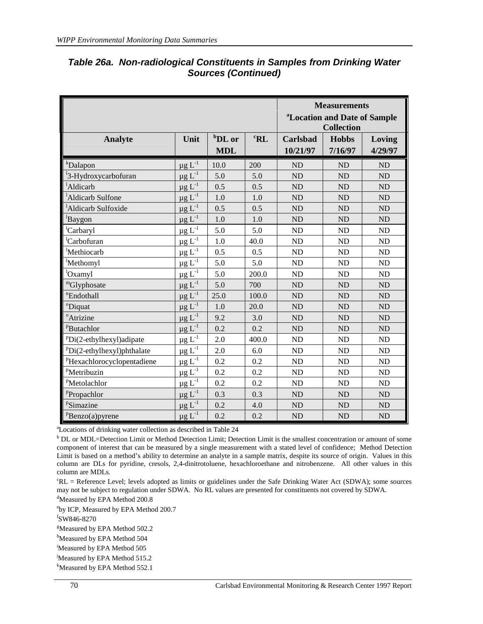|                                  | <b>Measurements</b>                      |                                  |                 |                             |                                                               |                   |
|----------------------------------|------------------------------------------|----------------------------------|-----------------|-----------------------------|---------------------------------------------------------------|-------------------|
|                                  |                                          |                                  |                 |                             | <sup>a</sup> Location and Date of Sample<br><b>Collection</b> |                   |
| Analyte                          | Unit                                     | <sup>b</sup> DL or<br><b>MDL</b> | ${}^{\rm c}$ RL | <b>Carlsbad</b><br>10/21/97 | <b>Hobbs</b><br>7/16/97                                       | Loving<br>4/29/97 |
| <sup>k</sup> Dalapon             | $\mu$ g L <sup>-1</sup>                  | 10.0                             | 200             | <b>ND</b>                   | <b>ND</b>                                                     | <b>ND</b>         |
| <sup>1</sup> 3-Hydroxycarbofuran | $\mu g L^{-1}$                           | 5.0                              | 5.0             | <b>ND</b>                   | <b>ND</b>                                                     | <b>ND</b>         |
| <sup>1</sup> Aldicarb            | $\mu$ g L <sup>-1</sup>                  | 0.5                              | 0.5             | <b>ND</b>                   | ND                                                            | <b>ND</b>         |
| <sup>1</sup> Aldicarb Sulfone    | $\mu$ g L <sup>-1</sup>                  | 1.0                              | 1.0             | ND                          | ND                                                            | <b>ND</b>         |
| <sup>1</sup> Aldicarb Sulfoxide  | $\mu g L^{-1}$                           | 0.5                              | 0.5             | <b>ND</b>                   | ND                                                            | <b>ND</b>         |
| <sup>1</sup> Baygon              | $\mu$ g L <sup>-1</sup>                  | 1.0                              | 1.0             | ND                          | ND                                                            | <b>ND</b>         |
| Carbaryl                         | $\underline{\mu}\,\underline{g}\,L^{-1}$ | 5.0                              | 5.0             | ND                          | ND                                                            | <b>ND</b>         |
| <sup>l</sup> Carbofuran          | $\mu$ g L <sup>-1</sup>                  | 1.0                              | 40.0            | ND                          | ND                                                            | <b>ND</b>         |
| <sup>l</sup> Methiocarb          | $\mu$ g L <sup>-1</sup>                  | 0.5                              | 0.5             | ND                          | ND                                                            | <b>ND</b>         |
| <sup>l</sup> Methomyl            | $\mu$ g L <sup>-1</sup>                  | 5.0                              | 5.0             | ND                          | ND                                                            | <b>ND</b>         |
| <sup>l</sup> Oxamyl              | $\underline{\mu}\,\underline{g}\,L^{-1}$ | 5.0                              | 200.0           | ND                          | ND                                                            | <b>ND</b>         |
| "Glyphosate                      | $\mu$ g L <sup>-1</sup>                  | 5.0                              | 700             | ND                          | ND                                                            | <b>ND</b>         |
| "Endothall                       | $\mu$ g L <sup>-1</sup>                  | 25.0                             | 100.0           | <b>ND</b>                   | ND                                                            | <b>ND</b>         |
| <sup>o</sup> Diquat              | $\mu$ g L <sup>-1</sup>                  | 1.0                              | 20.0            | ND                          | ND                                                            | <b>ND</b>         |
| <sup>o</sup> Atrizine            | $\mu$ g L <sup>-1</sup>                  | 9.2                              | 3.0             | ND                          | ND                                                            | <b>ND</b>         |
| <sup>P</sup> Butachlor           | $\mu g$ $L^{-1}$                         | 0.2                              | 0.2             | ND                          | ND                                                            | <b>ND</b>         |
| $PDi(2-ethylhexyl)$ adipate      | $\mu g L^{-1}$                           | 2.0                              | 400.0           | ND                          | ND                                                            | <b>ND</b>         |
| $PDi(2-ethylhexyl)$ phthalate    | $\mu g$ $L^{-1}$                         | 2.0                              | 6.0             | ND                          | ND                                                            | <b>ND</b>         |
| PHexachlorocyclopentadiene       | $\underline{\mu}\,\underline{g}\,L^{-1}$ | 0.2                              | 0.2             | ND                          | ND                                                            | <b>ND</b>         |
| PMetribuzin                      | $\underline{\mu}\,\underline{g}\,L^{-1}$ | 0.2                              | 0.2             | ND                          | ND                                                            | <b>ND</b>         |
| <sup>P</sup> Metolachlor         | $\underline{\mu g} L^{-1}$               | 0.2                              | 0.2             | ND                          | ND                                                            | <b>ND</b>         |
| PPropachlor                      | $\mu$ g L <sup>-1</sup>                  | 0.3                              | 0.3             | ND                          | ND                                                            | <b>ND</b>         |
| PSimazine                        | $\mu$ g L <sup>-1</sup>                  | 0.2                              | 4.0             | ND                          | ND                                                            | <b>ND</b>         |
| ${}^{\text{p}}$ Benzo(a)pyrene   | $\mu$ g L <sup>-1</sup>                  | 0.2                              | 0.2             | ND                          | ND                                                            | <b>ND</b>         |

### *Table 26a. Non-radiological Constituents in Samples from Drinking Water Sources (Continued)*

a Locations of drinking water collection as described in Table 24

<sup>b</sup> DL or MDL=Detection Limit or Method Detection Limit; Detection Limit is the smallest concentration or amount of some component of interest that can be measured by a single measurement with a stated level of confidence; Method Detection Limit is based on a method's ability to determine an analyte in a sample matrix, despite its source of origin. Values in this column are DLs for pyridine, cresols, 2,4-dinitrotoluene, hexachloroethane and nitrobenzene. All other values in this column are MDLs.

c RL = Reference Level; levels adopted as limits or guidelines under the Safe Drinking Water Act (SDWA); some sources may not be subject to regulation under SDWA. No RL values are presented for constituents not covered by SDWA.

<sup>d</sup>Measured by EPA Method 200.8

e by ICP, Measured by EPA Method 200.7

f SW846-8270

<sup>g</sup>Measured by EPA Method 502.2

<sup>h</sup>Measured by EPA Method 504

i Measured by EPA Method 505

Measured by EPA Method 515.2

<sup>k</sup>Measured by EPA Method 552.1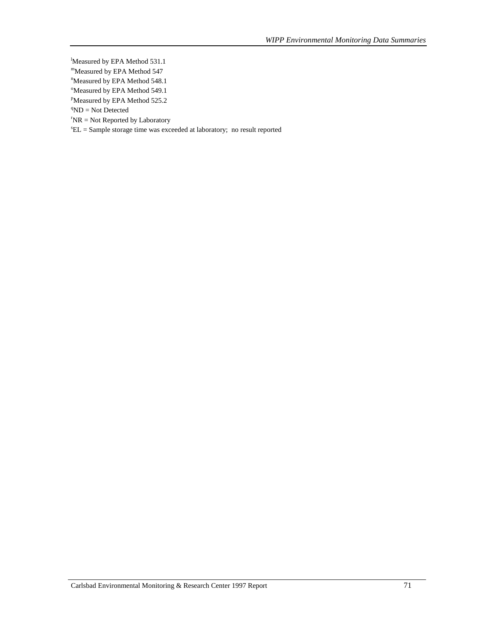- Measured by EPA Method 531.1
- mMeasured by EPA Method 547
- <sup>n</sup>Measured by EPA Method 548.1
- <sup>o</sup>Measured by EPA Method 549.1
- <sup>P</sup>Measured by EPA Method 525.2
- ${}^q$ ND = Not Detected
- $TNR = Not$  Reported by Laboratory
- $E =$  Sample storage time was exceeded at laboratory; no result reported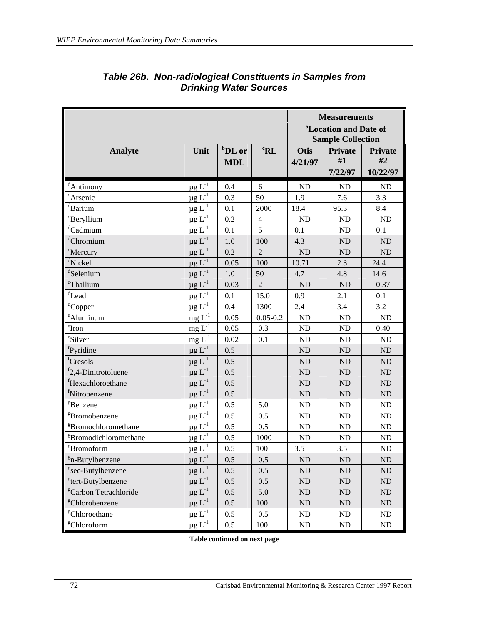|                                   |                                        |                         |                              |                 | <b>Measurements</b><br><sup>a</sup> Location and Date of<br><b>Sample Collection</b> |                                  |
|-----------------------------------|----------------------------------------|-------------------------|------------------------------|-----------------|--------------------------------------------------------------------------------------|----------------------------------|
| <b>Analyte</b>                    | Unit                                   | $b$ DL or<br><b>MDL</b> | ${}^{\mathrm{c}}\mathbf{RL}$ | Otis<br>4/21/97 | <b>Private</b><br>#1<br>7/22/97                                                      | <b>Private</b><br>#2<br>10/22/97 |
| <sup>d</sup> Antimony             | $\underline{\mu} \, g \, L^{-1}$       | 0.4                     | 6                            | ND              | ND                                                                                   | ND                               |
| <sup>d</sup> Arsenic              | $\mu g L^{-1}$                         | 0.3                     | 50                           | 1.9             | 7.6                                                                                  | 3.3                              |
| <sup>d</sup> Barium               | $\mu$ g L <sup>-1</sup>                | 0.1                     | 2000                         | 18.4            | 95.3                                                                                 | 8.4                              |
| <sup>d</sup> Beryllium            | $\mu$ g L <sup>-1</sup>                | 0.2                     | $\overline{4}$               | ND              | ND                                                                                   | ${\rm ND}$                       |
| <sup>d</sup> Cadmium              | $\mu$ g L <sup>-1</sup>                | 0.1                     | 5                            | 0.1             | ND                                                                                   | 0.1                              |
| <sup>d</sup> Chromium             | $\mu$ g L <sup>-1</sup>                | 1.0                     | 100                          | 4.3             | <b>ND</b>                                                                            | ND                               |
| <sup>d</sup> Mercury              | $\mu g$ $L^{-1}$                       | 0.2                     | $\overline{2}$               | ND              | <b>ND</b>                                                                            | ND                               |
| <sup>d</sup> Nickel               | $\mu$ g L $^{-1}$                      | 0.05                    | 100                          | 10.71           | 2.3                                                                                  | 24.4                             |
| <sup>d</sup> Selenium             | $\mu$ g L <sup>-1</sup>                | 1.0                     | 50                           | 4.7             | 4.8                                                                                  | 14.6                             |
| dThallium                         | $\mu$ g L <sup>-1</sup>                | 0.03                    | $\overline{2}$               | ND              | ND                                                                                   | 0.37                             |
| $^{\rm d}$ Lead                   | $\mu g$ $L^{-1}$                       | 0.1                     | 15.0                         | 0.9             | 2.1                                                                                  | 0.1                              |
| <sup>d</sup> Copper               | $\mu$ g L <sup>-1</sup>                | 0.4                     | 1300                         | 2.4             | 3.4                                                                                  | 3.2                              |
| <sup>e</sup> Aluminum             | $\underline{m} \underline{g} \ L^{-1}$ | 0.05                    | $0.05 - 0.2$                 | ND              | ND                                                                                   | ND                               |
| $^{\circ}$ Iron                   | $mg L^{-1}$                            | 0.05                    | 0.3                          | ND              | <b>ND</b>                                                                            | 0.40                             |
| eSilver                           | $\underline{mg} \; L^{-1}$             | 0.02                    | 0.1                          | ND              | <b>ND</b>                                                                            | ND                               |
| <sup>f</sup> Pyridine             | $\mu$ g L <sup>-1</sup>                | 0.5                     |                              | <b>ND</b>       | ND                                                                                   | ND                               |
| <sup>t</sup> Cresols              | $\mu$ g L <sup>-1</sup>                | 0.5                     |                              | ND              | ND                                                                                   | ND                               |
| $f2,4$ -Dinitrotoluene            | $\mu$ g L <sup>-1</sup>                | 0.5                     |                              | ND              | ND                                                                                   | ND                               |
| <sup>f</sup> Hexachloroethane     | $\mu$ g L <sup>-1</sup>                | 0.5                     |                              | <b>ND</b>       | <b>ND</b>                                                                            | ND                               |
| <sup>f</sup> Nitrobenzene         | $\mu g$ $L^{-1}$                       | 0.5                     |                              | $\rm ND$        | ND                                                                                   | $\rm ND$                         |
| <sup>g</sup> Benzene              | $\mu$ g L <sup>-1</sup>                | 0.5                     | 5.0                          | ND              | ND                                                                                   | ND                               |
| <sup>g</sup> Bromobenzene         | $\mu$ g L <sup>-1</sup>                | 0.5                     | 0.5                          | ND              | <b>ND</b>                                                                            | ND                               |
| <sup>g</sup> Bromochloromethane   | $\mu$ g L <sup>-1</sup>                | 0.5                     | 0.5                          | ND              | ND                                                                                   | ND                               |
| <sup>g</sup> Bromodichloromethane | $\mu$ g L <sup>-1</sup>                | 0.5                     | 1000                         | ND              | ND                                                                                   | ND                               |
| <sup>g</sup> Bromoform            | $\mu$ g L <sup>-1</sup>                | 0.5                     | 100                          | 3.5             | 3.5                                                                                  | ND                               |
| $g_{n}$ -Butylbenzene             | $\mu g L^{-1}$                         | 0.5                     | 0.5                          | ${\rm ND}$      | ${\rm ND}$                                                                           | ${\rm ND}$                       |
| <sup>g</sup> sec-Butylbenzene     | $\mu$ g L <sup>-1</sup>                | 0.5                     | 0.5                          | ND              | ND                                                                                   | ND                               |
| <sup>g</sup> tert-Butylbenzene    | $\mu$ g L <sup>-1</sup>                | 0.5                     | 0.5                          | ND              | <b>ND</b>                                                                            | ND                               |
| <sup>g</sup> Carbon Tetrachloride | $\mu$ g L <sup>-1</sup>                | 0.5                     | 5.0                          | <b>ND</b>       | ND                                                                                   | ND                               |
| <sup>g</sup> Chlorobenzene        | $\mu$ g L <sup>-1</sup>                | 0.5                     | 100                          | $\rm ND$        | ND                                                                                   | ND                               |
| <sup>g</sup> Chloroethane         | $\mu$ g L <sup>-1</sup>                | 0.5                     | 0.5                          | ND              | ND                                                                                   | ND                               |
| <sup>g</sup> Chloroform           | $\mu$ g L <sup>-1</sup>                | 0.5                     | 100                          | N <sub>D</sub>  | ND                                                                                   | ND                               |

## *Table 26b. Non-radiological Constituents in Samples from Drinking Water Sources*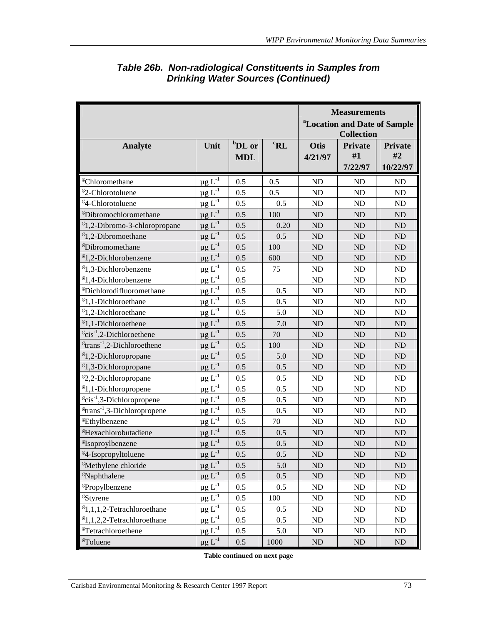|                                                     |                          |                    |                 |                | <b>Measurements</b>                                           |                |
|-----------------------------------------------------|--------------------------|--------------------|-----------------|----------------|---------------------------------------------------------------|----------------|
|                                                     |                          |                    |                 |                | <sup>a</sup> Location and Date of Sample<br><b>Collection</b> |                |
| <b>Analyte</b>                                      | Unit                     | <sup>b</sup> DL or | ${}^{\rm c}$ RL | <b>Otis</b>    | <b>Private</b>                                                | <b>Private</b> |
|                                                     |                          | <b>MDL</b>         |                 | 4/21/97        | #1                                                            | #2             |
|                                                     |                          |                    |                 |                | 7/22/97                                                       | 10/22/97       |
| <sup>g</sup> Chloromethane                          | $\mu$ g $L^{-1}$         | 0.5                | 0.5             | ND             | ND                                                            | ND             |
| <sup>g</sup> 2-Chlorotoluene                        | $\mu g \, L^{\text{-}1}$ | 0.5                | 0.5             | ND             | ND                                                            | ND             |
| <sup>g</sup> 4-Chlorotoluene                        | $\mu$ g L <sup>-1</sup>  | 0.5                | 0.5             | ND             | <b>ND</b>                                                     | ND             |
| <sup>g</sup> Dibromochloromethane                   | $\mu$ g L <sup>-1</sup>  | 0.5                | 100             | ND             | ND                                                            | ND             |
| <sup>g</sup> 1,2-Dibromo-3-chloropropane            | $\mu$ g L <sup>-1</sup>  | 0.5                | 0.20            | <b>ND</b>      | <b>ND</b>                                                     | $\rm ND$       |
| <sup>8</sup> 1,2-Dibromoethane                      | $\mu$ g L <sup>-1</sup>  | 0.5                | 0.5             | <b>ND</b>      | <b>ND</b>                                                     | ND             |
| <sup>g</sup> Dibromomethane                         | $\mu$ g L <sup>-1</sup>  | 0.5                | 100             | <b>ND</b>      | <b>ND</b>                                                     | ND             |
| ${}^{g}$ 1,2-Dichlorobenzene                        | $\mu$ g L <sup>-1</sup>  | 0.5                | 600             | N <sub>D</sub> | <b>ND</b>                                                     | ND             |
| $g_{1,3}$ -Dichlorobenzene                          | $\mu$ g L <sup>-1</sup>  | 0.5                | 75              | ND             | <b>ND</b>                                                     | ND             |
| <sup>g</sup> 1,4-Dichlorobenzene                    | $\mu g \, L^{-1}$        | 0.5                |                 | ND             | ND                                                            | ND             |
| <sup>g</sup> Dichlorodifluoromethane                | $\mu$ g L <sup>-1</sup>  | 0.5                | 0.5             | ND             | ND                                                            | ND             |
| <sup>g</sup> 1,1-Dichloroethane                     | $\mu g L^{-1}$           | 0.5                | 0.5             | <b>ND</b>      | <b>ND</b>                                                     | ND             |
| ${}^{g}$ 1,2-Dichloroethane                         | $\mu$ g L <sup>-1</sup>  | 0.5                | 5.0             | ND             | <b>ND</b>                                                     | ND             |
| <sup>8</sup> 1,1-Dichloroethene                     | $\mu$ g L <sup>-1</sup>  | 0.5                | 7.0             | ND             | <b>ND</b>                                                     | ND             |
| $e^{g}$ cis <sup>-1</sup> ,2-Dichloroethene         | $\mu g \, L^{-1}$        | 0.5                | 70              | <b>ND</b>      | <b>ND</b>                                                     | ND             |
| $\mathrm{g}$ trans <sup>-1</sup> ,2-Dichloroethene  | $\mu$ g L <sup>-1</sup>  | 0.5                | 100             | <b>ND</b>      | <b>ND</b>                                                     | ND             |
| <sup>g</sup> 1,2-Dichloropropane                    | $\mu g L^{-1}$           | 0.5                | 5.0             | <b>ND</b>      | <b>ND</b>                                                     | ND             |
| <sup>g</sup> 1,3-Dichloropropane                    | $\mu g$ $L^{-1}$         | 0.5                | 0.5             | ND             | ND                                                            | ND             |
| <sup>g</sup> 2,2-Dichloropropane                    | $\mu$ g L <sup>-1</sup>  | 0.5                | 0.5             | ND             | ND                                                            | ND             |
| $g_{1,1}$ -Dichloropropene                          | $\mu$ g L <sup>-1</sup>  | 0.5                | 0.5             | <b>ND</b>      | <b>ND</b>                                                     | $\rm ND$       |
| $e^{g}$ cis <sup>-1</sup> ,3-Dichloropropene        | $\mu g$ $L^{-1}$         | 0.5                | 0.5             | ND             | <b>ND</b>                                                     | ND             |
| $\mathrm{g}$ trans <sup>-1</sup> ,3-Dichloropropene | $\mu$ g L <sup>-1</sup>  | 0.5                | 0.5             | ND             | <b>ND</b>                                                     | ND             |
| <sup>g</sup> Ethylbenzene                           | $\mu$ g L <sup>-1</sup>  | 0.5                | 70              | ND             | <b>ND</b>                                                     | ND             |
| <sup>g</sup> Hexachlorobutadiene                    | $\mu$ g L <sup>-1</sup>  | 0.5                | 0.5             | <b>ND</b>      | <b>ND</b>                                                     | ND             |
| <sup>g</sup> Isoproylbenzene                        | $\mu$ g L <sup>-1</sup>  | 0.5                | 0.5             | <b>ND</b>      | <b>ND</b>                                                     | <b>ND</b>      |
| <sup>g</sup> 4-Isopropyltoluene                     | $\mu g$ $L^{-1}$         | 0.5                | 0.5             | ND             | ${\rm ND}$                                                    | $\rm ND$       |
| <sup>g</sup> Methylene chloride                     | $\mu$ g L <sup>-1</sup>  | 0.5                | 5.0             | <b>ND</b>      | <b>ND</b>                                                     | <b>ND</b>      |
| <sup>g</sup> Naphthalene                            | $\mu$ g L <sup>-1</sup>  | 0.5                | 0.5             | $\rm ND$       | <b>ND</b>                                                     | ND             |
| <sup>g</sup> Propylbenzene                          | $\mu$ g L <sup>-1</sup>  | 0.5                | 0.5             | ND             | ND                                                            | ND             |
| <sup>g</sup> Styrene                                | $\mu$ g L <sup>-1</sup>  | 0.5                | 100             | $\rm ND$       | ND                                                            | ND             |
| ${}^{g}1,1,1,2$ -Tetrachloroethane                  | $\mu$ g L <sup>-1</sup>  | 0.5                | 0.5             | $\rm ND$       | ND                                                            | ND             |
| ${}^{g}1,1,2,2$ -Tetrachloroethane                  | $\mu g L^{-1}$           | 0.5                | 0.5             | ND             | ND                                                            | ND             |
| <sup>g</sup> Tetrachloroethene                      | $\mu$ g L <sup>-1</sup>  | 0.5                | 5.0             | $\rm ND$       | ND                                                            | ND             |
| <sup>g</sup> Toluene                                | $\mu$ g $L^{-1}$         | 0.5                | 1000            | ND             | ND                                                            | $\rm ND$       |

## *Table 26b. Non-radiological Constituents in Samples from Drinking Water Sources (Continued)*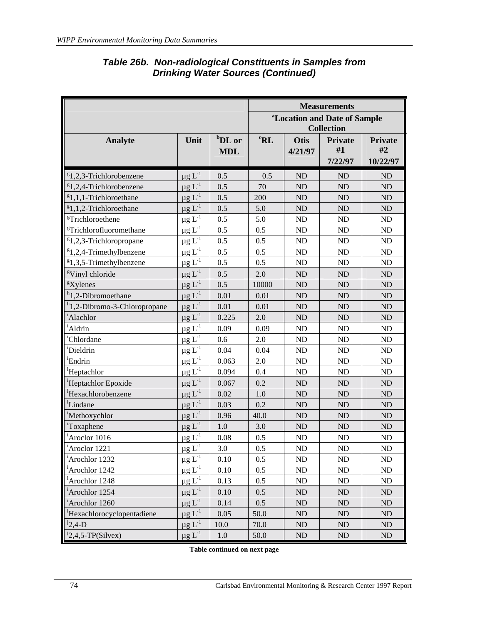|                                          |                              |                    |                 |            | <b>Measurements</b>                                           |          |
|------------------------------------------|------------------------------|--------------------|-----------------|------------|---------------------------------------------------------------|----------|
|                                          |                              |                    |                 |            | <sup>a</sup> Location and Date of Sample<br><b>Collection</b> |          |
| <b>Analyte</b>                           | Unit                         | <sup>b</sup> DL or | ${}^{\rm c}$ RL | Otis       | <b>Private</b>                                                | Private  |
|                                          |                              | <b>MDL</b>         |                 | 4/21/97    | #1                                                            | #2       |
|                                          |                              |                    |                 |            | 7/22/97                                                       | 10/22/97 |
| $$1,2,3$ -Trichlorobenzene               | $\mu$ g L <sup>-1</sup>      | 0.5                | 0.5             | <b>ND</b>  | ND                                                            | ND       |
| ${}^{8}1,2,4$ -Trichlorobenzene          | $\mu$ g L <sup>-1</sup>      | 0.5                | 70              | <b>ND</b>  | ND                                                            | ND       |
| ${}^{g}1,1,1$ -Trichloroethane           | $\mu$ g L <sup>-1</sup>      | 0.5                | 200             | <b>ND</b>  | ND                                                            | $\rm ND$ |
| ${}^{8}1,1,2$ -Trichloroethane           | $\mu g L^{-1}$               | 0.5                | 5.0             | <b>ND</b>  | ND                                                            | ND       |
| <sup>g</sup> Trichloroethene             | $\mu$ g L <sup>-1</sup>      | 0.5                | 5.0             | <b>ND</b>  | ND                                                            | ND       |
| <sup>g</sup> Trichlorofluoromethane      | $\underline{\mu} g$ $L^{-1}$ | 0.5                | 0.5             | <b>ND</b>  | ND                                                            | ND       |
| <sup>g</sup> 1,2,3-Trichloropropane      | $\mu$ g L <sup>-1</sup>      | 0.5                | 0.5             | ND         | $\rm ND$                                                      | $\rm ND$ |
| ${}^{8}1,2,4$ -Trimethylbenzene          | $\mu$ g L <sup>-1</sup>      | 0.5                | 0.5             | ND         | ND                                                            | $\rm ND$ |
| $$1,3,5$ -Trimethylbenzene               | $\mu g \, L^{-1}$            | 0.5                | 0.5             | <b>ND</b>  | ND                                                            | ND       |
| <sup>g</sup> Vinyl chloride              | $\mu$ g L <sup>-1</sup>      | 0.5                | 2.0             | <b>ND</b>  | ND                                                            | ND       |
| <sup>g</sup> Xylenes                     | $\mu$ g $L^{-1}$             | 0.5                | 10000           | <b>ND</b>  | ND                                                            | ND       |
| <sup>h</sup> 1,2-Dibromoethane           | $\mu$ g L <sup>-1</sup>      | 0.01               | 0.01            | <b>ND</b>  | ND                                                            | ND       |
| <sup>h</sup> 1,2-Dibromo-3-Chloropropane | $\mu$ g L <sup>-1</sup>      | 0.01               | 0.01            | <b>ND</b>  | ND                                                            | $\rm ND$ |
| <sup>i</sup> Alachlor                    | $\mu$ g L <sup>-1</sup>      | 0.225              | 2.0             | <b>ND</b>  | ND                                                            | ND       |
| <sup>i</sup> Aldrin                      | $\mu$ g L <sup>-1</sup>      | 0.09               | 0.09            | ND         | ND                                                            | ND       |
| <sup>1</sup> Chlordane                   | $\mu$ g L <sup>-1</sup>      | 0.6                | 2.0             | <b>ND</b>  | ND                                                            | $\rm ND$ |
| <sup>i</sup> Dieldrin                    | $\mu$ g L $^{-1}$            | 0.04               | 0.04            | ND         | ND                                                            | ND       |
| <sup>i</sup> Endrin                      | $\mu g L^{-1}$               | 0.063              | 2.0             | <b>ND</b>  | ND                                                            | ND       |
| <sup>i</sup> Heptachlor                  | $\mu$ g L <sup>-1</sup>      | 0.094              | 0.4             | <b>ND</b>  | ND                                                            | ND       |
| <sup>1</sup> Heptachlor Epoxide          | $\mu$ g L <sup>-1</sup>      | 0.067              | 0.2             | ND         | ND                                                            | ND       |
| <sup>i</sup> Hexachlorobenzene           | $\mu$ g L <sup>-1</sup>      | 0.02               | 1.0             | <b>ND</b>  | ND                                                            | ND       |
| <sup>i</sup> Lindane                     | $\mu$ g L <sup>-1</sup>      | 0.03               | 0.2             | <b>ND</b>  | ND                                                            | ND       |
| <sup>i</sup> Methoxychlor                | $\mu$ g L <sup>-1</sup>      | 0.96               | 40.0            | <b>ND</b>  | ND                                                            | ND       |
| Toxaphene                                | $\mu g L^{-1}$               | 1.0                | 3.0             | ND         | ND                                                            | ND       |
| <sup>i</sup> Aroclor 1016                | $\mu$ g L <sup>-1</sup>      | 0.08               | 0.5             | <b>ND</b>  | ND                                                            | ND       |
| <sup>i</sup> Aroclor 1221                | $\mu g L^{-1}$               | 3.0                | $0.5\,$         | $\rm ND$   | $\rm ND$                                                      | $\rm ND$ |
| <sup>i</sup> Arochlor 1232               | $\mu$ g L <sup>-1</sup>      | 0.10               | 0.5             | <b>ND</b>  | ND                                                            | ND       |
| <sup>i</sup> Arochlor 1242               | $\mu$ g L <sup>-1</sup>      | 0.10               | 0.5             | ND         | ND                                                            | ND       |
| <sup>i</sup> Arochlor 1248               | $\mu g L^{-1}$               | 0.13               | 0.5             | <b>ND</b>  | ND                                                            | ND       |
| <sup>i</sup> Arochlor 1254               | $\mu$ g L <sup>-1</sup>      | 0.10               | 0.5             | ND         | ND                                                            | ND       |
| <sup>i</sup> Arochlor 1260               | $\mu$ g L <sup>-1</sup>      | 0.14               | 0.5             | ${\rm ND}$ | ND                                                            | $\rm ND$ |
| 'Hexachlorocyclopentadiene               | $\mu$ g L <sup>-1</sup>      | 0.05               | 50.0            | ${\rm ND}$ | $\rm ND$                                                      | ND       |
| $12,4-D$                                 | $\mu$ g L <sup>-1</sup>      | 10.0               | 70.0            | ND         | $\rm ND$                                                      | $\rm ND$ |
| $12,4,5$ -TP(Silvex)                     | $\mu$ g L <sup>-1</sup>      | $1.0\,$            | 50.0            | ND         | ND                                                            | ND       |

### *Table 26b. Non-radiological Constituents in Samples from Drinking Water Sources (Continued)*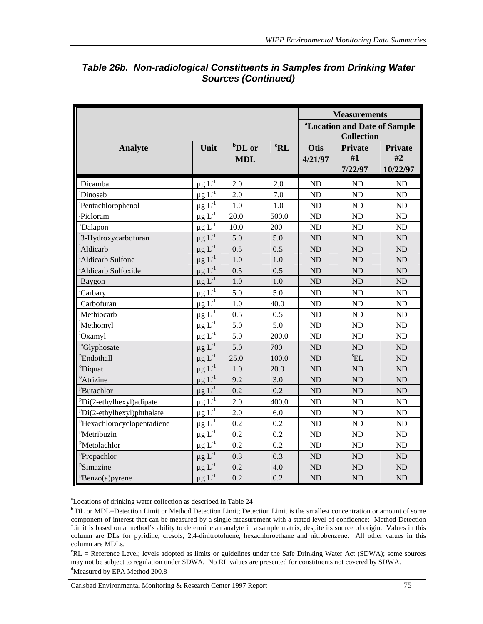|                                  |                                     |                    |                 |                   | <b>Measurements</b>                      |                |  |
|----------------------------------|-------------------------------------|--------------------|-----------------|-------------------|------------------------------------------|----------------|--|
|                                  |                                     |                    |                 |                   | <sup>a</sup> Location and Date of Sample |                |  |
|                                  |                                     |                    |                 | <b>Collection</b> |                                          |                |  |
| <b>Analyte</b>                   | Unit                                | <sup>b</sup> DL or | ${}^{\rm c}$ RL | <b>Otis</b>       | <b>Private</b>                           | <b>Private</b> |  |
|                                  |                                     | <b>MDL</b>         |                 | 4/21/97           | #1                                       | #2             |  |
|                                  |                                     |                    |                 |                   | 7/22/97                                  | 10/22/97       |  |
| <sup>j</sup> Dicamba             | $\mu$ g L <sup>-1</sup>             | 2.0                | 2.0             | ND                | ND                                       | ND             |  |
| Dinoseb                          | $\mu g \, L^{-1}$                   | 2.0                | 7.0             | ND                | ND                                       | ND             |  |
| Pentachlorophenol                | $\mu$ g L <sup>-1</sup>             | 1.0                | 1.0             | ND                | ND                                       | ND             |  |
| Picloram                         | $\mu$ g L <sup>-1</sup>             | 20.0               | 500.0           | ND                | <b>ND</b>                                | ND             |  |
| <i>k</i> Dalapon                 | $\underline{\mu}$ g L <sup>-1</sup> | 10.0               | 200             | <b>ND</b>         | ND                                       | ND             |  |
| <sup>1</sup> 3-Hydroxycarbofuran | $\mu g L^{-1}$                      | 5.0                | 5.0             | <b>ND</b>         | ND                                       | ND             |  |
| <sup>1</sup> Aldicarb            | $\mu$ g L <sup>-1</sup>             | 0.5                | 0.5             | <b>ND</b>         | ND                                       | ND             |  |
| <sup>1</sup> Aldicarb Sulfone    | $\mu$ g L <sup>-1</sup>             | 1.0                | 1.0             | ND                | ND                                       | ND             |  |
| <sup>1</sup> Aldicarb Sulfoxide  | $\mu$ g L <sup>-1</sup>             | 0.5                | 0.5             | <b>ND</b>         | ND                                       | ND             |  |
| <sup>l</sup> Baygon              | $\mu$ g L <sup>-1</sup>             | 1.0                | 1.0             | <b>ND</b>         | ND                                       | ND             |  |
| <sup>l</sup> Carbaryl            | $\mu$ g L <sup>-1</sup>             | 5.0                | 5.0             | ND                | ND                                       | ND             |  |
| <sup>l</sup> Carbofuran          | $\underline{\mu}$ g L <sup>-1</sup> | $1.0\,$            | 40.0            | ND                | ND                                       | ND             |  |
| <sup>1</sup> Methiocarb          | $\mu$ g L <sup>-1</sup>             | 0.5                | 0.5             | ND                | ND                                       | ND             |  |
| <sup>1</sup> Methomyl            | $\mu$ g L <sup>-1</sup>             | 5.0                | 5.0             | ND                | ND                                       | ND             |  |
| <sup>1</sup> Oxamyl              | $\mu$ g L <sup>-1</sup>             | 5.0                | 200.0           | ND                | ND                                       | ND             |  |
| "Glyphosate                      | $\mu$ g L <sup>-1</sup>             | 5.0                | 700             | <b>ND</b>         | ND                                       | ND             |  |
| "Endothall                       | $\mu$ g L <sup>-1</sup>             | 25.0               | 100.0           | <b>ND</b>         | ${}^sEL$                                 | ND             |  |
| <sup>o</sup> Diquat              | $\mu$ g L <sup>-1</sup>             | 1.0                | 20.0            | <b>ND</b>         | <b>ND</b>                                | ND             |  |
| <sup>o</sup> Atrizine            | $\mu$ g L <sup>-1</sup>             | 9.2                | 3.0             | <b>ND</b>         | ND                                       | ND             |  |
| <sup>P</sup> Butachlor           | $\mu$ g L <sup>-1</sup>             | 0.2                | 0.2             | <b>ND</b>         | <b>ND</b>                                | ND             |  |
| $PDi(2-ethylhexyl)$ adipate      | $\mu$ g L <sup>-1</sup>             | 2.0                | 400.0           | ND                | ND                                       | ND             |  |
| $PDi(2-ethylhexyl)$ phthalate    | $\mu$ g L <sup>-1</sup>             | 2.0                | 6.0             | ND                | ND                                       | ND             |  |
| PHexachlorocyclopentadiene       | $\mu$ g L <sup>-1</sup>             | 0.2                | 0.2             | ND                | ND                                       | ND             |  |
| PMetribuzin                      | $\mu$ g L <sup>-1</sup>             | 0.2                | 0.2             | ND                | ND                                       | ND             |  |
| <sup>P</sup> Metolachlor         | $\mu$ g L <sup>-1</sup>             | 0.2                | 0.2             | ND                | ND                                       | ND             |  |
| Propachlor                       | $\mu$ g L <sup>-1</sup>             | 0.3                | 0.3             | ND                | ND                                       | ND             |  |
| PSimazine                        | $\mu g L^{-1}$                      | 0.2                | 4.0             | <b>ND</b>         | ND                                       | ND             |  |
| $P$ Benzo(a)pyrene               | $\mu$ g L <sup>-1</sup>             | 0.2                | 0.2             | <b>ND</b>         | ND                                       | <b>ND</b>      |  |

## *Table 26b. Non-radiological Constituents in Samples from Drinking Water Sources (Continued)*

a Locations of drinking water collection as described in Table 24

<sup>b</sup> DL or MDL=Detection Limit or Method Detection Limit; Detection Limit is the smallest concentration or amount of some component of interest that can be measured by a single measurement with a stated level of confidence; Method Detection Limit is based on a method's ability to determine an analyte in a sample matrix, despite its source of origin. Values in this column are DLs for pyridine, cresols, 2,4-dinitrotoluene, hexachloroethane and nitrobenzene. All other values in this column are MDLs.

c RL = Reference Level; levels adopted as limits or guidelines under the Safe Drinking Water Act (SDWA); some sources may not be subject to regulation under SDWA. No RL values are presented for constituents not covered by SDWA. <sup>d</sup>Measured by EPA Method 200.8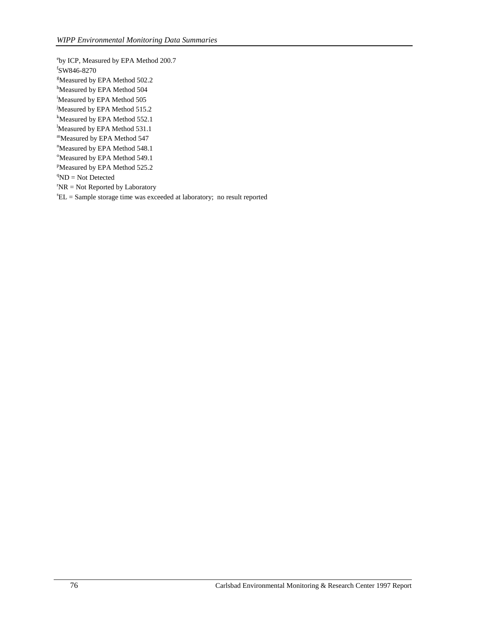e by ICP, Measured by EPA Method 200.7 f SW846-8270 <sup>g</sup>Measured by EPA Method 502.2 <sup>h</sup>Measured by EPA Method 504 i Measured by EPA Method 505 Measured by EPA Method 515.2 k Measured by EPA Method 552.1 Measured by EPA Method 531.1 mMeasured by EPA Method 547 <sup>n</sup>Measured by EPA Method 548.1 <sup>o</sup>Measured by EPA Method 549.1 <sup>P</sup>Measured by EPA Method 525.2  ${}^{q}ND = Not$  Detected  $N = Not$  Reported by Laboratory  $E =$  Sample storage time was exceeded at laboratory; no result reported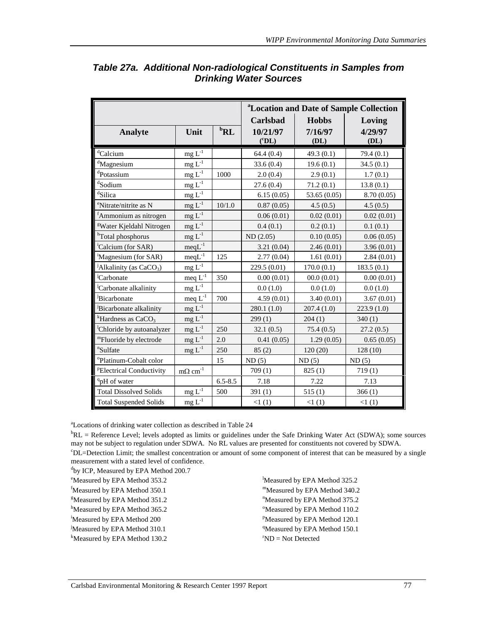|                                       |                                  |                              |                     |              | <sup>a</sup> Location and Date of Sample Collection |
|---------------------------------------|----------------------------------|------------------------------|---------------------|--------------|-----------------------------------------------------|
|                                       |                                  |                              | <b>Carlsbad</b>     | <b>Hobbs</b> | Loving                                              |
| <b>Analyte</b>                        | Unit                             | ${}^{\mathrm{b}}\mathbf{RL}$ | 10/21/97            | 7/16/97      | 4/29/97                                             |
|                                       |                                  |                              | $({}^c\mathbf{DL})$ | (DL)         | (DL)                                                |
| <sup>d</sup> Calcium                  | $mg L-1$                         |                              | 64.4(0.4)           | 49.3(0.1)    | 79.4(0.1)                                           |
| <sup>d</sup> Magnesium                | mg $\mathbf{L}^{\text{-}1}$      |                              | 33.6(0.4)           | 19.6(0.1)    | 34.5(0.1)                                           |
| <sup>d</sup> Potassium                | $mgL^{-1}$                       | 1000                         | 2.0(0.4)            | 2.9(0.1)     | 1.7(0.1)                                            |
| <sup>d</sup> Sodium                   | $\underline{mg}\, L^{\text{-}1}$ |                              | 27.6(0.4)           | 71.2(0.1)    | 13.8(0.1)                                           |
| dSilica                               | $mg L^{-1}$                      |                              | 6.15(0.05)          | 53.65 (0.05) | 8.70(0.05)                                          |
| <sup>e</sup> Nitrate/nitrite as N     | $mg L-1$                         | 10/1.0                       | 0.87(0.05)          | 4.5(0.5)     | 4.5(0.5)                                            |
| fAmmonium as nitrogen                 | $mg L^{-1}$                      |                              | 0.06(0.01)          | 0.02(0.01)   | 0.02(0.01)                                          |
| <sup>g</sup> Water Kjeldahl Nitrogen  | $mg L^{-1}$                      |                              | 0.4(0.1)            | 0.2(0.1)     | 0.1(0.1)                                            |
| <sup>h</sup> Total phosphorus         | $mg L^{-1}$                      |                              | ND (2.05)           | 0.10(0.05)   | 0.06(0.05)                                          |
| <sup>i</sup> Calcium (for SAR)        | $meqL^{-1}$                      |                              | 3.21(0.04)          | 2.46(0.01)   | 3.96(0.01)                                          |
| Magnesium (for SAR)                   | $meqL^{-1}$                      | 125                          | 2.77(0.04)          | 1.61(0.01)   | 2.84(0.01)                                          |
| <sup>J</sup> Alkalinity (as $CaCO3$ ) | mg $\mathbf{L}^{\text{-}1}$      |                              | 229.5 (0.01)        | 170.0(0.1)   | 183.5(0.1)                                          |
| <sup>j</sup> Carbonate                | meq $L^{-1}$                     | 350                          | 0.00(0.01)          | 00.0(0.01)   | 0.00(0.01)                                          |
| <sup>j</sup> Carbonate alkalinity     | mg $\mathbf{L}^{\text{-}1}$      |                              | 0.0(1.0)            | 0.0(1.0)     | 0.0(1.0)                                            |
| <sup>J</sup> Bicarbonate              | meq $L^{-1}$                     | 700                          | 4.59(0.01)          | 3.40(0.01)   | 3.67(0.01)                                          |
| Bicarbonate alkalinity                | $mg L^{-1}$                      |                              | 280.1 (1.0)         | 207.4(1.0)   | 223.9(1.0)                                          |
| <sup>k</sup> Hardness as $CaCO3$      | mg $\mathbf{L}^{\text{-}1}$      |                              | 299(1)              | 204(1)       | 340(1)                                              |
| Chloride by autoanalyzer              | $mg L^{-1}$                      | 250                          | 32.1(0.5)           | 75.4(0.5)    | 27.2(0.5)                                           |
| "Fluoride by electrode                | $mg L-1$                         | 2.0                          | 0.41(0.05)          | 1.29(0.05)   | 0.65(0.05)                                          |
| <sup>n</sup> Sulfate                  | $mg L-1$                         | 250                          | 85(2)               | 120(20)      | 128(10)                                             |
| <sup>o</sup> Platinum-Cobalt color    |                                  | 15                           | ND(5)               | ND(5)        | ND(5)                                               |
| <sup>P</sup> Electrical Conductivity  | m $\Omega$ cm <sup>-1</sup>      |                              | 709(1)              | 825(1)       | 719(1)                                              |
| <sup>q</sup> pH of water              |                                  | $6.5 - 8.5$                  | 7.18                | 7.22         | 7.13                                                |
| <b>Total Dissolved Solids</b>         | mg $\mathbf{L}^{\text{-}1}$      | 500                          | 391(1)              | 515(1)       | 366(1)                                              |
| <b>Total Suspended Solids</b>         | mg $\mathbf{L}^{\text{-}1}$      |                              | <1(1)               | <1(1)        | <1(1)                                               |

## *Table 27a. Additional Non-radiological Constituents in Samples from Drinking Water Sources*

a Locations of drinking water collection as described in Table 24

 ${}^{b}RL$  = Reference Level; levels adopted as limits or guidelines under the Safe Drinking Water Act (SDWA); some sources may not be subject to regulation under SDWA. No RL values are presented for constituents not covered by SDWA. c DL=Detection Limit; the smallest concentration or amount of some component of interest that can be measured by a single measurement with a stated level of confidence.

<sup>d</sup>by ICP, Measured by EPA Method 200.7

<sup>e</sup>Measured by EPA Method 353.2

f Measured by EPA Method 350.1

g Measured by EPA Method 351.2

<sup>h</sup>Measured by EPA Method 365.2

i Measured by EPA Method 200

<sup>j</sup>Measured by EPA Method 310.1

k Measured by EPA Method 130.2

Measured by EPA Method 325.2 mMeasured by EPA Method 340.2 <sup>n</sup>Measured by EPA Method 375.2 <sup>o</sup>Measured by EPA Method 110.2 <sup>P</sup>Measured by EPA Method 120.1 <sup>q</sup>Measured by EPA Method 150.1  $\mathrm{PND} = \mathrm{Not}$  Detected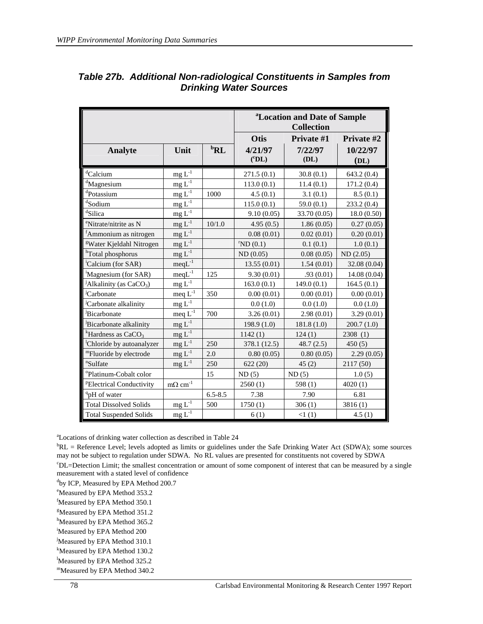|                                       |                                        |                              | <sup>a</sup> Location and Date of Sample<br><b>Collection</b> |              |              |  |  |
|---------------------------------------|----------------------------------------|------------------------------|---------------------------------------------------------------|--------------|--------------|--|--|
|                                       |                                        |                              | Otis<br>Private #2<br>Private #1                              |              |              |  |  |
| <b>Analyte</b>                        | Unit                                   | ${}^{\mathrm{b}}\mathbf{RL}$ | 4/21/97                                                       | 7/22/97      | 10/22/97     |  |  |
|                                       |                                        |                              | $({}^{\rm c}DL)$                                              | (DL)         | (DL)         |  |  |
| dCalcium                              | $\rm mg \, L^{\text{-}1}$              |                              | 271.5(0.1)                                                    | 30.8(0.1)    | 643.2(0.4)   |  |  |
| <sup>d</sup> Magnesium                | $mg L^{-1}$                            |                              | 113.0(0.1)                                                    | 11.4(0.1)    | 171.2(0.4)   |  |  |
| <sup>d</sup> Potassium                | $mg L^{-1}$                            | 1000                         | 4.5(0.1)                                                      | 3.1(0.1)     | 8.5(0.1)     |  |  |
| <sup>d</sup> Sodium                   | $mg L^{-1}$                            |                              | 115.0(0.1)                                                    | 59.0 $(0.1)$ | 233.2(0.4)   |  |  |
| dSilica                               | mg $L^{-1}$                            |                              | 9.10(0.05)                                                    | 33.70 (0.05) | 18.0(0.50)   |  |  |
| <sup>e</sup> Nitrate/nitrite as N     | $mg L^{-1}$                            | 10/1.0                       | 4.95(0.5)                                                     | 1.86(0.05)   | 0.27(0.05)   |  |  |
| <sup>f</sup> Ammonium as nitrogen     | $mg L^{-1}$                            |                              | 0.08(0.01)                                                    | 0.02(0.01)   | 0.20(0.01)   |  |  |
| <sup>g</sup> Water Kjeldahl Nitrogen  | $mg L-1$                               |                              | $\mathrm{N}\mathrm{D}(0.1)$                                   | 0.1(0.1)     | 1.0(0.1)     |  |  |
| <sup>h</sup> Total phosphorus         | $mg L^{-1}$                            |                              | ND(0.05)                                                      | 0.08(0.05)   | ND(2.05)     |  |  |
| 'Calcium (for SAR)                    | $meqL^{-1}$                            |                              | 13.55(0.01)                                                   | 1.54(0.01)   | 32.08 (0.04) |  |  |
| Magnesium (for SAR)                   | $meqL^{-1}$                            | 125                          | 9.30(0.01)                                                    | .93(0.01)    | 14.08 (0.04) |  |  |
| <sup>J</sup> Alkalinity (as $CaCO3$ ) | $\underline{mg}\, L^{\text{-}1}$       |                              | 163.0(0.1)                                                    | 149.0(0.1)   | 164.5(0.1)   |  |  |
| <sup>J</sup> Carbonate                | $\text{meq } L^{-1}$                   | 350                          | 0.00(0.01)                                                    | 0.00(0.01)   | 0.00(0.01)   |  |  |
| Carbonate alkalinity                  | $mg L-1$                               |                              | 0.0(1.0)                                                      | 0.0(1.0)     | 0.0(1.0)     |  |  |
| <sup>J</sup> Bicarbonate              | meq $L^{-1}$                           | 700                          | 3.26(0.01)                                                    | 2.98(0.01)   | 3.29(0.01)   |  |  |
| Bicarbonate alkalinity                | $mg L-1$                               |                              | 198.9 (1.0)                                                   | 181.8(1.0)   | 200.7(1.0)   |  |  |
| <sup>k</sup> Hardness as $CaCO3$      | $mg L-1$                               |                              | 1142(1)                                                       | 124(1)       | 2308(1)      |  |  |
| Chloride by autoanalyzer              | $mg L^{-1}$                            | 250                          | 378.1 (12.5)                                                  | 48.7(2.5)    | 450(5)       |  |  |
| "Fluoride by electrode                | $mg L^{-1}$                            | 2.0                          | 0.80(0.05)                                                    | 0.80(0.05)   | 2.29(0.05)   |  |  |
| "Sulfate                              | $mg L-1$                               | 250                          | 622(20)                                                       | 45(2)        | 2117(50)     |  |  |
| <sup>o</sup> Platinum-Cobalt color    |                                        | 15                           | ND(5)                                                         | ND(5)        | 1.0(5)       |  |  |
| <sup>P</sup> Electrical Conductivity  | $\underline{m}\Omega$ cm <sup>-1</sup> |                              | 2560(1)                                                       | 598 $(1)$    | 4020(1)      |  |  |
| <sup>q</sup> pH of water              |                                        | $6.5 - 8.5$                  | 7.38                                                          | 7.90         | 6.81         |  |  |
| <b>Total Dissolved Solids</b>         | $mg L^{-1}$                            | 500                          | 1750(1)                                                       | 306(1)       | 3816(1)      |  |  |
| <b>Total Suspended Solids</b>         | mg $\mathbf{L}^{\text{-}1}$            |                              | 6(1)                                                          | <1(1)        | 4.5(1)       |  |  |

### *Table 27b. Additional Non-radiological Constituents in Samples from Drinking Water Sources*

a Locations of drinking water collection as described in Table 24

<sup>b</sup>RL = Reference Level; levels adopted as limits or guidelines under the Safe Drinking Water Act (SDWA); some sources may not be subject to regulation under SDWA. No RL values are presented for constituents not covered by SDWA c DL=Detection Limit; the smallest concentration or amount of some component of interest that can be measured by a single measurement with a stated level of confidence

<sup>d</sup>by ICP, Measured by EPA Method 200.7

<sup>e</sup>Measured by EPA Method 353.2

f Measured by EPA Method 350.1

<sup>g</sup>Measured by EPA Method 351.2

<sup>h</sup>Measured by EPA Method 365.2

i Measured by EPA Method 200

<sup>j</sup>Measured by EPA Method 310.1

k Measured by EPA Method 130.2

Measured by EPA Method 325.2

mMeasured by EPA Method 340.2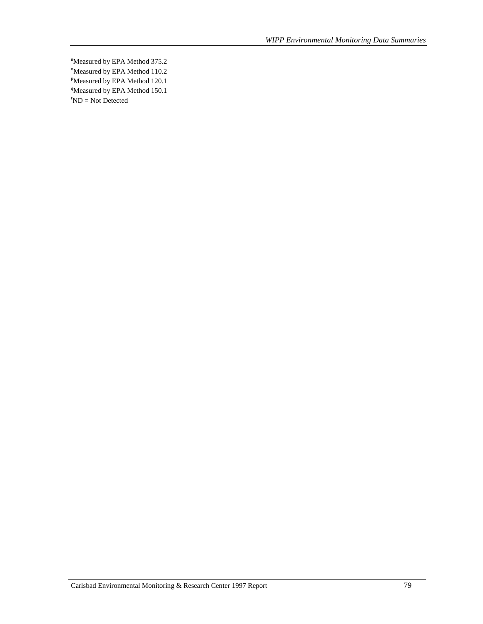*WIPP Environmental Monitoring Data Summaries* 

<sup>n</sup>Measured by EPA Method 375.2 <sup>o</sup>Measured by EPA Method 110.2 <sup>p</sup>Measured by EPA Method 120.1 <sup>q</sup>Measured by EPA Method 150.1  $\mathrm{PND} = \mathrm{Not}$  Detected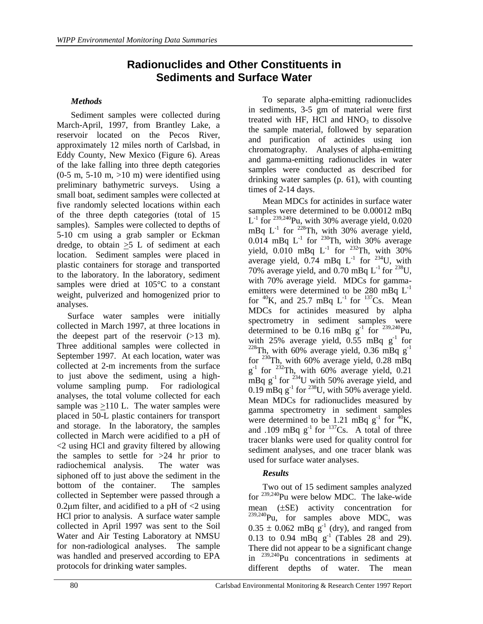## **Radionuclides and Other Constituents in Sediments and Surface Water**

#### *Methods*

Sediment samples were collected during March-April, 1997, from Brantley Lake, a reservoir located on the Pecos River, approximately 12 miles north of Carlsbad, in Eddy County, New Mexico (Figure 6). Areas of the lake falling into three depth categories  $(0-5 \text{ m}, 5-10 \text{ m}, >10 \text{ m})$  were identified using preliminary bathymetric surveys. Using a small boat, sediment samples were collected at five randomly selected locations within each of the three depth categories (total of 15 samples). Samples were collected to depths of 5-10 cm using a grab sampler or Eckman dredge, to obtain >5 L of sediment at each location. Sediment samples were placed in plastic containers for storage and transported to the laboratory. In the laboratory, sediment samples were dried at 105°C to a constant weight, pulverized and homogenized prior to analyses.

Surface water samples were initially collected in March 1997, at three locations in the deepest part of the reservoir  $(>13 \text{ m})$ . Three additional samples were collected in September 1997. At each location, water was collected at 2-m increments from the surface to just above the sediment, using a highvolume sampling pump. For radiological analyses, the total volume collected for each sample was >110 L. The water samples were placed in 50-L plastic containers for transport and storage. In the laboratory, the samples collected in March were acidified to a pH of <2 using HCl and gravity filtered by allowing the samples to settle for  $>24$  hr prior to radiochemical analysis. The water was siphoned off to just above the sediment in the bottom of the container. The samples collected in September were passed through a 0.2 $\mu$ m filter, and acidified to a pH of <2 using HCl prior to analysis. A surface water sample collected in April 1997 was sent to the Soil Water and Air Testing Laboratory at NMSU for non-radiological analyses. The sample was handled and preserved according to EPA protocols for drinking water samples.

To separate alpha-emitting radionuclides in sediments, 3-5 gm of material were first treated with HF, HCl and  $HNO<sub>3</sub>$  to dissolve the sample material, followed by separation and purification of actinides using ion chromatography. Analyses of alpha-emitting and gamma-emitting radionuclides in water samples were conducted as described for drinking water samples (p. 61), with counting times of 2-14 days.

Mean MDCs for actinides in surface water samples were determined to be 0.00012 mBq  $L^{-1}$  for <sup>239,240</sup>Pu, with 30% average yield, 0.020 mBq  $L^{-1}$  for  $228$ Th, with 30% average yield,  $0.014$  mBq L<sup>-1</sup> for <sup>230</sup>Th, with 30% average yield,  $0.010$  mBq  $L^{-1}$  for <sup>232</sup>Th, with 30% average yield,  $0.\overline{7}4$  mBq L<sup>-1</sup> for <sup>234</sup>U, with 70% average yield, and  $0.70$  mBq  $L^{-1}$  for <sup>238</sup>U, with 70% average yield. MDCs for gammaemitters were determined to be 280 mBq  $L^{-1}$ for  ${}^{40}$ K, and 25.7 mBq L<sup>-1</sup> for  ${}^{137}$ Cs. Mean MDCs for actinides measured by alpha spectrometry in sediment samples were determined to be 0.16 mBq  $g^{-1}$  for <sup>239,240</sup>Pu, with 25% average yield,  $0.55$  mBq g<sup>-1</sup> for <sup>228</sup>Th, with 60% average yield, 0.36 mBq  $g^{-1}$ for  $^{230}$ Th, with 60% average yield, 0.28 mBq  $g^{-1}$  for <sup>232</sup>Th, with 60% average yield, 0.21 mBq  $g^{-1}$  for <sup>234</sup>U with 50% average yield, and 0.19 mBq  $g^{-1}$  for <sup>238</sup>U, with 50% average yield. Mean MDCs for radionuclides measured by gamma spectrometry in sediment samples were determined to be 1.21 mBq  $g^{-1}$  for  ${}^{40}$ K, and .109 mBq  $g^{-1}$  for  $137$ Cs. A total of three tracer blanks were used for quality control for sediment analyses, and one tracer blank was used for surface water analyses.

#### *Results*

Two out of 15 sediment samples analyzed for 239,240Pu were below MDC. The lake-wide mean (±SE) activity concentration for <sup>239,240</sup>Pu, for samples above MDC, was  $0.35 \pm 0.062$  mBq g<sup>-1</sup> (dry), and ranged from 0.13 to 0.94 mBq  $g^{-1}$  (Tables 28 and 29). There did not appear to be a significant change in  $239,240$ Pu concentrations in sediments at different depths of water. The mean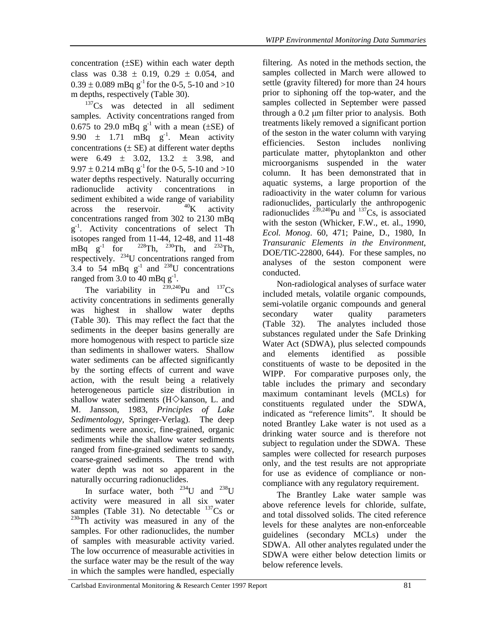concentration (±SE) within each water depth class was  $0.38 \pm 0.19$ ,  $0.29 \pm 0.054$ , and  $0.39 \pm 0.089$  mBq g<sup>-1</sup> for the 0-5, 5-10 and >10 m depths, respectively (Table 30).

<sup>137</sup>Cs was detected in all sediment samples. Activity concentrations ranged from 0.675 to 29.0 mBq  $g^{-1}$  with a mean ( $\pm$ SE) of 9.90  $\pm$  1.71 mBq  $g^{-1}$ . Mean activity concentrations  $(\pm \text{ SE})$  at different water depths were  $6.49 \pm 3.02$ ,  $13.2 \pm 3.98$ , and  $9.97 \pm 0.214$  mBq g<sup>-1</sup> for the 0-5, 5-10 and >10 water depths respectively. Naturally occurring radionuclide activity concentrations in sediment exhibited a wide range of variability across the reservoir.  $^{40}$ K activity concentrations ranged from 302 to 2130 mBq  $g^{-1}$ . Activity concentrations of select Th isotopes ranged from 11-44, 12-48, and 11-48<br>mBq  $g^{-1}$  for <sup>228</sup>Th, <sup>230</sup>Th, and <sup>232</sup>Th,  $2^{228}Th$ ,  $2^{30}Th$ , and  $2^{32}Th$ , respectively. 234U concentrations ranged from 3.4 to 54 mBq  $g^{-1}$  and <sup>238</sup>U concentrations ranged from  $3.0 \text{ to } 40 \text{ mBq g}^{-1}$ .

The variability in  $^{239,240}$ Pu and  $^{137}$ Cs activity concentrations in sediments generally was highest in shallow water depths (Table 30). This may reflect the fact that the sediments in the deeper basins generally are more homogenous with respect to particle size than sediments in shallower waters. Shallow water sediments can be affected significantly by the sorting effects of current and wave action, with the result being a relatively heterogeneous particle size distribution in shallow water sediments ( $H \diamondsuit$ kanson, L. and M. Jansson, 1983, *Principles of Lake Sedimentology,* Springer-Verlag)*.* The deep sediments were anoxic, fine-grained, organic sediments while the shallow water sediments ranged from fine-grained sediments to sandy, coarse-grained sediments. The trend with water depth was not so apparent in the naturally occurring radionuclides.

In surface water, both  $^{234}$ U and  $^{238}$ U activity were measured in all six water samples (Table 31). No detectable  $^{137}Cs$  or <sup>230</sup>Th activity was measured in any of the samples. For other radionuclides, the number of samples with measurable activity varied. The low occurrence of measurable activities in the surface water may be the result of the way in which the samples were handled, especially

filtering. As noted in the methods section, the samples collected in March were allowed to settle (gravity filtered) for more than 24 hours prior to siphoning off the top-water, and the samples collected in September were passed through a 0.2 µm filter prior to analysis. Both treatments likely removed a significant portion of the seston in the water column with varying efficiencies. Seston includes nonliving particulate matter, phytoplankton and other microorganisms suspended in the water column. It has been demonstrated that in aquatic systems, a large proportion of the radioactivity in the water column for various radionuclides, particularly the anthropogenic radionuclides  $^{239,240}$ Pu and  $^{137}$ Cs, is associated with the seston (Whicker, F.W., et. al., 1990, *Ecol. Monog*. 60, 471; Paine, D., 1980, In *Transuranic Elements in the Environment*, DOE/TIC-22800, 644). For these samples, no analyses of the seston component were conducted.

Non-radiological analyses of surface water included metals, volatile organic compounds, semi-volatile organic compounds and general secondary water quality parameters (Table 32). The analytes included those substances regulated under the Safe Drinking Water Act (SDWA), plus selected compounds and elements identified as possible constituents of waste to be deposited in the WIPP. For comparative purposes only, the table includes the primary and secondary maximum contaminant levels (MCLs) for constituents regulated under the SDWA, indicated as "reference limits". It should be noted Brantley Lake water is not used as a drinking water source and is therefore not subject to regulation under the SDWA. These samples were collected for research purposes only, and the test results are not appropriate for use as evidence of compliance or noncompliance with any regulatory requirement.

The Brantley Lake water sample was above reference levels for chloride, sulfate, and total dissolved solids. The cited reference levels for these analytes are non-enforceable guidelines (secondary MCLs) under the SDWA. All other analytes regulated under the SDWA were either below detection limits or below reference levels.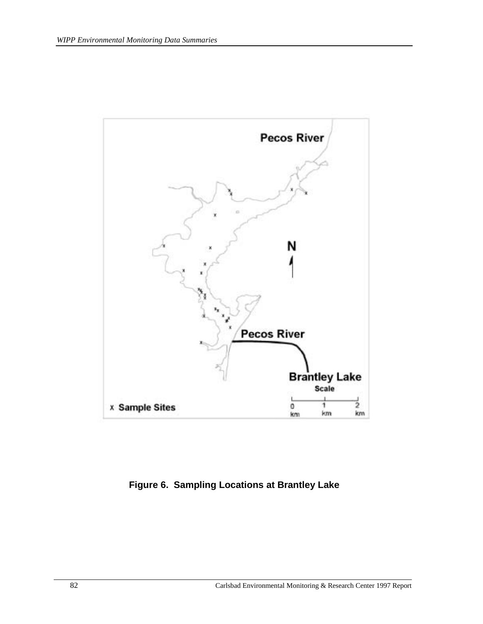

**Figure 6. Sampling Locations at Brantley Lake**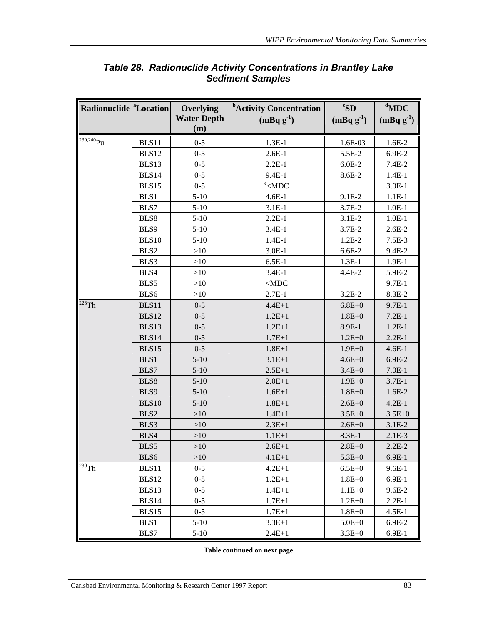| Radionuclide <sup>a</sup> Location |              | Overlying          | <sup>b</sup> Activity Concentration                                 | ${}^cS$ D   | $d$ MDC       |
|------------------------------------|--------------|--------------------|---------------------------------------------------------------------|-------------|---------------|
|                                    |              | <b>Water Depth</b> | $(mBq g-1)$                                                         | $(mBq g-1)$ | $(mBqg^{-1})$ |
|                                    |              | (m)                |                                                                     |             |               |
| $239,240$ Pu                       | BLS11        | $0 - 5$            | $1.3E-1$                                                            | 1.6E-03     | $1.6E-2$      |
|                                    | BLS12        | $0 - 5$            | $2.6E-1$                                                            | 5.5E-2      | 6.9E-2        |
|                                    | BLS13        | $0 - 5$            | $2.2E-1$                                                            | $6.0E-2$    | $7.4E-2$      |
|                                    | BLS14        | $0 - 5$            | 9.4E-1                                                              | 8.6E-2      | $1.4E-1$      |
|                                    | BLS15        | $0 - 5$            | $\text{e}$ <mdc< td=""><td></td><td><math>3.0E-1</math></td></mdc<> |             | $3.0E-1$      |
|                                    | BLS1         | $5-10$             | $4.6E-1$                                                            | 9.1E-2      | $1.1E-1$      |
|                                    | BLS7         | $5-10$             | $3.1E-1$                                                            | 3.7E-2      | $1.0E-1$      |
|                                    | BLS8         | $5-10$             | $2.2E-1$                                                            | $3.1E-2$    | $1.0E-1$      |
|                                    | BLS9         | $5-10$             | $3.4E-1$                                                            | 3.7E-2      | $2.6E-2$      |
|                                    | <b>BLS10</b> | $5 - 10$           | $1.4E-1$                                                            | $1.2E-2$    | $7.5E-3$      |
|                                    | BLS2         | >10                | $3.0E-1$                                                            | $6.6E-2$    | 9.4E-2        |
|                                    | BLS3         | >10                | $6.5E-1$                                                            | $1.3E-1$    | $1.9E-1$      |
|                                    | BLS4         | >10                | $3.4E-1$                                                            | 4.4E-2      | 5.9E-2        |
|                                    | BLS5         | >10                | $<$ MDC                                                             |             | $9.7E-1$      |
|                                    | BLS6         | >10                | $2.7E-1$                                                            | $3.2E-2$    | 8.3E-2        |
| $228$ Th                           | BLS11        | $0 - 5$            | $4.4E + 1$                                                          | $6.8E + 0$  | $9.7E-1$      |
|                                    | BLS12        | $0 - 5$            | $1.2E + 1$                                                          | $1.8E + 0$  | $7.2E-1$      |
|                                    | BLS13        | $0 - 5$            | $1.2E + 1$                                                          | 8.9E-1      | $1.2E-1$      |
|                                    | BLS14        | $0 - 5$            | $1.7E + 1$                                                          | $1.2E + 0$  | $2.2E-1$      |
|                                    | BLS15        | $0 - 5$            | $1.8E + 1$                                                          | $1.9E + 0$  | $4.6E-1$      |
|                                    | BLS1         | $5 - 10$           | $3.1E + 1$                                                          | $4.6E + 0$  | 6.9E-2        |
|                                    | BLS7         | $5 - 10$           | $2.5E + 1$                                                          | $3.4E + 0$  | $7.0E-1$      |
|                                    | BLS8         | $5 - 10$           | $2.0E+1$                                                            | $1.9E + 0$  | $3.7E-1$      |
|                                    | BLS9         | $5 - 10$           | $1.6E + 1$                                                          | $1.8E + 0$  | $1.6E-2$      |
|                                    | <b>BLS10</b> | $5-10$             | $1.8E + 1$                                                          | $2.6E + 0$  | $4.2E-1$      |
|                                    | BLS2         | >10                | $1.4E + 1$                                                          | $3.5E + 0$  | $3.5E + 0$    |
|                                    | BLS3         | $>10$              | $2.3E+1$                                                            | $2.6E + 0$  | $3.1E-2$      |
|                                    | BLS4         | $>10$              | $1.1E + 1$                                                          | 8.3E-1      | $2.1E-3$      |
|                                    | BLS5         | >10                | $2.6E+1$                                                            | $2.8E + 0$  | $2.2E-2$      |
|                                    | BLS6         | ${>}10$            | $4.1E + 1$                                                          | $5.3E + 0$  | $6.9E-1$      |
| $230$ Th                           | BLS11        | $0 - 5$            | $4.2E+1$                                                            | $6.5E + 0$  | $9.6E-1$      |
|                                    | BLS12        | $0 - 5$            | $1.2E + 1$                                                          | $1.8E + 0$  | $6.9E-1$      |
|                                    | BLS13        | $0 - 5$            | $1.4E + 1$                                                          | $1.1E + 0$  | $9.6E-2$      |
|                                    | BLS14        | $0 - 5$            | $1.7E + 1$                                                          | $1.2E + 0$  | $2.2E-1$      |
|                                    | BLS15        | $0 - 5$            | $1.7E + 1$                                                          | $1.8E + 0$  | $4.5E-1$      |
|                                    | BLS1         | $5-10$             | $3.3E+1$                                                            | $5.0E + 0$  | 6.9E-2        |
|                                    | BLS7         | $5-10$             | $2.4E+1$                                                            | $3.3E + 0$  | $6.9E-1$      |

## *Table 28. Radionuclide Activity Concentrations in Brantley Lake Sediment Samples*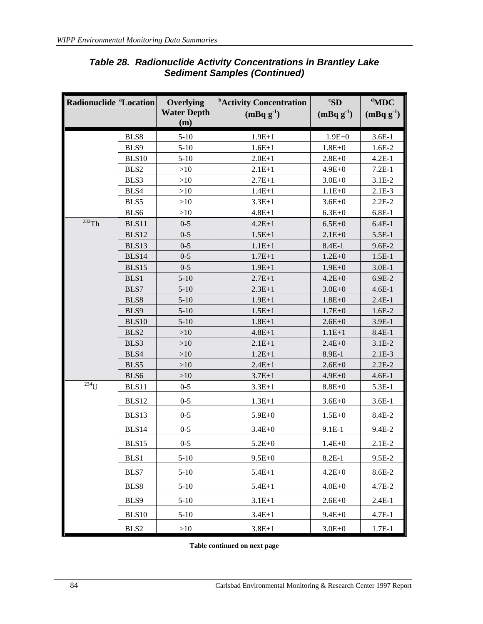| Radionuclide <sup>a</sup> Location |              | Overlying<br><b>Water Depth</b><br>(m) | <sup>b</sup> Activity Concentration<br>$(mBq g-1)$ | ${}^c$ SD<br>$(mBq g-1)$ | $d$ MDC<br>$(mBq g-1)$ |
|------------------------------------|--------------|----------------------------------------|----------------------------------------------------|--------------------------|------------------------|
|                                    | BLS8         | $5-10$                                 | $1.9E + 1$                                         | $1.9E + 0$               | $3.6E-1$               |
|                                    | BLS9         | $5-10$                                 | $1.6E + 1$                                         | $1.8E + 0$               | $1.6E-2$               |
|                                    | <b>BLS10</b> | $5 - 10$                               | $2.0E + 1$                                         | $2.8E + 0$               | $4.2E-1$               |
|                                    | BLS2         | $>10$                                  | $2.1E+1$                                           | $4.9E + 0$               | $7.2E-1$               |
|                                    | BLS3         | $>10$                                  | $2.7E+1$                                           | $3.0E + 0$               | $3.1E-2$               |
|                                    | BLS4         | $>10$                                  | $1.4E + 1$                                         | $1.1E + 0$               | $2.1E-3$               |
|                                    | BLS5         | >10                                    | $3.3E + 1$                                         | $3.6E + 0$               | $2.2E-2$               |
|                                    | BLS6         | $>10$                                  | $4.8E + 1$                                         | $6.3E + 0$               | $6.8E-1$               |
| $232$ Th                           | BLS11        | $0 - 5$                                | $4.2E + 1$                                         | $6.5E + 0$               | $6.4E-1$               |
|                                    | <b>BLS12</b> | $0 - 5$                                | $1.5E + 1$                                         | $2.1E + 0$               | 5.5E-1                 |
|                                    | BLS13        | $0 - 5$                                | $1.1E + 1$                                         | $8.4E-1$                 | $9.6E - 2$             |
|                                    | BLS14        | $0 - 5$                                | $1.7E + 1$                                         | $1.2E + 0$               | $1.5E-1$               |
|                                    | BLS15        | $0 - 5$                                | $1.9E + 1$                                         | $1.9E + 0$               | $3.0E-1$               |
|                                    | BLS1         | $5 - 10$                               | $2.7E+1$                                           | $4.2E + 0$               | 6.9E-2                 |
|                                    | BLS7         | $5 - 10$                               | $2.3E+1$                                           | $3.0E + 0$               | $4.6E-1$               |
|                                    | BLS8         | $5 - 10$                               | $1.9E + 1$                                         | $1.8E + 0$               | $2.4E-1$               |
|                                    | BLS9         | $5 - 10$                               | $1.5E + 1$                                         | $1.7E + 0$               | $1.6E-2$               |
|                                    | <b>BLS10</b> | $5 - 10$                               | $1.8E + 1$                                         | $2.6E + 0$               | 3.9E-1                 |
|                                    | BLS2         | $>10$                                  | $4.8E + 1$                                         | $1.1E + 1$               | $8.4E-1$               |
|                                    | BLS3         | $>10$                                  | $2.1E+1$                                           | $2.4E + 0$               | $3.1E-2$               |
|                                    | BLS4         | >10                                    | $1.2E + 1$                                         | 8.9E-1                   | $2.1E-3$               |
|                                    | BLS5         | >10                                    | $2.4E + 1$                                         | $2.6E + 0$               | $2.2E-2$               |
|                                    | BLS6         | $>10$                                  | $3.7E + 1$                                         | $4.9E + 0$               | $4.6E-1$               |
| $\overline{^{234}}$ U              | BLS11        | $0 - 5$                                | $3.3E + 1$                                         | $8.8E + 0$               | 5.3E-1                 |
|                                    | BLS12        | $0 - 5$                                | $1.3E + 1$                                         | $3.6E + 0$               | $3.6E-1$               |
|                                    | BLS13        | $0 - 5$                                | $5.9E + 0$                                         | $1.5E + 0$               | 8.4E-2                 |
|                                    | BLS14        | $0 - 5$                                | $3.4E + 0$                                         | $9.1E-1$                 | 9.4E-2                 |
|                                    | BLS15        | $0 - 5$                                | $5.2E + 0$                                         | $1.4E + 0$               | $2.1E-2$               |
|                                    | BLS1         | $5-10$                                 | $9.5E + 0$                                         | $8.2E-1$                 | $9.5E-2$               |
|                                    | BLS7         | $5 - 10$                               | $5.4E + 1$                                         | $4.2E + 0$               | 8.6E-2                 |
|                                    | BLS8         | $5-10$                                 | $5.4E + 1$                                         | $4.0E + 0$               | 4.7E-2                 |
|                                    | BLS9         | $5 - 10$                               | $3.1E + 1$                                         | $2.6E + 0$               | $2.4E-1$               |
|                                    | BLS10        | $5-10$                                 | $3.4E + 1$                                         | $9.4E + 0$               | $4.7E-1$               |
|                                    | BLS2         | >10                                    | $3.8E + 1$                                         | $3.0E + 0$               | $1.7E-1$               |

## *Table 28. Radionuclide Activity Concentrations in Brantley Lake Sediment Samples (Continued)*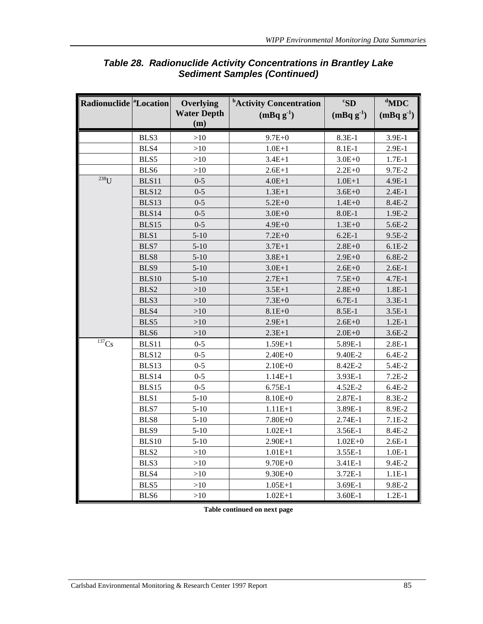| Radionuclide <sup>a</sup> Location |              | Overlying<br><b>Water Depth</b><br>(m) | <sup>b</sup> Activity Concentration<br>$(mBq g^{-1})$ | ${}^c$ SD<br>$(mBq g-1)$ | $d$ MDC<br>$(mBq g-1)$ |
|------------------------------------|--------------|----------------------------------------|-------------------------------------------------------|--------------------------|------------------------|
|                                    | BLS3         | >10                                    | $9.7E + 0$                                            | 8.3E-1                   | 3.9E-1                 |
|                                    | BLS4         | >10                                    | $1.0E + 1$                                            | $8.1E-1$                 | $2.9E-1$               |
|                                    | BLS5         | >10                                    | $3.4E + 1$                                            | $3.0E + 0$               | $1.7E-1$               |
|                                    | BLS6         | >10                                    | $2.6E + 1$                                            | $2.2E + 0$               | 9.7E-2                 |
| $238$ U                            | BLS11        | $0 - 5$                                | $4.0E + 1$                                            | $1.0E + 1$               | $4.9E-1$               |
|                                    | <b>BLS12</b> | $0 - 5$                                | $1.3E+1$                                              | $3.6E + 0$               | $2.4E-1$               |
|                                    | BLS13        | $0 - 5$                                | $5.2E + 0$                                            | $1.4E + 0$               | 8.4E-2                 |
|                                    | BLS14        | $0 - 5$                                | $3.0E + 0$                                            | $8.0E-1$                 | 1.9E-2                 |
|                                    | BLS15        | $0 - 5$                                | $4.9E + 0$                                            | $1.3E + 0$               | 5.6E-2                 |
|                                    | BLS1         | $5 - 10$                               | $7.2E + 0$                                            | $6.2E-1$                 | $9.5E-2$               |
|                                    | BLS7         | $5 - 10$                               | $3.7E + 1$                                            | $2.8E + 0$               | $6.1E-2$               |
|                                    | BLS8         | $5 - 10$                               | $3.8E + 1$                                            | $2.9E + 0$               | 6.8E-2                 |
|                                    | BLS9         | $5 - 10$                               | $3.0E + 1$                                            | $2.6E + 0$               | $2.6E-1$               |
|                                    | <b>BLS10</b> | $5 - 10$                               | $2.7E + 1$                                            | $7.5E + 0$               | $4.7E-1$               |
|                                    | BLS2         | >10                                    | $3.5E + 1$                                            | $2.8E + 0$               | $1.8E-1$               |
|                                    | BLS3         | >10                                    | $7.3E + 0$                                            | $6.7E-1$                 | $3.3E-1$               |
|                                    | BLS4         | >10                                    | $8.1E + 0$                                            | 8.5E-1                   | $3.5E-1$               |
|                                    | BLS5         | >10                                    | $2.9E + 1$                                            | $2.6E + 0$               | $1.2E-1$               |
|                                    | BLS6         | >10                                    | $2.3E+1$                                              | $2.0E + 0$               | $3.6E-2$               |
| $\overline{\overline{137}}$ Cs     | BLS11        | $0 - 5$                                | $1.59E+1$                                             | 5.89E-1                  | $2.8E-1$               |
|                                    | BLS12        | $0 - 5$                                | $2.40E + 0$                                           | 9.40E-2                  | $6.4E-2$               |
|                                    | BLS13        | $0 - 5$                                | $2.10E + 0$                                           | 8.42E-2                  | 5.4E-2                 |
|                                    | BLS14        | $0 - 5$                                | $1.14E + 1$                                           | 3.93E-1                  | $7.2E-2$               |
|                                    | BLS15        | $0 - 5$                                | 6.75E-1                                               | 4.52E-2                  | $6.4E-2$               |
|                                    | BLS1         | $5-10$                                 | $8.10E + 0$                                           | 2.87E-1                  | 8.3E-2                 |
|                                    | BLS7         | $5 - 10$                               | $1.11E + 1$                                           | 3.89E-1                  | 8.9E-2                 |
|                                    | BLS8         | $5 - 10$                               | $7.80E + 0$                                           | 2.74E-1                  | $7.1E-2$               |
|                                    | BLS9         | $5 - 10$                               | $1.02E + 1$                                           | 3.56E-1                  | 8.4E-2                 |
|                                    | <b>BLS10</b> | $5 - 10$                               | $2.90E+1$                                             | $1.02E + 0$              | $2.6E-1$               |
|                                    | BLS2         | $>10$                                  | $1.01E + 1$                                           | 3.55E-1                  | $1.0E-1$               |
|                                    | BLS3         | $>10$                                  | $9.70E + 0$                                           | 3.41E-1                  | 9.4E-2                 |
|                                    | BLS4         | $>10$                                  | $9.30E + 0$                                           | 3.72E-1                  | $1.1E-1$               |
|                                    | BLS5         | $>10$                                  | $1.05E + 1$                                           | 3.69E-1                  | 9.8E-2                 |
|                                    | BLS6         | $>10$                                  | $1.02E + 1$                                           | 3.60E-1                  | $1.2E-1$               |

## *Table 28. Radionuclide Activity Concentrations in Brantley Lake Sediment Samples (Continued)*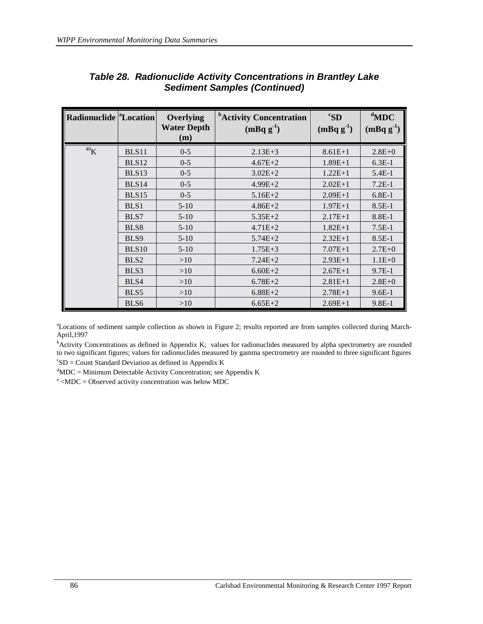| Radionuclide <sup>a</sup> Location |                  | Overlying<br><b>Water Depth</b><br>(m) | <sup>b</sup> Activity Concentration<br>$(mBq g-1)$ | ${}^cS$ D<br>$(mBqg^{-1})$ | $d$ MDC<br>$(mBqg^{-1})$ |
|------------------------------------|------------------|----------------------------------------|----------------------------------------------------|----------------------------|--------------------------|
| ${}^{40}\mathrm{K}$                | BLS11            | $0 - 5$                                | $2.13E + 3$                                        | $8.61E+1$                  | $2.8E + 0$               |
|                                    | <b>BLS12</b>     | $0 - 5$                                | $4.67E + 2$                                        | $1.89E+1$                  | $6.3E-1$                 |
|                                    | BLS13            | $0 - 5$                                | $3.02E + 2$                                        | $1.22E+1$                  | $5.4E-1$                 |
|                                    | BLS14            | $0 - 5$                                | $4.99E + 2$                                        | $2.02E+1$                  | $7.2E-1$                 |
|                                    | BLS15            | $0 - 5$                                | $5.16E + 2$                                        | $2.09E+1$                  | $6.8E-1$                 |
|                                    | BLS1             | $5-10$                                 | $4.86E + 2$                                        | $1.97E+1$                  | $8.5E-1$                 |
|                                    | BLS7             | $5-10$                                 | $5.35E+2$                                          | $2.17E+1$                  | $8.8E-1$                 |
|                                    | BLS8             | $5-10$                                 | $4.71E + 2$                                        | $1.82E+1$                  | $7.5E-1$                 |
|                                    | BLS9             | $5-10$                                 | $5.74E + 2$                                        | $2.32E+1$                  | $8.5E-1$                 |
|                                    | BLS10            | $5-10$                                 | $1.75E + 3$                                        | $7.07E+1$                  | $2.7E+0$                 |
|                                    | BLS <sub>2</sub> | >10                                    | $7.24E + 2$                                        | $2.93E+1$                  | $1.1E + 0$               |
|                                    | BLS3             | >10                                    | $6.60E + 2$                                        | $2.67E+1$                  | $9.7E-1$                 |
|                                    | BLS4             | >10                                    | $6.78E + 2$                                        | $2.81E+1$                  | $2.8E + 0$               |
|                                    | BLS5             | >10                                    | $6.88E + 2$                                        | $2.78E+1$                  | $9.6E-1$                 |
|                                    | BLS <sub>6</sub> | >10                                    | $6.65E+2$                                          | $2.69E+1$                  | $9.8E-1$                 |

#### *Table 28. Radionuclide Activity Concentrations in Brantley Lake Sediment Samples (Continued)*

a Locations of sediment sample collection as shown in Figure 2; results reported are from samples collected during March-April,1997

<sup>b</sup>Activity Concentrations as defined in Appendix K; values for radionuclides measured by alpha spectrometry are rounded to two significant figures; values for radionuclides measured by gamma spectrometry are rounded to three significant figures  $c<sub>SD</sub> =$  Count Standard Deviation as defined in Appendix K

 ${}^{d}$ MDC = Minimum Detectable Activity Concentration; see Appendix K

 $e$  <MDC = Observed activity concentration was below MDC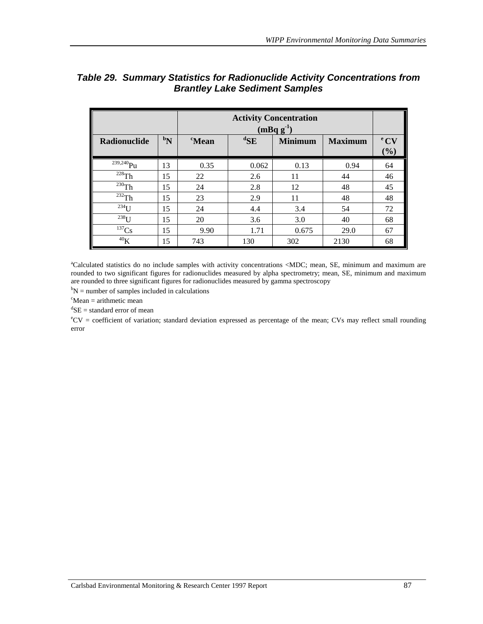|                     |                | <b>Activity Concentration</b><br>$(mBqg-1)$ |                                                      |       |      |    |  |  |  |
|---------------------|----------------|---------------------------------------------|------------------------------------------------------|-------|------|----|--|--|--|
| Radionuclide        | $\mathbf{b_N}$ | <i>c</i> Mean                               | ${}^{\rm d}\!SE$<br><b>Minimum</b><br><b>Maximum</b> |       |      |    |  |  |  |
| $239,240$ Pu        | 13             | 0.35                                        | 0.062                                                | 0.13  | 0.94 | 64 |  |  |  |
| $228$ Th            | 15             | 22                                          | 2.6                                                  | 11    | 44   | 46 |  |  |  |
| $^{230}$ Th         | 15             | 24                                          | 2.8                                                  | 12    | 48   | 45 |  |  |  |
| $^{232}$ Th         | 15             | 23                                          | 2.9                                                  | 11    | 48   | 48 |  |  |  |
| $234$ U             | 15             | 24                                          | 4.4                                                  | 3.4   | 54   | 72 |  |  |  |
| $^{238}$ U          | 15             | 20                                          | 3.6                                                  | 3.0   | 40   | 68 |  |  |  |
| $137$ Cs            | 15             | 9.90                                        | 1.71                                                 | 0.675 | 29.0 | 67 |  |  |  |
| ${}^{40}\mathrm{K}$ | 15             | 743                                         | 130                                                  | 302   | 2130 | 68 |  |  |  |

#### *Table 29. Summary Statistics for Radionuclide Activity Concentrations from Brantley Lake Sediment Samples*

a Calculated statistics do no include samples with activity concentrations <MDC; mean, SE, minimum and maximum are rounded to two significant figures for radionuclides measured by alpha spectrometry; mean, SE, minimum and maximum are rounded to three significant figures for radionuclides measured by gamma spectroscopy

 $b_N$  = number of samples included in calculations

 $c<sup>c</sup>$ Mean = arithmetic mean

 ${}^d$ SE = standard error of mean

e CV = coefficient of variation; standard deviation expressed as percentage of the mean; CVs may reflect small rounding error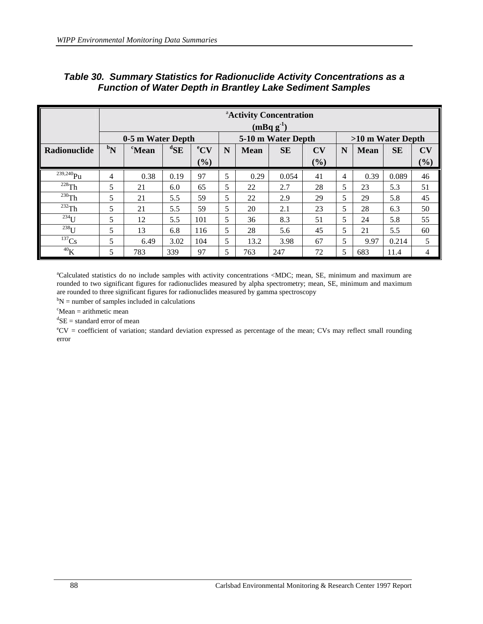|                        |                  | <sup>a</sup> Activity Concentration<br>$(mBq g^{-1})$ |                   |                 |   |             |                    |     |                |                   |           |                        |
|------------------------|------------------|-------------------------------------------------------|-------------------|-----------------|---|-------------|--------------------|-----|----------------|-------------------|-----------|------------------------|
|                        |                  | 0-5 m Water Depth                                     |                   |                 |   |             | 5-10 m Water Depth |     |                | >10 m Water Depth |           |                        |
| Radionuclide           | $\mathbf{b}_{N}$ | <sup>c</sup> Mean                                     | ${}^{\rm d}\!$ SE | ${}^{\rm e}$ CV | N | <b>Mean</b> | <b>SE</b>          | CV  | N              | <b>Mean</b>       | <b>SE</b> | $\mathbf{C}\mathbf{V}$ |
|                        |                  |                                                       |                   | (%)             |   |             |                    | (%) |                |                   |           | (%)                    |
| $239,240$ Pu           | 4                | 0.38                                                  | 0.19              | 97              | 5 | 0.29        | 0.054              | 41  | $\overline{4}$ | 0.39              | 0.089     | 46                     |
| $228$ Th               | 5                | 21                                                    | 6.0               | 65              | 5 | 22          | 2.7                | 28  | 5              | 23                | 5.3       | 51                     |
| $^{230}$ Th            | 5                | 21                                                    | 5.5               | 59              | 5 | 22          | 2.9                | 29  | 5              | 29                | 5.8       | 45                     |
| $\overline{^{232}}$ Th | 5                | 21                                                    | 5.5               | 59              | 5 | 20          | 2.1                | 23  | 5              | 28                | 6.3       | 50                     |
| $234$ U                | 5                | 12                                                    | 5.5               | 101             | 5 | 36          | 8.3                | 51  | 5              | 24                | 5.8       | 55                     |
| $238$ U                | 5                | 13                                                    | 6.8               | 116             | 5 | 28          | 5.6                | 45  | 5              | 21                | 5.5       | 60                     |
| $137$ Cs               | 5                | 6.49                                                  | 3.02              | 104             | 5 | 13.2        | 3.98               | 67  | 5              | 9.97              | 0.214     | 5                      |
| $^{40}{\rm K}$         | 5                | 783                                                   | 339               | 97              | 5 | 763         | 247                | 72  | 5              | 683               | 11.4      | 4                      |

#### *Table 30. Summary Statistics for Radionuclide Activity Concentrations as a Function of Water Depth in Brantley Lake Sediment Samples*

a Calculated statistics do no include samples with activity concentrations <MDC; mean, SE, minimum and maximum are rounded to two significant figures for radionuclides measured by alpha spectrometry; mean, SE, minimum and maximum are rounded to three significant figures for radionuclides measured by gamma spectroscopy

 $b_N$  = number of samples included in calculations

 $c<sup>c</sup>$ Mean = arithmetic mean

 ${}^{d}$ SE = standard error of mean

e CV = coefficient of variation; standard deviation expressed as percentage of the mean; CVs may reflect small rounding error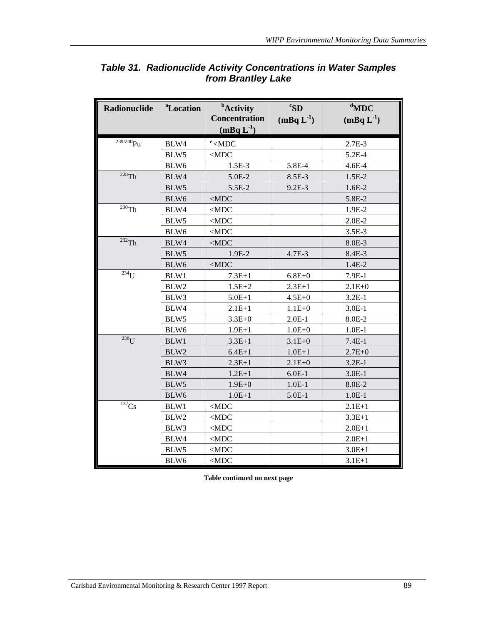| Radionuclide                              | <sup>a</sup> Location | <b>b</b> Activity<br><b>Concentration</b><br>$(mBq L-1)$            | ${}^cS$ D<br>$(mBqL^{-1})$ | $d$ MDC<br>$(mBqL^{-1})$ |
|-------------------------------------------|-----------------------|---------------------------------------------------------------------|----------------------------|--------------------------|
| $239/240$ Pu                              | BLW4                  | $\text{e}$ <mdc< td=""><td></td><td><math>2.7E-3</math></td></mdc<> |                            | $2.7E-3$                 |
|                                           | BLW5                  | $<$ MDC                                                             |                            | 5.2E-4                   |
|                                           | BLW6                  | $1.5E-3$                                                            | 5.8E-4                     | $4.6E-4$                 |
| $228$ Th                                  | BLW4                  | 5.0E-2                                                              | 8.5E-3                     | $1.5E-2$                 |
|                                           | BLW <sub>5</sub>      | 5.5E-2                                                              | $9.2E-3$                   | $1.6E-2$                 |
|                                           | BLW6                  | $<$ MDC                                                             |                            | 5.8E-2                   |
| $\overline{^{230}}$ Th                    | BLW4                  | $<$ MDC                                                             |                            | 1.9E-2                   |
|                                           | BLW <sub>5</sub>      | $<$ MDC                                                             |                            | $2.0E-2$                 |
|                                           | BLW6                  | $<$ MDC                                                             |                            | $3.5E-3$                 |
| 232Th                                     | BLW4                  | $<$ MDC                                                             |                            | 8.0E-3                   |
|                                           | BLW5                  | 1.9E-2                                                              | 4.7E-3                     | 8.4E-3                   |
|                                           | BLW6                  | $<$ MDC                                                             |                            | 1.4E-2                   |
| $\overline{^{234}}$ U                     | BLW1                  | $7.3E + 1$                                                          | $6.8E + 0$                 | $7.9E-1$                 |
|                                           | BLW2                  | $1.5E + 2$                                                          | $2.3E+1$                   | $2.1E + 0$               |
|                                           | BLW3                  | $5.0E + 1$                                                          | $4.5E + 0$                 | $3.2E-1$                 |
|                                           | BLW4                  | $2.1E+1$                                                            | $1.1E + 0$                 | $3.0E-1$                 |
|                                           | BLW5                  | $3.3E + 0$                                                          | $2.0E-1$                   | 8.0E-2                   |
|                                           | BLW6                  | $1.9E + 1$                                                          | $1.0E + 0$                 | $1.0E-1$                 |
| $238$ U                                   | BLW1                  | $3.3E + 1$                                                          | $3.1E + 0$                 | $7.4E-1$                 |
|                                           | BLW2                  | $6.4E + 1$                                                          | $1.0E + 1$                 | $2.7E + 0$               |
|                                           | BLW3                  | $2.3E+1$                                                            | $2.1E + 0$                 | $3.2E-1$                 |
|                                           | BLW4                  | $1.2E + 1$                                                          | $6.0E-1$                   | $3.0E-1$                 |
|                                           | BLW <sub>5</sub>      | $1.9E + 0$                                                          | $1.0E-1$                   | 8.0E-2                   |
|                                           | BLW6                  | $1.0E + 1$                                                          | $5.0E-1$                   | $1.0E-1$                 |
| $\overline{\overline{}}^{137}\mathrm{Cs}$ | BLW1                  | $<$ MDC                                                             |                            | $2.1E + 1$               |
|                                           | BLW <sub>2</sub>      | $<$ MDC                                                             |                            | $3.3E + 1$               |
|                                           | BLW3                  | $<$ MDC                                                             |                            | $2.0E+1$                 |
|                                           | BLW4                  | $<$ MDC                                                             |                            | $2.0E + 1$               |
|                                           | BLW <sub>5</sub>      | $<$ MDC                                                             |                            | $3.0E + 1$               |
|                                           | BLW6                  | $<$ MDC                                                             |                            | $3.1E + 1$               |

## *Table 31. Radionuclide Activity Concentrations in Water Samples from Brantley Lake*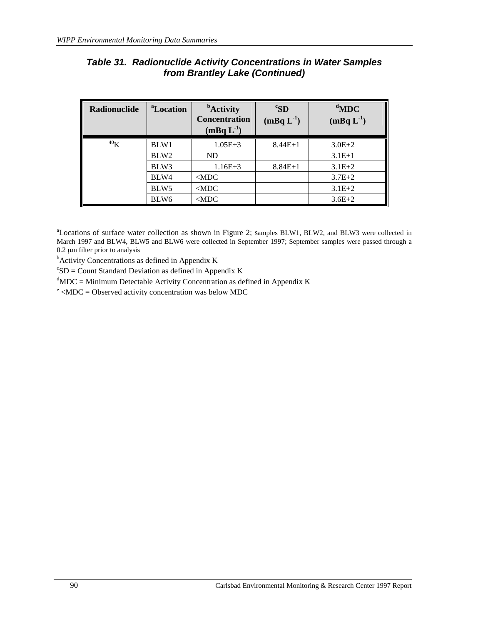| Radionuclide | <sup>a</sup> Location | <b>b</b> Activity<br><b>Concentration</b><br>$(mBqL^{-1})$ | ${}^cS$ D<br>$(mBq L-1)$ | $d$ MDC<br>$(mBq L-1)$ |
|--------------|-----------------------|------------------------------------------------------------|--------------------------|------------------------|
| $^{40}$ K    | BLW1                  | $1.05E + 3$                                                | $8.44E+1$                | $3.0E + 2$             |
|              | BLW <sub>2</sub>      | ND.                                                        |                          | $3.1E+1$               |
|              | BLW3                  | $1.16E + 3$                                                | $8.84E+1$                | $3.1E + 2$             |
|              | BLW4                  | $<$ MDC                                                    |                          | $3.7E + 2$             |
|              | BLW <sub>5</sub>      | $<$ MDC                                                    |                          | $3.1E + 2$             |
|              | BLW <sub>6</sub>      | $<$ MDC                                                    |                          | $3.6E + 2$             |

## *Table 31. Radionuclide Activity Concentrations in Water Samples from Brantley Lake (Continued)*

<sup>a</sup>Locations of surface water collection as shown in Figure 2; samples BLW1, BLW2, and BLW3 were collected in March 1997 and BLW4, BLW5 and BLW6 were collected in September 1997; September samples were passed through a  $0.2 \mu m$  filter prior to analysis

Activity Concentrations as defined in Appendix K

 $c<sub>S</sub>$ D = Count Standard Deviation as defined in Appendix K

 $d$ MDC = Minimum Detectable Activity Concentration as defined in Appendix K

 $e$  <MDC = Observed activity concentration was below MDC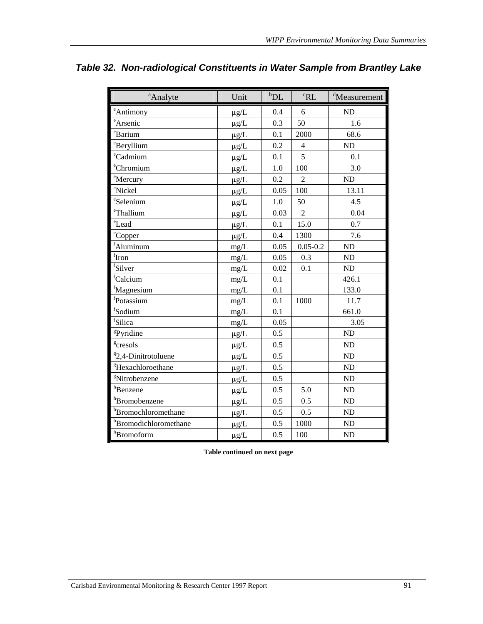| <sup>a</sup> Analyte              | Unit      | $b$ DL | ${}^cRL$       | <sup>d</sup> Measurement |
|-----------------------------------|-----------|--------|----------------|--------------------------|
| eAntimony                         | $\mu$ g/L | 0.4    | 6              | <b>ND</b>                |
| eArsenic                          | $\mu$ g/L | 0.3    | 50             | 1.6                      |
| <sup>e</sup> Barium               | $\mu$ g/L | 0.1    | 2000           | 68.6                     |
| <sup>e</sup> Beryllium            | $\mu g/L$ | 0.2    | $\overline{4}$ | <b>ND</b>                |
| <sup>e</sup> Cadmium              | $\mu g/L$ | 0.1    | 5              | 0.1                      |
| <sup>e</sup> Chromium             | $\mu g/L$ | 1.0    | 100            | 3.0                      |
| <sup>e</sup> Mercury              | $\mu$ g/L | 0.2    | $\overline{2}$ | <b>ND</b>                |
| <sup>e</sup> Nickel               | $\mu g/L$ | 0.05   | 100            | 13.11                    |
| eSelenium                         | $\mu g/L$ | 1.0    | 50             | 4.5                      |
| eThallium                         | $\mu g/L$ | 0.03   | $\overline{2}$ | 0.04                     |
| <sup>e</sup> Lead                 | $\mu g/L$ | 0.1    | 15.0           | 0.7                      |
| <sup>e</sup> Copper               | $\mu g/L$ | 0.4    | 1300           | 7.6                      |
| fAluminum                         | mg/L      | 0.05   | $0.05 - 0.2$   | N <sub>D</sub>           |
| $\int$ fron                       | mg/L      | 0.05   | 0.3            | <b>ND</b>                |
| fSilver                           | mg/L      | 0.02   | 0.1            | ND                       |
| fCalcium                          | mg/L      | 0.1    |                | 426.1                    |
| fMagnesium                        | mg/L      | 0.1    |                | 133.0                    |
| fPotassium                        | mg/L      | 0.1    | 1000           | 11.7                     |
| fSodium                           | mg/L      | 0.1    |                | 661.0                    |
| <sup>f</sup> Silica               | mg/L      | 0.05   |                | 3.05                     |
| <sup>g</sup> Pyridine             | $\mu$ g/L | 0.5    |                | <b>ND</b>                |
| <sup>g</sup> cresols              | $\mu g/L$ | 0.5    |                | <b>ND</b>                |
| <sup>8</sup> 2,4-Dinitrotoluene   | $\mu g/L$ | 0.5    |                | <b>ND</b>                |
| <sup>g</sup> Hexachloroethane     | $\mu g/L$ | 0.5    |                | <b>ND</b>                |
| <sup>g</sup> Nitrobenzene         | $\mu$ g/L | 0.5    |                | <b>ND</b>                |
| h <sub>Benzene</sub>              | $\mu g/L$ | 0.5    | 5.0            | <b>ND</b>                |
| h <sub>Bromobenzene</sub>         | $\mu g/L$ | 0.5    | 0.5            | <b>ND</b>                |
| h <sub>Bromochloromethane</sub>   | $\mu g/L$ | 0.5    | 0.5            | <b>ND</b>                |
| h <sub>Bromodichloromethane</sub> | $\mu g/L$ | 0.5    | 1000           | <b>ND</b>                |
| h <sub>Bromoform</sub>            | $\mu g/L$ | 0.5    | 100            | <b>ND</b>                |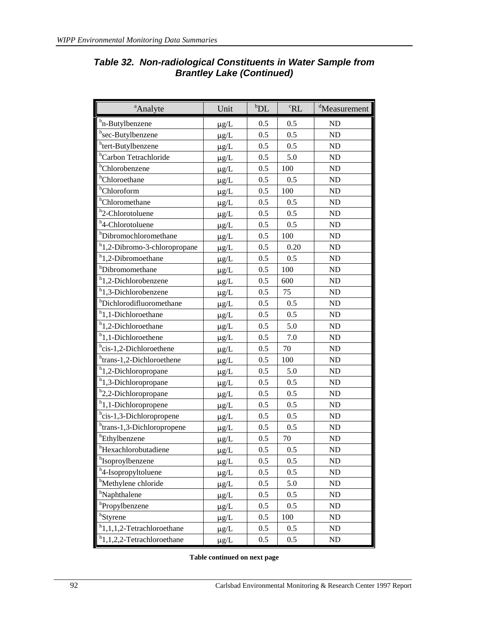| <sup>a</sup> Analyte                      | Unit      | $b$ DL | ${}^cRL$ | <sup>d</sup> Measurement |
|-------------------------------------------|-----------|--------|----------|--------------------------|
| <sup>h</sup> n-Butylbenzene               | $\mu$ g/L | 0.5    | 0.5      | <b>ND</b>                |
| h <sub>sec</sub> -Butylbenzene            | $\mu$ g/L | 0.5    | 0.5      | ND                       |
| htert-Butylbenzene                        | $\mu$ g/L | 0.5    | 0.5      | ND                       |
| <sup>h</sup> Carbon Tetrachloride         | $\mu$ g/L | 0.5    | 5.0      | <b>ND</b>                |
| <sup>h</sup> Chlorobenzene                | $\mu g/L$ | 0.5    | 100      | ${\rm ND}$               |
| <sup>h</sup> Chloroethane                 | $\mu g/L$ | 0.5    | 0.5      | <b>ND</b>                |
| <sup>h</sup> Chloroform                   | $\mu$ g/L | 0.5    | 100      | ND                       |
| <sup>h</sup> Chloromethane                | $\mu g/L$ | 0.5    | 0.5      | ND                       |
| <sup>h</sup> 2-Chlorotoluene              | $\mu g/L$ | 0.5    | 0.5      | <b>ND</b>                |
| <sup>h</sup> 4-Chlorotoluene              | $\mu g/L$ | 0.5    | 0.5      | ND                       |
| h <sub>Dibromochloromethane</sub>         | $\mu g/L$ | 0.5    | 100      | ND                       |
| h <sub>1</sub> ,2-Dibromo-3-chloropropane | $\mu$ g/L | 0.5    | 0.20     | ND                       |
| <sup>h</sup> 1,2-Dibromoethane            | $\mu$ g/L | 0.5    | 0.5      | ND                       |
| hDibromomethane                           | $\mu$ g/L | 0.5    | 100      | ND                       |
| <sup>h</sup> 1,2-Dichlorobenzene          | $\mu$ g/L | 0.5    | 600      | ND                       |
| <sup>h</sup> 1,3-Dichlorobenzene          | $\mu$ g/L | 0.5    | 75       | ND                       |
| hDichlorodifluoromethane                  | $\mu g/L$ | 0.5    | 0.5      | ND                       |
| <sup>h</sup> 1,1-Dichloroethane           | $\mu$ g/L | 0.5    | 0.5      | ND                       |
| <sup>h</sup> 1,2-Dichloroethane           | $\mu$ g/L | 0.5    | 5.0      | ND                       |
| <sup>h</sup> 1,1-Dichloroethene           | $\mu g/L$ | 0.5    | 7.0      | ND                       |
| hcis-1,2-Dichloroethene                   | $\mu$ g/L | 0.5    | 70       | ND                       |
| h <sub>trans-1,2-Dichloroethene</sub>     | $\mu g/L$ | 0.5    | 100      | ND                       |
| <sup>h</sup> 1,2-Dichloropropane          | $\mu$ g/L | 0.5    | 5.0      | ND                       |
| <sup>h</sup> 1,3-Dichloropropane          | $\mu g/L$ | 0.5    | 0.5      | ND                       |
| <sup>h</sup> 2,2-Dichloropropane          | $\mu g/L$ | 0.5    | 0.5      | ND                       |
| h <sub>1</sub> ,1-Dichloropropene         | $\mu g/L$ | 0.5    | 0.5      | ND                       |
| hcis-1,3-Dichloropropene                  | $\mu$ g/L | 0.5    | 0.5      | ND                       |
| htrans-1,3-Dichloropropene                | $\mu$ g/L | 0.5    | 0.5      | ND                       |
| hEthylbenzene                             | $\mu$ g/L | 0.5    | 70       | ND                       |
| hHexachlorobutadiene                      | $\mu g/L$ | 0.5    | 0.5      | <b>ND</b>                |
| h <sub>Isoproylbenzene</sub>              | $\mu g/L$ | 0.5    | 0.5      | ND                       |
| h <sub>4</sub> -Isopropyltoluene          | $\mu$ g/L | 0.5    | 0.5      | ${\rm ND}$               |
| <sup>h</sup> Methylene chloride           | $\mu g/L$ | 0.5    | 5.0      | ND                       |
| <sup>h</sup> Naphthalene                  | $\mu g/L$ | 0.5    | 0.5      | ND                       |
| <sup>h</sup> Propylbenzene                | $\mu g/L$ | 0.5    | 0.5      | ND                       |
| <sup>h</sup> Styrene                      | $\mu g/L$ | 0.5    | 100      | ND                       |
| $h$ 1,1,1,2-Tetrachloroethane             | $\mu g/L$ | 0.5    | 0.5      | ND                       |
| $h$ 1,1,2,2-Tetrachloroethane             | $\mu g/L$ | 0.5    | 0.5      | ND                       |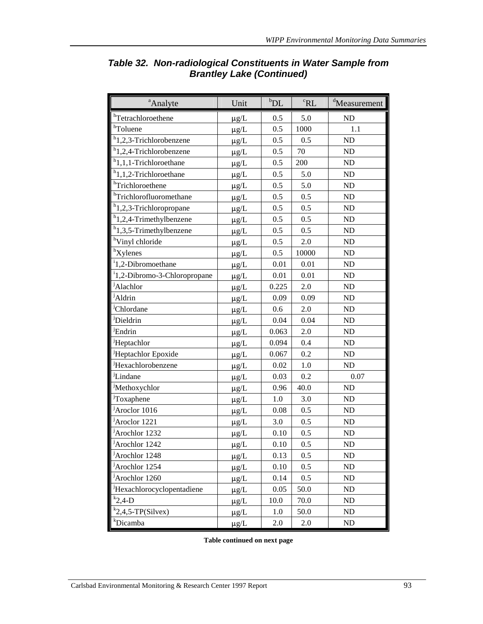| <sup>a</sup> Analyte                     | Unit      | $b$ DL | ${}^cRL$ | <sup>d</sup> Measurement |
|------------------------------------------|-----------|--------|----------|--------------------------|
| hTetrachloroethene                       | $\mu$ g/L | 0.5    | 5.0      | ND                       |
| <sup>h</sup> Toluene                     | $\mu g/L$ | 0.5    | 1000     | 1.1                      |
| h <sub>1,2,3</sub> -Trichlorobenzene     | $\mu$ g/L | 0.5    | 0.5      | ND                       |
| h <sub>1,2,4</sub> -Trichlorobenzene     | $\mu g/L$ | 0.5    | 70       | ND                       |
| h <sub>1,1,1</sub> -Trichloroethane      | $\mu g/L$ | 0.5    | 200      | ND                       |
| h <sub>1</sub> ,1,2-Trichloroethane      | $\mu g/L$ | 0.5    | 5.0      | ND                       |
| hTrichloroethene                         | $\mu g/L$ | 0.5    | 5.0      | ND                       |
| hTrichlorofluoromethane                  | $\mu$ g/L | 0.5    | 0.5      | ND                       |
| h <sub>1,2,3</sub> -Trichloropropane     | $\mu$ g/L | 0.5    | 0.5      | ND                       |
| h <sub>1,2,4</sub> -Trimethylbenzene     | $\mu g/L$ | 0.5    | 0.5      | ${\rm ND}$               |
| $h$ 1,3,5-Trimethylbenzene               | $\mu g/L$ | 0.5    | 0.5      | ND                       |
| <sup>h</sup> Vinyl chloride              | $\mu g/L$ | 0.5    | 2.0      | ND                       |
| ${}^{\text{h}}$ Xylenes                  | $\mu g/L$ | 0.5    | 10000    | ND                       |
| <sup>i</sup> 1,2-Dibromoethane           | $\mu g/L$ | 0.01   | 0.01     | ND                       |
| <sup>i</sup> 1,2-Dibromo-3-Chloropropane | $\mu g/L$ | 0.01   | 0.01     | ND                       |
| <sup>j</sup> Alachlor                    | $\mu g/L$ | 0.225  | 2.0      | ND                       |
| <sup>j</sup> Aldrin                      | $\mu g/L$ | 0.09   | 0.09     | ND                       |
| <sup>J</sup> Chlordane                   | $\mu g/L$ | 0.6    | 2.0      | ND                       |
| Dieldrin                                 | $\mu g/L$ | 0.04   | 0.04     | ND                       |
| <sup>J</sup> Endrin                      | $\mu g/L$ | 0.063  | 2.0      | ND                       |
| <sup>j</sup> Heptachlor                  | $\mu g/L$ | 0.094  | 0.4      | ND                       |
| <sup>J</sup> Heptachlor Epoxide          | $\mu g/L$ | 0.067  | 0.2      | ND                       |
| <sup>j</sup> Hexachlorobenzene           | $\mu g/L$ | 0.02   | 1.0      | ND                       |
| <sup>j</sup> Lindane                     | $\mu$ g/L | 0.03   | 0.2      | 0.07                     |
| <sup>J</sup> Methoxychlor                | $\mu g/L$ | 0.96   | 40.0     | ND                       |
| <sup>j</sup> Toxaphene                   | $\mu g/L$ | 1.0    | 3.0      | ND                       |
| <sup>j</sup> Aroclor 1016                | $\mu$ g/L | 0.08   | 0.5      | ND                       |
| <sup>j</sup> Aroclor 1221                | $\mu g/L$ | 3.0    | 0.5      | ND                       |
| <sup>j</sup> Arochlor 1232               | $\mu$ g/L | 0.10   | 0.5      | ND                       |
| <sup>j</sup> Arochlor 1242               | $\mu$ g/L | 0.10   | 0.5      | ND                       |
| <sup>J</sup> Arochlor 1248               | $\mu g/L$ | 0.13   | 0.5      | ND                       |
| <sup>j</sup> Arochlor 1254               | $\mu$ g/L | 0.10   | 0.5      | ND                       |
| <sup>J</sup> Arochlor 1260               | $\mu g/L$ | 0.14   | 0.5      | ND                       |
| Hexachlorocyclopentadiene                | $\mu$ g/L | 0.05   | 50.0     | ND                       |
| $k$ <sub>2</sub> ,4-D                    | $\mu g/L$ | 10.0   | 70.0     | ND                       |
| $k$ <sub>2</sub> ,4,5-TP(Silvex)         | $\mu g/L$ | 1.0    | 50.0     | ND                       |
| <sup>k</sup> Dicamba                     | $\mu$ g/L | 2.0    | 2.0      | ${\rm ND}$               |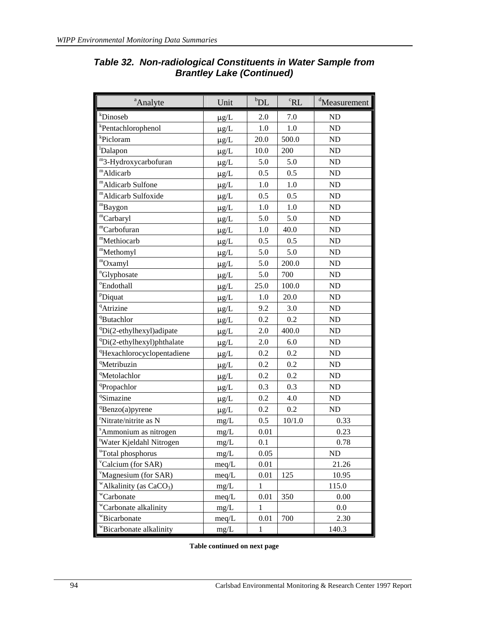| <sup>a</sup> Analyte                   | Unit      | $b$ DL       | ${}^cRL$ | <sup>d</sup> Measurement |
|----------------------------------------|-----------|--------------|----------|--------------------------|
| <i>k</i> Dinoseb                       | $\mu$ g/L | 2.0          | 7.0      | ND                       |
| <sup>k</sup> Pentachlorophenol         | $\mu$ g/L | 1.0          | 1.0      | ND                       |
| <sup>k</sup> Picloram                  | $\mu$ g/L | 20.0         | 500.0    | ND                       |
| <sup>1</sup> Dalapon                   | $\mu$ g/L | 10.0         | 200      | ND                       |
| m <sub>3</sub> -Hydroxycarbofuran      | $\mu$ g/L | 5.0          | 5.0      | ND                       |
| mAldicarb                              | $\mu$ g/L | 0.5          | 0.5      | ND                       |
| "Aldicarb Sulfone                      | $\mu$ g/L | 1.0          | 1.0      | ND                       |
| <sup>m</sup> Aldicarb Sulfoxide        | $\mu g/L$ | 0.5          | 0.5      | ND                       |
| "Baygon                                | $\mu g/L$ | 1.0          | 1.0      | ND                       |
| <sup>m</sup> Carbaryl                  | $\mu g/L$ | 5.0          | 5.0      | ND                       |
| <sup>m</sup> Carbofuran                | $\mu g/L$ | 1.0          | 40.0     | ND                       |
| "Methiocarb                            | $\mu$ g/L | 0.5          | 0.5      | ND                       |
| "Methomyl                              | $\mu g/L$ | 5.0          | 5.0      | ND                       |
| "Oxamyl                                | $\mu g/L$ | 5.0          | 200.0    | ${\rm ND}$               |
| "Glyphosate                            | $\mu g/L$ | 5.0          | 700      | ND                       |
| <sup>o</sup> Endothall                 | $\mu g/L$ | 25.0         | 100.0    | ND                       |
| PDiquat                                | $\mu g/L$ | 1.0          | 20.0     | ND                       |
| <sup>q</sup> Atrizine                  | $\mu g/L$ | 9.2          | 3.0      | ND                       |
| <sup>q</sup> Butachlor                 | $\mu g/L$ | 0.2          | 0.2      | ND                       |
| <sup>q</sup> Di(2-ethylhexyl)adipate   | $\mu$ g/L | 2.0          | 400.0    | ${\rm ND}$               |
| <sup>q</sup> Di(2-ethylhexyl)phthalate | $\mu g/L$ | 2.0          | 6.0      | ND                       |
| <sup>q</sup> Hexachlorocyclopentadiene | $\mu$ g/L | 0.2          | 0.2      | ${\rm ND}$               |
| <sup>q</sup> Metribuzin                | $\mu$ g/L | 0.2          | 0.2      | ND                       |
| <sup>q</sup> Metolachlor               | $\mu g/L$ | 0.2          | 0.2      | ND                       |
| <sup>q</sup> Propachlor                | $\mu$ g/L | 0.3          | 0.3      | ${\rm ND}$               |
| <sup>q</sup> Simazine                  | $\mu$ g/L | 0.2          | 4.0      | ND                       |
| <sup>q</sup> Benzo(a)pyrene            | $\mu$ g/L | 0.2          | 0.2      | ND                       |
| <sup>r</sup> Nitrate/nitrite as N      | mg/L      | 0.5          | 10/1.0   | 0.33                     |
| <sup>s</sup> Ammonium as nitrogen      | mg/L      | 0.01         |          | 0.23                     |
| Water Kjeldahl Nitrogen                | mg/L      | 0.1          |          | 0.78                     |
| "Total phosphorus                      | mg/L      | 0.05         |          | ND                       |
| <sup>v</sup> Calcium (for SAR)         | meq/L     | 0.01         |          | 21.26                    |
| Magnesium (for SAR)                    | meq/L     | 0.01         | 125      | 10.95                    |
| "Alkalinity (as $CaCO3$ )              | mg/L      | $\mathbf{1}$ |          | 115.0                    |
| "Carbonate                             | meq/L     | 0.01         | 350      | 0.00                     |
| "Carbonate alkalinity                  | mg/L      | 1            |          | 0.0                      |
| "Bicarbonate                           | meq/L     | 0.01         | 700      | 2.30                     |
| "Bicarbonate alkalinity                | mg/L      | $\mathbf{1}$ |          | 140.3                    |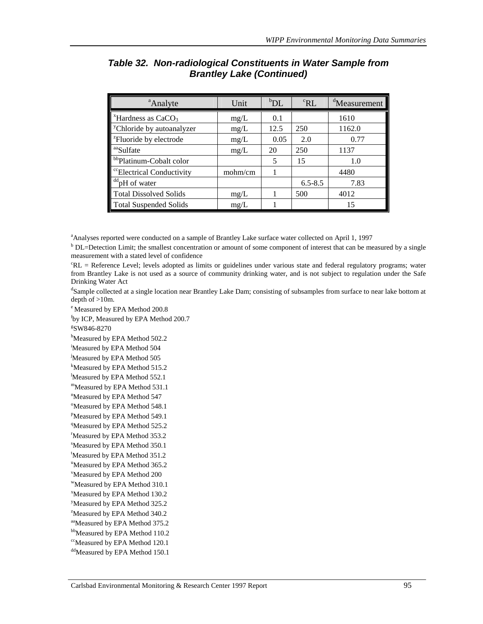| <sup>a</sup> Analyte                  | Unit    | $b_{\rm DL}$ | ${}^c$ RL   | <sup>d</sup> Measurement |
|---------------------------------------|---------|--------------|-------------|--------------------------|
| $*$ Hardness as CaCO <sub>3</sub>     | mg/L    | 0.1          |             | 1610                     |
| <sup>y</sup> Chloride by autoanalyzer | mg/L    | 12.5         | 250         | 1162.0                   |
| <sup>z</sup> Fluoride by electrode    | mg/L    | 0.05         | 2.0         | 0.77                     |
| aaSulfate                             | mg/L    | 20           | 250         | 1137                     |
| bb <sub>Platinum-Cobalt color</sub>   |         | 5            | 15          | 1.0                      |
| <sup>cc</sup> Electrical Conductivity | mohm/cm |              |             | 4480                     |
| <sup>dd</sup> pH of water             |         |              | $6.5 - 8.5$ | 7.83                     |
| <b>Total Dissolved Solids</b>         | mg/L    |              | 500         | 4012                     |
| <b>Total Suspended Solids</b>         | mg/L    |              |             | 15                       |

<sup>a</sup> Analyses reported were conducted on a sample of Brantley Lake surface water collected on April 1, 1997<br><sup>b</sup> DI – Detection Limit: the smallest concentration or smount of some component of interest that can be made

<sup>b</sup> DL=Detection Limit; the smallest concentration or amount of some component of interest that can be measured by a single measurement with a stated level of confidence

c RL = Reference Level; levels adopted as limits or guidelines under various state and federal regulatory programs; water from Brantley Lake is not used as a source of community drinking water, and is not subject to regulation under the Safe Drinking Water Act

<sup>d</sup>Sample collected at a single location near Brantley Lake Dam; consisting of subsamples from surface to near lake bottom at depth of >10m.

e Measured by EPA Method 200.8

f by ICP, Measured by EPA Method 200.7

g SW846-8270

<sup>h</sup>Measured by EPA Method 502.2

i Measured by EPA Method 504

<sup>j</sup>Measured by EPA Method 505

k Measured by EPA Method 515.2

Measured by EPA Method 552.1

mMeasured by EPA Method 531.1

<sup>n</sup>Measured by EPA Method 547

<sup>o</sup>Measured by EPA Method 548.1

<sup>P</sup>Measured by EPA Method 549.1

<sup>q</sup>Measured by EPA Method 525.2 <sup>r</sup>Measured by EPA Method 353.2

<sup>s</sup>Measured by EPA Method 350.1

Measured by EPA Method 351.2

<sup>u</sup>Measured by EPA Method 365.2

<sup>v</sup>Measured by EPA Method 200

wMeasured by EPA Method 310.1

x Measured by EPA Method 130.2

<sup>y</sup>Measured by EPA Method 325.2

<sup>2</sup>Measured by EPA Method 340.2

aaMeasured by EPA Method 375.2 bb<sub>Measured</sub> by EPA Method 110.2

<sup>cc</sup>Measured by EPA Method 120.1

ddMeasured by EPA Method 150.1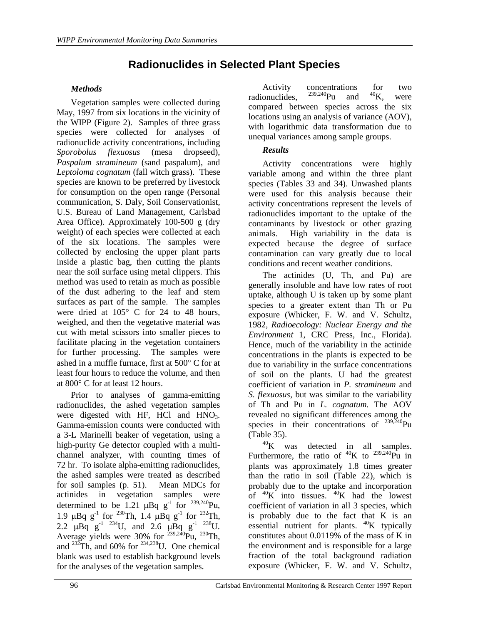# **Radionuclides in Selected Plant Species**

#### *Methods*

Vegetation samples were collected during May, 1997 from six locations in the vicinity of the WIPP (Figure 2). Samples of three grass species were collected for analyses of radionuclide activity concentrations, including *Sporobolus flexuosus* (mesa dropseed), *Paspalum stramineum* (sand paspalum), and *Leptoloma cognatum* (fall witch grass). These species are known to be preferred by livestock for consumption on the open range (Personal communication, S. Daly, Soil Conservationist, U.S. Bureau of Land Management, Carlsbad Area Office). Approximately 100-500 g (dry weight) of each species were collected at each of the six locations. The samples were collected by enclosing the upper plant parts inside a plastic bag, then cutting the plants near the soil surface using metal clippers. This method was used to retain as much as possible of the dust adhering to the leaf and stem surfaces as part of the sample. The samples were dried at 105° C for 24 to 48 hours, weighed, and then the vegetative material was cut with metal scissors into smaller pieces to facilitate placing in the vegetation containers for further processing. The samples were ashed in a muffle furnace, first at 500° C for at least four hours to reduce the volume, and then at 800° C for at least 12 hours.

Prior to analyses of gamma-emitting radionuclides, the ashed vegetation samples were digested with HF, HCl and  $HNO<sub>3</sub>$ . Gamma-emission counts were conducted with a 3-L Marinelli beaker of vegetation, using a high-purity Ge detector coupled with a multichannel analyzer, with counting times of 72 hr. To isolate alpha-emitting radionuclides, the ashed samples were treated as described for soil samples (p. 51). Mean MDCs for actinides in vegetation samples were determined to be 1.21  $\mu$ Bq g<sup>-1</sup> for <sup>239,240</sup>Pu, 1.9  $\mu$ Bq g<sup>-1</sup> for <sup>230</sup>Th, 1.4  $\mu$ Bq g<sup>-1</sup> for <sup>232</sup>Th, 2.2  $\mu$ Bq  $g^{-1}$  <sup>234</sup>U, and 2.6  $\mu$ Bq  $g^{-1}$  <sup>238</sup>U. Average yields were 30% for  $^{239,240}$ Pu,  $^{230}$ Th, and  $^{232}$ Th, and 60% for  $^{234,238}$ U. One chemical blank was used to establish background levels for the analyses of the vegetation samples.

Activity concentrations for two<br>  $\mu$ <sup>239,240</sup>Pu and <sup>40</sup>K, were radionuclides,  $^{239,240}$ Pu and  $^{40}$ K, were compared between species across the six locations using an analysis of variance (AOV), with logarithmic data transformation due to unequal variances among sample groups.

#### *Results*

Activity concentrations were highly variable among and within the three plant species (Tables 33 and 34). Unwashed plants were used for this analysis because their activity concentrations represent the levels of radionuclides important to the uptake of the contaminants by livestock or other grazing animals. High variability in the data is expected because the degree of surface contamination can vary greatly due to local conditions and recent weather conditions.

The actinides (U, Th, and Pu) are generally insoluble and have low rates of root uptake, although U is taken up by some plant species to a greater extent than Th or Pu exposure (Whicker, F. W. and V. Schultz, 1982*, Radioecology: Nuclear Energy and the Environment* 1, CRC Press, Inc., Florida). Hence, much of the variability in the actinide concentrations in the plants is expected to be due to variability in the surface concentrations of soil on the plants. U had the greatest coefficient of variation in *P. stramineum* and *S. flexuosus,* but was similar to the variability of Th and Pu in *L. cognatum.* The AOV revealed no significant differences among the species in their concentrations of  $^{239,240}$ Pu (Table 35).

 $^{40}$ K was detected in all samples. Furthermore, the ratio of  ${}^{40}$ K to  ${}^{239,240}$ Pu in plants was approximately 1.8 times greater than the ratio in soil (Table 22), which is probably due to the uptake and incorporation of  $^{40}$ K into tissues.  $^{40}$ K had the lowest coefficient of variation in all 3 species, which is probably due to the fact that K is an essential nutrient for plants.  $^{40}$ K typically constitutes about 0.0119% of the mass of K in the environment and is responsible for a large fraction of the total background radiation exposure (Whicker, F. W. and V. Schultz,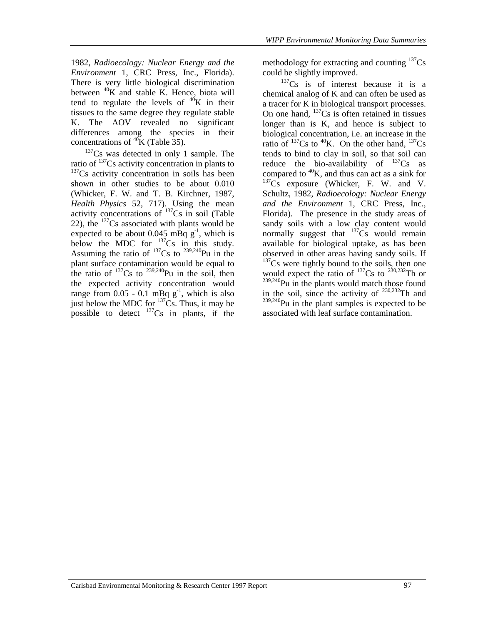1982*, Radioecology: Nuclear Energy and the Environment* 1, CRC Press, Inc., Florida). There is very little biological discrimination between  $^{40}$ K and stable K. Hence, biota will tend to regulate the levels of  $^{40}$ K in their tissues to the same degree they regulate stable K. The AOV revealed no significant differences among the species in their concentrations of  ${}^{40}$ K (Table 35).

 $137Cs$  was detected in only 1 sample. The ratio of  $^{137}Cs$  activity concentration in plants to  $137$ Cs activity concentration in soils has been shown in other studies to be about 0.010 (Whicker, F. W. and T. B. Kirchner, 1987, *Health Physics* 52, 717). Using the mean activity concentrations of  $^{137}Cs$  in soil (Table 22), the  $137Cs$  associated with plants would be expected to be about 0.045 mBq  $g^{-1}$ , which is below the MDC for  $^{137}Cs$  in this study. Assuming the ratio of  $^{137}Cs$  to  $^{239,240}Pu$  in the plant surface contamination would be equal to the ratio of  $^{137}Cs$  to  $^{239,240}Pu$  in the soil, then the expected activity concentration would range from  $0.05 - 0.1$  mBq  $g^{-1}$ , which is also just below the MDC for  $137\text{Cs}$ . Thus, it may be possible to detect  $^{137}Cs$  in plants, if the

methodology for extracting and counting  $137Cs$ could be slightly improved.

 $137Cs$  is of interest because it is a chemical analog of K and can often be used as a tracer for K in biological transport processes. On one hand,  $^{137}Cs$  is often retained in tissues longer than is K, and hence is subject to biological concentration, i.e. an increase in the ratio of  $^{137}Cs$  to  $^{40}K$ . On the other hand,  $^{137}Cs$ tends to bind to clay in soil, so that soil can reduce the bio-availability of  $^{137}Cs$  as compared to  $^{40}$ K, and thus can act as a sink for  $137<sub>Cs</sub>$  exposure (Whicker, F. W. and V. Schultz, 1982*, Radioecology: Nuclear Energy and the Environment* 1, CRC Press, Inc., Florida). The presence in the study areas of sandy soils with a low clay content would normally suggest that  $137Cs$  would remain available for biological uptake, as has been observed in other areas having sandy soils. If  $137Cs$  were tightly bound to the soils, then one would expect the ratio of  $^{137}Cs$  to  $^{230,232}Th$  or  $239,240$ Pu in the plants would match those found in the soil, since the activity of  $230,232$ Th and  $239,240$ Pu in the plant samples is expected to be associated with leaf surface contamination.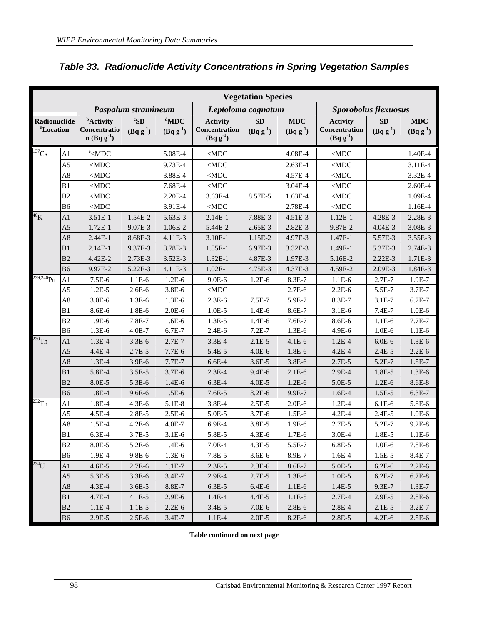|                                       |                | <b>Vegetation Species</b>                                                                                                                                                                                                                                                 |                            |                          |                                                   |                            |                             |                                                   |                            |                             |
|---------------------------------------|----------------|---------------------------------------------------------------------------------------------------------------------------------------------------------------------------------------------------------------------------------------------------------------------------|----------------------------|--------------------------|---------------------------------------------------|----------------------------|-----------------------------|---------------------------------------------------|----------------------------|-----------------------------|
| Paspalum stramineum                   |                | Leptoloma cognatum                                                                                                                                                                                                                                                        |                            |                          | Sporobolus flexuosus                              |                            |                             |                                                   |                            |                             |
| Radionuclide<br><sup>a</sup> Location |                | <b>b</b> Activity<br>Concentratio<br>$n(Bqg^{-1})$                                                                                                                                                                                                                        | ${}^cS$ D<br>$(Bq g^{-1})$ | $d$ MDC<br>$(Bq g^{-1})$ | <b>Activity</b><br>Concentration<br>$(Bq g^{-1})$ | <b>SD</b><br>$(Bq g^{-1})$ | <b>MDC</b><br>$(Bq g^{-1})$ | <b>Activity</b><br>Concentration<br>$(Bq g^{-1})$ | <b>SD</b><br>$(Bq g^{-1})$ | <b>MDC</b><br>$(Bq g^{-1})$ |
| 137Cs                                 | A1             | $\text{e}$ <mdc< th=""><th></th><th>5.08E-4</th><th><math display="inline">&lt;</math> MDC <math display="inline">\,</math></th><th></th><th>4.08E-4</th><th><math display="inline">&lt;</math> MDC <math display="inline">\,</math></th><th></th><th>1.40E-4</th></mdc<> |                            | 5.08E-4                  | $<$ MDC $\,$                                      |                            | 4.08E-4                     | $<$ MDC $\,$                                      |                            | 1.40E-4                     |
|                                       | A <sub>5</sub> | $<$ MDC                                                                                                                                                                                                                                                                   |                            | 9.73E-4                  | $<$ MDC                                           |                            | 2.63E-4                     | $<$ MDC                                           |                            | 3.11E-4                     |
|                                       | $\mathbf{A8}$  | $<$ MDC                                                                                                                                                                                                                                                                   |                            | 3.88E-4                  | $\triangle$ MDC                                   |                            | 4.57E-4                     | $<$ MDC                                           |                            | 3.32E-4                     |
|                                       | B1             | $<$ MDC                                                                                                                                                                                                                                                                   |                            | 7.68E-4                  | $<$ MDC $\,$                                      |                            | 3.04E-4                     | $<$ MDC                                           |                            | 2.60E-4                     |
|                                       | B2             | $<$ MDC                                                                                                                                                                                                                                                                   |                            | 2.20E-4                  | 3.63E-4                                           | 8.57E-5                    | 1.63E-4                     | $<$ MDC                                           |                            | 1.09E-4                     |
|                                       | <b>B6</b>      | $<$ MDC                                                                                                                                                                                                                                                                   |                            | 3.91E-4                  | $<$ MDC                                           |                            | 2.78E-4                     | $<$ MDC                                           |                            | 1.16E-4                     |
| ${}^{40}\mathrm{K}$                   | A <sub>1</sub> | 3.51E-1                                                                                                                                                                                                                                                                   | 1.54E-2                    | 5.63E-3                  | $2.14E-1$                                         | 7.88E-3                    | 4.51E-3                     | $1.12E-1$                                         | 4.28E-3                    | 2.28E-3                     |
|                                       | A <sub>5</sub> | $1.72E-1$                                                                                                                                                                                                                                                                 | 9.07E-3                    | 1.06E-2                  | 5.44E-2                                           | $2.65E-3$                  | 2.82E-3                     | 9.87E-2                                           | $4.04E-3$                  | 3.08E-3                     |
|                                       | A <sub>8</sub> | 2.44E-1                                                                                                                                                                                                                                                                   | 8.68E-3                    | 4.11E-3                  | 3.10E-1                                           | 1.15E-2                    | 4.97E-3                     | 1.47E-1                                           | 5.57E-3                    | 3.55E-3                     |
|                                       | B1             | $2.14E-1$                                                                                                                                                                                                                                                                 | 9.37E-3                    | 8.78E-3                  | 1.85E-1                                           | 6.97E-3                    | 3.32E-3                     | 1.49E-1                                           | 5.37E-3                    | 2.74E-3                     |
|                                       | B2             | 4.42E-2                                                                                                                                                                                                                                                                   | 2.73E-3                    | 3.52E-3                  | 1.32E-1                                           | 4.87E-3                    | 1.97E-3                     | 5.16E-2                                           | $2.22E-3$                  | 1.71E-3                     |
|                                       | <b>B6</b>      | 9.97E-2                                                                                                                                                                                                                                                                   | 5.22E-3                    | 4.11E-3                  | $1.02E-1$                                         | 4.75E-3                    | 4.37E-3                     | 4.59E-2                                           | 2.09E-3                    | 1.84E-3                     |
| $239,240$ Pu                          | A <sub>1</sub> | 7.5E-6                                                                                                                                                                                                                                                                    | $1.1E-6$                   | $1.2E-6$                 | 9.0E-6                                            | $1.2E-6$                   | 8.3E-7                      | $1.1E-6$                                          | $2.7E-7$                   | 1.9E-7                      |
|                                       | A <sub>5</sub> | $1.2E-5$                                                                                                                                                                                                                                                                  | $2.6E-6$                   | 3.8E-6                   | $<$ MDC $\,$                                      |                            | $2.7E-6$                    | $2.2E-6$                                          | 5.5E-7                     | 3.7E-7                      |
|                                       | $\rm A8$       | $3.0E-6$                                                                                                                                                                                                                                                                  | 1.3E-6                     | $1.3E-6$                 | $2.3E-6$                                          | 7.5E-7                     | 5.9E-7                      | 8.3E-7                                            | $3.1E-7$                   | 6.7E-7                      |
|                                       | B1             | 8.6E-6                                                                                                                                                                                                                                                                    | 1.8E-6                     | $2.0E-6$                 | $1.0E-5$                                          | $1.4E-6$                   | 8.6E-7                      | $3.1E-6$                                          | 7.4E-7                     | $1.0E-6$                    |
|                                       | B2             | 1.9E-6                                                                                                                                                                                                                                                                    | 7.8E-7                     | 1.6E-6                   | $1.3E-5$                                          | $1.4E-6$                   | 7.6E-7                      | 8.6E-6                                            | $1.1E-6$                   | 7.7E-7                      |
|                                       | <b>B6</b>      | 1.3E-6                                                                                                                                                                                                                                                                    | 4.0E-7                     | 6.7E-7                   | $2.4E-6$                                          | $7.2E-7$                   | 1.3E-6                      | 4.9E-6                                            | $1.0E-6$                   | $1.1E-6$                    |
| $^{230}$ Th                           | A <sub>1</sub> | $1.3E-4$                                                                                                                                                                                                                                                                  | $3.3E-6$                   | $2.7E-7$                 | 3.3E-4                                            | $2.1E-5$                   | $4.1E-6$                    | $1.2E-4$                                          | $6.0E-6$                   | $1.3E-6$                    |
|                                       | A <sub>5</sub> | 4.4E-4                                                                                                                                                                                                                                                                    | $2.7E-5$                   | 7.7E-6                   | 5.4E-5                                            | $4.0E-6$                   | 1.8E-6                      | $4.2E - 4$                                        | $2.4E-5$                   | $2.2E-6$                    |
|                                       | A8             | $1.3E-4$                                                                                                                                                                                                                                                                  | 3.9E-6                     | 7.7E-7                   | $6.6E-4$                                          | $3.6E - 5$                 | 3.8E-6                      | $2.7E-5$                                          | 5.2E-7                     | $1.5E-7$                    |
|                                       | B1             | 5.8E-4                                                                                                                                                                                                                                                                    | $3.5E-5$                   | 3.7E-6                   | $2.3E-4$                                          | 9.4E-6                     | $2.1E-6$                    | $2.9E-4$                                          | 1.8E-5                     | $1.3E-6$                    |
|                                       | B <sub>2</sub> | 8.0E-5                                                                                                                                                                                                                                                                    | 5.3E-6                     | 1.4E-6                   | $6.3E-4$                                          | $4.0E - 5$                 | $1.2E-6$                    | 5.0E-5                                            | $1.2E-6$                   | 8.6E-8                      |
|                                       | <b>B6</b>      | 1.8E-4                                                                                                                                                                                                                                                                    | $9.6E - 6$                 | $1.5E-6$                 | $7.6E-5$                                          | 8.2E-6                     | 9.9E-7                      | $1.6E-4$                                          | $1.5E-5$                   | $6.3E-7$                    |
| $^{232}$ Th                           | A1             | 1.8E-4                                                                                                                                                                                                                                                                    | $4.3E-6$                   | 5.1E-8                   | 3.8E-4                                            | $2.5E-5$                   | $2.0E-6$                    | $1.2E-4$                                          | $6.1E-6$                   | 5.8E-6                      |
|                                       | A <sub>5</sub> | 4.5E-4                                                                                                                                                                                                                                                                    | 2.8E-5                     | $2.5E-6$                 | 5.0E-5                                            | 3.7E-6                     | 1.5E-6                      | $4.2E-4$                                          | $2.4E-5$                   | 1.0E-6                      |
|                                       | $\mathbf{A8}$  | 1.5E-4                                                                                                                                                                                                                                                                    | $4.2E-6$                   | 4.0E-7                   | 6.9E-4                                            | $3.8E - 5$                 | 1.9E-6                      | 2.7E-5                                            | 5.2E-7                     | $9.2E-8$                    |
|                                       | B1             | $6.3E-4$                                                                                                                                                                                                                                                                  | 3.7E-5                     | $3.1E-6$                 | 5.8E-5                                            | 4.3E-6                     | 1.7E-6                      | 3.0E-4                                            | 1.8E-5                     | $1.1E-6$                    |
|                                       | B <sub>2</sub> | 8.0E-5                                                                                                                                                                                                                                                                    | $5.2E-6$                   | $1.4E-6$                 | $7.0E-4$                                          | $4.3E-5$                   | 5.5E-7                      | $6.8E-5$                                          | $1.0E-6$                   | 7.8E-8                      |
|                                       | B <sub>6</sub> | 1.9E-4                                                                                                                                                                                                                                                                    | 9.8E-6                     | $1.3E-6$                 | 7.8E-5                                            | 3.6E-6                     | 8.9E-7                      | $1.6E-4$                                          | 1.5E-5                     | 8.4E-7                      |
| $\overline{^{234}}$ U                 | A1             | $4.6E - 5$                                                                                                                                                                                                                                                                | $2.7E-6$                   | $1.1E-7$                 | $2.3E-5$                                          | $2.3E-6$                   | 8.6E-7                      | 5.0E-5                                            | $6.2E-6$                   | $2.2E-6$                    |
|                                       | A <sub>5</sub> | 5.3E-5                                                                                                                                                                                                                                                                    | $3.3E-6$                   | 3.4E-7                   | 2.9E-4                                            | $2.7E-5$                   | $1.3E-6$                    | $1.0E-5$                                          | $6.2E-7$                   | $6.7E-8$                    |
|                                       | $\rm A8$       | $4.3E - 4$                                                                                                                                                                                                                                                                | $3.6E - 5$                 | 8.8E-7                   | $6.3E-5$                                          | $6.4E-6$                   | 1.1E-6                      | 1.4E-5                                            | 9.3E-7                     | $1.3E-7$                    |
|                                       | B1             | 4.7E-4                                                                                                                                                                                                                                                                    | $4.1E-5$                   | $2.9E-6$                 | $1.4E-4$                                          | 4.4E-5                     | $1.1E-5$                    | $2.7E-4$                                          | $2.9E-5$                   | $2.8E-6$                    |
|                                       | B <sub>2</sub> | $1.1E-4$                                                                                                                                                                                                                                                                  | $1.1E-5$                   | $2.2E-6$                 | $3.4E-5$                                          | $7.0E-6$                   | $2.8E-6$                    | 2.8E-4                                            | $2.1E-5$                   | $3.2E-7$                    |
|                                       | B <sub>6</sub> | 2.9E-5                                                                                                                                                                                                                                                                    | $2.5E-6$                   | 3.4E-7                   | $1.1E-4$                                          | $2.0E-5$                   | 8.2E-6                      | $2.8E - 5$                                        | $4.2E-6$                   | $2.5E-6$                    |

# *Table 33. Radionuclide Activity Concentrations in Spring Vegetation Samples*

**Table continued on next page**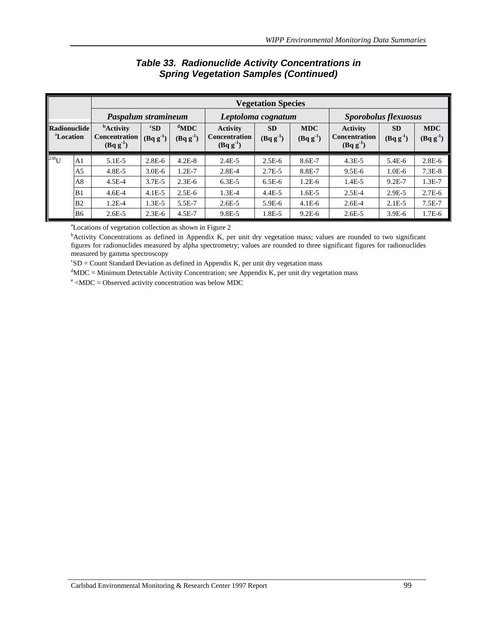|                                       |                     | <b>Vegetation Species</b>                                        |                                  |                          |                                                         |                             |                             |                                                         |                            |                             |
|---------------------------------------|---------------------|------------------------------------------------------------------|----------------------------------|--------------------------|---------------------------------------------------------|-----------------------------|-----------------------------|---------------------------------------------------------|----------------------------|-----------------------------|
|                                       | Paspalum stramineum |                                                                  | Leptoloma cognatum               |                          |                                                         | <b>Sporobolus flexuosus</b> |                             |                                                         |                            |                             |
| Radionuclide<br><sup>a</sup> Location |                     | <b><i>b</i></b> Activity<br><b>Concentration</b><br>$(Bqg^{-1})$ | ${}^{\rm c}$ SD<br>$(Bq g^{-1})$ | $d$ MDC<br>$(Bq g^{-1})$ | <b>Activity</b><br><b>Concentration</b><br>$(Bqg^{-1})$ | <b>SD</b><br>$(Bq g^{-1})$  | <b>MDC</b><br>$(Bq g^{-1})$ | <b>Activity</b><br><b>Concentration</b><br>$(Bqg^{-1})$ | <b>SD</b><br>$(Bq g^{-1})$ | <b>MDC</b><br>$(Bq g^{-1})$ |
| $238$ U                               | A <sub>1</sub>      | $5.1E-5$                                                         | $2.8E-6$                         | $4.2E-8$                 | $2.4E - 5$                                              | $2.5E-6$                    | $8.6E - 7$                  | $4.3E - 5$                                              | $5.4E-6$                   | $2.8E-6$                    |
|                                       | A5                  | $4.8E - 5$                                                       | $3.0E-6$                         | $1.2E-7$                 | $2.8E - 4$                                              | $2.7E-5$                    | 8.8E-7                      | $9.5E-6$                                                | $1.0E-6$                   | $7.3E-8$                    |
|                                       | A8                  | $4.5E-4$                                                         | $3.7E - 5$                       | $2.3E-6$                 | $6.3E-5$                                                | $6.5E-6$                    | $1.2E-6$                    | $1.4E-5$                                                | $9.2E - 7$                 | $1.3E-7$                    |
|                                       | B1                  | $4.6E-4$                                                         | $4.1E-5$                         | $2.5E-6$                 | $1.3E-4$                                                | $4.4E - 5$                  | $1.6E - 5$                  | $2.5E-4$                                                | $2.9E-5$                   | $2.7E-6$                    |
|                                       | B <sub>2</sub>      | $1.2E-4$                                                         | $1.3E-5$                         | 5.5E-7                   | $2.6E - 5$                                              | $5.9E-6$                    | $4.1E-6$                    | $2.6E - 4$                                              | $2.1E-5$                   | $7.5E-7$                    |
|                                       | <b>B6</b>           | $2.6E - 5$                                                       | $2.3E-6$                         | $4.5E - 7$               | 9.8E-5                                                  | 1.8E-5                      | $9.2E-6$                    | $2.6E - 5$                                              | $3.9E-6$                   | $1.7E-6$                    |

## *Table 33. Radionuclide Activity Concentrations in Spring Vegetation Samples (Continued)*

a Locations of vegetation collection as shown in Figure 2

b Activity Concentrations as defined in Appendix K, per unit dry vegetation mass; values are rounded to two significant figures for radionuclides measured by alpha spectrometry; values are rounded to three significant figures for radionuclides measured by gamma spectroscopy

 $c<sub>S</sub>SD =$  Count Standard Deviation as defined in Appendix K, per unit dry vegetation mass

 $\rm d^{d}MDC =$  Minimum Detectable Activity Concentration; see Appendix K, per unit dry vegetation mass  $\rm e$  ADC – Observed setuity concentration was below MDC.

 $\text{e}$  <MDC = Observed activity concentration was below MDC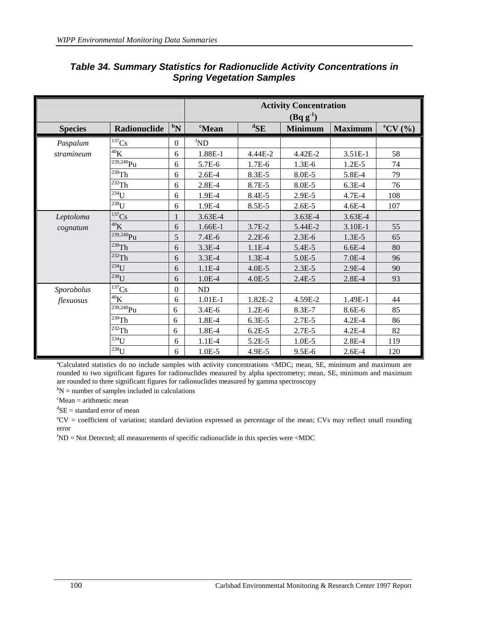|                |                        |                    |                          |                  | <b>Activity Concentration</b><br>$(Bq g^{-1})$ |                |                     |
|----------------|------------------------|--------------------|--------------------------|------------------|------------------------------------------------|----------------|---------------------|
| <b>Species</b> | Radionuclide           | $\boldsymbol{b_N}$ | <i>c</i> Mean            | ${}^{\rm d}\!SE$ | <b>Minimum</b>                                 | <b>Maximum</b> | $\mathrm{^eCV}$ (%) |
| Paspalum       | $137$ Cs               | $\boldsymbol{0}$   | ${}^{\text{f}}\text{ND}$ |                  |                                                |                |                     |
| stramineum     | $^{40}{\rm K}$         | 6                  | 1.88E-1                  | 4.44E-2          | 4.42E-2                                        | 3.51E-1        | 58                  |
|                | $239,240$ Pu           | 6                  | 5.7E-6                   | $1.7E-6$         | $1.3E-6$                                       | $1.2E-5$       | 74                  |
|                | $230$ Th               | 6                  | $2.6E-4$                 | 8.3E-5           | 8.0E-5                                         | 5.8E-4         | 79                  |
|                | $\overline{^{232}}$ Th | 6                  | $2.8E - 4$               | 8.7E-5           | 8.0E-5                                         | $6.3E-4$       | 76                  |
|                | $234$ U                | 6                  | 1.9E-4                   | 8.4E-5           | 2.9E-5                                         | $4.7E-4$       | 108                 |
|                | $238$ U                | 6                  | 1.9E-4                   | 8.5E-5           | $2.6E-5$                                       | $4.6E - 4$     | 107                 |
| Leptoloma      | 137Cs                  |                    | 3.63E-4                  |                  | 3.63E-4                                        | 3.63E-4        |                     |
| cognatum       | ${}^{40}\mathrm{K}$    | 6                  | 1.66E-1                  | $3.7E-2$         | 5.44E-2                                        | 3.10E-1        | 55                  |
|                | $239,240$ Pu           | 5                  | $7.4E-6$                 | $2.2E-6$         | $2.3E-6$                                       | $1.3E-5$       | 65                  |
|                | $230$ Th               | 6                  | $3.3E-4$                 | $1.1E-4$         | 5.4E-5                                         | $6.6E-4$       | 80                  |
|                | $232$ Th               | 6                  | $3.3E-4$                 | $1.3E-4$         | 5.0E-5                                         | $7.0E-4$       | 96                  |
|                | $234$ U                | 6                  | $1.1E-4$                 | $4.0E - 5$       | $2.3E-5$                                       | 2.9E-4         | 90                  |
|                | $238$ U                | 6                  | $1.0E-4$                 | $4.0E - 5$       | $2.4E-5$                                       | $2.8E - 4$     | 93                  |
| Sporobolus     | $\overline{^{137}}$ Cs | $\mathbf{0}$       | <b>ND</b>                |                  |                                                |                |                     |
| flexuosus      | $^{40}{\rm K}$         | 6                  | $1.01E-1$                | 1.82E-2          | 4.59E-2                                        | 1.49E-1        | 44                  |
|                | $\frac{1}{239,240}$ Pu | 6                  | $3.4E - 6$               | $1.2E-6$         | 8.3E-7                                         | 8.6E-6         | 85                  |
|                | $230$ Th               | 6                  | 1.8E-4                   | $6.3E-5$         | $2.7E-5$                                       | $4.2E-4$       | 86                  |
|                | $\overline{^{232}}$ Th | 6                  | 1.8E-4                   | $6.2E-5$         | $2.7E-5$                                       | $4.2E-4$       | 82                  |
|                | $234$ U                | 6                  | $1.1E-4$                 | 5.2E-5           | $1.0E-5$                                       | $2.8E-4$       | 119                 |
|                | $^{238}$ U             | 6                  | $1.0E-5$                 | 4.9E-5           | $9.5E-6$                                       | $2.6E-4$       | 120                 |

## *Table 34. Summary Statistics for Radionuclide Activity Concentrations in Spring Vegetation Samples*

a Calculated statistics do no include samples with activity concentrations <MDC; mean, SE, minimum and maximum are rounded to two significant figures for radionuclides measured by alpha spectrometry; mean, SE, minimum and maximum are rounded to three significant figures for radionuclides measured by gamma spectroscopy

 $b_N$  = number of samples included in calculations

 $c<sup>c</sup>$ Mean = arithmetic mean

 ${}^d$ SE = standard error of mean

e CV = coefficient of variation; standard deviation expressed as percentage of the mean; CVs may reflect small rounding error

 ${}^f$ ND = Not Detected; all measurements of specific radionuclide in this species were <MDC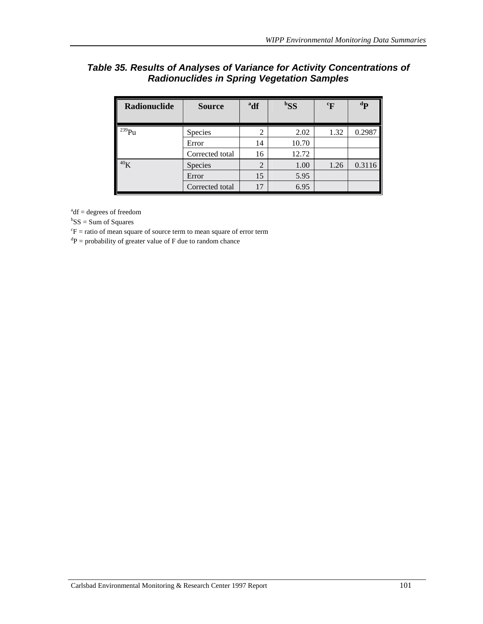## *Table 35. Results of Analyses of Variance for Activity Concentrations of Radionuclides in Spring Vegetation Samples*

| Radionuclide    | <b>Source</b>   | <sup>a</sup> df | ${}^{b}SS$ | $\mathrm{^{c}F}$ | $\mathbf{p}$ |
|-----------------|-----------------|-----------------|------------|------------------|--------------|
| $239$ Pu        | <b>Species</b>  | $\overline{2}$  | 2.02       | 1.32             | 0.2987       |
|                 | Error           | 14              | 10.70      |                  |              |
|                 | Corrected total | 16              | 12.72      |                  |              |
| 40 <sub>K</sub> | Species         | $\overline{2}$  | 1.00       | 1.26             | 0.3116       |
|                 | Error           | 15              | 5.95       |                  |              |
|                 | Corrected total | 17              | 6.95       |                  |              |

 $a^{a}$ df = degrees of freedom

 ${}^{b}SS = Sum$  of Squares

 ${}^c\text{F}$  = ratio of mean square of source term to mean square of error term

 ${}^{d}P$  = probability of greater value of F due to random chance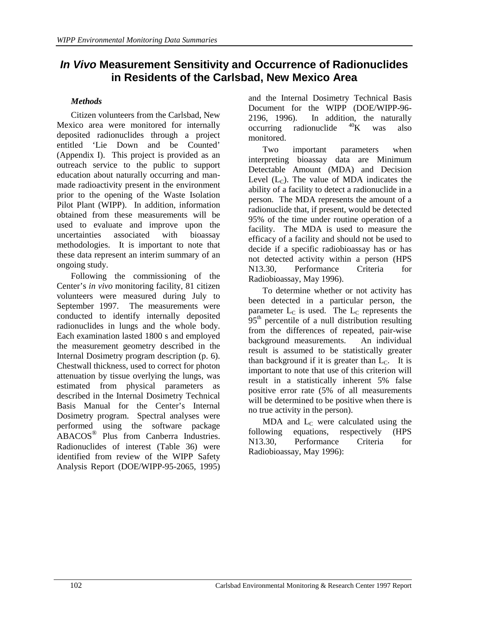# *In Vivo* **Measurement Sensitivity and Occurrence of Radionuclides in Residents of the Carlsbad, New Mexico Area**

## *Methods*

Citizen volunteers from the Carlsbad, New Mexico area were monitored for internally deposited radionuclides through a project entitled 'Lie Down and be Counted' (Appendix I). This project is provided as an outreach service to the public to support education about naturally occurring and manmade radioactivity present in the environment prior to the opening of the Waste Isolation Pilot Plant (WIPP). In addition, information obtained from these measurements will be used to evaluate and improve upon the uncertainties associated with bioassay methodologies. It is important to note that these data represent an interim summary of an ongoing study.

Following the commissioning of the Center's *in vivo* monitoring facility, 81 citizen volunteers were measured during July to September 1997. The measurements were conducted to identify internally deposited radionuclides in lungs and the whole body. Each examination lasted 1800 s and employed the measurement geometry described in the Internal Dosimetry program description (p. 6). Chestwall thickness, used to correct for photon attenuation by tissue overlying the lungs, was estimated from physical parameters as described in the Internal Dosimetry Technical Basis Manual for the Center's Internal Dosimetry program. Spectral analyses were performed using the software package ABACOS® Plus from Canberra Industries. Radionuclides of interest (Table 36) were identified from review of the WIPP Safety Analysis Report (DOE/WIPP-95-2065, 1995) and the Internal Dosimetry Technical Basis Document for the WIPP (DOE/WIPP-96- 2196, 1996). In addition, the naturally occurring radionuclide  $^{40}$ K was also monitored.

Two important parameters when interpreting bioassay data are Minimum Detectable Amount (MDA) and Decision Level  $(L<sub>C</sub>)$ . The value of MDA indicates the ability of a facility to detect a radionuclide in a person. The MDA represents the amount of a radionuclide that, if present, would be detected 95% of the time under routine operation of a facility. The MDA is used to measure the efficacy of a facility and should not be used to decide if a specific radiobioassay has or has not detected activity within a person (HPS N13.30, Performance Criteria for Radiobioassay, May 1996).

To determine whether or not activity has been detected in a particular person, the parameter  $L<sub>C</sub>$  is used. The  $L<sub>C</sub>$  represents the  $95<sup>th</sup>$  percentile of a null distribution resulting from the differences of repeated, pair-wise background measurements. An individual result is assumed to be statistically greater than background if it is greater than  $L<sub>C</sub>$ . It is important to note that use of this criterion will result in a statistically inherent 5% false positive error rate (5% of all measurements will be determined to be positive when there is no true activity in the person).

MDA and  $L_c$  were calculated using the owing equations, respectively (HPS) following equations, respectively N13.30, Performance Criteria for Radiobioassay, May 1996):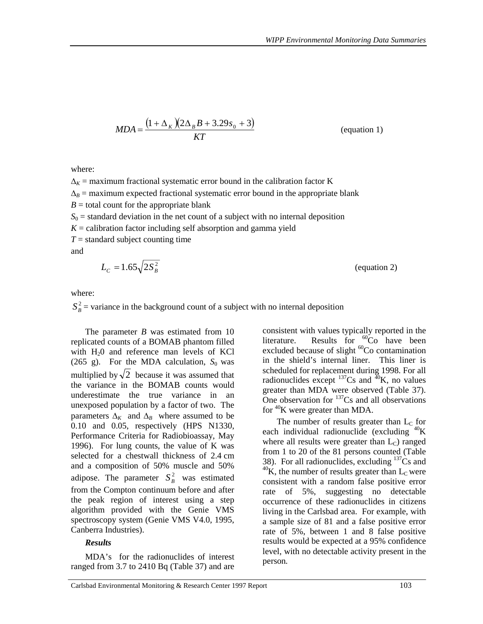$$
MDA = \frac{\left(1 + \Delta_K \right)\left(2\Delta_B B + 3.29s_0 + 3\right)}{KT}
$$
 (equation 1)

where:

 $\Delta_K$  = maximum fractional systematic error bound in the calibration factor K  $\Delta_B$  = maximum expected fractional systematic error bound in the appropriate blank  $B =$  total count for the appropriate blank  $S_0$  = standard deviation in the net count of a subject with no internal deposition  $K =$  calibration factor including self absorption and gamma yield  $T =$  standard subject counting time and  $L_c = 1.65 \sqrt{2S_R^2}$  (equation 2)

$$
f_{\rm{max}}
$$

where:

 $S_B^2$  = variance in the background count of a subject with no internal deposition

The parameter *B* was estimated from 10 replicated counts of a BOMAB phantom filled with  $H<sub>2</sub>0$  and reference man levels of KCl (265 g). For the MDA calculation,  $S_0$  was multiplied by  $\sqrt{2}$  because it was assumed that the variance in the BOMAB counts would underestimate the true variance in an unexposed population by a factor of two. The parameters  $\Delta_K$  and  $\Delta_B$  where assumed to be 0.10 and 0.05, respectively (HPS N1330, Performance Criteria for Radiobioassay, May 1996). For lung counts, the value of K was selected for a chestwall thickness of 2.4 cm and a composition of 50% muscle and 50% adipose. The parameter  $S_B^2$  was estimated from the Compton continuum before and after the peak region of interest using a step algorithm provided with the Genie VMS spectroscopy system (Genie VMS V4.0, 1995, Canberra Industries).

### *Results*

MDA's for the radionuclides of interest ranged from 3.7 to 2410 Bq (Table 37) and are

consistent with values typically reported in the literature. Results for  ${}^{60}Co$  have been excluded because of slight  ${}^{60}Co$  contamination in the shield's internal liner. This liner is scheduled for replacement during 1998. For all radionuclides except  $^{137}Cs$  and  $^{40}K$ , no values greater than MDA were observed (Table 37). One observation for  $137Cs$  and all observations for  ${}^{40}$ K were greater than MDA.

The number of results greater than  $L<sub>C</sub>$  for each individual radionuclide (excluding  $^{40}$ K) where all results were greater than  $L<sub>c</sub>$ ) ranged from 1 to 20 of the 81 persons counted (Table 38). For all radionuclides, excluding  $137Cs$  and  $^{40}$ K, the number of results greater than  $L_c$  were consistent with a random false positive error rate of 5%, suggesting no detectable occurrence of these radionuclides in citizens living in the Carlsbad area. For example, with a sample size of 81 and a false positive error rate of 5%, between 1 and 8 false positive results would be expected at a 95% confidence level, with no detectable activity present in the person*.*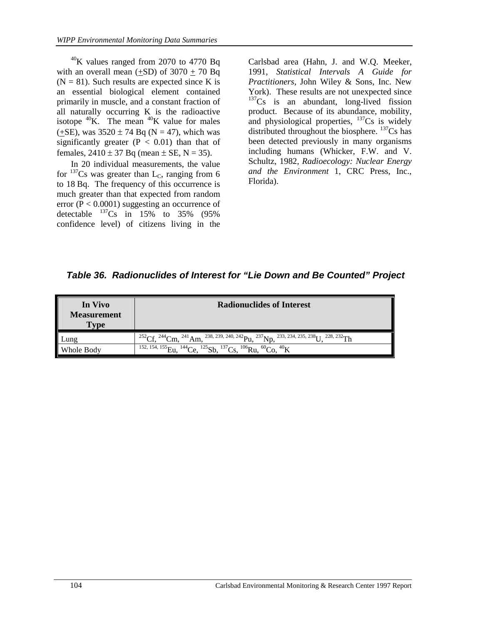$^{40}$ K values ranged from 2070 to 4770 Bq with an overall mean  $(\pm SD)$  of 3070  $\pm$  70 Bq  $(N = 81)$ . Such results are expected since K is an essential biological element contained primarily in muscle, and a constant fraction of all naturally occurring K is the radioactive isotope  ${}^{40}$ K. The mean  ${}^{40}$ K value for males  $(+SE)$ , was  $3520 \pm 74$  Bq (N = 47), which was significantly greater  $(P < 0.01)$  than that of females,  $2410 \pm 37$  Bq (mean  $\pm$  SE, N = 35).

In 20 individual measurements, the value for  $^{137}Cs$  was greater than L<sub>C</sub>, ranging from 6 to 18 Bq. The frequency of this occurrence is much greater than that expected from random error  $(P < 0.0001)$  suggesting an occurrence of detectable  $^{137}Cs$  in 15% to 35% (95%) confidence level) of citizens living in the

Carlsbad area (Hahn, J. and W.Q. Meeker, 1991, *Statistical Intervals A Guide for Practitioners*, John Wiley & Sons, Inc. New York). These results are not unexpected since  $137Cs$  is an abundant, long-lived fission product. Because of its abundance, mobility, and physiological properties,  $^{137}Cs$  is widely distributed throughout the biosphere.  $137$ Cs has been detected previously in many organisms including humans (Whicker, F.W. and V. Schultz, 1982*, Radioecology: Nuclear Energy and the Environment* 1, CRC Press, Inc., Florida).

 *Table 36. Radionuclides of Interest for "Lie Down and Be Counted" Project* 

| In Vivo<br><b>Measurement</b><br><b>Type</b> | <b>Radionuclides of Interest</b>                                                                                                                                     |
|----------------------------------------------|----------------------------------------------------------------------------------------------------------------------------------------------------------------------|
| Lung                                         | $^{252}Cf$ , $^{244}Cm$ , $^{241}Am$ , $^{238}$ , $^{239}$ , $^{240}$ , $^{242}Pu$ , $^{237}Np$ , $^{233}$ , $^{234}$ , $^{235}$ , $^{238}U$ , $^{228}$ , $^{232}Th$ |
| Whole Body                                   | <sup>152, 154, 155</sup> Eu, <sup>144</sup> Ce, <sup>125</sup> Sb, <sup>137</sup> Cs, <sup>106</sup> Ru, <sup>60</sup> Co, <sup>40</sup> K                           |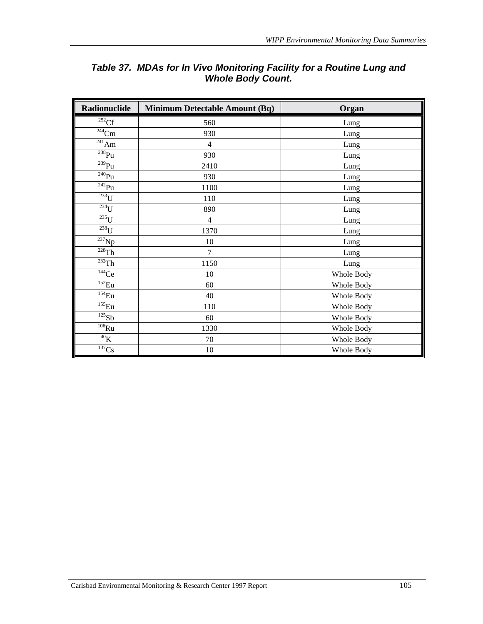| Radionuclide           | <b>Minimum Detectable Amount (Bq)</b> | Organ      |
|------------------------|---------------------------------------|------------|
| ${}^{252}Cf$           | 560                                   | Lung       |
| $\overline{^{244}}$ Cm | 930                                   | Lung       |
| $^{241}$ Am            | $\overline{4}$                        | Lung       |
| $238$ Pu               | 930                                   | Lung       |
| $239$ Pu               | 2410                                  | Lung       |
| $\overline{^{240}}Pu$  | 930                                   | Lung       |
| $\overline{^{242}}Pu$  | 1100                                  | Lung       |
| $\overline{^{233}}U$   | 110                                   | Lung       |
| $234$ U                | 890                                   | Lung       |
| $^{235}$ U             | $\overline{4}$                        | Lung       |
| $\overline{^{238}}U$   | 1370                                  | Lung       |
| $\overline{^{237}}$ Np | 10                                    | Lung       |
| $\overline{^{228}}$ Th | $\overline{7}$                        | Lung       |
| $\overline{^{232}}$ Th | 1150                                  | Lung       |
| $\overline{144}$ Ce    | 10                                    | Whole Body |
| $\overline{^{152}}$ Eu | 60                                    | Whole Body |
| $^{154}\mathrm{Eu}$    | 40                                    | Whole Body |
| $155$ Eu               | 110                                   | Whole Body |
| $^{125}Sb$             | 60                                    | Whole Body |
| $\overline{^{106}}Ru$  | 1330                                  | Whole Body |
| $^{40}{\rm K}$         | $70\,$                                | Whole Body |
| $^{137}\mathrm{Cs}$    | $10\,$                                | Whole Body |

## *Table 37. MDAs for In Vivo Monitoring Facility for a Routine Lung and Whole Body Count.*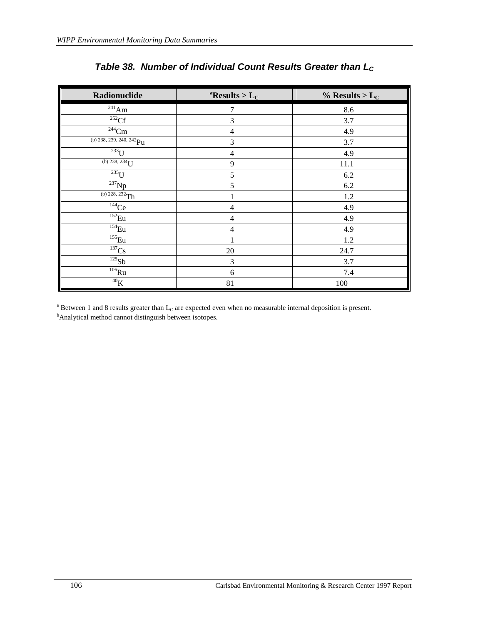| Radionuclide                           | <sup>a</sup> Results > $L_C$ | $\%$ Results > L <sub>C</sub> |
|----------------------------------------|------------------------------|-------------------------------|
| $^{241}$ Am $\,$                       | 7                            | 8.6                           |
| $\overline{^{252}C}$ f                 | 3                            | 3.7                           |
| $^{244}\mathrm{Cm}$                    | 4                            | 4.9                           |
| (b) 238, 239, 240, 242 $\overline{Pu}$ | 3                            | 3.7                           |
| 233                                    | 4                            | 4.9                           |
| (b) 238, 234 $\overline{U}$            | 9                            | 11.1                          |
| $\overline{^{235}}$ U                  | 5                            | 6.2                           |
| $^{237}Np$                             | 5                            | 6.2                           |
| (b) $228, 232$ Th                      |                              | 1.2                           |
| $144$ Ce                               | 4                            | 4.9                           |
| $\overline{^{152}}$ Eu                 | 4                            | 4.9                           |
| $^{154}$ Eu                            | 4                            | 4.9                           |
| $^{155}\mathrm{Eu}$                    |                              | 1.2                           |
| ${}^{137}\mathrm{Cs}$                  | 20                           | 24.7                          |
| $^{125}\mathrm{Sb}$                    | 3                            | 3.7                           |
| $^{106}\mathrm{Ru}$                    | 6                            | 7.4                           |
| $^{40}{\rm K}$                         | 81                           | 100                           |

# Table 38. Number of Individual Count Results Greater than L<sub>C</sub>

<sup>a</sup> Between 1 and 8 results greater than  $L_C$  are expected even when no measurable internal deposition is present. <sup>b</sup>Analytical method cannot distinguish between isotopes.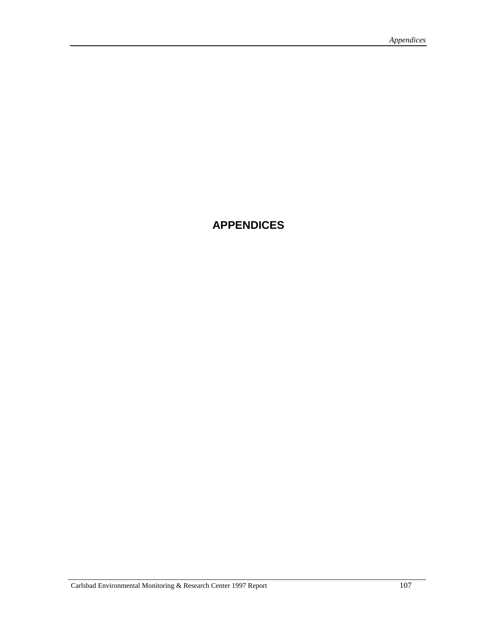# **APPENDICES**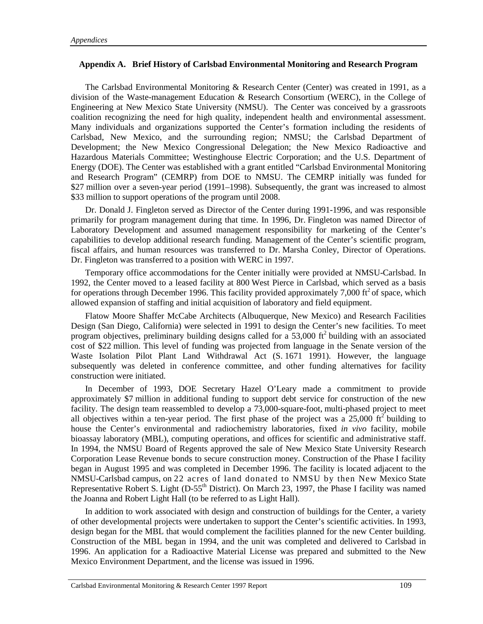#### **Appendix A. Brief History of Carlsbad Environmental Monitoring and Research Program**

The Carlsbad Environmental Monitoring & Research Center (Center) was created in 1991, as a division of the Waste-management Education & Research Consortium (WERC), in the College of Engineering at New Mexico State University (NMSU). The Center was conceived by a grassroots coalition recognizing the need for high quality, independent health and environmental assessment. Many individuals and organizations supported the Center's formation including the residents of Carlsbad, New Mexico, and the surrounding region; NMSU; the Carlsbad Department of Development; the New Mexico Congressional Delegation; the New Mexico Radioactive and Hazardous Materials Committee; Westinghouse Electric Corporation; and the U.S. Department of Energy (DOE). The Center was established with a grant entitled "Carlsbad Environmental Monitoring and Research Program" (CEMRP) from DOE to NMSU. The CEMRP initially was funded for \$27 million over a seven-year period (1991–1998). Subsequently, the grant was increased to almost \$33 million to support operations of the program until 2008.

Dr. Donald J. Fingleton served as Director of the Center during 1991-1996, and was responsible primarily for program management during that time. In 1996, Dr. Fingleton was named Director of Laboratory Development and assumed management responsibility for marketing of the Center's capabilities to develop additional research funding. Management of the Center's scientific program, fiscal affairs, and human resources was transferred to Dr. Marsha Conley, Director of Operations. Dr. Fingleton was transferred to a position with WERC in 1997.

Temporary office accommodations for the Center initially were provided at NMSU-Carlsbad. In 1992, the Center moved to a leased facility at 800 West Pierce in Carlsbad, which served as a basis for operations through December 1996. This facility provided approximately 7,000 ft<sup>2</sup> of space, which allowed expansion of staffing and initial acquisition of laboratory and field equipment.

Flatow Moore Shaffer McCabe Architects (Albuquerque, New Mexico) and Research Facilities Design (San Diego, California) were selected in 1991 to design the Center's new facilities. To meet program objectives, preliminary building designs called for a 53,000  $\text{ft}^2$  building with an associated cost of \$22 million. This level of funding was projected from language in the Senate version of the Waste Isolation Pilot Plant Land Withdrawal Act (S. 1671 1991). However, the language subsequently was deleted in conference committee, and other funding alternatives for facility construction were initiated.

In December of 1993, DOE Secretary Hazel O'Leary made a commitment to provide approximately \$7 million in additional funding to support debt service for construction of the new facility. The design team reassembled to develop a 73,000-square-foot, multi-phased project to meet all objectives within a ten-year period. The first phase of the project was a  $25,000$  ft<sup>2</sup> building to house the Center's environmental and radiochemistry laboratories, fixed *in vivo* facility, mobile bioassay laboratory (MBL), computing operations, and offices for scientific and administrative staff. In 1994, the NMSU Board of Regents approved the sale of New Mexico State University Research Corporation Lease Revenue bonds to secure construction money. Construction of the Phase I facility began in August 1995 and was completed in December 1996. The facility is located adjacent to the NMSU-Carlsbad campus, on 22 acres of land donated to NMSU by then New Mexico State Representative Robert S. Light (D-55<sup>th</sup> District). On March 23, 1997, the Phase I facility was named the Joanna and Robert Light Hall (to be referred to as Light Hall).

In addition to work associated with design and construction of buildings for the Center, a variety of other developmental projects were undertaken to support the Center's scientific activities. In 1993, design began for the MBL that would complement the facilities planned for the new Center building. Construction of the MBL began in 1994, and the unit was completed and delivered to Carlsbad in 1996. An application for a Radioactive Material License was prepared and submitted to the New Mexico Environment Department, and the license was issued in 1996.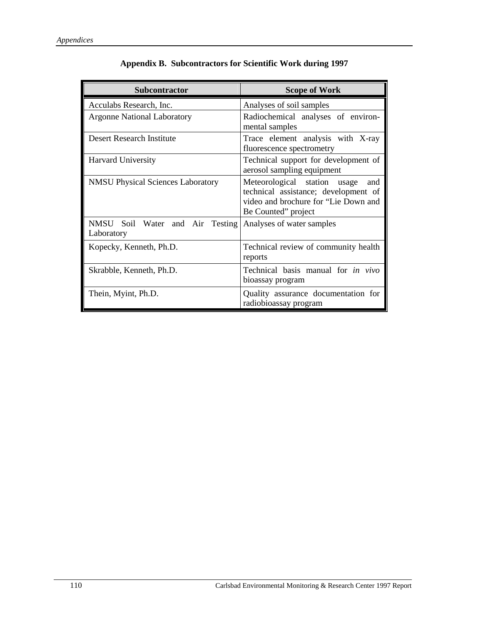| <b>Subcontractor</b>                          | <b>Scope of Work</b>                                                                                                                       |
|-----------------------------------------------|--------------------------------------------------------------------------------------------------------------------------------------------|
| Acculabs Research, Inc.                       | Analyses of soil samples                                                                                                                   |
| <b>Argonne National Laboratory</b>            | Radiochemical analyses of environ-<br>mental samples                                                                                       |
| Desert Research Institute                     | Trace element analysis with X-ray<br>fluorescence spectrometry                                                                             |
| Harvard University                            | Technical support for development of<br>aerosol sampling equipment                                                                         |
| <b>NMSU Physical Sciences Laboratory</b>      | Meteorological station usage<br>and<br>technical assistance; development of<br>video and brochure for "Lie Down and<br>Be Counted" project |
| NMSU Soil Water and Air Testing<br>Laboratory | Analyses of water samples                                                                                                                  |
| Kopecky, Kenneth, Ph.D.                       | Technical review of community health<br>reports                                                                                            |
| Skrabble, Kenneth, Ph.D.                      | Technical basis manual for <i>in vivo</i><br>bioassay program                                                                              |
| Thein, Myint, Ph.D.                           | Quality assurance documentation for<br>radiobioassay program                                                                               |

## **Appendix B. Subcontractors for Scientific Work during 1997**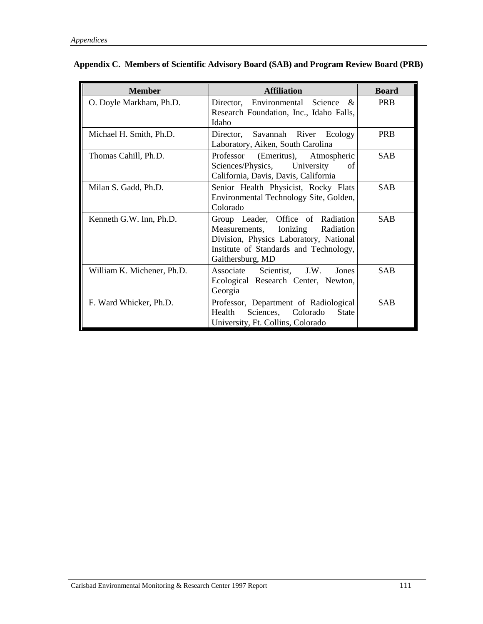| <b>Member</b>              | <b>Affiliation</b>                                                                                                                                                               | <b>Board</b> |
|----------------------------|----------------------------------------------------------------------------------------------------------------------------------------------------------------------------------|--------------|
| O. Doyle Markham, Ph.D.    | Director, Environmental Science &<br>Research Foundation, Inc., Idaho Falls,<br>Idaho                                                                                            | <b>PRB</b>   |
| Michael H. Smith, Ph.D.    | Director, Savannah River Ecology<br>Laboratory, Aiken, South Carolina                                                                                                            | <b>PRB</b>   |
| Thomas Cahill, Ph.D.       | Professor (Emeritus), Atmospheric<br>Sciences/Physics, University<br>of<br>California, Davis, Davis, California                                                                  | <b>SAB</b>   |
| Milan S. Gadd, Ph.D.       | Senior Health Physicist, Rocky Flats<br>Environmental Technology Site, Golden,<br>Colorado                                                                                       | <b>SAB</b>   |
| Kenneth G.W. Inn, Ph.D.    | Group Leader, Office of Radiation<br>Measurements, Ionizing<br>Radiation<br>Division, Physics Laboratory, National<br>Institute of Standards and Technology,<br>Gaithersburg, MD | <b>SAB</b>   |
| William K. Michener, Ph.D. | Associate Scientist, J.W. Jones<br>Ecological Research Center, Newton,<br>Georgia                                                                                                | <b>SAB</b>   |
| F. Ward Whicker, Ph.D.     | Professor, Department of Radiological<br>Health Sciences, Colorado<br><b>State</b><br>University, Ft. Collins, Colorado                                                          | <b>SAB</b>   |

| Appendix C. Members of Scientific Advisory Board (SAB) and Program Review Board (PRB) |  |  |  |  |  |  |  |  |  |  |
|---------------------------------------------------------------------------------------|--|--|--|--|--|--|--|--|--|--|
|---------------------------------------------------------------------------------------|--|--|--|--|--|--|--|--|--|--|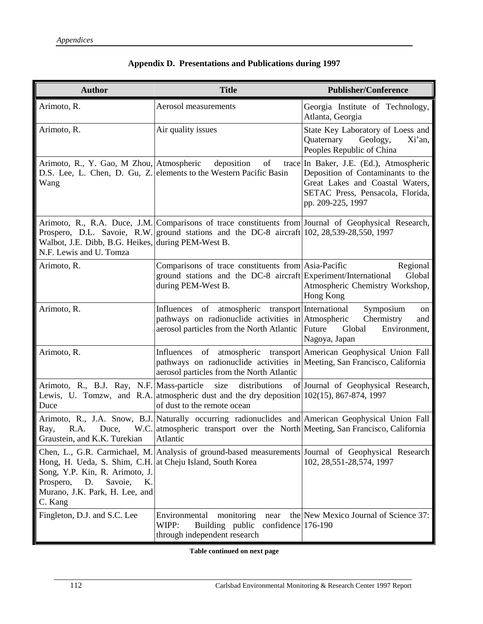| <b>Author</b>                                                                                                                                                                | <b>Title</b>                                                                                                                                                                                       | <b>Publisher/Conference</b>                                                                                                                                              |
|------------------------------------------------------------------------------------------------------------------------------------------------------------------------------|----------------------------------------------------------------------------------------------------------------------------------------------------------------------------------------------------|--------------------------------------------------------------------------------------------------------------------------------------------------------------------------|
| Arimoto, R.                                                                                                                                                                  | Aerosol measurements                                                                                                                                                                               | Georgia Institute of Technology,<br>Atlanta, Georgia                                                                                                                     |
| Arimoto, R.                                                                                                                                                                  | Air quality issues                                                                                                                                                                                 | State Key Laboratory of Loess and<br>Quaternary<br>Geology,<br>Xi'an,<br>Peoples Republic of China                                                                       |
| Arimoto, R., Y. Gao, M Zhou, Atmospheric<br>Wang                                                                                                                             | of<br>deposition<br>D.S. Lee, L. Chen, D. Gu, Z. elements to the Western Pacific Basin                                                                                                             | trace In Baker, J.E. (Ed.), Atmospheric<br>Deposition of Contaminants to the<br>Great Lakes and Coastal Waters,<br>SETAC Press, Pensacola, Florida,<br>pp. 209-225, 1997 |
| Walbot, J.E. Dibb, B.G. Heikes, during PEM-West B.<br>N.F. Lewis and U. Tomza                                                                                                | Arimoto, R., R.A. Duce, J.M. Comparisons of trace constituents from Journal of Geophysical Research,<br>Prospero, D.L. Savoie, R.W. ground stations and the DC-8 aircraft 102, 28,539-28,550, 1997 |                                                                                                                                                                          |
| Arimoto, R.                                                                                                                                                                  | Comparisons of trace constituents from Asia-Pacific<br>ground stations and the DC-8 aircraft Experiment/International<br>during PEM-West B.                                                        | Regional<br>Global<br>Atmospheric Chemistry Workshop,<br>Hong Kong                                                                                                       |
| Arimoto, R.                                                                                                                                                                  | of atmospheric transport International<br>Influences<br>pathways on radionuclide activities in Atmospheric<br>aerosol particles from the North Atlantic Future                                     | Symposium<br>on<br>Chermistry<br>and<br>Global<br>Environment,<br>Nagoya, Japan                                                                                          |
| Arimoto, R.                                                                                                                                                                  | Influences of atmospheric transport American Geophysical Union Fall<br>pathways on radionuclide activities in Meeting, San Francisco, California<br>aerosol particles from the North Atlantic      |                                                                                                                                                                          |
| Arimoto, R., B.J. Ray, N.F. Mass-particle<br>Duce                                                                                                                            | size<br>distributions<br>Lewis, U. Tomzw, and R.A. atmospheric dust and the dry deposition 102(15), 867-874, 1997<br>of dust to the remote ocean                                                   | of Journal of Geophysical Research,                                                                                                                                      |
| R.A.<br>Duce,<br>Ray,<br>Graustein, and K.K. Turekian                                                                                                                        | Arimoto, R., J.A. Snow, B.J. Naturally occurring radionuclides and American Geophysical Union Fall<br>W.C. atmospheric transport over the North Meeting, San Francisco, California<br>Atlantic     |                                                                                                                                                                          |
| Hong, H. Ueda, S. Shim, C.H. at Cheju Island, South Korea<br>Song, Y.P. Kin, R. Arimoto, J.<br>Prospero,<br>Savoie,<br>D.<br>Κ.<br>Murano, J.K. Park, H. Lee, and<br>C. Kang | Chen, L., G.R. Carmichael, M. Analysis of ground-based measurements Journal of Geophysical Research                                                                                                | 102, 28, 551-28, 574, 1997                                                                                                                                               |
| Fingleton, D.J. and S.C. Lee                                                                                                                                                 | monitoring<br>Environmental<br>near<br>WIPP:<br>Building public<br>confidence $176-190$<br>through independent research                                                                            | the New Mexico Journal of Science 37:                                                                                                                                    |

## **Appendix D. Presentations and Publications during 1997**

**Table continued on next page**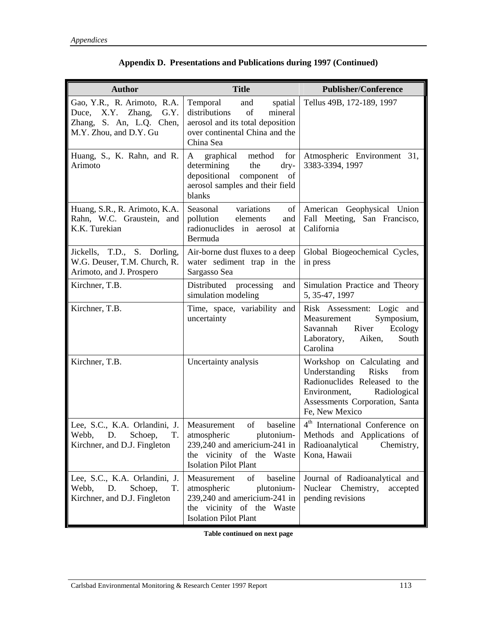| <b>Author</b>                                                                                                  | <b>Title</b>                                                                                                                                            | <b>Publisher/Conference</b>                                                                                                                                                               |
|----------------------------------------------------------------------------------------------------------------|---------------------------------------------------------------------------------------------------------------------------------------------------------|-------------------------------------------------------------------------------------------------------------------------------------------------------------------------------------------|
| Gao, Y.R., R. Arimoto, R.A.<br>Duce, X.Y. Zhang,<br>G.Y.<br>Zhang, S. An, L.Q. Chen,<br>M.Y. Zhou, and D.Y. Gu | Temporal<br>and<br>spatial<br>distributions<br>of<br>mineral<br>aerosol and its total deposition<br>over continental China and the<br>China Sea         | Tellus 49B, 172-189, 1997                                                                                                                                                                 |
| Huang, S., K. Rahn, and R.<br>Arimoto                                                                          | for<br>graphical<br>method<br>A<br>determining<br>the<br>dry-<br>depositional<br>component<br>of<br>aerosol samples and their field<br>blanks           | Atmospheric Environment 31,<br>3383-3394, 1997                                                                                                                                            |
| Huang, S.R., R. Arimoto, K.A.<br>Rahn, W.C. Graustein, and<br>K.K. Turekian                                    | Seasonal<br>variations<br>$\sigma$<br>pollution<br>elements<br>and<br>radionuclides in aerosol<br>at<br>Bermuda                                         | American Geophysical Union<br>Fall Meeting, San Francisco,<br>California                                                                                                                  |
| Jickells, T.D., S. Dorling,<br>W.G. Deuser, T.M. Church, R.<br>Arimoto, and J. Prospero                        | Air-borne dust fluxes to a deep<br>water sediment trap in the<br>Sargasso Sea                                                                           | Global Biogeochemical Cycles,<br>in press                                                                                                                                                 |
| Kirchner, T.B.                                                                                                 | Distributed processing<br>and<br>simulation modeling                                                                                                    | Simulation Practice and Theory<br>5, 35-47, 1997                                                                                                                                          |
| Kirchner, T.B.                                                                                                 | Time, space, variability and<br>uncertainty                                                                                                             | Risk Assessment: Logic and<br>Symposium,<br>Measurement<br>River<br>Savannah<br>Ecology<br>South<br>Laboratory,<br>Aiken,<br>Carolina                                                     |
| Kirchner, T.B.                                                                                                 | Uncertainty analysis                                                                                                                                    | Workshop on Calculating and<br>Understanding<br><b>Risks</b><br>from<br>Radionuclides Released to the<br>Radiological<br>Environment,<br>Assessments Corporation, Santa<br>Fe, New Mexico |
| Lee, S.C., K.A. Orlandini, J.   Measurement<br>D.<br>Webb,<br>Schoep,<br>T.<br>Kirchner, and D.J. Fingleton    | of<br>baseline<br>atmospheric<br>plutonium-<br>239,240 and americium-241 in<br>the vicinity of the Waste<br><b>Isolation Pilot Plant</b>                | 4 <sup>th</sup> International Conference on<br>Methods and Applications of<br>Radioanalytical<br>Chemistry,<br>Kona, Hawaii                                                               |
| Lee, S.C., K.A. Orlandini, J.<br>Schoep,<br>Webb,<br>D.<br>T.<br>Kirchner, and D.J. Fingleton                  | of<br>baseline<br>Measurement<br>atmospheric<br>plutonium-<br>239,240 and americium-241 in<br>the vicinity of the Waste<br><b>Isolation Pilot Plant</b> | Journal of Radioanalytical and<br>Nuclear Chemistry,<br>accepted<br>pending revisions                                                                                                     |

|  | Appendix D. Presentations and Publications during 1997 (Continued) |  |  |  |  |
|--|--------------------------------------------------------------------|--|--|--|--|
|--|--------------------------------------------------------------------|--|--|--|--|

**Table continued on next page**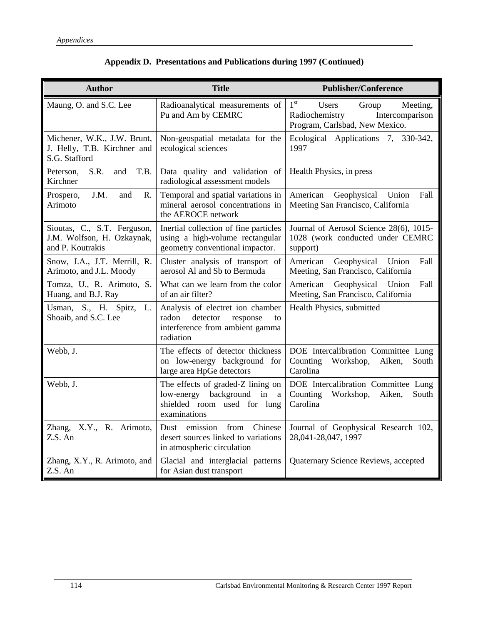| <b>Author</b>                                                                 | <b>Title</b>                                                                                                            | <b>Publisher/Conference</b>                                                                                                 |
|-------------------------------------------------------------------------------|-------------------------------------------------------------------------------------------------------------------------|-----------------------------------------------------------------------------------------------------------------------------|
| Maung, O. and S.C. Lee                                                        | Radioanalytical measurements of<br>Pu and Am by CEMRC                                                                   | 1 <sup>st</sup><br><b>Users</b><br>Meeting,<br>Group<br>Radiochemistry<br>Intercomparison<br>Program, Carlsbad, New Mexico. |
| Michener, W.K., J.W. Brunt,<br>J. Helly, T.B. Kirchner and<br>S.G. Stafford   | Non-geospatial metadata for the<br>ecological sciences                                                                  | Ecological Applications 7, 330-342,<br>1997                                                                                 |
| S.R.<br>T.B.<br>Peterson,<br>and<br>Kirchner                                  | Data quality and validation of<br>radiological assessment models                                                        | Health Physics, in press                                                                                                    |
| Prospero,<br>J.M.<br>and<br>R.<br>Arimoto                                     | Temporal and spatial variations in<br>mineral aerosol concentrations in<br>the AEROCE network                           | Geophysical Union<br>American<br>Fall<br>Meeting San Francisco, California                                                  |
| Sioutas, C., S.T. Ferguson,<br>J.M. Wolfson, H. Ozkaynak,<br>and P. Koutrakis | Inertial collection of fine particles<br>using a high-volume rectangular<br>geometry conventional impactor.             | Journal of Aerosol Science 28(6), 1015-<br>1028 (work conducted under CEMRC<br>support)                                     |
| Snow, J.A., J.T. Merrill, R.<br>Arimoto, and J.L. Moody                       | Cluster analysis of transport of<br>aerosol Al and Sb to Bermuda                                                        | American<br>Geophysical<br>Union<br>Fall<br>Meeting, San Francisco, California                                              |
| Tomza, U., R. Arimoto, S.<br>Huang, and B.J. Ray                              | What can we learn from the color<br>of an air filter?                                                                   | Geophysical Union<br>American<br>Fall<br>Meeting, San Francisco, California                                                 |
| Usman, S., H. Spitz, L.<br>Shoaib, and S.C. Lee                               | Analysis of electret ion chamber<br>radon<br>detector<br>response<br>to<br>interference from ambient gamma<br>radiation | Health Physics, submitted                                                                                                   |
| Webb, J.                                                                      | The effects of detector thickness<br>on low-energy background for<br>large area HpGe detectors                          | DOE Intercalibration Committee Lung<br>Counting<br>Workshop,<br>Aiken,<br>South<br>Carolina                                 |
| Webb, J.                                                                      | The effects of graded-Z lining on<br>low-energy background<br>in<br>a<br>shielded room used for lung<br>examinations    | DOE Intercalibration Committee Lung<br>Counting<br>Workshop,<br>Aiken,<br>South<br>Carolina                                 |
| Zhang, X.Y., R. Arimoto,<br>Z.S. An                                           | from<br>Dust emission<br>Chinese<br>desert sources linked to variations<br>in atmospheric circulation                   | Journal of Geophysical Research 102,<br>28,041-28,047, 1997                                                                 |
| Zhang, X.Y., R. Arimoto, and<br>Z.S. An                                       | Glacial and interglacial patterns<br>for Asian dust transport                                                           | Quaternary Science Reviews, accepted                                                                                        |

## **Appendix D. Presentations and Publications during 1997 (Continued)**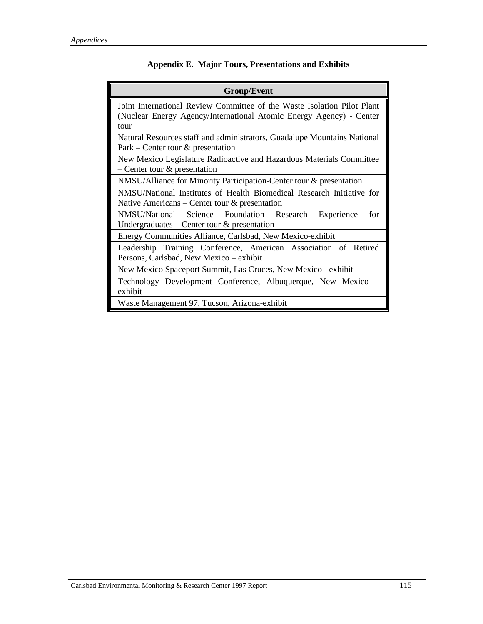| <b>Group/Event</b>                                                                                                                                     |  |  |
|--------------------------------------------------------------------------------------------------------------------------------------------------------|--|--|
| Joint International Review Committee of the Waste Isolation Pilot Plant<br>(Nuclear Energy Agency/International Atomic Energy Agency) - Center<br>tour |  |  |
| Natural Resources staff and administrators, Guadalupe Mountains National<br>$Park - Center$ tour $\&$ presentation                                     |  |  |
| New Mexico Legislature Radioactive and Hazardous Materials Committee<br>$-$ Center tour $\&$ presentation                                              |  |  |
| NMSU/Alliance for Minority Participation-Center tour & presentation                                                                                    |  |  |
| NMSU/National Institutes of Health Biomedical Research Initiative for<br>Native Americans – Center tour $\&$ presentation                              |  |  |
| NMSU/National Science Foundation Research Experience<br>for<br>Undergraduates – Center tour $\&$ presentation                                          |  |  |
| Energy Communities Alliance, Carlsbad, New Mexico-exhibit                                                                                              |  |  |
| Leadership Training Conference, American Association of Retired<br>Persons, Carlsbad, New Mexico – exhibit                                             |  |  |
| New Mexico Spaceport Summit, Las Cruces, New Mexico - exhibit                                                                                          |  |  |
| Technology Development Conference, Albuquerque, New Mexico<br>exhibit                                                                                  |  |  |
| Waste Management 97, Tucson, Arizona-exhibit                                                                                                           |  |  |

## **Appendix E. Major Tours, Presentations and Exhibits**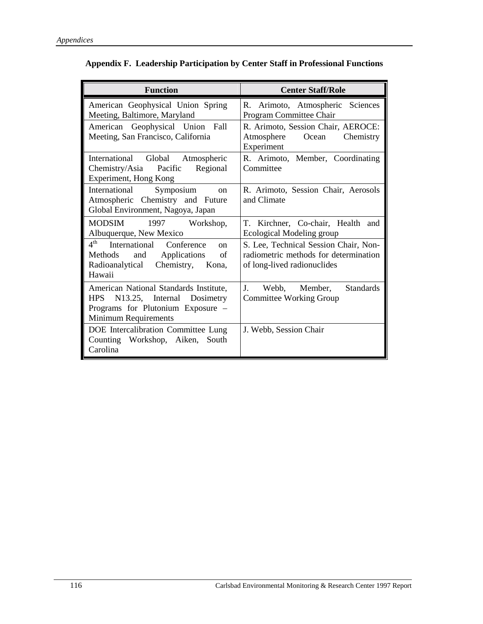| <b>Function</b>                                                                                                                                        | <b>Center Staff/Role</b>                                                                                      |
|--------------------------------------------------------------------------------------------------------------------------------------------------------|---------------------------------------------------------------------------------------------------------------|
| American Geophysical Union Spring<br>Meeting, Baltimore, Maryland                                                                                      | R. Arimoto, Atmospheric Sciences<br>Program Committee Chair                                                   |
| American Geophysical Union Fall<br>Meeting, San Francisco, California                                                                                  | R. Arimoto, Session Chair, AEROCE:<br>Atmosphere<br>Ocean<br>Chemistry<br>Experiment                          |
| International Global Atmospheric<br>Chemistry/Asia Pacific<br>Regional<br>Experiment, Hong Kong                                                        | R. Arimoto, Member, Coordinating<br>Committee                                                                 |
| Symposium<br>International<br><sub>on</sub><br>Atmospheric Chemistry and Future<br>Global Environment, Nagoya, Japan                                   | R. Arimoto, Session Chair, Aerosols<br>and Climate                                                            |
| MODSIM 1997 Workshop,<br>Albuquerque, New Mexico                                                                                                       | T. Kirchner, Co-chair, Health and<br>Ecological Modeling group                                                |
| $4^{\text{th}}$<br>International Conference<br>$\alpha$<br>Methods and Applications<br>of<br>Radioanalytical Chemistry, Kona,<br>Hawaii                | S. Lee, Technical Session Chair, Non-<br>radiometric methods for determination<br>of long-lived radionuclides |
| American National Standards Institute,<br><b>HPS</b><br>N13.25, Internal Dosimetry<br>Programs for Plutonium Exposure -<br><b>Minimum Requirements</b> | J. Webb, Member,<br><b>Standards</b><br>Committee Working Group                                               |
| DOE Intercalibration Committee Lung<br>Counting Workshop, Aiken, South<br>Carolina                                                                     | J. Webb, Session Chair                                                                                        |

| Appendix F. Leadership Participation by Center Staff in Professional Functions |  |  |  |  |
|--------------------------------------------------------------------------------|--|--|--|--|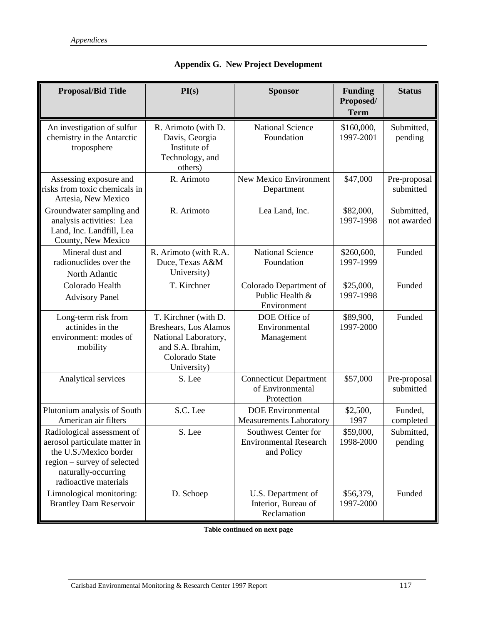| <b>Proposal/Bid Title</b>                                                                                                                                                                               | PI(s)<br><b>Sponsor</b>                                                                                                            |                                                                     | <b>Funding</b><br>Proposed/<br><b>Term</b> | <b>Status</b>             |
|---------------------------------------------------------------------------------------------------------------------------------------------------------------------------------------------------------|------------------------------------------------------------------------------------------------------------------------------------|---------------------------------------------------------------------|--------------------------------------------|---------------------------|
| <b>National Science</b><br>An investigation of sulfur<br>R. Arimoto (with D.<br>chemistry in the Antarctic<br>Foundation<br>Davis, Georgia<br>Institute of<br>troposphere<br>Technology, and<br>others) |                                                                                                                                    | \$160,000,<br>1997-2001                                             | Submitted,<br>pending                      |                           |
| Assessing exposure and<br>risks from toxic chemicals in<br>Artesia, New Mexico                                                                                                                          | R. Arimoto                                                                                                                         | <b>New Mexico Environment</b><br>Department                         | \$47,000                                   | Pre-proposal<br>submitted |
| Groundwater sampling and<br>analysis activities: Lea<br>Land, Inc. Landfill, Lea<br>County, New Mexico                                                                                                  | R. Arimoto                                                                                                                         | Lea Land, Inc.                                                      | \$82,000,<br>1997-1998                     | Submitted,<br>not awarded |
| Mineral dust and<br>radionuclides over the<br>North Atlantic                                                                                                                                            | R. Arimoto (with R.A.<br>Duce, Texas A&M<br>University)                                                                            | <b>National Science</b><br>Foundation                               | \$260,600,<br>1997-1999                    | Funded                    |
| Colorado Health<br><b>Advisory Panel</b>                                                                                                                                                                | T. Kirchner                                                                                                                        | Colorado Department of<br>Public Health &<br>Environment            | \$25,000,<br>1997-1998                     | Funded                    |
| Long-term risk from<br>actinides in the<br>environment: modes of<br>mobility                                                                                                                            | T. Kirchner (with D.<br><b>Breshears, Los Alamos</b><br>National Laboratory,<br>and S.A. Ibrahim,<br>Colorado State<br>University) | DOE Office of<br>Environmental<br>Management                        | \$89,900,<br>1997-2000                     | Funded                    |
| Analytical services                                                                                                                                                                                     | S. Lee                                                                                                                             | <b>Connecticut Department</b><br>of Environmental<br>Protection     | \$57,000                                   | Pre-proposal<br>submitted |
| Plutonium analysis of South<br>American air filters                                                                                                                                                     | S.C. Lee                                                                                                                           | <b>DOE</b> Environmental<br><b>Measurements Laboratory</b>          | \$2,500,<br>1997                           | Funded,<br>completed      |
| Radiological assessment of<br>aerosol particulate matter in<br>the U.S./Mexico border<br>region – survey of selected<br>naturally-occurring<br>radioactive materials                                    | S. Lee                                                                                                                             | Southwest Center for<br><b>Environmental Research</b><br>and Policy | \$59,000,<br>1998-2000                     | Submitted,<br>pending     |
| Limnological monitoring:<br><b>Brantley Dam Reservoir</b>                                                                                                                                               | D. Schoep                                                                                                                          | U.S. Department of<br>Interior, Bureau of<br>Reclamation            | \$56,379,<br>1997-2000                     | Funded                    |

|  | <b>Appendix G. New Project Development</b> |
|--|--------------------------------------------|
|--|--------------------------------------------|

**Table continued on next page**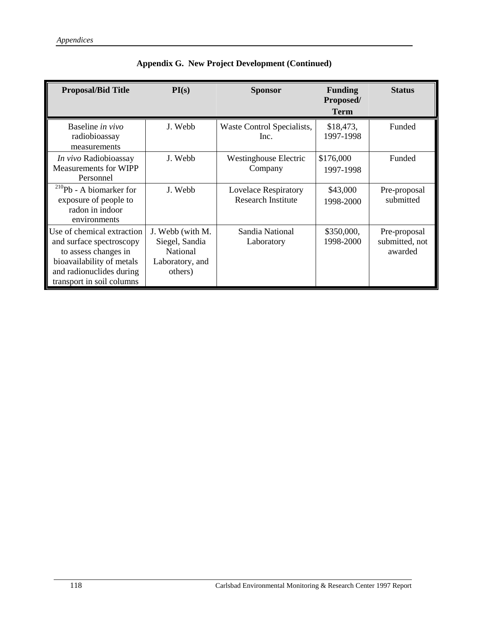| <b>Proposal/Bid Title</b>                                                                                                                                            | PI(s)                                                                        | <b>Sponsor</b>                                           | <b>Funding</b><br>Proposed/<br><b>Term</b> | <b>Status</b>                             |
|----------------------------------------------------------------------------------------------------------------------------------------------------------------------|------------------------------------------------------------------------------|----------------------------------------------------------|--------------------------------------------|-------------------------------------------|
| Baseline in vivo<br>radiobioassay<br>measurements                                                                                                                    | J. Webb                                                                      | Waste Control Specialists,<br>Inc.                       | \$18,473,<br>1997-1998                     | Funded                                    |
| In vivo Radiobioassay<br><b>Measurements for WIPP</b><br>Personnel                                                                                                   | J. Webb                                                                      | <b>Westinghouse Electric</b><br>Company                  | \$176,000<br>1997-1998                     | Funded                                    |
| $^{210}Pb - A\;$ biomarker for<br>exposure of people to<br>radon in indoor<br>environments                                                                           | J. Webb                                                                      | <b>Lovelace Respiratory</b><br><b>Research Institute</b> | \$43,000<br>1998-2000                      | Pre-proposal<br>submitted                 |
| Use of chemical extraction<br>and surface spectroscopy<br>to assess changes in<br>bioavailability of metals<br>and radionuclides during<br>transport in soil columns | J. Webb (with M.<br>Siegel, Sandia<br>National<br>Laboratory, and<br>others) | Sandia National<br>Laboratory                            | \$350,000,<br>1998-2000                    | Pre-proposal<br>submitted, not<br>awarded |

|  |  | Appendix G. New Project Development (Continued) |  |
|--|--|-------------------------------------------------|--|
|--|--|-------------------------------------------------|--|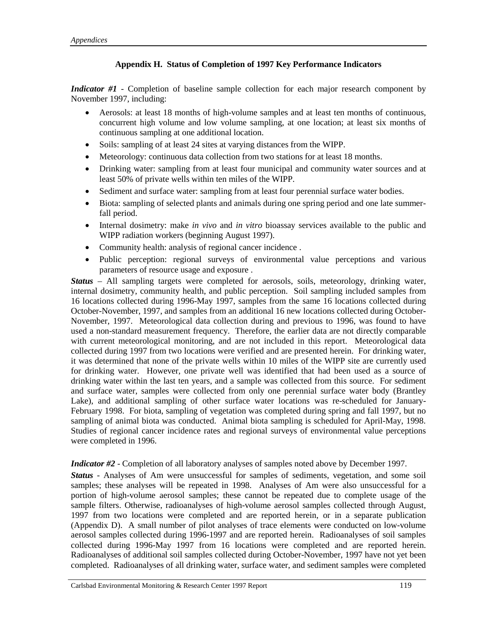### **Appendix H. Status of Completion of 1997 Key Performance Indicators**

*Indicator #1* - Completion of baseline sample collection for each major research component by November 1997, including:

- Aerosols: at least 18 months of high-volume samples and at least ten months of continuous, concurrent high volume and low volume sampling, at one location; at least six months of continuous sampling at one additional location.
- Soils: sampling of at least 24 sites at varying distances from the WIPP.
- Meteorology: continuous data collection from two stations for at least 18 months.
- Drinking water: sampling from at least four municipal and community water sources and at least 50% of private wells within ten miles of the WIPP.
- Sediment and surface water: sampling from at least four perennial surface water bodies.
- Biota: sampling of selected plants and animals during one spring period and one late summerfall period.
- Internal dosimetry: make *in vivo* and *in vitro* bioassay services available to the public and WIPP radiation workers (beginning August 1997).
- Community health: analysis of regional cancer incidence .
- Public perception: regional surveys of environmental value perceptions and various parameters of resource usage and exposure .

*Status* – All sampling targets were completed for aerosols, soils, meteorology, drinking water, internal dosimetry, community health, and public perception. Soil sampling included samples from 16 locations collected during 1996-May 1997, samples from the same 16 locations collected during October-November, 1997, and samples from an additional 16 new locations collected during October-November, 1997. Meteorological data collection during and previous to 1996, was found to have used a non-standard measurement frequency. Therefore, the earlier data are not directly comparable with current meteorological monitoring, and are not included in this report. Meteorological data collected during 1997 from two locations were verified and are presented herein. For drinking water, it was determined that none of the private wells within 10 miles of the WIPP site are currently used for drinking water. However, one private well was identified that had been used as a source of drinking water within the last ten years, and a sample was collected from this source. For sediment and surface water, samples were collected from only one perennial surface water body (Brantley Lake), and additional sampling of other surface water locations was re-scheduled for January-February 1998. For biota, sampling of vegetation was completed during spring and fall 1997, but no sampling of animal biota was conducted. Animal biota sampling is scheduled for April-May, 1998. Studies of regional cancer incidence rates and regional surveys of environmental value perceptions were completed in 1996.

*Indicator #2* - Completion of all laboratory analyses of samples noted above by December 1997.

*Status* - Analyses of Am were unsuccessful for samples of sediments, vegetation, and some soil samples; these analyses will be repeated in 1998. Analyses of Am were also unsuccessful for a portion of high-volume aerosol samples; these cannot be repeated due to complete usage of the sample filters. Otherwise, radioanalyses of high-volume aerosol samples collected through August, 1997 from two locations were completed and are reported herein, or in a separate publication (Appendix D). A small number of pilot analyses of trace elements were conducted on low-volume aerosol samples collected during 1996-1997 and are reported herein. Radioanalyses of soil samples collected during 1996-May 1997 from 16 locations were completed and are reported herein. Radioanalyses of additional soil samples collected during October-November, 1997 have not yet been completed. Radioanalyses of all drinking water, surface water, and sediment samples were completed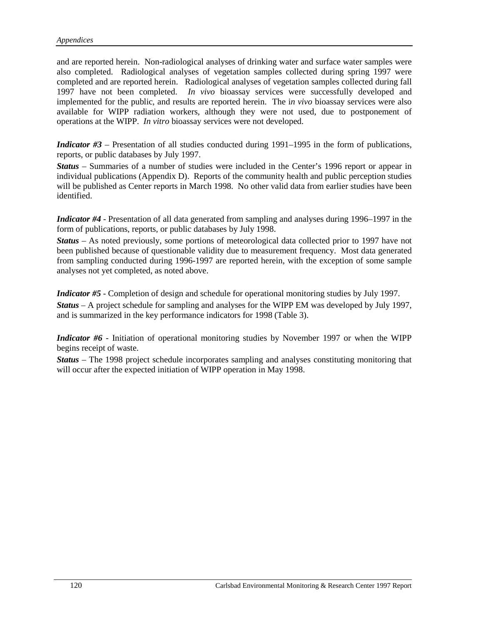and are reported herein. Non-radiological analyses of drinking water and surface water samples were also completed. Radiological analyses of vegetation samples collected during spring 1997 were completed and are reported herein. Radiological analyses of vegetation samples collected during fall 1997 have not been completed. *In vivo* bioassay services were successfully developed and implemented for the public, and results are reported herein. The i*n vivo* bioassay services were also available for WIPP radiation workers, although they were not used, due to postponement of operations at the WIPP. *In vitro* bioassay services were not developed.

*Indicator #3* – Presentation of all studies conducted during 1991–1995 in the form of publications, reports, or public databases by July 1997.

*Status* – Summaries of a number of studies were included in the Center's 1996 report or appear in individual publications (Appendix D). Reports of the community health and public perception studies will be published as Center reports in March 1998. No other valid data from earlier studies have been identified.

*Indicator #4* - Presentation of all data generated from sampling and analyses during 1996–1997 in the form of publications, reports, or public databases by July 1998.

*Status* – As noted previously, some portions of meteorological data collected prior to 1997 have not been published because of questionable validity due to measurement frequency. Most data generated from sampling conducted during 1996-1997 are reported herein, with the exception of some sample analyses not yet completed, as noted above.

*Indicator #5* - Completion of design and schedule for operational monitoring studies by July 1997. *Status* – A project schedule for sampling and analyses for the WIPP EM was developed by July 1997, and is summarized in the key performance indicators for 1998 (Table 3).

*Indicator #6* - Initiation of operational monitoring studies by November 1997 or when the WIPP begins receipt of waste.

*Status* – The 1998 project schedule incorporates sampling and analyses constituting monitoring that will occur after the expected initiation of WIPP operation in May 1998.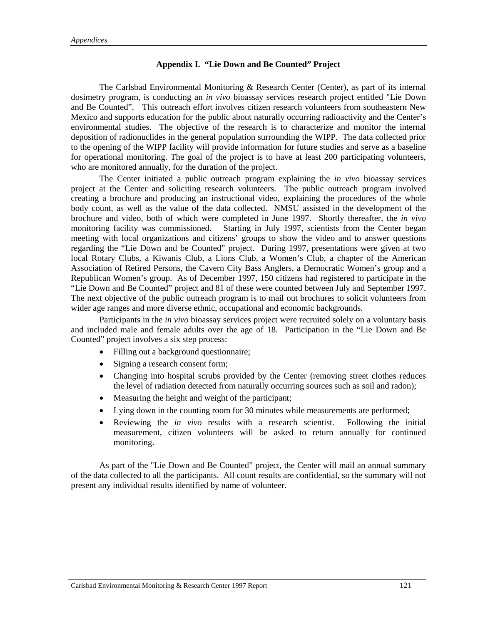#### **Appendix I. "Lie Down and Be Counted" Project**

The Carlsbad Environmental Monitoring & Research Center (Center), as part of its internal dosimetry program, is conducting an *in vivo* bioassay services research project entitled "Lie Down and Be Counted". This outreach effort involves citizen research volunteers from southeastern New Mexico and supports education for the public about naturally occurring radioactivity and the Center's environmental studies. The objective of the research is to characterize and monitor the internal deposition of radionuclides in the general population surrounding the WIPP. The data collected prior to the opening of the WIPP facility will provide information for future studies and serve as a baseline for operational monitoring. The goal of the project is to have at least 200 participating volunteers, who are monitored annually, for the duration of the project.

The Center initiated a public outreach program explaining the *in vivo* bioassay services project at the Center and soliciting research volunteers. The public outreach program involved creating a brochure and producing an instructional video, explaining the procedures of the whole body count, as well as the value of the data collected. NMSU assisted in the development of the brochure and video, both of which were completed in June 1997. Shortly thereafter, the *in vivo* monitoring facility was commissioned. Starting in July 1997, scientists from the Center began meeting with local organizations and citizens' groups to show the video and to answer questions regarding the "Lie Down and be Counted" project. During 1997, presentations were given at two local Rotary Clubs, a Kiwanis Club, a Lions Club, a Women's Club, a chapter of the American Association of Retired Persons, the Cavern City Bass Anglers, a Democratic Women's group and a Republican Women's group. As of December 1997, 150 citizens had registered to participate in the "Lie Down and Be Counted" project and 81 of these were counted between July and September 1997. The next objective of the public outreach program is to mail out brochures to solicit volunteers from wider age ranges and more diverse ethnic, occupational and economic backgrounds.

Participants in the *in vivo* bioassay services project were recruited solely on a voluntary basis and included male and female adults over the age of 18. Participation in the "Lie Down and Be Counted" project involves a six step process:

- Filling out a background questionnaire;
- Signing a research consent form;
- Changing into hospital scrubs provided by the Center (removing street clothes reduces the level of radiation detected from naturally occurring sources such as soil and radon);
- Measuring the height and weight of the participant;
- Lying down in the counting room for 30 minutes while measurements are performed;
- Reviewing the *in vivo* results with a research scientist. Following the initial measurement, citizen volunteers will be asked to return annually for continued monitoring.

As part of the "Lie Down and Be Counted" project, the Center will mail an annual summary of the data collected to all the participants. All count results are confidential, so the summary will not present any individual results identified by name of volunteer.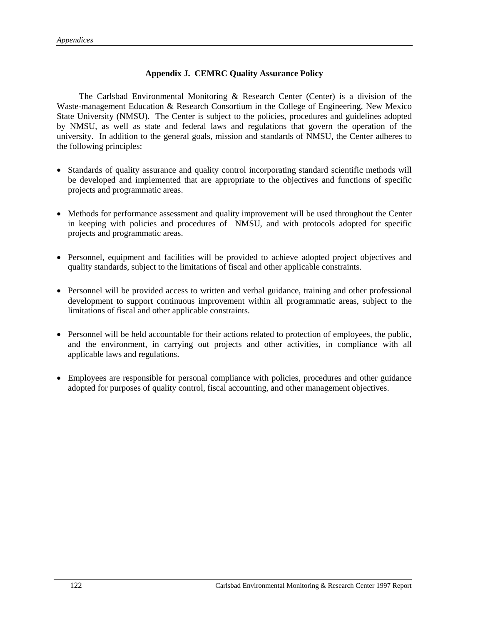### **Appendix J. CEMRC Quality Assurance Policy**

 The Carlsbad Environmental Monitoring & Research Center (Center) is a division of the Waste-management Education & Research Consortium in the College of Engineering, New Mexico State University (NMSU). The Center is subject to the policies, procedures and guidelines adopted by NMSU, as well as state and federal laws and regulations that govern the operation of the university. In addition to the general goals, mission and standards of NMSU, the Center adheres to the following principles:

- Standards of quality assurance and quality control incorporating standard scientific methods will be developed and implemented that are appropriate to the objectives and functions of specific projects and programmatic areas.
- Methods for performance assessment and quality improvement will be used throughout the Center in keeping with policies and procedures of NMSU, and with protocols adopted for specific projects and programmatic areas.
- Personnel, equipment and facilities will be provided to achieve adopted project objectives and quality standards, subject to the limitations of fiscal and other applicable constraints.
- Personnel will be provided access to written and verbal guidance, training and other professional development to support continuous improvement within all programmatic areas, subject to the limitations of fiscal and other applicable constraints.
- Personnel will be held accountable for their actions related to protection of employees, the public, and the environment, in carrying out projects and other activities, in compliance with all applicable laws and regulations.
- Employees are responsible for personal compliance with policies, procedures and other guidance adopted for purposes of quality control, fiscal accounting, and other management objectives.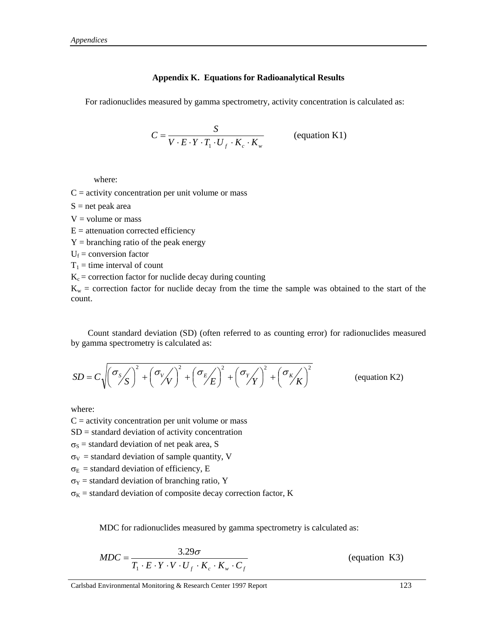#### **Appendix K. Equations for Radioanalytical Results**

For radionuclides measured by gamma spectrometry, activity concentration is calculated as:

$$
C = \frac{S}{V \cdot E \cdot Y \cdot T_1 \cdot U_f \cdot K_c \cdot K_w}
$$
 (equation K1)

where:

 $C =$  activity concentration per unit volume or mass

 $S = net$  peak area

 $V =$  volume or mass

 $E =$  attenuation corrected efficiency

 $Y =$  branching ratio of the peak energy

 $U_f$  = conversion factor

 $T_1$  = time interval of count

 $K_c$  = correction factor for nuclide decay during counting

 $K_w$  = correction factor for nuclide decay from the time the sample was obtained to the start of the count.

Count standard deviation (SD) (often referred to as counting error) for radionuclides measured by gamma spectrometry is calculated as:

$$
SD = C\sqrt{\left(\frac{\sigma_s}{S}\right)^2 + \left(\frac{\sigma_v}{V}\right)^2 + \left(\frac{\sigma_E}{E}\right)^2 + \left(\frac{\sigma_v}{Y}\right)^2 + \left(\frac{\sigma_K}{K}\right)^2}
$$
 (equation K2)

where:

 $C =$  activity concentration per unit volume or mass

 $SD =$  standard deviation of activity concentration

 $\sigma_s$  = standard deviation of net peak area, S

 $\sigma_V$  = standard deviation of sample quantity, V

 $\sigma_{\rm E}$  = standard deviation of efficiency, E

 $\sigma_Y$  = standard deviation of branching ratio, Y

 $\sigma_{K}$  = standard deviation of composite decay correction factor, K

MDC for radionuclides measured by gamma spectrometry is calculated as:

$$
MDC = \frac{3.29\sigma}{T_1 \cdot E \cdot Y \cdot V \cdot U_f \cdot K_c \cdot K_w \cdot C_f}
$$
 (equation K3)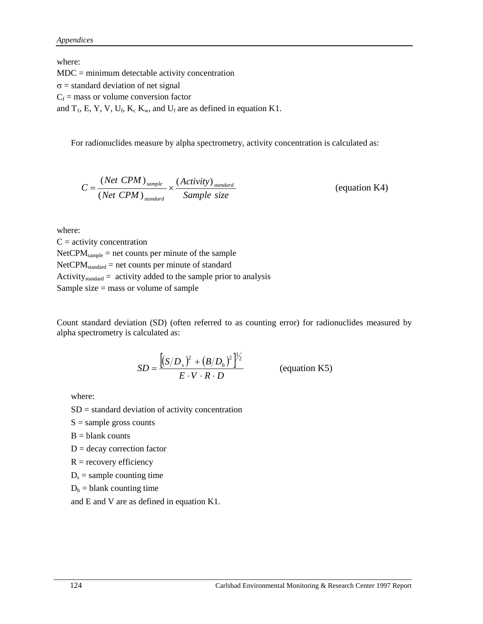where:

MDC = minimum detectable activity concentration  $\sigma$  = standard deviation of net signal  $C_f$  = mass or volume conversion factor and  $T_1$ , E, Y, V, U<sub>f</sub>, K<sub>c</sub> K<sub>w</sub>, and U<sub>f</sub> are as defined in equation K1.

For radionuclides measure by alpha spectrometry, activity concentration is calculated as:

$$
C = \frac{(Net\ CPM)_{sample}}{(Net\ CPM)_{standard}} \times \frac{(Activity)_{standard}}{Sample\ size}
$$
 (equation K4)

where:

 $C =$  activity concentration  $NetCPM<sub>sample</sub> = net counts per minute of the sample$  $NetCPM<sub>standard</sub>$  = net counts per minute of standard Activity<sub>standard</sub> = activity added to the sample prior to analysis Sample size = mass or volume of sample

Count standard deviation (SD) (often referred to as counting error) for radionuclides measured by alpha spectrometry is calculated as:

$$
SD = \frac{\left[ (S/D_s)^2 + (B/D_b)^2 \right]^{1/2}}{E \cdot V \cdot R \cdot D}
$$
 (equation K5)

where:

 $SD =$  standard deviation of activity concentration

 $S =$ sample gross counts

 $B =$  blank counts

 $D =$  decay correction factor

 $R =$  recovery efficiency

 $D_s$  = sample counting time

 $D_b =$  blank counting time

and E and V are as defined in equation K1.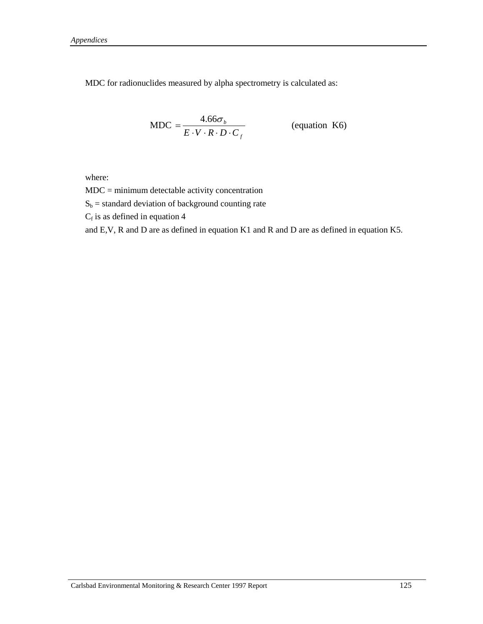MDC for radionuclides measured by alpha spectrometry is calculated as:

$$
MDC = \frac{4.66\sigma_b}{E \cdot V \cdot R \cdot D \cdot C_f}
$$
 (equation K6)

where:

MDC = minimum detectable activity concentration

 $S_b$  = standard deviation of background counting rate

 $C_f$  is as defined in equation 4

and E,V, R and D are as defined in equation K1 and R and D are as defined in equation K5.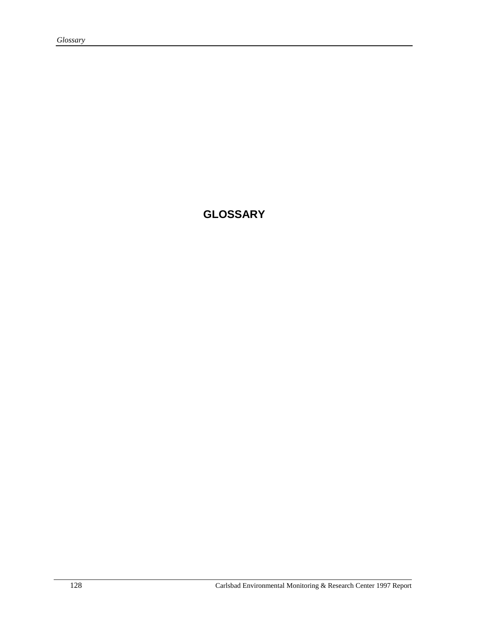**GLOSSARY**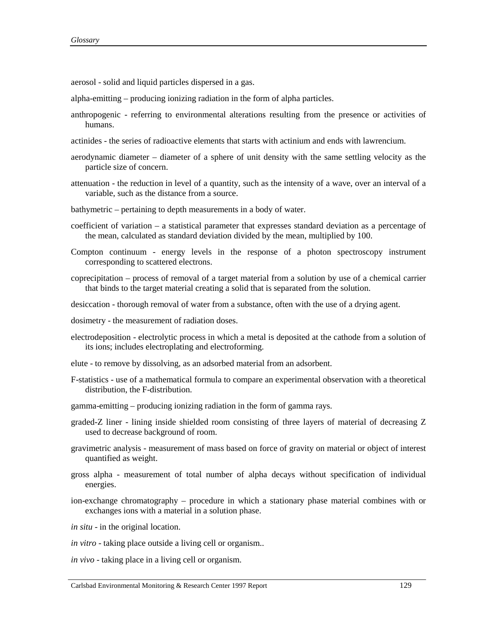aerosol - solid and liquid particles dispersed in a gas.

- alpha-emitting producing ionizing radiation in the form of alpha particles.
- anthropogenic referring to environmental alterations resulting from the presence or activities of humans.
- actinides the series of radioactive elements that starts with actinium and ends with lawrencium.
- aerodynamic diameter diameter of a sphere of unit density with the same settling velocity as the particle size of concern.
- attenuation the reduction in level of a quantity, such as the intensity of a wave, over an interval of a variable, such as the distance from a source.
- bathymetric pertaining to depth measurements in a body of water.
- coefficient of variation a statistical parameter that expresses standard deviation as a percentage of the mean, calculated as standard deviation divided by the mean, multiplied by 100.
- Compton continuum energy levels in the response of a photon spectroscopy instrument corresponding to scattered electrons.
- coprecipitation process of removal of a target material from a solution by use of a chemical carrier that binds to the target material creating a solid that is separated from the solution.
- desiccation thorough removal of water from a substance, often with the use of a drying agent.
- dosimetry the measurement of radiation doses.
- electrodeposition electrolytic process in which a metal is deposited at the cathode from a solution of its ions; includes electroplating and electroforming.
- elute to remove by dissolving, as an adsorbed material from an adsorbent.
- F-statistics use of a mathematical formula to compare an experimental observation with a theoretical distribution, the F-distribution.
- gamma-emitting producing ionizing radiation in the form of gamma rays.
- graded-Z liner lining inside shielded room consisting of three layers of material of decreasing Z used to decrease background of room.
- gravimetric analysis measurement of mass based on force of gravity on material or object of interest quantified as weight.
- gross alpha measurement of total number of alpha decays without specification of individual energies.
- ion-exchange chromatography procedure in which a stationary phase material combines with or exchanges ions with a material in a solution phase.
- *in situ* in the original location.
- *in vitro* taking place outside a living cell or organism..
- *in vivo* taking place in a living cell or organism.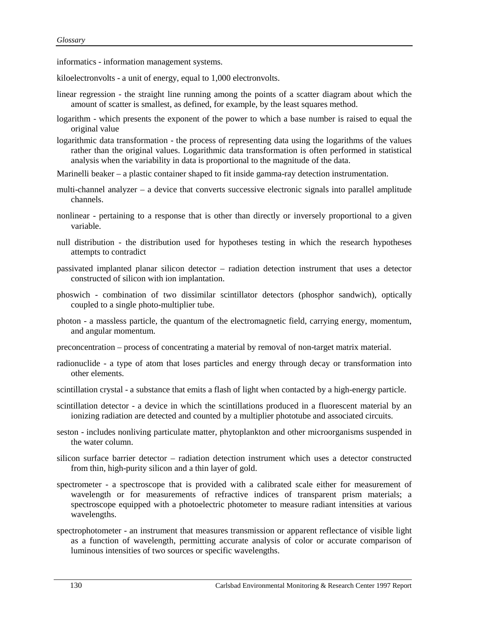informatics - information management systems.

kiloelectronvolts - a unit of energy, equal to 1,000 electronvolts.

- linear regression the straight line running among the points of a scatter diagram about which the amount of scatter is smallest, as defined, for example, by the least squares method.
- logarithm which presents the exponent of the power to which a base number is raised to equal the original value
- logarithmic data transformation the process of representing data using the logarithms of the values rather than the original values. Logarithmic data transformation is often performed in statistical analysis when the variability in data is proportional to the magnitude of the data.

Marinelli beaker – a plastic container shaped to fit inside gamma-ray detection instrumentation.

- multi-channel analyzer a device that converts successive electronic signals into parallel amplitude channels.
- nonlinear pertaining to a response that is other than directly or inversely proportional to a given variable.
- null distribution the distribution used for hypotheses testing in which the research hypotheses attempts to contradict
- passivated implanted planar silicon detector radiation detection instrument that uses a detector constructed of silicon with ion implantation.
- phoswich combination of two dissimilar scintillator detectors (phosphor sandwich), optically coupled to a single photo-multiplier tube.
- photon a massless particle, the quantum of the electromagnetic field, carrying energy, momentum, and angular momentum.
- preconcentration process of concentrating a material by removal of non-target matrix material.
- radionuclide a type of atom that loses particles and energy through decay or transformation into other elements.
- scintillation crystal a substance that emits a flash of light when contacted by a high-energy particle.
- scintillation detector a device in which the scintillations produced in a fluorescent material by an ionizing radiation are detected and counted by a multiplier phototube and associated circuits.
- seston includes nonliving particulate matter, phytoplankton and other microorganisms suspended in the water column.
- silicon surface barrier detector radiation detection instrument which uses a detector constructed from thin, high-purity silicon and a thin layer of gold.
- spectrometer a spectroscope that is provided with a calibrated scale either for measurement of wavelength or for measurements of refractive indices of transparent prism materials; a spectroscope equipped with a photoelectric photometer to measure radiant intensities at various wavelengths.
- spectrophotometer an instrument that measures transmission or apparent reflectance of visible light as a function of wavelength, permitting accurate analysis of color or accurate comparison of luminous intensities of two sources or specific wavelengths.